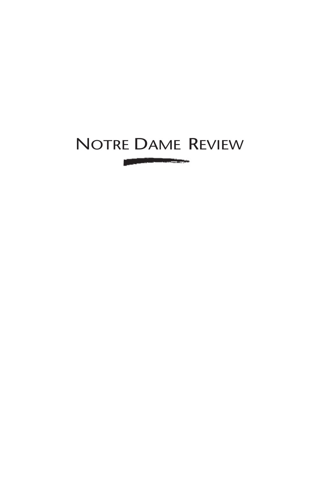

الأراد المتعارف

والأسترابات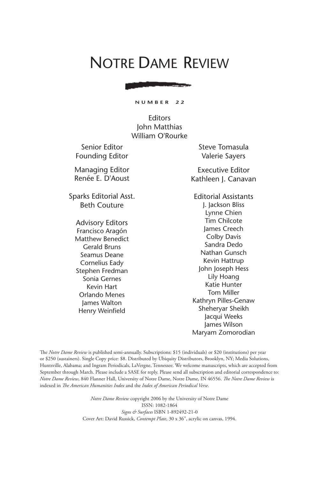# NOTRE DAME REVIEW

**N U M B E R 2 2**

Editors John Matthias William O'Rourke

Senior Editor Founding Editor

Managing Editor Renée E. D'Aoust

Sparks Editorial Asst. Beth Couture

Advisory Editors Francisco Aragón Matthew Benedict Gerald Bruns Seamus Deane Cornelius Eady Stephen Fredman Sonia Gernes Kevin Hart Orlando Menes James Walton Henry Weinfield

Steve Tomasula Valerie Sayers

Executive Editor Kathleen J. Canavan

Editorial Assistants J. Jackson Bliss Lynne Chien Tim Chilcote James Creech Colby Davis Sandra Dedo Nathan Gunsch Kevin Hattrup John Joseph Hess Lily Hoang Katie Hunter Tom Miller Kathryn Pilles-Genaw Sheheryar Sheikh Jacqui Weeks James Wilson Maryam Zomorodian

The *Notre Dame Review* is published semi-annually. Subscriptions: \$15 (individuals) or \$20 (institutions) per year or \$250 (sustainers). Single Copy price: \$8. Distributed by Ubiquity Distributors, Brooklyn, NY; Media Solutions, Huntsville, Alabama; and Ingram Periodicals, LaVergne, Tennessee. We welcome manuscripts, which are accepted from September through March. Please include a SASE for reply. Please send all subscription and editorial correspondence to: *Notre Dame Review*, 840 Flanner Hall, University of Notre Dame, Notre Dame, IN 46556. *The Notre Dame Review* is indexed in *The American Humanities Index* and the *Index of American Periodical Verse*.

> *Notre Dame Review* copyright 2006 by the University of Notre Dame ISSN: 1082-1864 *Signs & Surfaces* ISBN 1-892492-21-0 Cover Art: David Russick, *Contempt Plate*, 30 x 36", acrylic on canvas, 1994.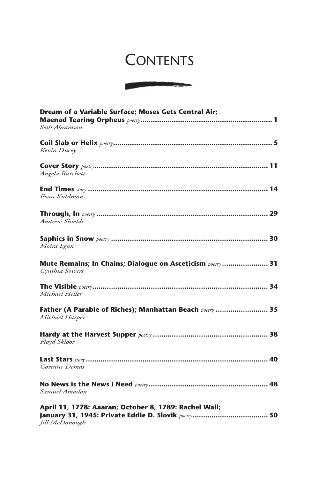# **CONTENTS**

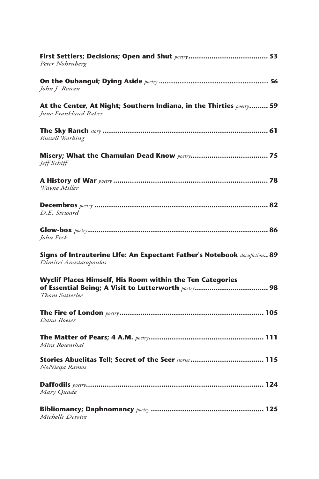| Peter Nohrnberg                                                                                     |
|-----------------------------------------------------------------------------------------------------|
| John J. Ronan                                                                                       |
| At the Center, At Night; Southern Indiana, in the Thirties poetry 59<br>June Frankland Baker        |
| Russell Working                                                                                     |
| Jeff Schiff                                                                                         |
| Wayne Miller                                                                                        |
| D.E. Steward                                                                                        |
| John Peck                                                                                           |
| Signs of Intrauterine LIfe: An Expectant Father's Notebook docufiction 89<br>Dimitri Anastasopoulos |
| Wyclif Places Himself, His Room within the Ten Categories<br>Thom Satterlee                         |
| Dana Roeser                                                                                         |
| Mira Rosenthal                                                                                      |
| NoNiega Ramos                                                                                       |
| Mary Quade                                                                                          |
| Michelle Detoire                                                                                    |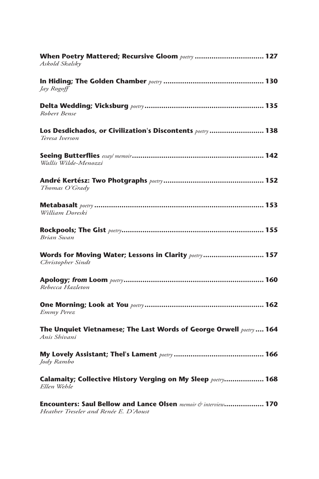| When Poetry Mattered; Recursive Gloom poetry  127<br>Askold Skalsky                                     |
|---------------------------------------------------------------------------------------------------------|
| Jay Rogoff                                                                                              |
| Robert Bense                                                                                            |
| Los Desdichados, or Civilization's Discontents poetry  138<br>Teresa Iverson                            |
| Wallis Wilde-Menozzi                                                                                    |
| Thomas O'Grady                                                                                          |
| William Doreski                                                                                         |
| Brian Swan                                                                                              |
| Words for Moving Water; Lessons in Clarity poetry 157<br>Christopher Sindt                              |
| Rebecca Hazleton                                                                                        |
| <b>Emmy Perez</b>                                                                                       |
| The Unquiet Vietnamese; The Last Words of George Orwell poetry  164<br>Anis Shivani                     |
| Jody Rambo                                                                                              |
| Calamaity; Collective History Verging on My Sleep poetry 168<br>Ellen Wehle                             |
| Encounters: Saul Bellow and Lance Olsen memoir & interview 170<br>Heather Treseler and Renée E. D'Aoust |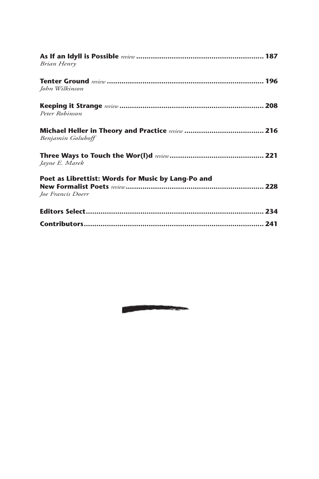| Brian Henry                                                             |  |
|-------------------------------------------------------------------------|--|
| John Wilkinson                                                          |  |
| Peter Robinson                                                          |  |
| Benjamin Goluboff                                                       |  |
| Jayne E. Marek                                                          |  |
| Poet as Librettist: Words for Music by Lang-Po and<br>Joe Francis Doerr |  |
|                                                                         |  |
|                                                                         |  |

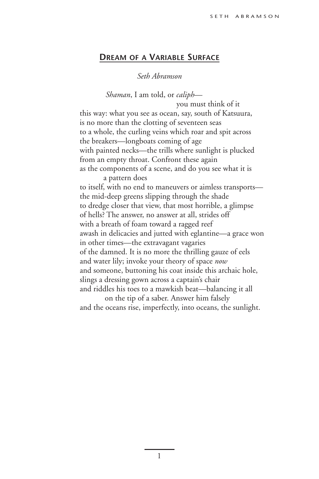## **DREAM OF A VARIABLE SURFACE**

*Seth Abramson*

*Shaman*, I am told, or *caliph*—

you must think of it this way: what you see as ocean, say, south of Katsuura, is no more than the clotting of seventeen seas to a whole, the curling veins which roar and spit across the breakers—longboats coming of age with painted necks—the trills where sunlight is plucked from an empty throat. Confront these again as the components of a scene, and do you see what it is a pattern does

to itself, with no end to maneuvers or aimless transports the mid-deep greens slipping through the shade to dredge closer that view, that most horrible, a glimpse of hells? The answer, no answer at all, strides off with a breath of foam toward a ragged reef awash in delicacies and jutted with eglantine—a grace won in other times—the extravagant vagaries of the damned. It is no more the thrilling gauze of eels and water lily; invoke your theory of space *now* and someone, buttoning his coat inside this archaic hole, slings a dressing gown across a captain's chair and riddles his toes to a mawkish beat—balancing it all

on the tip of a saber. Answer him falsely and the oceans rise, imperfectly, into oceans, the sunlight.

1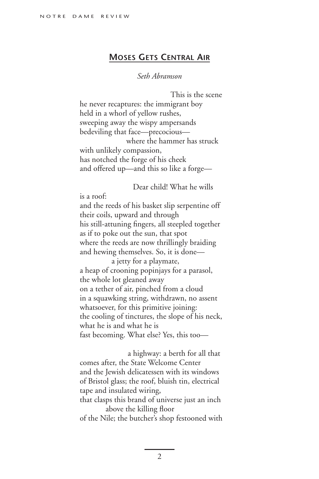## **MOSES GETS CENTRAL AIR**

#### *Seth Abramson*

This is the scene he never recaptures: the immigrant boy held in a whorl of yellow rushes, sweeping away the wispy ampersands bedeviling that face—precocious where the hammer has struck with unlikely compassion, has notched the forge of his cheek and offered up—and this so like a forge—

Dear child! What he wills

is a roof: and the reeds of his basket slip serpentine off their coils, upward and through his still-attuning fingers, all steepled together as if to poke out the sun, that spot where the reeds are now thrillingly braiding and hewing themselves. So, it is done a jetty for a playmate,

a heap of crooning popinjays for a parasol, the whole lot gleaned away on a tether of air, pinched from a cloud in a squawking string, withdrawn, no assent whatsoever, for this primitive joining: the cooling of tinctures, the slope of his neck, what he is and what he is fast becoming. What else? Yes, this too—

a highway: a berth for all that comes after, the State Welcome Center and the Jewish delicatessen with its windows of Bristol glass; the roof, bluish tin, electrical tape and insulated wiring, that clasps this brand of universe just an inch above the killing floor

of the Nile; the butcher's shop festooned with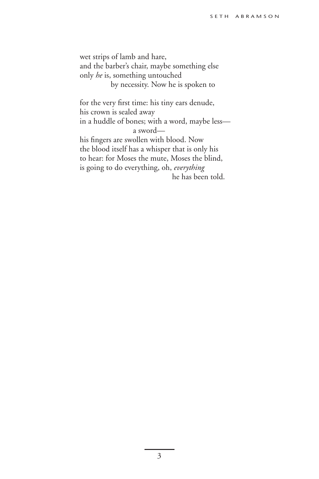wet strips of lamb and hare, and the barber's chair, maybe something else only *he* is, something untouched by necessity. Now he is spoken to

for the very first time: his tiny ears denude, his crown is sealed away in a huddle of bones; with a word, maybe less a sword his fingers are swollen with blood. Now the blood itself has a whisper that is only his to hear: for Moses the mute, Moses the blind, is going to do everything, oh, *everything*

he has been told.

3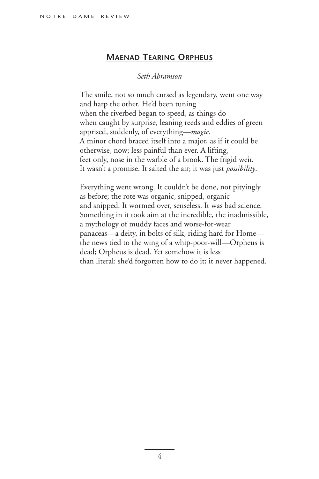# **MAENAD TEARING ORPHEUS**

#### *Seth Abramson*

The smile, not so much cursed as legendary, went one way and harp the other. He'd been tuning when the riverbed began to speed, as things do when caught by surprise, leaning reeds and eddies of green apprised, suddenly, of everything—*magic*. A minor chord braced itself into a major, as if it could be otherwise, now; less painful than ever. A lifting, feet only, nose in the warble of a brook. The frigid weir. It wasn't a promise. It salted the air; it was just *possibility*.

Everything went wrong. It couldn't be done, not pityingly as before; the rote was organic, snipped, organic and snipped. It wormed over, senseless. It was bad science. Something in it took aim at the incredible, the inadmissible, a mythology of muddy faces and worse-for-wear panaceas—a deity, in bolts of silk, riding hard for Home the news tied to the wing of a whip-poor-will—Orpheus is dead; Orpheus is dead. Yet somehow it is less than literal: she'd forgotten how to do it; it never happened.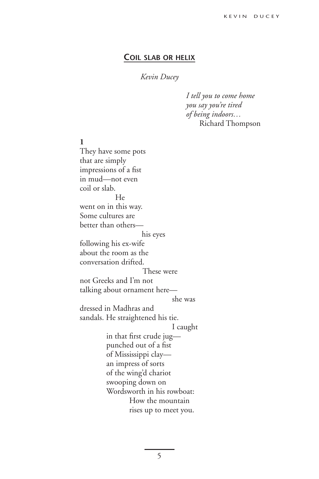#### **COIL SLAB OR HELIX**

*Kevin Ducey*

*I tell you to come home you say you're tired of being indoors…* Richard Thompson

#### **1**

They have some pots that are simply impressions of a fist in mud—not even coil or slab. He went on in this way. Some cultures are better than others his eyes following his ex-wife about the room as the conversation drifted. These were not Greeks and I'm not talking about ornament here she was dressed in Madhras and sandals. He straightened his tie. I caught in that first crude jug punched out of a fist of Mississippi clay an impress of sorts of the wing'd chariot swooping down on Wordsworth in his rowboat: How the mountain

5

rises up to meet you.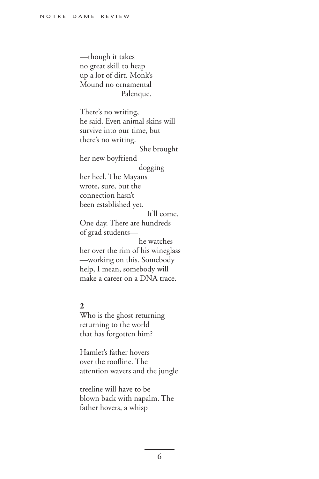—though it takes no great skill to heap up a lot of dirt. Monk's Mound no ornamental Palenque.

There's no writing, he said. Even animal skins will survive into our time, but there's no writing. She brought her new boyfriend dogging her heel. The Mayans wrote, sure, but the connection hasn't been established yet. It'll come. One day. There are hundreds of grad students he watches her over the rim of his wineglass —working on this. Somebody help, I mean, somebody will make a career on a DNA trace.

#### **2**

Who is the ghost returning returning to the world that has forgotten him?

Hamlet's father hovers over the roofline. The attention wavers and the jungle

treeline will have to be blown back with napalm. The father hovers, a whisp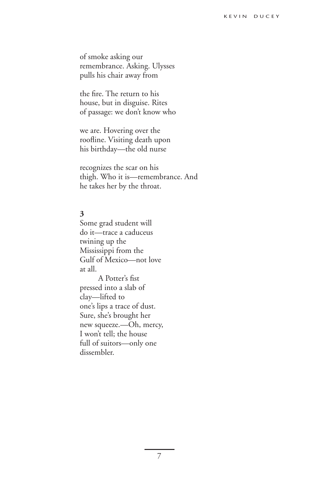of smoke asking our remembrance. Asking. Ulysses pulls his chair away from

the fire. The return to his house, but in disguise. Rites of passage: we don't know who

we are. Hovering over the roofline. Visiting death upon his birthday—the old nurse

recognizes the scar on his thigh. Who it is—remembrance. And he takes her by the throat.

#### **3**

Some grad student will do it—trace a caduceus twining up the Mississippi from the Gulf of Mexico—not love at all. A Potter's fist pressed into a slab of clay—lifted to one's lips a trace of dust. Sure, she's brought her new squeeze.—Oh, mercy, I won't tell; the house

full of suitors—only one dissembler.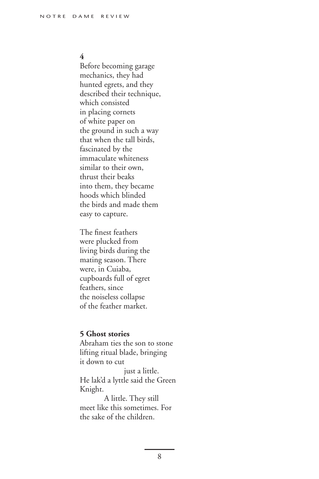#### **4**

Before becoming garage mechanics, they had hunted egrets, and they described their technique, which consisted in placing cornets of white paper on the ground in such a way that when the tall birds, fascinated by the immaculate whiteness similar to their own, thrust their beaks into them, they became hoods which blinded the birds and made them easy to capture.

The finest feathers were plucked from living birds during the mating season. There were, in Cuiaba, cupboards full of egret feathers, since the noiseless collapse of the feather market.

#### **5 Ghost stories**

Abraham ties the son to stone lifting ritual blade, bringing it down to cut just a little. He lak'd a lyttle said the Green Knight. A little. They still meet like this sometimes. For the sake of the children.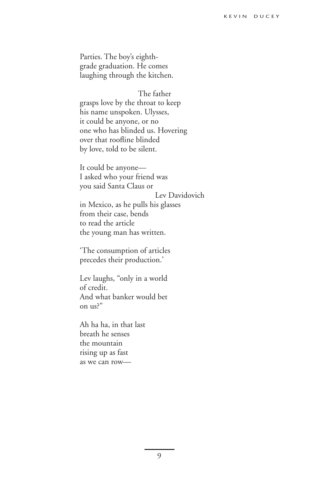Parties. The boy's eighthgrade graduation. He comes laughing through the kitchen.

The father grasps love by the throat to keep his name unspoken. Ulysses, it could be anyone, or no one who has blinded us. Hovering over that roofline blinded by love, told to be silent.

It could be anyone— I asked who your friend was you said Santa Claus or

Lev Davidovich in Mexico, as he pulls his glasses from their case, bends to read the article the young man has written.

'The consumption of articles precedes their production.'

Lev laughs, "only in a world of credit. And what banker would bet on us?"

Ah ha ha, in that last breath he senses the mountain rising up as fast as we can row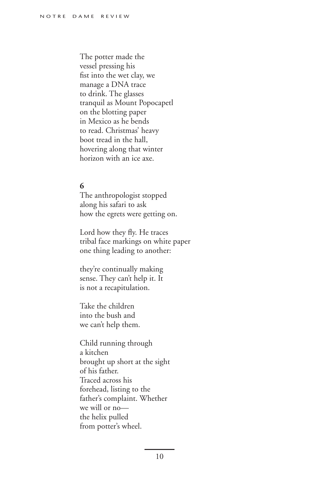The potter made the vessel pressing his fist into the wet clay, we manage a DNA trace to drink. The glasses tranquil as Mount Popocapetl on the blotting paper in Mexico as he bends to read. Christmas' heavy boot tread in the hall, hovering along that winter horizon with an ice axe.

#### **6**

The anthropologist stopped along his safari to ask how the egrets were getting on.

Lord how they fly. He traces tribal face markings on white paper one thing leading to another:

they're continually making sense. They can't help it. It is not a recapitulation.

Take the children into the bush and we can't help them.

Child running through a kitchen brought up short at the sight of his father. Traced across his forehead, listing to the father's complaint. Whether we will or no the helix pulled from potter's wheel.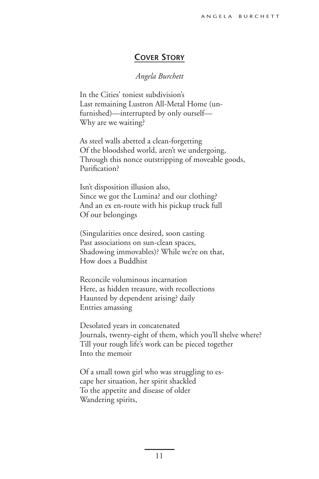# **COVER STORY**

### *Angela Burchett*

In the Cities' toniest subdivision's Last remaining Lustron All-Metal Home (unfurnished)—interrupted by only ourself— Why are we waiting?

As steel walls abetted a clean-forgetting Of the bloodshed world, aren't we undergoing, Through this nonce outstripping of moveable goods, Purification?

Isn't disposition illusion also, Since we got the Lumina? and our clothing? And an ex en-route with his pickup truck full Of our belongings

(Singularities once desired, soon casting Past associations on sun-clean spaces, Shadowing immovables)? While we're on that, How does a Buddhist

Reconcile voluminous incarnation Here, as hidden treasure, with recollections Haunted by dependent arising? daily Entries amassing

Desolated years in concatenated Journals, twenty-eight of them, which you'll shelve where? Till your rough life's work can be pieced together Into the memoir

Of a small town girl who was struggling to escape her situation, her spirit shackled To the appetite and disease of older Wandering spirits,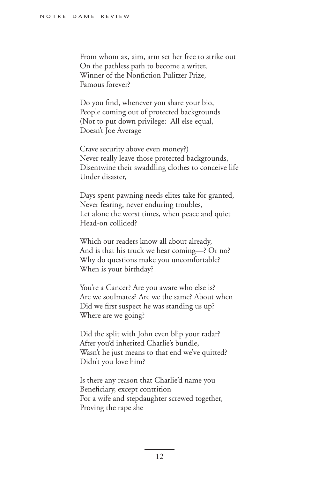From whom ax, aim, arm set her free to strike out On the pathless path to become a writer, Winner of the Nonfiction Pulitzer Prize, Famous forever?

Do you find, whenever you share your bio, People coming out of protected backgrounds (Not to put down privilege: All else equal, Doesn't Joe Average

Crave security above even money?) Never really leave those protected backgrounds, Disentwine their swaddling clothes to conceive life Under disaster,

Days spent pawning needs elites take for granted, Never fearing, never enduring troubles, Let alone the worst times, when peace and quiet Head-on collided?

Which our readers know all about already, And is that his truck we hear coming—? Or no? Why do questions make you uncomfortable? When is your birthday?

You're a Cancer? Are you aware who else is? Are we soulmates? Are we the same? About when Did we first suspect he was standing us up? Where are we going?

Did the split with John even blip your radar? After you'd inherited Charlie's bundle, Wasn't he just means to that end we've quitted? Didn't you love him?

Is there any reason that Charlie'd name you Beneficiary, except contrition For a wife and stepdaughter screwed together, Proving the rape she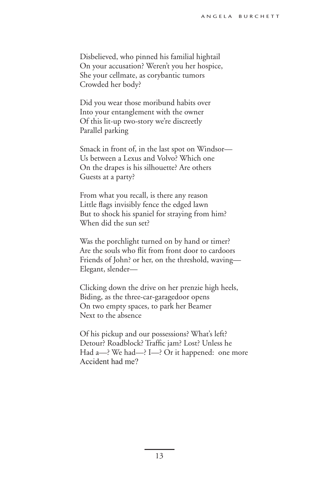Disbelieved, who pinned his familial hightail On your accusation? Weren't you her hospice, She your cellmate, as corybantic tumors Crowded her body?

Did you wear those moribund habits over Into your entanglement with the owner Of this lit-up two-story we're discreetly Parallel parking

Smack in front of, in the last spot on Windsor— Us between a Lexus and Volvo? Which one On the drapes is his silhouette? Are others Guests at a party?

From what you recall, is there any reason Little flags invisibly fence the edged lawn But to shock his spaniel for straying from him? When did the sun set?

Was the porchlight turned on by hand or timer? Are the souls who flit from front door to cardoors Friends of John? or her, on the threshold, waving— Elegant, slender—

Clicking down the drive on her prenzie high heels, Biding, as the three-car-garagedoor opens On two empty spaces, to park her Beamer Next to the absence

Of his pickup and our possessions? What's left? Detour? Roadblock? Traffic jam? Lost? Unless he Had a—? We had—? I—? Or it happened: one more Accident had me?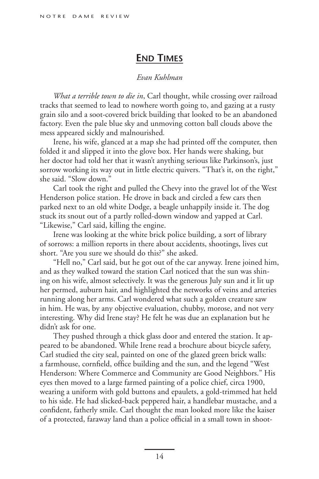# **END TIMES**

#### *Evan Kuhlman*

*What a terrible town to die in*, Carl thought, while crossing over railroad tracks that seemed to lead to nowhere worth going to, and gazing at a rusty grain silo and a soot-covered brick building that looked to be an abandoned factory. Even the pale blue sky and unmoving cotton ball clouds above the mess appeared sickly and malnourished*.* 

 Irene, his wife, glanced at a map she had printed off the computer, then folded it and slipped it into the glove box. Her hands were shaking, but her doctor had told her that it wasn't anything serious like Parkinson's, just sorrow working its way out in little electric quivers. "That's it, on the right," she said. "Slow down."

 Carl took the right and pulled the Chevy into the gravel lot of the West Henderson police station. He drove in back and circled a few cars then parked next to an old white Dodge, a beagle unhappily inside it. The dog stuck its snout out of a partly rolled-down window and yapped at Carl. "Likewise," Carl said, killing the engine.

 Irene was looking at the white brick police building, a sort of library of sorrows: a million reports in there about accidents, shootings, lives cut short. "Are you sure we should do this?" she asked.

 "Hell no," Carl said, but he got out of the car anyway. Irene joined him, and as they walked toward the station Carl noticed that the sun was shining on his wife, almost selectively. It was the generous July sun and it lit up her permed, auburn hair, and highlighted the networks of veins and arteries running along her arms. Carl wondered what such a golden creature saw in him. He was, by any objective evaluation, chubby, morose, and not very interesting. Why did Irene stay? He felt he was due an explanation but he didn't ask for one.

 They pushed through a thick glass door and entered the station. It appeared to be abandoned. While Irene read a brochure about bicycle safety, Carl studied the city seal, painted on one of the glazed green brick walls: a farmhouse, cornfield, office building and the sun, and the legend "West Henderson: Where Commerce and Community are Good Neighbors." His eyes then moved to a large farmed painting of a police chief, circa 1900, wearing a uniform with gold buttons and epaulets, a gold-trimmed hat held to his side. He had slicked-back peppered hair, a handlebar mustache, and a confident, fatherly smile. Carl thought the man looked more like the kaiser of a protected, faraway land than a police official in a small town in shoot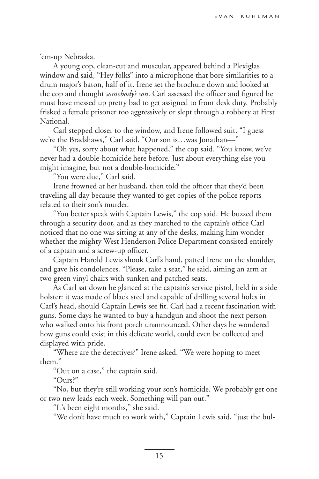'em-up Nebraska.

 A young cop, clean-cut and muscular, appeared behind a Plexiglas window and said, "Hey folks" into a microphone that bore similarities to a drum major's baton, half of it. Irene set the brochure down and looked at the cop and thought *somebody's son*. Carl assessed the officer and figured he must have messed up pretty bad to get assigned to front desk duty. Probably frisked a female prisoner too aggressively or slept through a robbery at First National.

 Carl stepped closer to the window, and Irene followed suit. "I guess we're the Bradshaws," Carl said. "Our son is…was Jonathan––"

 "Oh yes, sorry about what happened," the cop said. "You know, we've never had a double-homicide here before. Just about everything else you might imagine, but not a double-homicide."

"You were due," Carl said.

 Irene frowned at her husband, then told the officer that they'd been traveling all day because they wanted to get copies of the police reports related to their son's murder.

 "You better speak with Captain Lewis," the cop said. He buzzed them through a security door, and as they marched to the captain's office Carl noticed that no one was sitting at any of the desks, making him wonder whether the mighty West Henderson Police Department consisted entirely of a captain and a screw-up officer.

 Captain Harold Lewis shook Carl's hand, patted Irene on the shoulder, and gave his condolences. "Please, take a seat," he said, aiming an arm at two green vinyl chairs with sunken and patched seats.

 As Carl sat down he glanced at the captain's service pistol, held in a side holster: it was made of black steel and capable of drilling several holes in Carl's head, should Captain Lewis see fit. Carl had a recent fascination with guns. Some days he wanted to buy a handgun and shoot the next person who walked onto his front porch unannounced. Other days he wondered how guns could exist in this delicate world, could even be collected and displayed with pride.

 "Where are the detectives?" Irene asked. "We were hoping to meet them."

"Out on a case," the captain said.

"Ours?"

 "No, but they're still working your son's homicide. We probably get one or two new leads each week. Something will pan out."

"It's been eight months," she said.

"We don't have much to work with," Captain Lewis said, "just the bul-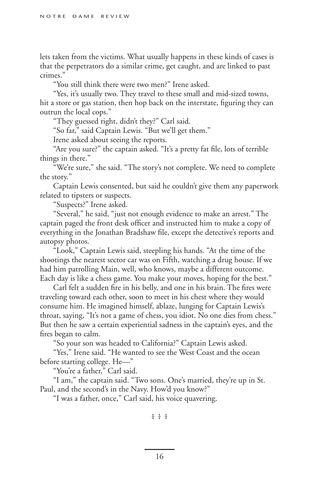lets taken from the victims. What usually happens in these kinds of cases is that the perpetrators do a similar crime, get caught, and are linked to past crimes."

"You still think there were two men?" Irene asked.

 "Yes, it's usually two. They travel to these small and mid-sized towns, hit a store or gas station, then hop back on the interstate, figuring they can outrun the local cops."

"They guessed right, didn't they?" Carl said.

"So far," said Captain Lewis. "But we'll get them."

Irene asked about seeing the reports.

 "Are you sure?" the captain asked. "It's a pretty fat file, lots of terrible things in there."

 "We're sure," she said. "The story's not complete. We need to complete the story."

 Captain Lewis consented, but said he couldn't give them any paperwork related to tipsters or suspects.

"Suspects?" Irene asked.

 "Several," he said, "just not enough evidence to make an arrest." The captain paged the front desk officer and instructed him to make a copy of everything in the Jonathan Bradshaw file, except the detective's reports and autopsy photos.

 "Look," Captain Lewis said, steepling his hands. "At the time of the shootings the nearest sector car was on Fifth, watching a drug house. If we had him patrolling Main, well, who knows, maybe a different outcome. Each day is like a chess game. You make your moves, hoping for the best."

 Carl felt a sudden fire in his belly, and one in his brain. The fires were traveling toward each other, soon to meet in his chest where they would consume him. He imagined himself, ablaze, lunging for Captain Lewis's throat, saying, "It's not a game of chess, you idiot. No one dies from chess." But then he saw a certain experiential sadness in the captain's eyes, and the fires began to calm.

"So your son was headed to California?" Captain Lewis asked.

 "Yes," Irene said. "He wanted to see the West Coast and the ocean before starting college. He––"

"You're a father," Carl said.

 "I am," the captain said. "Two sons. One's married, they're up in St. Paul, and the second's in the Navy. How'd you know?"

"I was a father, once," Carl said, his voice quavering.

手手手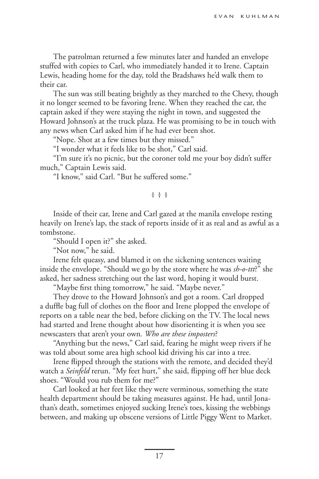The patrolman returned a few minutes later and handed an envelope stuffed with copies to Carl, who immediately handed it to Irene. Captain Lewis, heading home for the day, told the Bradshaws he'd walk them to their car.

 The sun was still beating brightly as they marched to the Chevy, though it no longer seemed to be favoring Irene. When they reached the car, the captain asked if they were staying the night in town, and suggested the Howard Johnson's at the truck plaza. He was promising to be in touch with any news when Carl asked him if he had ever been shot.

"Nope. Shot at a few times but they missed."

"I wonder what it feels like to be shot," Carl said.

 "I'm sure it's no picnic, but the coroner told me your boy didn't suffer much," Captain Lewis said.

"I know," said Carl. "But he suffered some."

手手手

 Inside of their car, Irene and Carl gazed at the manila envelope resting heavily on Irene's lap, the stack of reports inside of it as real and as awful as a tombstone.

"Should I open it?" she asked.

"Not now," he said.

 Irene felt queasy, and blamed it on the sickening sentences waiting inside the envelope. "Should we go by the store where he was *sh-o-ttt*?" she asked, her sadness stretching out the last word, hoping it would burst.

"Maybe first thing tomorrow," he said. "Maybe never."

 They drove to the Howard Johnson's and got a room. Carl dropped a duffle bag full of clothes on the floor and Irene plopped the envelope of reports on a table near the bed, before clicking on the TV. The local news had started and Irene thought about how disorienting it is when you see newscasters that aren't your own*. Who are these imposters*?

 "Anything but the news," Carl said, fearing he might weep rivers if he was told about some area high school kid driving his car into a tree.

 Irene flipped through the stations with the remote, and decided they'd watch a *Seinfeld* rerun. "My feet hurt," she said, flipping off her blue deck shoes. "Would you rub them for me?"

 Carl looked at her feet like they were verminous, something the state health department should be taking measures against. He had, until Jonathan's death, sometimes enjoyed sucking Irene's toes, kissing the webbings between, and making up obscene versions of Little Piggy Went to Market.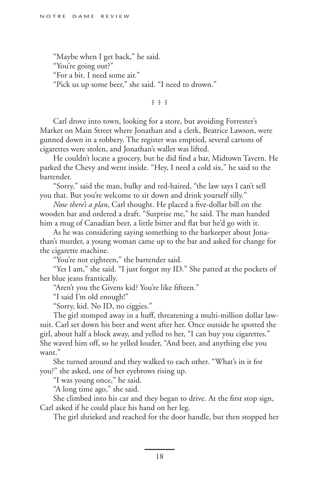"Maybe when I get back," he said.

"You're going out?"

"For a bit. I need some air."

"Pick us up some beer," she said. "I need to drown."

子子子

 Carl drove into town, looking for a store, but avoiding Forrester's Market on Main Street where Jonathan and a clerk, Beatrice Lawson, were gunned down in a robbery. The register was emptied, several cartons of cigarettes were stolen, and Jonathan's wallet was lifted.

 He couldn't locate a grocery, but he did find a bar, Midtown Tavern. He parked the Chevy and went inside. "Hey, I need a cold six," he said to the bartender.

 "Sorry," said the man, bulky and red-haired, "the law says I can't sell you that. But you're welcome to sit down and drink yourself silly."

 *Now there's a plan*, Carl thought. He placed a five-dollar bill on the wooden bar and ordered a draft. "Surprise me," he said. The man handed him a mug of Canadian beer, a little bitter and flat but he'd go with it.

 As he was considering saying something to the barkeeper about Jonathan's murder, a young woman came up to the bar and asked for change for the cigarette machine.

"You're not eighteen," the bartender said.

 "Yes I am," she said. "I just forgot my ID." She patted at the pockets of her blue jeans frantically.

"Aren't you the Givens kid? You're like fifteen."

"I said I'm old enough!"

"Sorry, kid. No ID, no ciggies."

 The girl stomped away in a huff, threatening a multi-million dollar lawsuit. Carl set down his beer and went after her. Once outside he spotted the girl, about half a block away, and yelled to her, "I can buy you cigarettes." She waved him off, so he yelled louder, "And beer, and anything else you want."

 She turned around and they walked to each other. "What's in it for you?" she asked, one of her eyebrows rising up.

"I was young once," he said.

"A long time ago," she said.

 She climbed into his car and they began to drive. At the first stop sign, Carl asked if he could place his hand on her leg.

The girl shrieked and reached for the door handle, but then stopped her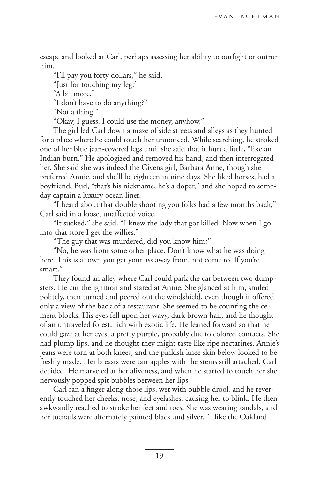escape and looked at Carl, perhaps assessing her ability to outfight or outrun him.

"I'll pay you forty dollars," he said.

"Just for touching my leg?"

"A bit more."

"I don't have to do anything?"

"Not a thing."

"Okay, I guess. I could use the money, anyhow."

 The girl led Carl down a maze of side streets and alleys as they hunted for a place where he could touch her unnoticed. While searching, he stroked one of her blue jean-covered legs until she said that it hurt a little, "like an Indian burn." He apologized and removed his hand, and then interrogated her. She said she was indeed the Givens girl, Barbara Anne, though she preferred Annie, and she'll be eighteen in nine days. She liked horses, had a boyfriend, Bud, "that's his nickname, he's a doper," and she hoped to someday captain a luxury ocean liner.

 "I heard about that double shooting you folks had a few months back," Carl said in a loose, unaffected voice.

 "It sucked," she said. "I knew the lady that got killed. Now when I go into that store I get the willies."

"The guy that was murdered, did you know him?"

 "No, he was from some other place. Don't know what he was doing here. This is a town you get your ass away from, not come to. If you're smart."

 They found an alley where Carl could park the car between two dumpsters. He cut the ignition and stared at Annie. She glanced at him, smiled politely, then turned and peered out the windshield, even though it offered only a view of the back of a restaurant. She seemed to be counting the cement blocks. His eyes fell upon her wavy, dark brown hair, and he thought of an untraveled forest, rich with exotic life. He leaned forward so that he could gaze at her eyes, a pretty purple, probably due to colored contacts. She had plump lips, and he thought they might taste like ripe nectarines. Annie's jeans were torn at both knees, and the pinkish knee skin below looked to be freshly made. Her breasts were tart apples with the stems still attached, Carl decided. He marveled at her aliveness, and when he started to touch her she nervously popped spit bubbles between her lips.

 Carl ran a finger along those lips, wet with bubble drool, and he reverently touched her cheeks, nose, and eyelashes, causing her to blink. He then awkwardly reached to stroke her feet and toes. She was wearing sandals, and her toenails were alternately painted black and silver. "I like the Oakland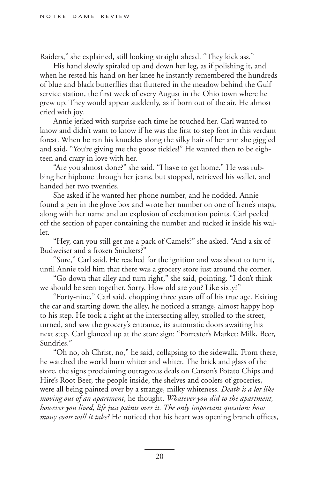Raiders," she explained, still looking straight ahead. "They kick ass."

 His hand slowly spiraled up and down her leg, as if polishing it, and when he rested his hand on her knee he instantly remembered the hundreds of blue and black butterflies that fluttered in the meadow behind the Gulf service station, the first week of every August in the Ohio town where he grew up. They would appear suddenly, as if born out of the air. He almost cried with joy.

 Annie jerked with surprise each time he touched her. Carl wanted to know and didn't want to know if he was the first to step foot in this verdant forest. When he ran his knuckles along the silky hair of her arm she giggled and said, "You're giving me the goose tickles!" He wanted then to be eighteen and crazy in love with her.

 "Are you almost done?" she said. "I have to get home." He was rubbing her hipbone through her jeans, but stopped, retrieved his wallet, and handed her two twenties.

 She asked if he wanted her phone number, and he nodded. Annie found a pen in the glove box and wrote her number on one of Irene's maps, along with her name and an explosion of exclamation points. Carl peeled off the section of paper containing the number and tucked it inside his wallet.

 "Hey, can you still get me a pack of Camels?" she asked. "And a six of Budweiser and a frozen Snickers?"

 "Sure," Carl said. He reached for the ignition and was about to turn it, until Annie told him that there was a grocery store just around the corner.

 "Go down that alley and turn right," she said, pointing. "I don't think we should be seen together. Sorry. How old are you? Like sixty?"

 "Forty-nine," Carl said, chopping three years off of his true age. Exiting the car and starting down the alley, he noticed a strange, almost happy hop to his step. He took a right at the intersecting alley, strolled to the street, turned, and saw the grocery's entrance, its automatic doors awaiting his next step. Carl glanced up at the store sign: "Forrester's Market: Milk, Beer, Sundries."

 "Oh no, oh Christ, no," he said, collapsing to the sidewalk. From there, he watched the world burn whiter and whiter. The brick and glass of the store, the signs proclaiming outrageous deals on Carson's Potato Chips and Hire's Root Beer, the people inside, the shelves and coolers of groceries, were all being painted over by a strange, milky whiteness. *Death is a lot like moving out of an apartment*, he thought. *Whatever you did to the apartment, however you lived, life just paints over it. The only important question: how many coats will it take?* He noticed that his heart was opening branch offices,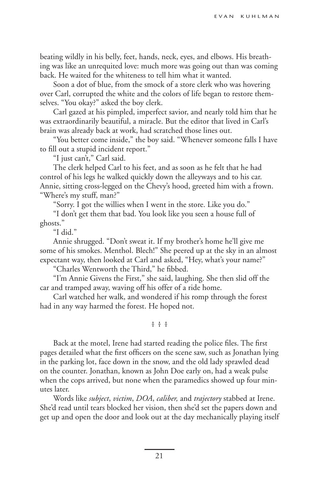beating wildly in his belly, feet, hands, neck, eyes, and elbows. His breathing was like an unrequited love: much more was going out than was coming back. He waited for the whiteness to tell him what it wanted.

 Soon a dot of blue, from the smock of a store clerk who was hovering over Carl, corrupted the white and the colors of life began to restore themselves. "You okay?" asked the boy clerk.

 Carl gazed at his pimpled, imperfect savior, and nearly told him that he was extraordinarily beautiful, a miracle. But the editor that lived in Carl's brain was already back at work, had scratched those lines out.

 "You better come inside," the boy said. "Whenever someone falls I have to fill out a stupid incident report."

"I just can't," Carl said.

 The clerk helped Carl to his feet, and as soon as he felt that he had control of his legs he walked quickly down the alleyways and to his car. Annie, sitting cross-legged on the Chevy's hood, greeted him with a frown. "Where's my stuff, man?"

"Sorry. I got the willies when I went in the store. Like you do."

 "I don't get them that bad. You look like you seen a house full of ghosts."

"I did."

 Annie shrugged. "Don't sweat it. If my brother's home he'll give me some of his smokes. Menthol. Blech!" She peered up at the sky in an almost expectant way, then looked at Carl and asked, "Hey, what's your name?"

"Charles Wentworth the Third," he fibbed.

 "I'm Annie Givens the First," she said, laughing. She then slid off the car and tramped away, waving off his offer of a ride home.

 Carl watched her walk, and wondered if his romp through the forest had in any way harmed the forest. He hoped not.

子子子

 Back at the motel, Irene had started reading the police files. The first pages detailed what the first officers on the scene saw, such as Jonathan lying in the parking lot, face down in the snow, and the old lady sprawled dead on the counter. Jonathan, known as John Doe early on, had a weak pulse when the cops arrived, but none when the paramedics showed up four minutes later.

 Words like *subject*, *victim*, *DOA*, *caliber,* and *trajectory* stabbed at Irene. She'd read until tears blocked her vision, then she'd set the papers down and get up and open the door and look out at the day mechanically playing itself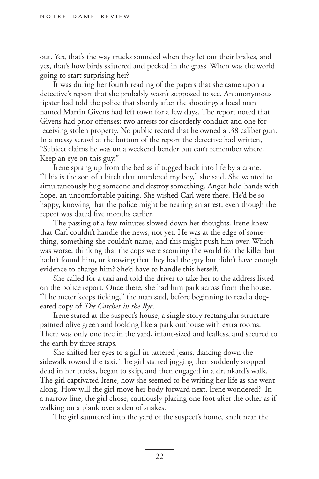out. Yes, that's the way trucks sounded when they let out their brakes, and yes, that's how birds skittered and pecked in the grass. When was the world going to start surprising her?

 It was during her fourth reading of the papers that she came upon a detective's report that she probably wasn't supposed to see. An anonymous tipster had told the police that shortly after the shootings a local man named Martin Givens had left town for a few days. The report noted that Givens had prior offenses: two arrests for disorderly conduct and one for receiving stolen property. No public record that he owned a .38 caliber gun. In a messy scrawl at the bottom of the report the detective had written, "Subject claims he was on a weekend bender but can't remember where. Keep an eye on this guy."

 Irene sprang up from the bed as if tugged back into life by a crane. "This is the son of a bitch that murdered my boy," she said. She wanted to simultaneously hug someone and destroy something. Anger held hands with hope, an uncomfortable pairing. She wished Carl were there. He'd be so happy, knowing that the police might be nearing an arrest, even though the report was dated five months earlier.

 The passing of a few minutes slowed down her thoughts. Irene knew that Carl couldn't handle the news, not yet. He was at the edge of something, something she couldn't name, and this might push him over. Which was worse, thinking that the cops were scouring the world for the killer but hadn't found him, or knowing that they had the guy but didn't have enough evidence to charge him? She'd have to handle this herself.

 She called for a taxi and told the driver to take her to the address listed on the police report. Once there, she had him park across from the house. "The meter keeps ticking," the man said, before beginning to read a dogeared copy of *The Catcher in the Rye*.

 Irene stared at the suspect's house, a single story rectangular structure painted olive green and looking like a park outhouse with extra rooms. There was only one tree in the yard, infant-sized and leafless, and secured to the earth by three straps.

 She shifted her eyes to a girl in tattered jeans, dancing down the sidewalk toward the taxi. The girl started jogging then suddenly stopped dead in her tracks, began to skip, and then engaged in a drunkard's walk. The girl captivated Irene, how she seemed to be writing her life as she went along. How will the girl move her body forward next, Irene wondered? In a narrow line, the girl chose, cautiously placing one foot after the other as if walking on a plank over a den of snakes.

The girl sauntered into the yard of the suspect's home, knelt near the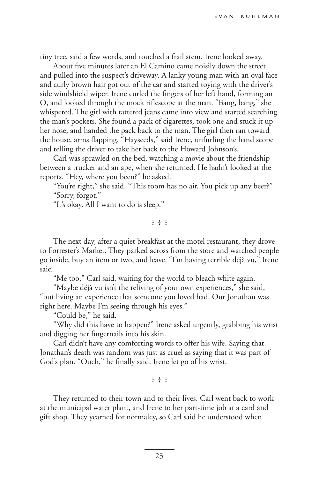tiny tree, said a few words, and touched a frail stem. Irene looked away.

 About five minutes later an El Camino came noisily down the street and pulled into the suspect's driveway. A lanky young man with an oval face and curly brown hair got out of the car and started toying with the driver's side windshield wiper. Irene curled the fingers of her left hand, forming an O, and looked through the mock riflescope at the man. "Bang, bang," she whispered. The girl with tattered jeans came into view and started searching the man's pockets. She found a pack of cigarettes, took one and stuck it up her nose, and handed the pack back to the man. The girl then ran toward the house, arms flapping. "Hayseeds," said Irene, unfurling the hand scope and telling the driver to take her back to the Howard Johnson's.

 Carl was sprawled on the bed, watching a movie about the friendship between a trucker and an ape, when she returned. He hadn't looked at the reports. "Hey, where you been?" he asked.

 "You're right," she said. "This room has no air. You pick up any beer?" "Sorry, forgot."

"It's okay. All I want to do is sleep."

#### $\pm$   $\pm$   $\pm$

 The next day, after a quiet breakfast at the motel restaurant, they drove to Forrester's Market. They parked across from the store and watched people go inside, buy an item or two, and leave. "I'm having terrible déjà vu," Irene said.

"Me too," Carl said, waiting for the world to bleach white again.

 "Maybe déjà vu isn't the reliving of your own experiences," she said, "but living an experience that someone you loved had. Our Jonathan was right here. Maybe I'm seeing through his eyes."

"Could be," he said.

 "Why did this have to happen?" Irene asked urgently, grabbing his wrist and digging her fingernails into his skin.

 Carl didn't have any comforting words to offer his wife. Saying that Jonathan's death was random was just as cruel as saying that it was part of God's plan. "Ouch," he finally said. Irene let go of his wrist.

子子子

 They returned to their town and to their lives. Carl went back to work at the municipal water plant, and Irene to her part-time job at a card and gift shop. They yearned for normalcy, so Carl said he understood when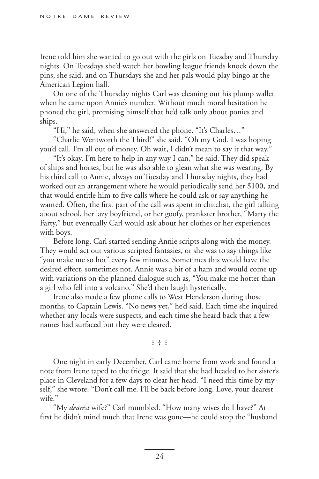Irene told him she wanted to go out with the girls on Tuesday and Thursday nights. On Tuesdays she'd watch her bowling league friends knock down the pins, she said, and on Thursdays she and her pals would play bingo at the American Legion hall.

 On one of the Thursday nights Carl was cleaning out his plump wallet when he came upon Annie's number. Without much moral hesitation he phoned the girl, promising himself that he'd talk only about ponies and ships.

"Hi," he said, when she answered the phone. "It's Charles…"

 "Charlie Wentworth the Third!" she said. "Oh my God. I was hoping you'd call. I'm all out of money. Oh wait, I didn't mean to say it that way."

 "It's okay, I'm here to help in any way I can," he said. They did speak of ships and horses, but he was also able to glean what she was wearing. By his third call to Annie, always on Tuesday and Thursday nights, they had worked out an arrangement where he would periodically send her \$100, and that would entitle him to five calls where he could ask or say anything he wanted. Often, the first part of the call was spent in chitchat, the girl talking about school, her lazy boyfriend, or her goofy, prankster brother, "Marty the Farty," but eventually Carl would ask about her clothes or her experiences with boys.

 Before long, Carl started sending Annie scripts along with the money. They would act out various scripted fantasies, or she was to say things like "you make me so hot" every few minutes. Sometimes this would have the desired effect, sometimes not. Annie was a bit of a ham and would come up with variations on the planned dialogue such as, "You make me hotter than a girl who fell into a volcano." She'd then laugh hysterically.

 Irene also made a few phone calls to West Henderson during those months, to Captain Lewis. "No news yet," he'd said. Each time she inquired whether any locals were suspects, and each time she heard back that a few names had surfaced but they were cleared.

#### 手手手

 One night in early December, Carl came home from work and found a note from Irene taped to the fridge. It said that she had headed to her sister's place in Cleveland for a few days to clear her head. "I need this time by myself," she wrote. "Don't call me. I'll be back before long. Love, your dearest wife<sup>"</sup>

 "My *dearest* wife?" Carl mumbled. "How many wives do I have?" At first he didn't mind much that Irene was gone—he could stop the "husband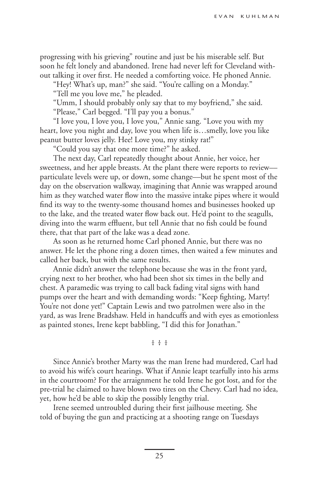progressing with his grieving" routine and just be his miserable self. But soon he felt lonely and abandoned. Irene had never left for Cleveland without talking it over first. He needed a comforting voice. He phoned Annie.

"Hey! What's up, man?" she said. "You're calling on a Monday."

"Tell me you love me," he pleaded.

"Umm, I should probably only say that to my boyfriend," she said.

"Please," Carl begged. "I'll pay you a bonus."

 "I love you, I love you, I love you," Annie sang. "Love you with my heart, love you night and day, love you when life is…smelly, love you like peanut butter loves jelly. Hee! Love you, my stinky rat!"

"Could you say that one more time?" he asked.

 The next day, Carl repeatedly thought about Annie, her voice, her sweetness, and her apple breasts. At the plant there were reports to review–– particulate levels were up, or down, some change––but he spent most of the day on the observation walkway, imagining that Annie was wrapped around him as they watched water flow into the massive intake pipes where it would find its way to the twenty-some thousand homes and businesses hooked up to the lake, and the treated water flow back out. He'd point to the seagulls, diving into the warm effluent, but tell Annie that no fish could be found there, that that part of the lake was a dead zone.

 As soon as he returned home Carl phoned Annie, but there was no answer. He let the phone ring a dozen times, then waited a few minutes and called her back, but with the same results.

 Annie didn't answer the telephone because she was in the front yard, crying next to her brother, who had been shot six times in the belly and chest. A paramedic was trying to call back fading vital signs with hand pumps over the heart and with demanding words: "Keep fighting, Marty! You're not done yet!" Captain Lewis and two patrolmen were also in the yard, as was Irene Bradshaw. Held in handcuffs and with eyes as emotionless as painted stones, Irene kept babbling, "I did this for Jonathan."

 $4 + 4$ 

 Since Annie's brother Marty was the man Irene had murdered, Carl had to avoid his wife's court hearings. What if Annie leapt tearfully into his arms in the courtroom? For the arraignment he told Irene he got lost, and for the pre-trial he claimed to have blown two tires on the Chevy. Carl had no idea, yet, how he'd be able to skip the possibly lengthy trial.

 Irene seemed untroubled during their first jailhouse meeting. She told of buying the gun and practicing at a shooting range on Tuesdays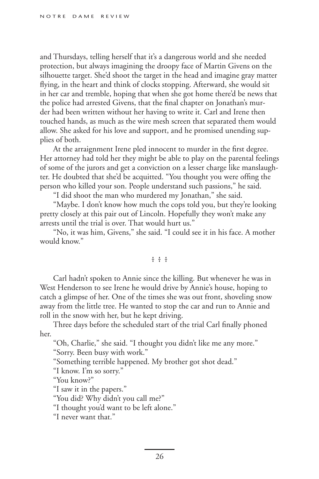and Thursdays, telling herself that it's a dangerous world and she needed protection, but always imagining the droopy face of Martin Givens on the silhouette target. She'd shoot the target in the head and imagine gray matter flying, in the heart and think of clocks stopping. Afterward, she would sit in her car and tremble, hoping that when she got home there'd be news that the police had arrested Givens, that the final chapter on Jonathan's murder had been written without her having to write it. Carl and Irene then touched hands, as much as the wire mesh screen that separated them would allow. She asked for his love and support, and he promised unending supplies of both.

 At the arraignment Irene pled innocent to murder in the first degree. Her attorney had told her they might be able to play on the parental feelings of some of the jurors and get a conviction on a lesser charge like manslaughter. He doubted that she'd be acquitted. "You thought you were offing the person who killed your son. People understand such passions," he said.

"I did shoot the man who murdered my Jonathan," she said.

 "Maybe. I don't know how much the cops told you, but they're looking pretty closely at this pair out of Lincoln. Hopefully they won't make any arrests until the trial is over. That would hurt us."

 "No, it was him, Givens," she said. "I could see it in his face. A mother would know."

 $+ + +$ 

 Carl hadn't spoken to Annie since the killing. But whenever he was in West Henderson to see Irene he would drive by Annie's house, hoping to catch a glimpse of her. One of the times she was out front, shoveling snow away from the little tree. He wanted to stop the car and run to Annie and roll in the snow with her, but he kept driving.

 Three days before the scheduled start of the trial Carl finally phoned her.

"Oh, Charlie," she said. "I thought you didn't like me any more."

"Sorry. Been busy with work."

"Something terrible happened. My brother got shot dead."

"I know. I'm so sorry."

"You know?"

"I saw it in the papers."

"You did? Why didn't you call me?"

"I thought you'd want to be left alone."

"I never want that."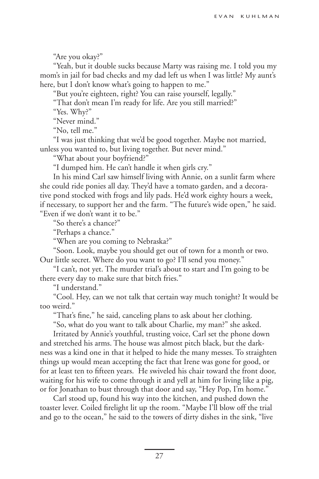"Are you okay?"

 "Yeah, but it double sucks because Marty was raising me. I told you my mom's in jail for bad checks and my dad left us when I was little? My aunt's here, but I don't know what's going to happen to me."

"But you're eighteen, right? You can raise yourself, legally."

"That don't mean I'm ready for life. Are you still married?"

"Yes. Why?"

"Never mind."

"No, tell me."

 "I was just thinking that we'd be good together. Maybe not married, unless you wanted to, but living together. But never mind."

"What about your boyfriend?"

"I dumped him. He can't handle it when girls cry."

 In his mind Carl saw himself living with Annie, on a sunlit farm where she could ride ponies all day. They'd have a tomato garden, and a decorative pond stocked with frogs and lily pads. He'd work eighty hours a week, if necessary, to support her and the farm. "The future's wide open," he said. "Even if we don't want it to be."

"So there's a chance?"

"Perhaps a chance."

"When are you coming to Nebraska?"

 "Soon. Look, maybe you should get out of town for a month or two. Our little secret. Where do you want to go? I'll send you money."

 "I can't, not yet. The murder trial's about to start and I'm going to be there every day to make sure that bitch fries."

"I understand."

 "Cool. Hey, can we not talk that certain way much tonight? It would be too weird."

"That's fine," he said, canceling plans to ask about her clothing.

"So, what do you want to talk about Charlie, my man?" she asked.

 Irritated by Annie's youthful, trusting voice, Carl set the phone down and stretched his arms. The house was almost pitch black, but the darkness was a kind one in that it helped to hide the many messes. To straighten things up would mean accepting the fact that Irene was gone for good, or for at least ten to fifteen years. He swiveled his chair toward the front door, waiting for his wife to come through it and yell at him for living like a pig, or for Jonathan to bust through that door and say, "Hey Pop, I'm home."

 Carl stood up, found his way into the kitchen, and pushed down the toaster lever. Coiled firelight lit up the room. "Maybe I'll blow off the trial and go to the ocean," he said to the towers of dirty dishes in the sink, "live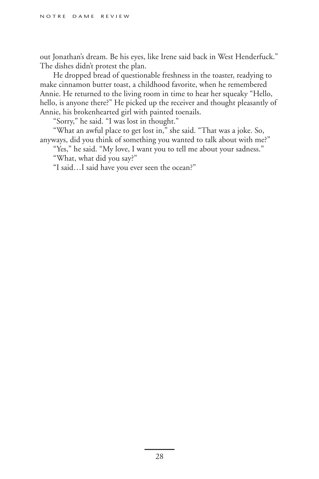out Jonathan's dream. Be his eyes, like Irene said back in West Henderfuck." The dishes didn't protest the plan.

 He dropped bread of questionable freshness in the toaster, readying to make cinnamon butter toast, a childhood favorite, when he remembered Annie. He returned to the living room in time to hear her squeaky "Hello, hello, is anyone there?" He picked up the receiver and thought pleasantly of Annie, his brokenhearted girl with painted toenails.

"Sorry," he said. "I was lost in thought."

 "What an awful place to get lost in," she said. "That was a joke. So, anyways, did you think of something you wanted to talk about with me?"

 "Yes," he said. "My love, I want you to tell me about your sadness." "What, what did you say?"

"I said…I said have you ever seen the ocean?"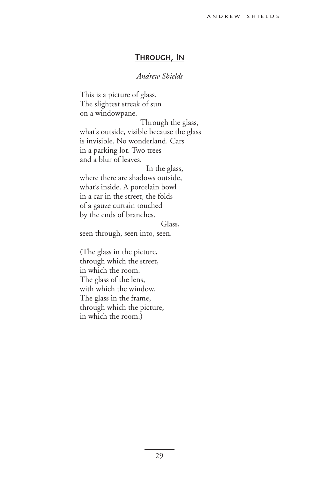## **THROUGH, IN**

#### *Andrew Shields*

This is a picture of glass. The slightest streak of sun on a windowpane. Through the glass, what's outside, visible because the glass is invisible. No wonderland. Cars in a parking lot. Two trees and a blur of leaves. In the glass, where there are shadows outside, what's inside. A porcelain bowl in a car in the street, the folds of a gauze curtain touched by the ends of branches. Glass, seen through, seen into, seen. (The glass in the picture,

through which the street, in which the room. The glass of the lens, with which the window. The glass in the frame, through which the picture, in which the room.)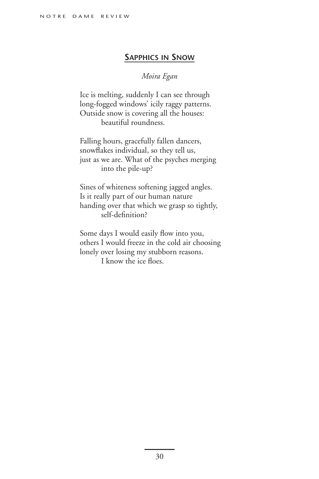## **SAPPHICS IN SNOW**

#### *Moira Egan*

Ice is melting, suddenly I can see through long-fogged windows' icily raggy patterns. Outside snow is covering all the houses: beautiful roundness.

Falling hours, gracefully fallen dancers, snowflakes individual, so they tell us, just as we are. What of the psyches merging into the pile-up?

Sines of whiteness softening jagged angles. Is it really part of our human nature handing over that which we grasp so tightly, self-definition?

Some days I would easily flow into you, others I would freeze in the cold air choosing lonely over losing my stubborn reasons.

I know the ice floes.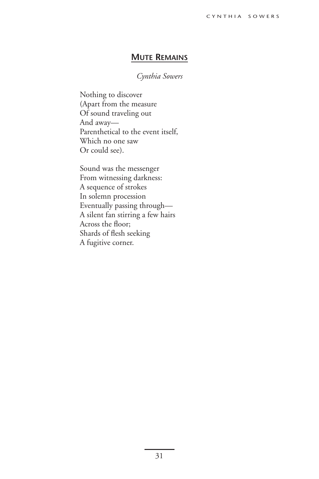## **MUTE REMAINS**

### *Cynthia Sowers*

Nothing to discover (Apart from the measure Of sound traveling out And away— Parenthetical to the event itself, Which no one saw Or could see).

Sound was the messenger From witnessing darkness: A sequence of strokes In solemn procession Eventually passing through— A silent fan stirring a few hairs Across the floor; Shards of flesh seeking A fugitive corner.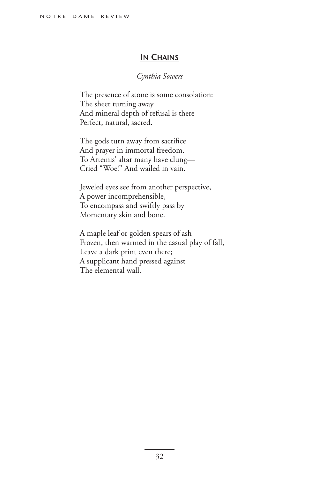## **IN CHAINS**

### *Cynthia Sowers*

The presence of stone is some consolation: The sheer turning away And mineral depth of refusal is there Perfect, natural, sacred.

The gods turn away from sacrifice And prayer in immortal freedom. To Artemis' altar many have clung— Cried "Woe!" And wailed in vain.

Jeweled eyes see from another perspective, A power incomprehensible, To encompass and swiftly pass by Momentary skin and bone.

A maple leaf or golden spears of ash Frozen, then warmed in the casual play of fall, Leave a dark print even there; A supplicant hand pressed against The elemental wall.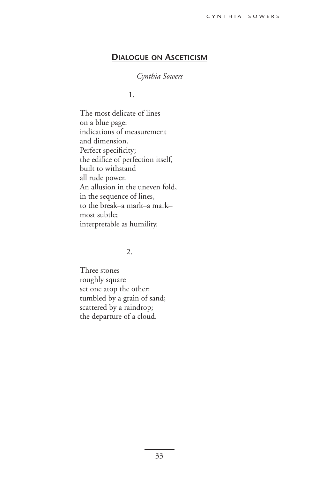## **DIALOGUE ON ASCETICISM**

### *Cynthia Sowers*

1.

The most delicate of lines on a blue page: indications of measurement and dimension. Perfect specificity; the edifice of perfection itself, built to withstand all rude power. An allusion in the uneven fold, in the sequence of lines, to the break–a mark–a mark– most subtle; interpretable as humility.

#### 2.

Three stones roughly square set one atop the other: tumbled by a grain of sand; scattered by a raindrop; the departure of a cloud.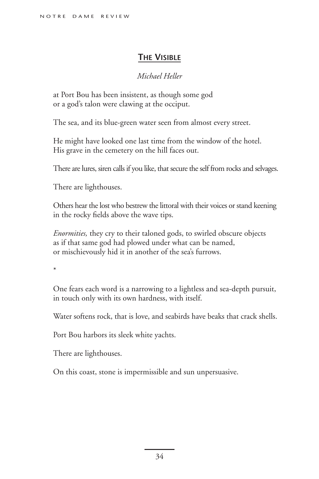# **THE VISIBLE**

## *Michael Heller*

at Port Bou has been insistent, as though some god or a god's talon were clawing at the occiput.

The sea, and its blue-green water seen from almost every street.

He might have looked one last time from the window of the hotel. His grave in the cemetery on the hill faces out.

There are lures, siren calls if you like, that secure the self from rocks and selvages.

There are lighthouses.

Others hear the lost who bestrew the littoral with their voices or stand keening in the rocky fields above the wave tips.

*Enormities,* they cry to their taloned gods, to swirled obscure objects as if that same god had plowed under what can be named, or mischievously hid it in another of the sea's furrows.

\*

One fears each word is a narrowing to a lightless and sea-depth pursuit, in touch only with its own hardness, with itself.

Water softens rock, that is love, and seabirds have beaks that crack shells.

Port Bou harbors its sleek white yachts.

There are lighthouses.

On this coast, stone is impermissible and sun unpersuasive.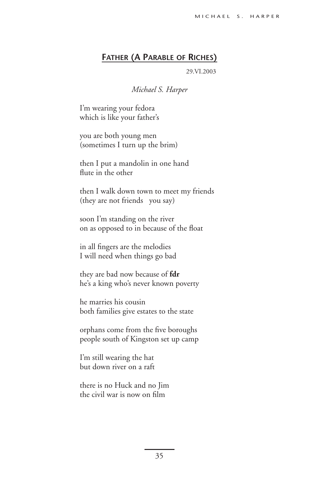## **FATHER (A PARABLE OF RICHES)**

29.VI.2003

#### *Michael S. Harper*

I'm wearing your fedora which is like your father's

you are both young men (sometimes I turn up the brim)

then I put a mandolin in one hand flute in the other

then I walk down town to meet my friends (they are not friends you say)

soon I'm standing on the river on as opposed to in because of the float

in all fingers are the melodies I will need when things go bad

they are bad now because of **fdr** he's a king who's never known poverty

he marries his cousin both families give estates to the state

orphans come from the five boroughs people south of Kingston set up camp

I'm still wearing the hat but down river on a raft

there is no Huck and no Jim the civil war is now on film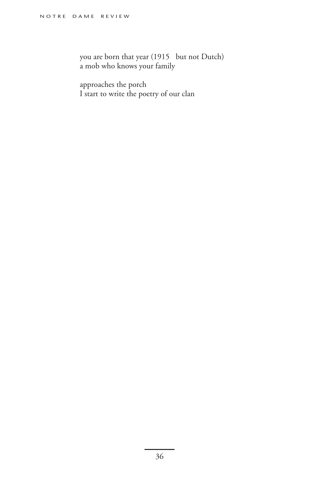you are born that year (1915 but not Dutch) a mob who knows your family

approaches the porch I start to write the poetry of our clan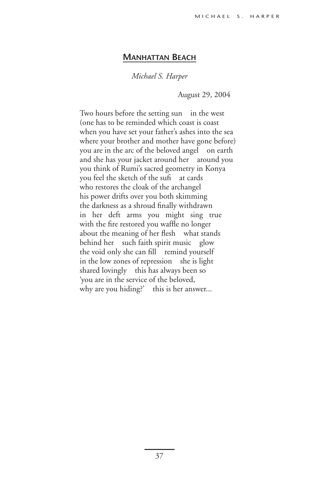## **MANHATTAN BEACH**

*Michael S. Harper*

August 29, 2004

Two hours before the setting sun in the west (one has to be reminded which coast is coast when you have set your father's ashes into the sea where your brother and mother have gone before) you are in the arc of the beloved angel on earth and she has your jacket around her around you you think of Rumi's sacred geometry in Konya you feel the sketch of the sufi at cards who restores the cloak of the archangel his power drifts over you both skimming the darkness as a shroud finally withdrawn in her deft arms you might sing true with the fire restored you waffle no longer about the meaning of her flesh what stands behind her such faith spirit music glow the void only she can fill remind yourself in the low zones of repression she is light shared lovingly this has always been so 'you are in the service of the beloved, why are you hiding?' this is her answer...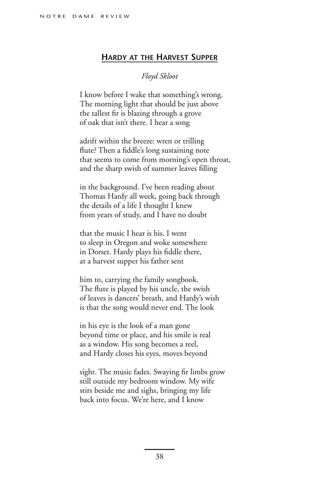## **HARDY AT THE HARVEST SUPPER**

### *Floyd Skloot*

I know before I wake that something's wrong. The morning light that should be just above the tallest fir is blazing through a grove of oak that isn't there. I hear a song

adrift within the breeze: wren or trilling flute? Then a fiddle's long sustaining note that seems to come from morning's open throat, and the sharp swish of summer leaves filling

in the background. I've been reading about Thomas Hardy all week, going back through the details of a life I thought I knew from years of study, and I have no doubt

that the music I hear is his. I went to sleep in Oregon and woke somewhere in Dorset. Hardy plays his fiddle there, at a harvest supper his father sent

him to, carrying the family songbook. The flute is played by his uncle, the swish of leaves is dancers' breath, and Hardy's wish is that the song would never end. The look

in his eye is the look of a man gone beyond time or place, and his smile is real as a window. His song becomes a reel, and Hardy closes his eyes, moves beyond

sight. The music fades. Swaying fir limbs grow still outside my bedroom window. My wife stirs beside me and sighs, bringing my life back into focus. We're here, and I know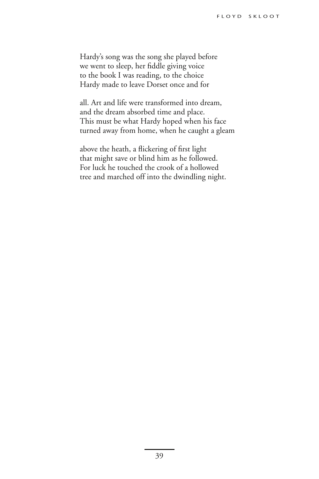Hardy's song was the song she played before we went to sleep, her fiddle giving voice to the book I was reading, to the choice Hardy made to leave Dorset once and for

all. Art and life were transformed into dream, and the dream absorbed time and place. This must be what Hardy hoped when his face turned away from home, when he caught a gleam

above the heath, a flickering of first light that might save or blind him as he followed. For luck he touched the crook of a hollowed tree and marched off into the dwindling night.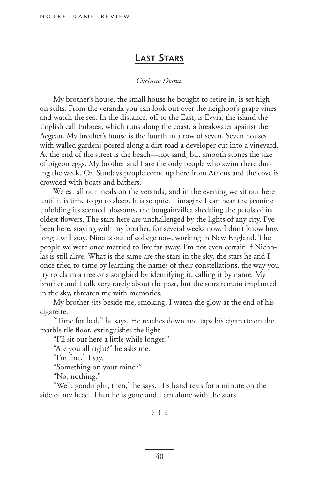# **LAST STARS**

#### *Corinne Demas*

 My brother's house, the small house he bought to retire in, is set high on stilts. From the veranda you can look out over the neighbor's grape vines and watch the sea. In the distance, off to the East, is Evvia, the island the English call Euboea, which runs along the coast, a breakwater against the Aegean. My brother's house is the fourth in a row of seven. Seven houses with walled gardens posted along a dirt road a developer cut into a vineyard. At the end of the street is the beach—not sand, but smooth stones the size of pigeon eggs. My brother and I are the only people who swim there during the week. On Sundays people come up here from Athens and the cove is crowded with boats and bathers.

 We eat all our meals on the veranda, and in the evening we sit out here until it is time to go to sleep. It is so quiet I imagine I can hear the jasmine unfolding its scented blossoms, the bougainvillea shedding the petals of its oldest flowers. The stars here are unchallenged by the lights of any city. I've been here, staying with my brother, for several weeks now. I don't know how long I will stay. Nina is out of college now, working in New England. The people we were once married to live far away. I'm not even certain if Nicholas is still alive. What is the same are the stars in the sky, the stars he and I once tried to tame by learning the names of their constellations, the way you try to claim a tree or a songbird by identifying it, calling it by name. My brother and I talk very rarely about the past, but the stars remain implanted in the sky, threaten me with memories.

 My brother sits beside me, smoking. I watch the glow at the end of his cigarette.

 "Time for bed," he says. He reaches down and taps his cigarette on the marble tile floor, extinguishes the light.

"I'll sit out here a little while longer."

"Are you all right?" he asks me.

"I'm fine," I say.

"Something on your mind?"

"No, nothing."

 "Well, goodnight, then," he says. His hand rests for a minute on the side of my head. Then he is gone and I am alone with the stars.

手手手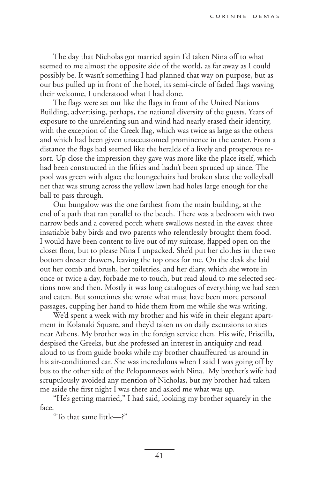The day that Nicholas got married again I'd taken Nina off to what seemed to me almost the opposite side of the world, as far away as I could possibly be. It wasn't something I had planned that way on purpose, but as our bus pulled up in front of the hotel, its semi-circle of faded flags waving their welcome, I understood what I had done.

 The flags were set out like the flags in front of the United Nations Building, advertising, perhaps, the national diversity of the guests. Years of exposure to the unrelenting sun and wind had nearly erased their identity, with the exception of the Greek flag, which was twice as large as the others and which had been given unaccustomed prominence in the center. From a distance the flags had seemed like the heralds of a lively and prosperous resort. Up close the impression they gave was more like the place itself, which had been constructed in the fifties and hadn't been spruced up since. The pool was green with algae; the loungechairs had broken slats; the volleyball net that was strung across the yellow lawn had holes large enough for the ball to pass through.

 Our bungalow was the one farthest from the main building, at the end of a path that ran parallel to the beach. There was a bedroom with two narrow beds and a covered porch where swallows nested in the eaves: three insatiable baby birds and two parents who relentlessly brought them food. I would have been content to live out of my suitcase, flapped open on the closet floor, but to please Nina I unpacked. She'd put her clothes in the two bottom dresser drawers, leaving the top ones for me. On the desk she laid out her comb and brush, her toiletries, and her diary, which she wrote in once or twice a day, forbade me to touch, but read aloud to me selected sections now and then. Mostly it was long catalogues of everything we had seen and eaten. But sometimes she wrote what must have been more personal passages, cupping her hand to hide them from me while she was writing.

 We'd spent a week with my brother and his wife in their elegant apartment in Kolanaki Square, and they'd taken us on daily excursions to sites near Athens. My brother was in the foreign service then. His wife, Priscilla, despised the Greeks, but she professed an interest in antiquity and read aloud to us from guide books while my brother chauffeured us around in his air-conditioned car. She was incredulous when I said I was going off by bus to the other side of the Peloponnesos with Nina. My brother's wife had scrupulously avoided any mention of Nicholas, but my brother had taken me aside the first night I was there and asked me what was up.

 "He's getting married," I had said, looking my brother squarely in the face.

"To that same little—?"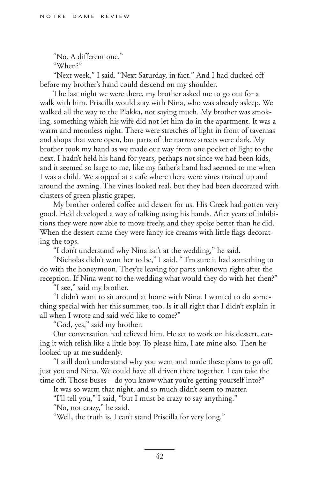"No. A different one."

"When?"

 "Next week," I said. "Next Saturday, in fact." And I had ducked off before my brother's hand could descend on my shoulder.

 The last night we were there, my brother asked me to go out for a walk with him. Priscilla would stay with Nina, who was already asleep. We walked all the way to the Plakka, not saying much. My brother was smoking, something which his wife did not let him do in the apartment. It was a warm and moonless night. There were stretches of light in front of tavernas and shops that were open, but parts of the narrow streets were dark. My brother took my hand as we made our way from one pocket of light to the next. I hadn't held his hand for years, perhaps not since we had been kids, and it seemed so large to me, like my father's hand had seemed to me when I was a child. We stopped at a cafe where there were vines trained up and around the awning. The vines looked real, but they had been decorated with clusters of green plastic grapes.

 My brother ordered coffee and dessert for us. His Greek had gotten very good. He'd developed a way of talking using his hands. After years of inhibitions they were now able to move freely, and they spoke better than he did. When the dessert came they were fancy ice creams with little flags decorating the tops.

"I don't understand why Nina isn't at the wedding," he said.

 "Nicholas didn't want her to be," I said. " I'm sure it had something to do with the honeymoon. They're leaving for parts unknown right after the reception. If Nina went to the wedding what would they do with her then?"

"I see," said my brother.

 "I didn't want to sit around at home with Nina. I wanted to do something special with her this summer, too. Is it all right that I didn't explain it all when I wrote and said we'd like to come?"

"God, yes," said my brother.

 Our conversation had relieved him. He set to work on his dessert, eating it with relish like a little boy. To please him, I ate mine also. Then he looked up at me suddenly.

 "I still don't understand why you went and made these plans to go off, just you and Nina. We could have all driven there together. I can take the time off. Those buses—do you know what you're getting yourself into?"

It was so warm that night, and so much didn't seem to matter.

"I'll tell you," I said, "but I must be crazy to say anything."

"No, not crazy," he said.

"Well, the truth is, I can't stand Priscilla for very long."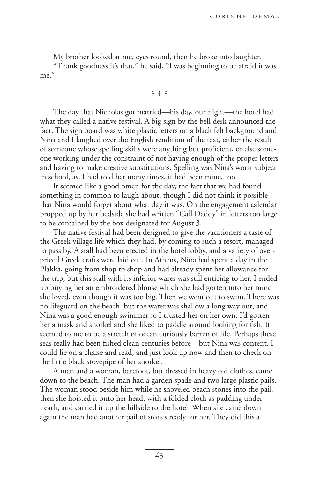My brother looked at me, eyes round, then he broke into laughter.

 "Thank goodness it's that," he said, "I was beginning to be afraid it was me."

#### 手手手

 The day that Nicholas got married—his day, our night—the hotel had what they called a native festival. A big sign by the bell desk announced the fact. The sign board was white plastic letters on a black felt background and Nina and I laughed over the English rendition of the text, either the result of someone whose spelling skills were anything but proficient, or else someone working under the constraint of not having enough of the proper letters and having to make creative substitutions. Spelling was Nina's worst subject in school, as, I had told her many times, it had been mine, too.

 It seemed like a good omen for the day, the fact that we had found something in common to laugh about, though I did not think it possible that Nina would forget about what day it was. On the engagement calendar propped up by her bedside she had written "Call Daddy" in letters too large to be contained by the box designated for August 3.

 The native festival had been designed to give the vacationers a taste of the Greek village life which they had, by coming to such a resort, managed to pass by. A stall had been erected in the hotel lobby, and a variety of overpriced Greek crafts were laid out. In Athens, Nina had spent a day in the Plakka, going from shop to shop and had already spent her allowance for the trip, but this stall with its inferior wares was still enticing to her. I ended up buying her an embroidered blouse which she had gotten into her mind she loved, even though it was too big. Then we went out to swim. There was no lifeguard on the beach, but the water was shallow a long way out, and Nina was a good enough swimmer so I trusted her on her own. I'd gotten her a mask and snorkel and she liked to paddle around looking for fish. It seemed to me to be a stretch of ocean curiously barren of life. Perhaps these seas really had been fished clean centuries before—but Nina was content. I could lie on a chaise and read, and just look up now and then to check on the little black stovepipe of her snorkel.

 A man and a woman, barefoot, but dressed in heavy old clothes, came down to the beach. The man had a garden spade and two large plastic pails. The woman stood beside him while he shoveled beach stones into the pail, then she hoisted it onto her head, with a folded cloth as padding underneath, and carried it up the hillside to the hotel. When she came down again the man had another pail of stones ready for her. They did this a

43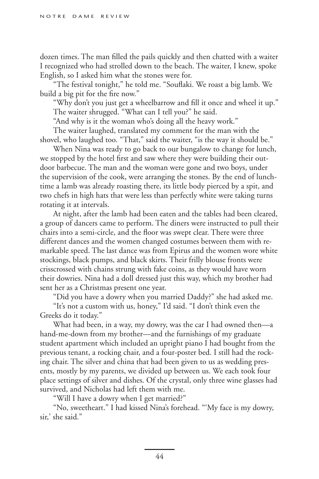dozen times. The man filled the pails quickly and then chatted with a waiter I recognized who had strolled down to the beach. The waiter, I knew, spoke English, so I asked him what the stones were for.

 "The festival tonight," he told me. "Souflaki. We roast a big lamb. We build a big pit for the fire now."

 "Why don't you just get a wheelbarrow and fill it once and wheel it up." The waiter shrugged. "What can I tell you?" he said.

"And why is it the woman who's doing all the heavy work."

 The waiter laughed, translated my comment for the man with the shovel, who laughed too. "That," said the waiter, "is the way it should be."

 When Nina was ready to go back to our bungalow to change for lunch, we stopped by the hotel first and saw where they were building their outdoor barbecue. The man and the woman were gone and two boys, under the supervision of the cook, were arranging the stones. By the end of lunchtime a lamb was already roasting there, its little body pierced by a spit, and two chefs in high hats that were less than perfectly white were taking turns rotating it at intervals.

 At night, after the lamb had been eaten and the tables had been cleared, a group of dancers came to perform. The diners were instructed to pull their chairs into a semi-circle, and the floor was swept clear. There were three different dances and the women changed costumes between them with remarkable speed. The last dance was from Epirus and the women wore white stockings, black pumps, and black skirts. Their frilly blouse fronts were crisscrossed with chains strung with fake coins, as they would have worn their dowries. Nina had a doll dressed just this way, which my brother had sent her as a Christmas present one year.

"Did you have a dowry when you married Daddy?" she had asked me.

 "It's not a custom with us, honey," I'd said. "I don't think even the Greeks do it today."

 What had been, in a way, my dowry, was the car I had owned then—a hand-me-down from my brother—and the furnishings of my graduate student apartment which included an upright piano I had bought from the previous tenant, a rocking chair, and a four-poster bed. I still had the rocking chair. The silver and china that had been given to us as wedding presents, mostly by my parents, we divided up between us. We each took four place settings of silver and dishes. Of the crystal, only three wine glasses had survived, and Nicholas had left them with me.

"Will I have a dowry when I get married?"

 "No, sweetheart." I had kissed Nina's forehead. "'My face is my dowry, sir,' she said."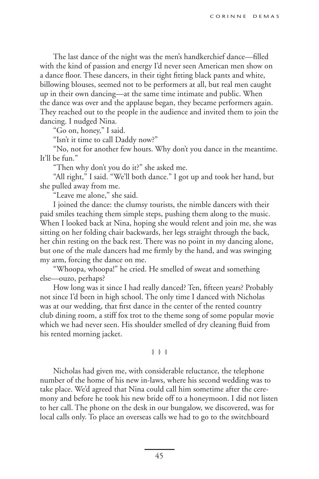The last dance of the night was the men's handkerchief dance—filled with the kind of passion and energy I'd never seen American men show on a dance floor. These dancers, in their tight fitting black pants and white, billowing blouses, seemed not to be performers at all, but real men caught up in their own dancing—at the same time intimate and public. When the dance was over and the applause began, they became performers again. They reached out to the people in the audience and invited them to join the dancing. I nudged Nina.

"Go on, honey," I said.

"Isn't it time to call Daddy now?"

 "No, not for another few hours. Why don't you dance in the meantime. It'll be fun."

"Then why don't you do it?" she asked me.

 "All right," I said. "We'll both dance." I got up and took her hand, but she pulled away from me.

"Leave me alone," she said.

 I joined the dance: the clumsy tourists, the nimble dancers with their paid smiles teaching them simple steps, pushing them along to the music. When I looked back at Nina, hoping she would relent and join me, she was sitting on her folding chair backwards, her legs straight through the back, her chin resting on the back rest. There was no point in my dancing alone, but one of the male dancers had me firmly by the hand, and was swinging my arm, forcing the dance on me.

 "Whoopa, whoopa!" he cried. He smelled of sweat and something else—ouzo, perhaps?

 How long was it since I had really danced? Ten, fifteen years? Probably not since I'd been in high school. The only time I danced with Nicholas was at our wedding, that first dance in the center of the rented country club dining room, a stiff fox trot to the theme song of some popular movie which we had never seen. His shoulder smelled of dry cleaning fluid from his rented morning jacket.

 $\pm$   $\pm$   $\pm$ 

 Nicholas had given me, with considerable reluctance, the telephone number of the home of his new in-laws, where his second wedding was to take place. We'd agreed that Nina could call him sometime after the ceremony and before he took his new bride off to a honeymoon. I did not listen to her call. The phone on the desk in our bungalow, we discovered, was for local calls only. To place an overseas calls we had to go to the switchboard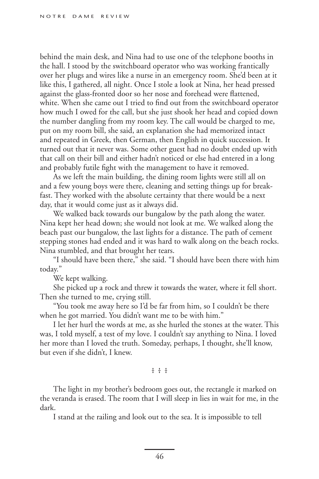behind the main desk, and Nina had to use one of the telephone booths in the hall. I stood by the switchboard operator who was working frantically over her plugs and wires like a nurse in an emergency room. She'd been at it like this, I gathered, all night. Once I stole a look at Nina, her head pressed against the glass-fronted door so her nose and forehead were flattened, white. When she came out I tried to find out from the switchboard operator how much I owed for the call, but she just shook her head and copied down the number dangling from my room key. The call would be charged to me, put on my room bill, she said, an explanation she had memorized intact and repeated in Greek, then German, then English in quick succession. It turned out that it never was. Some other guest had no doubt ended up with that call on their bill and either hadn't noticed or else had entered in a long and probably futile fight with the management to have it removed.

 As we left the main building, the dining room lights were still all on and a few young boys were there, cleaning and setting things up for breakfast. They worked with the absolute certainty that there would be a next day, that it would come just as it always did.

 We walked back towards our bungalow by the path along the water. Nina kept her head down; she would not look at me. We walked along the beach past our bungalow, the last lights for a distance. The path of cement stepping stones had ended and it was hard to walk along on the beach rocks. Nina stumbled, and that brought her tears.

 "I should have been there," she said. "I should have been there with him today."

We kept walking.

 She picked up a rock and threw it towards the water, where it fell short. Then she turned to me, crying still.

 "You took me away here so I'd be far from him, so I couldn't be there when he got married. You didn't want me to be with him."

 I let her hurl the words at me, as she hurled the stones at the water. This was, I told myself, a test of my love. I couldn't say anything to Nina. I loved her more than I loved the truth. Someday, perhaps, I thought, she'll know, but even if she didn't, I knew.

手手手

 The light in my brother's bedroom goes out, the rectangle it marked on the veranda is erased. The room that I will sleep in lies in wait for me, in the dark.

I stand at the railing and look out to the sea. It is impossible to tell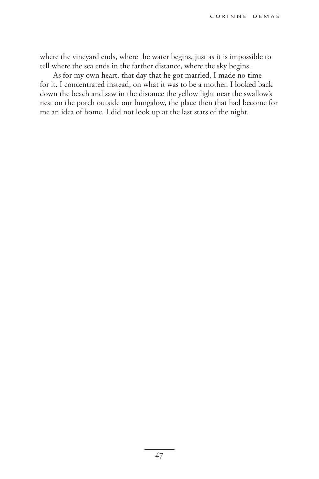where the vineyard ends, where the water begins, just as it is impossible to tell where the sea ends in the farther distance, where the sky begins.

 As for my own heart, that day that he got married, I made no time for it. I concentrated instead, on what it was to be a mother. I looked back down the beach and saw in the distance the yellow light near the swallow's nest on the porch outside our bungalow, the place then that had become for me an idea of home. I did not look up at the last stars of the night.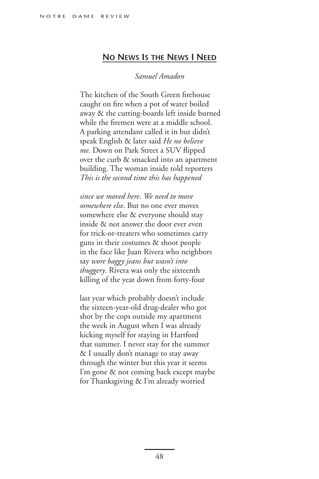## **NO NEWS IS THE NEWS I NEED**

#### *Samuel Amadon*

The kitchen of the South Green firehouse caught on fire when a pot of water boiled away & the cutting-boards left inside burned while the firemen were at a middle school. A parking attendant called it in but didn't speak English & later said *He no believe me.* Down on Park Street a SUV flipped over the curb & smacked into an apartment building. The woman inside told reporters *This is the second time this has happened* 

*since we moved here*. *We need to move somewhere else*. But no one ever moves somewhere else & everyone should stay inside & not answer the door ever even for trick-or-treaters who sometimes carry guns in their costumes & shoot people in the face like Juan Rivera who neighbors say *wore baggy jeans but wasn't into thuggery*. Rivera was only the sixteenth killing of the year down from forty-four

last year which probably doesn't include the sixteen-year-old drug-dealer who got shot by the cops outside my apartment the week in August when I was already kicking myself for staying in Hartford that summer. I never stay for the summer & I usually don't manage to stay away through the winter but this year it seems I'm gone & not coming back except maybe for Thanksgiving & I'm already worried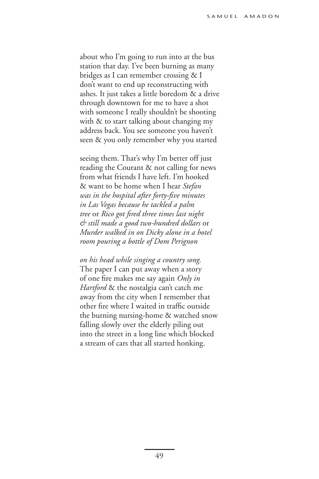about who I'm going to run into at the bus station that day. I've been burning as many bridges as I can remember crossing & I don't want to end up reconstructing with ashes. It just takes a little boredom & a drive through downtown for me to have a shot with someone I really shouldn't be shooting with & to start talking about changing my address back. You see someone you haven't seen & you only remember why you started

seeing them. That's why I'm better off just reading the Courant & not calling for news from what friends I have left. I'm hooked & want to be home when I hear *Stefan was in the hospital after forty-five minutes in Las Vegas because he tackled a palm tree* or *Rico got fired three times last night & still made a good two-hundred dollars* or *Murder walked in on Dicky alone in a hotel room pouring a bottle of Dom Perignon*

*on his head while singing a country song.* The paper I can put away when a story of one fire makes me say again *Only in Hartford* & the nostalgia can't catch me away from the city when I remember that other fire where I waited in traffic outside the burning nursing-home & watched snow falling slowly over the elderly piling out into the street in a long line which blocked a stream of cars that all started honking.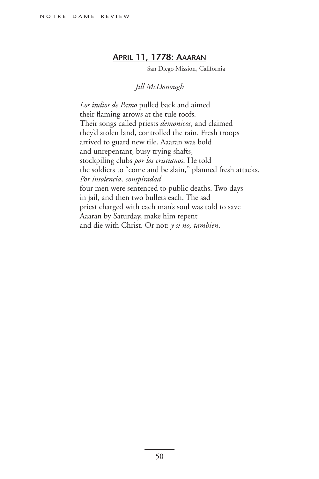## **APRIL 11, 1778: AAARAN**

San Diego Mission, California

### *Jill McDonough*

*Los indios de Pamo* pulled back and aimed their flaming arrows at the tule roofs. Their songs called priests *demonicos*, and claimed they'd stolen land, controlled the rain. Fresh troops arrived to guard new tile. Aaaran was bold and unrepentant, busy trying shafts, stockpiling clubs *por los cristianos*. He told the soldiers to "come and be slain," planned fresh attacks. *Por insolencia, conspiradad* four men were sentenced to public deaths. Two days in jail, and then two bullets each. The sad priest charged with each man's soul was told to save Aaaran by Saturday, make him repent and die with Christ. Or not: *y si no, tambien*.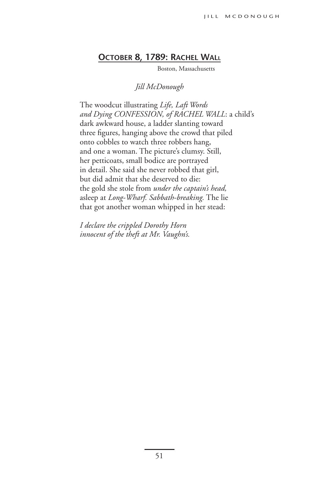## **OCTOBER 8, 1789: RACHEL WALL**

Boston, Massachusetts

#### *Jill McDonough*

The woodcut illustrating *Life, Laft Words and Dying CONFESSION, of RACHEL WALL*: a child's dark awkward house, a ladder slanting toward three figures, hanging above the crowd that piled onto cobbles to watch three robbers hang, and one a woman. The picture's clumsy. Still, her petticoats, small bodice are portrayed in detail. She said she never robbed that girl, but did admit that she deserved to die: the gold she stole from *under the captain's head,* asleep at *Long-Wharf. Sabbath-breaking.* The lie that got another woman whipped in her stead:

*I declare the crippled Dorothy Horn innocent of the theft at Mr. Vaughn's.*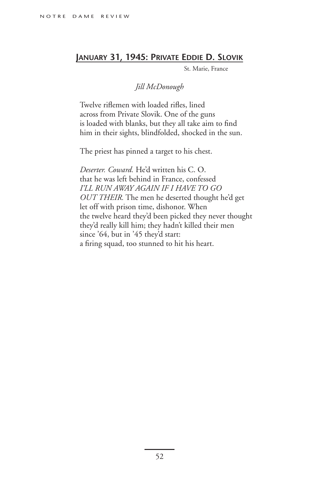## **JANUARY 31, 1945: PRIVATE EDDIE D. SLOVIK**

St. Marie, France

#### *Jill McDonough*

Twelve riflemen with loaded rifles, lined across from Private Slovik. One of the guns is loaded with blanks, but they all take aim to find him in their sights, blindfolded, shocked in the sun.

The priest has pinned a target to his chest.

*Deserter. Coward.* He'd written his C. O. that he was left behind in France, confessed *I'LL RUN AWAY AGAIN IF I HAVE TO GO OUT THEIR.* The men he deserted thought he'd get let off with prison time, dishonor. When the twelve heard they'd been picked they never thought they'd really kill him; they hadn't killed their men since '64, but in '45 they'd start: a firing squad, too stunned to hit his heart.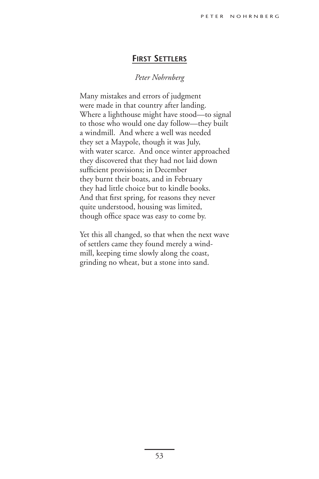### **FIRST SETTLERS**

#### *Peter Nohrnberg*

Many mistakes and errors of judgment were made in that country after landing. Where a lighthouse might have stood—to signal to those who would one day follow—they built a windmill. And where a well was needed they set a Maypole, though it was July, with water scarce. And once winter approached they discovered that they had not laid down sufficient provisions; in December they burnt their boats, and in February they had little choice but to kindle books. And that first spring, for reasons they never quite understood, housing was limited, though office space was easy to come by.

Yet this all changed, so that when the next wave of settlers came they found merely a windmill, keeping time slowly along the coast, grinding no wheat, but a stone into sand.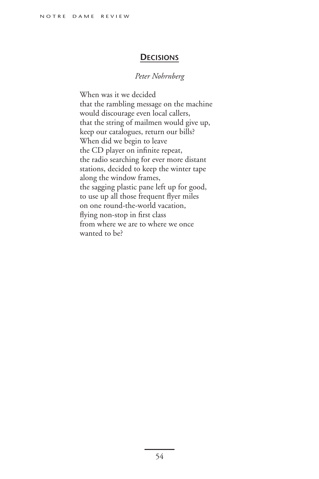## **DECISIONS**

#### *Peter Nohrnberg*

When was it we decided that the rambling message on the machine would discourage even local callers, that the string of mailmen would give up, keep our catalogues, return our bills? When did we begin to leave the CD player on infinite repeat, the radio searching for ever more distant stations, decided to keep the winter tape along the window frames, the sagging plastic pane left up for good, to use up all those frequent flyer miles on one round-the-world vacation, flying non-stop in first class from where we are to where we once wanted to be?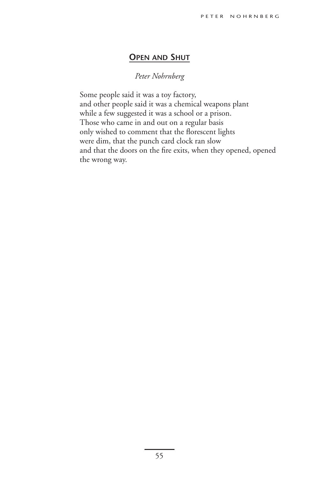## **OPEN AND SHUT**

## *Peter Nohrnberg*

Some people said it was a toy factory, and other people said it was a chemical weapons plant while a few suggested it was a school or a prison. Those who came in and out on a regular basis only wished to comment that the florescent lights were dim, that the punch card clock ran slow and that the doors on the fire exits, when they opened, opened the wrong way.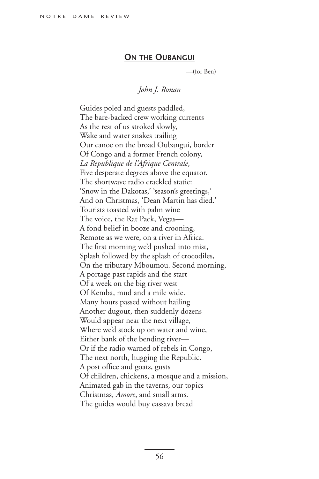### **ON THE OUBANGUI**

—(for Ben)

*John J. Ronan*

Guides poled and guests paddled, The bare-backed crew working currents As the rest of us stroked slowly, Wake and water snakes trailing Our canoe on the broad Oubangui, border Of Congo and a former French colony, *La Republique de l'Afrique Centrale*, Five desperate degrees above the equator. The shortwave radio crackled static: 'Snow in the Dakotas,' 'season's greetings,' And on Christmas, 'Dean Martin has died.' Tourists toasted with palm wine The voice, the Rat Pack, Vegas— A fond belief in booze and crooning, Remote as we were, on a river in Africa. The first morning we'd pushed into mist, Splash followed by the splash of crocodiles, On the tributary Mboumou. Second morning, A portage past rapids and the start Of a week on the big river west Of Kemba, mud and a mile wide. Many hours passed without hailing Another dugout, then suddenly dozens Would appear near the next village, Where we'd stock up on water and wine, Either bank of the bending river— Or if the radio warned of rebels in Congo, The next north, hugging the Republic. A post office and goats, gusts Of children, chickens, a mosque and a mission, Animated gab in the taverns, our topics Christmas, *Amore*, and small arms. The guides would buy cassava bread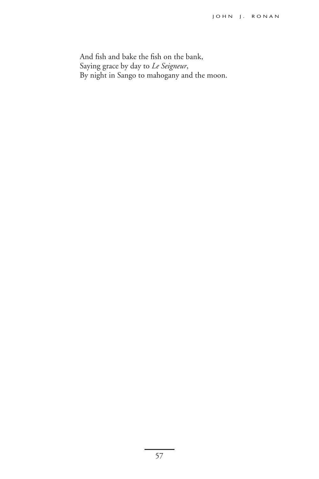And fish and bake the fish on the bank, Saying grace by day to *Le Seigneur*, By night in Sango to mahogany and the moon.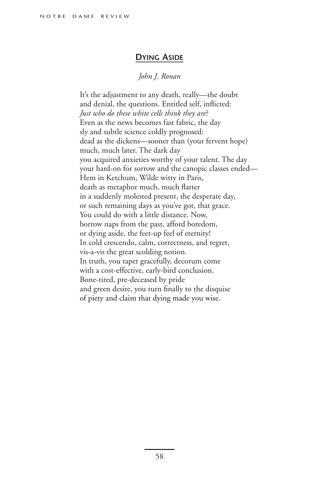### **DYING ASIDE**

#### *John J. Ronan*

It's the adjustment to any death, really—the doubt and denial, the questions. Entitled self, inflicted: *Just who do these white cells think they are*? Even as the news becomes fast fabric, the day sly and subtle science coldly prognosed: dead as the dickens—sooner than (your fervent hope) much, much later. The dark day you acquired anxieties worthy of your talent. The day your hard-on for sorrow and the canopic classes ended— Hem in Ketchum, Wilde witty in Paris, death as metaphor much, much flatter in a suddenly molested present, the desperate day, or such remaining days as you've got, that grace. You could do with a little distance. Now, borrow naps from the past, afford boredom, or dying aside, the feet-up feel of eternity! In cold crescendo, calm, correctness, and regret, vis-a-vis the great scolding notion. In truth, you taper gracefully, decorum come with a cost-effective, early-bird conclusion. Bone-tired, pre-deceased by pride and green desire, you turn finally to the disquise of piety and claim that dying made you wise.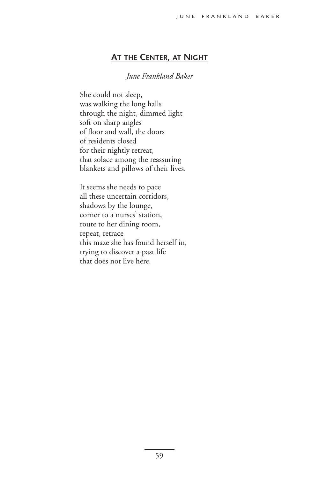## **AT THE CENTER, AT NIGHT**

## *June Frankland Baker*

She could not sleep, was walking the long halls through the night, dimmed light soft on sharp angles of floor and wall, the doors of residents closed for their nightly retreat, that solace among the reassuring blankets and pillows of their lives.

It seems she needs to pace all these uncertain corridors, shadows by the lounge, corner to a nurses' station, route to her dining room, repeat, retrace this maze she has found herself in, trying to discover a past life that does not live here.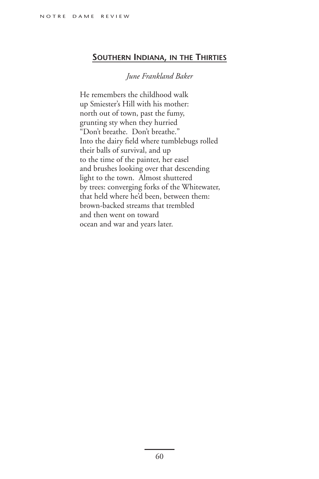## **SOUTHERN INDIANA, IN THE THIRTIES**

## *June Frankland Baker*

He remembers the childhood walk up Smiester's Hill with his mother: north out of town, past the fumy, grunting sty when they hurried "Don't breathe. Don't breathe." Into the dairy field where tumblebugs rolled their balls of survival, and up to the time of the painter, her easel and brushes looking over that descending light to the town. Almost shuttered by trees: converging forks of the Whitewater, that held where he'd been, between them: brown-backed streams that trembled and then went on toward ocean and war and years later.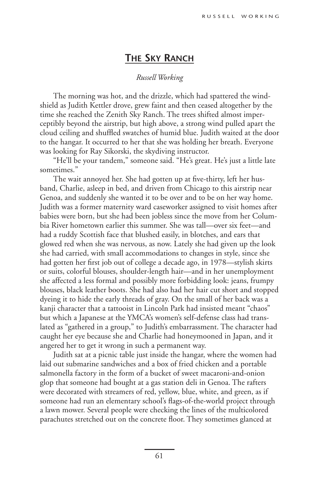# **THE SKY RANCH**

#### *Russell Working*

 The morning was hot, and the drizzle, which had spattered the windshield as Judith Kettler drove, grew faint and then ceased altogether by the time she reached the Zenith Sky Ranch. The trees shifted almost imperceptibly beyond the airstrip, but high above, a strong wind pulled apart the cloud ceiling and shuffled swatches of humid blue. Judith waited at the door to the hangar. It occurred to her that she was holding her breath. Everyone was looking for Ray Sikorski, the skydiving instructor.

 "He'll be your tandem," someone said. "He's great. He's just a little late sometimes."

 The wait annoyed her. She had gotten up at five-thirty, left her husband, Charlie, asleep in bed, and driven from Chicago to this airstrip near Genoa, and suddenly she wanted it to be over and to be on her way home. Judith was a former maternity ward caseworker assigned to visit homes after babies were born, but she had been jobless since the move from her Columbia River hometown earlier this summer. She was tall—over six feet—and had a ruddy Scottish face that blushed easily, in blotches, and ears that glowed red when she was nervous, as now. Lately she had given up the look she had carried, with small accommodations to changes in style, since she had gotten her first job out of college a decade ago, in 1978—stylish skirts or suits, colorful blouses, shoulder-length hair—and in her unemployment she affected a less formal and possibly more forbidding look: jeans, frumpy blouses, black leather boots. She had also had her hair cut short and stopped dyeing it to hide the early threads of gray. On the small of her back was a kanji character that a tattooist in Lincoln Park had insisted meant "chaos" but which a Japanese at the YMCA's women's self-defense class had translated as "gathered in a group," to Judith's embarrassment. The character had caught her eye because she and Charlie had honeymooned in Japan, and it angered her to get it wrong in such a permanent way.

 Judith sat at a picnic table just inside the hangar, where the women had laid out submarine sandwiches and a box of fried chicken and a portable salmonella factory in the form of a bucket of sweet macaroni-and-onion glop that someone had bought at a gas station deli in Genoa. The rafters were decorated with streamers of red, yellow, blue, white, and green, as if someone had run an elementary school's flags-of-the-world project through a lawn mower. Several people were checking the lines of the multicolored parachutes stretched out on the concrete floor. They sometimes glanced at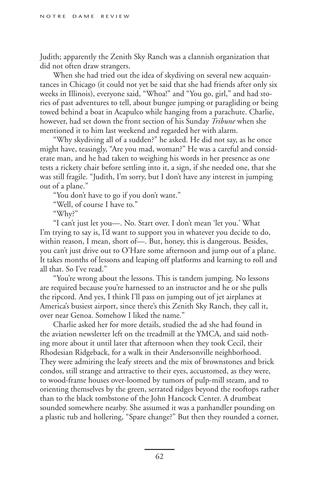Judith; apparently the Zenith Sky Ranch was a clannish organization that did not often draw strangers.

 When she had tried out the idea of skydiving on several new acquaintances in Chicago (it could not yet be said that she had friends after only six weeks in Illinois), everyone said, "Whoa!" and "You go, girl," and had stories of past adventures to tell, about bungee jumping or paragliding or being towed behind a boat in Acapulco while hanging from a parachute. Charlie, however, had set down the front section of his Sunday *Tribune* when she mentioned it to him last weekend and regarded her with alarm.

 "Why skydiving all of a sudden?" he asked. He did not say, as he once might have, teasingly, "Are you mad, woman?" He was a careful and considerate man, and he had taken to weighing his words in her presence as one tests a rickety chair before settling into it, a sign, if she needed one, that she was still fragile. "Judith, I'm sorry, but I don't have any interest in jumping out of a plane."

"You don't have to go if you don't want."

"Well, of course I have to."

"Why?"

 "I can't just let you—. No. Start over. I don't mean 'let you.' What I'm trying to say is, I'd want to support you in whatever you decide to do, within reason, I mean, short of—. But, honey, this is dangerous. Besides, you can't just drive out to O'Hare some afternoon and jump out of a plane. It takes months of lessons and leaping off platforms and learning to roll and all that. So I've read."

 "You're wrong about the lessons. This is tandem jumping. No lessons are required because you're harnessed to an instructor and he or she pulls the ripcord. And yes, I think I'll pass on jumping out of jet airplanes at America's busiest airport, since there's this Zenith Sky Ranch, they call it, over near Genoa. Somehow I liked the name."

 Charlie asked her for more details, studied the ad she had found in the aviation newsletter left on the treadmill at the YMCA, and said nothing more about it until later that afternoon when they took Cecil, their Rhodesian Ridgeback, for a walk in their Andersonville neighborhood. They were admiring the leafy streets and the mix of brownstones and brick condos, still strange and attractive to their eyes, accustomed, as they were, to wood-frame houses over-loomed by tumors of pulp-mill steam, and to orienting themselves by the green, serrated ridges beyond the rooftops rather than to the black tombstone of the John Hancock Center. A drumbeat sounded somewhere nearby. She assumed it was a panhandler pounding on a plastic tub and hollering, "Spare change?" But then they rounded a corner,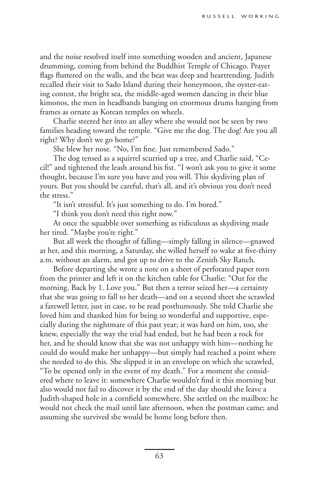and the noise resolved itself into something wooden and ancient, Japanese drumming, coming from behind the Buddhist Temple of Chicago. Prayer flags fluttered on the walls, and the beat was deep and heartrending. Judith recalled their visit to Sado Island during their honeymoon, the oyster-eating contest, the bright sea, the middle-aged women dancing in their blue kimonos, the men in headbands banging on enormous drums hanging from frames as ornate as Korean temples on wheels.

 Charlie steered her into an alley where she would not be seen by two families heading toward the temple. "Give me the dog. The dog! Are you all right? Why don't we go home?"

She blew her nose. "No, I'm fine. Just remembered Sado."

 The dog tensed as a squirrel scurried up a tree, and Charlie said, "Cecil!" and tightened the leash around his fist. "I won't ask you to give it some thought, because I'm sure you have and you will. This skydiving plan of yours. But you should be careful, that's all, and it's obvious you don't need the stress."

"It isn't stressful. It's just something to do. I'm bored."

"I think you don't need this right now."

 At once the squabble over something as ridiculous as skydiving made her tired. "Maybe you're right."

 But all week the thought of falling—simply falling in silence—gnawed at her, and this morning, a Saturday, she willed herself to wake at five-thirty a.m. without an alarm, and got up to drive to the Zenith Sky Ranch.

 Before departing she wrote a note on a sheet of perforated paper torn from the printer and left it on the kitchen table for Charlie: "Out for the morning. Back by 1. Love you." But then a terror seized her—a certainty that she was going to fall to her death—and on a second sheet she scrawled a farewell letter, just in case, to be read posthumously. She told Charlie she loved him and thanked him for being so wonderful and supportive, especially during the nightmare of this past year; it was hard on him, too, she knew, especially the way the trial had ended, but he had been a rock for her, and he should know that she was not unhappy with him—nothing he could do would make her unhappy—but simply had reached a point where she needed to do this. She slipped it in an envelope on which she scrawled,

"To be opened only in the event of my death." For a moment she considered where to leave it: somewhere Charlie wouldn't find it this morning but also would not fail to discover it by the end of the day should she leave a Judith-shaped hole in a cornfield somewhere. She settled on the mailbox: he would not check the mail until late afternoon, when the postman came; and assuming she survived she would be home long before then.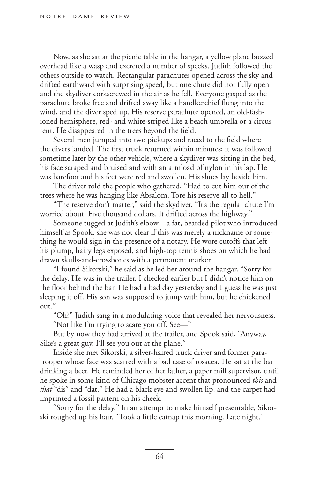Now, as she sat at the picnic table in the hangar, a yellow plane buzzed overhead like a wasp and excreted a number of specks. Judith followed the others outside to watch. Rectangular parachutes opened across the sky and drifted earthward with surprising speed, but one chute did not fully open and the skydiver corkscrewed in the air as he fell. Everyone gasped as the parachute broke free and drifted away like a handkerchief flung into the wind, and the diver sped up. His reserve parachute opened, an old-fashioned hemisphere, red- and white-striped like a beach umbrella or a circus tent. He disappeared in the trees beyond the field.

 Several men jumped into two pickups and raced to the field where the divers landed. The first truck returned within minutes; it was followed sometime later by the other vehicle, where a skydiver was sitting in the bed, his face scraped and bruised and with an armload of nylon in his lap. He was barefoot and his feet were red and swollen. His shoes lay beside him.

 The driver told the people who gathered, "Had to cut him out of the trees where he was hanging like Absalom. Tore his reserve all to hell."

 "The reserve don't matter," said the skydiver. "It's the regular chute I'm worried about. Five thousand dollars. It drifted across the highway."

 Someone tugged at Judith's elbow—a fat, bearded pilot who introduced himself as Spook; she was not clear if this was merely a nickname or something he would sign in the presence of a notary. He wore cutoffs that left his plump, hairy legs exposed, and high-top tennis shoes on which he had drawn skulls-and-crossbones with a permanent marker.

 "I found Sikorski," he said as he led her around the hangar. "Sorry for the delay. He was in the trailer. I checked earlier but I didn't notice him on the floor behind the bar. He had a bad day yesterday and I guess he was just sleeping it off. His son was supposed to jump with him, but he chickened out."

 "Oh?" Judith sang in a modulating voice that revealed her nervousness. "Not like I'm trying to scare you off. See—"

 But by now they had arrived at the trailer, and Spook said, "Anyway, Sike's a great guy. I'll see you out at the plane."

 Inside she met Sikorski, a silver-haired truck driver and former paratrooper whose face was scarred with a bad case of rosacea. He sat at the bar drinking a beer. He reminded her of her father, a paper mill supervisor, until he spoke in some kind of Chicago mobster accent that pronounced *this* and *that* "dis" and "dat." He had a black eye and swollen lip, and the carpet had imprinted a fossil pattern on his cheek.

 "Sorry for the delay." In an attempt to make himself presentable, Sikorski roughed up his hair. "Took a little catnap this morning. Late night."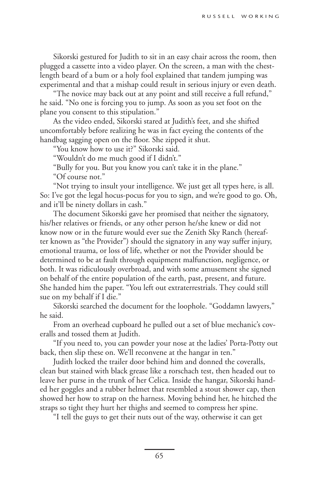Sikorski gestured for Judith to sit in an easy chair across the room, then plugged a cassette into a video player. On the screen, a man with the chestlength beard of a bum or a holy fool explained that tandem jumping was experimental and that a mishap could result in serious injury or even death.

 "The novice may back out at any point and still receive a full refund," he said. "No one is forcing you to jump. As soon as you set foot on the plane you consent to this stipulation."

 As the video ended, Sikorski stared at Judith's feet, and she shifted uncomfortably before realizing he was in fact eyeing the contents of the handbag sagging open on the floor. She zipped it shut.

"You know how to use it?" Sikorski said.

"Wouldn't do me much good if I didn't."

"Bully for you. But you know you can't take it in the plane."

"Of course not."

 "Not trying to insult your intelligence. We just get all types here, is all. So: I've got the legal hocus-pocus for you to sign, and we're good to go. Oh, and it'll be ninety dollars in cash."

 The document Sikorski gave her promised that neither the signatory, his/her relatives or friends, or any other person he/she knew or did not know now or in the future would ever sue the Zenith Sky Ranch (hereafter known as "the Provider") should the signatory in any way suffer injury, emotional trauma, or loss of life, whether or not the Provider should be determined to be at fault through equipment malfunction, negligence, or both. It was ridiculously overbroad, and with some amusement she signed on behalf of the entire population of the earth, past, present, and future. She handed him the paper. "You left out extraterrestrials. They could still sue on my behalf if I die."

 Sikorski searched the document for the loophole. "Goddamn lawyers," he said.

 From an overhead cupboard he pulled out a set of blue mechanic's coveralls and tossed them at Judith.

 "If you need to, you can powder your nose at the ladies' Porta-Potty out back, then slip these on. We'll reconvene at the hangar in ten."

 Judith locked the trailer door behind him and donned the coveralls, clean but stained with black grease like a rorschach test, then headed out to leave her purse in the trunk of her Celica. Inside the hangar, Sikorski handed her goggles and a rubber helmet that resembled a stout shower cap, then showed her how to strap on the harness. Moving behind her, he hitched the straps so tight they hurt her thighs and seemed to compress her spine.

"I tell the guys to get their nuts out of the way, otherwise it can get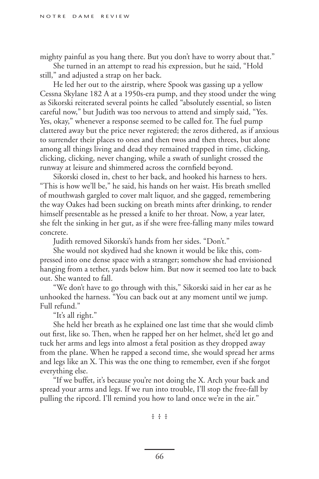mighty painful as you hang there. But you don't have to worry about that."

 She turned in an attempt to read his expression, but he said, "Hold still," and adjusted a strap on her back.

 He led her out to the airstrip, where Spook was gassing up a yellow Cessna Skylane 182 A at a 1950s-era pump, and they stood under the wing as Sikorski reiterated several points he called "absolutely essential, so listen careful now," but Judith was too nervous to attend and simply said, "Yes. Yes, okay," whenever a response seemed to be called for. The fuel pump clattered away but the price never registered; the zeros dithered, as if anxious to surrender their places to ones and then twos and then threes, but alone among all things living and dead they remained trapped in time, clicking, clicking, clicking, never changing, while a swath of sunlight crossed the runway at leisure and shimmered across the cornfield beyond.

 Sikorski closed in, chest to her back, and hooked his harness to hers. "This is how we'll be," he said, his hands on her waist. His breath smelled of mouthwash gargled to cover malt liquor, and she gagged, remembering the way Oakes had been sucking on breath mints after drinking, to render himself presentable as he pressed a knife to her throat. Now, a year later, she felt the sinking in her gut, as if she were free-falling many miles toward concrete.

Judith removed Sikorski's hands from her sides. "Don't."

 She would not skydived had she known it would be like this, compressed into one dense space with a stranger; somehow she had envisioned hanging from a tether, yards below him. But now it seemed too late to back out. She wanted to fall.

 "We don't have to go through with this," Sikorski said in her ear as he unhooked the harness. "You can back out at any moment until we jump. Full refund."

"It's all right."

 She held her breath as he explained one last time that she would climb out first, like so. Then, when he rapped her on her helmet, she'd let go and tuck her arms and legs into almost a fetal position as they dropped away from the plane. When he rapped a second time, she would spread her arms and legs like an X. This was the one thing to remember, even if she forgot everything else.

 "If we buffet, it's because you're not doing the X. Arch your back and spread your arms and legs. If we run into trouble, I'll stop the free-fall by pulling the ripcord. I'll remind you how to land once we're in the air."

手手手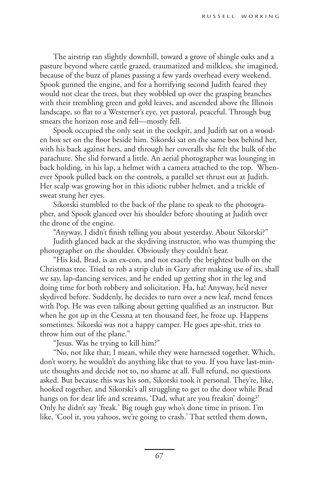The airstrip ran slightly downhill, toward a grove of shingle oaks and a pasture beyond where cattle grazed, traumatized and milkless, she imagined, because of the buzz of planes passing a few yards overhead every weekend. Spook gunned the engine, and for a horrifying second Judith feared they would not clear the trees, but they wobbled up over the grasping branches with their trembling green and gold leaves, and ascended above the Illinois landscape, so flat to a Westerner's eye, yet pastoral, peaceful. Through bug smears the horizon rose and fell—mostly fell.

 Spook occupied the only seat in the cockpit, and Judith sat on a wooden box set on the floor beside him. Sikorski sat on the same box behind her, with his back against hers, and through her coveralls she felt the bulk of the parachute. She slid forward a little. An aerial photographer was lounging in back holding, in his lap, a helmet with a camera attached to the top. Whenever Spook pulled back on the controls, a parallel set thrust out at Judith. Her scalp was growing hot in this idiotic rubber helmet, and a trickle of sweat stung her eyes.

 Sikorski stumbled to the back of the plane to speak to the photographer, and Spook glanced over his shoulder before shouting at Judith over the drone of the engine.

"Anyway, I didn't finish telling you about yesterday. About Sikorski?"

 Judith glanced back at the skydiving instructor, who was thumping the photographer on the shoulder. Obviously they couldn't hear.

 "His kid, Brad, is an ex-con, and not exactly the brightest bulb on the Christmas tree. Tried to rob a strip club in Gary after making use of its, shall we say, lap-dancing services, and he ended up getting shot in the leg and doing time for both robbery and solicitation. Ha, ha! Anyway, he'd never skydived before. Suddenly, he decides to turn over a new leaf, mend fences with Pop. He was even talking about getting qualified as an instructor. But when he got up in the Cessna at ten thousand feet, he froze up. Happens sometimes. Sikorski was not a happy camper. He goes ape-shit, tries to throw him out of the plane."

"Jesus. Was he trying to kill him?"

 "No, not like that; I mean, while they were harnessed together. Which, don't worry, he wouldn't do anything like that to you. If you have last-minute thoughts and decide not to, no shame at all. Full refund, no questions asked. But because this was his son, Sikorski took it personal. They're, like, hooked together, and Sikorski's all struggling to get to the door while Brad hangs on for dear life and screams, 'Dad, what are you freakin' doing?' Only he didn't say 'freak.' Big tough guy who's done time in prison. I'm like, 'Cool it, you yahoos, we're going to crash.' That settled them down,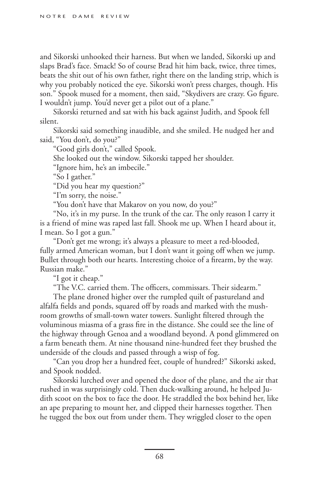and Sikorski unhooked their harness. But when we landed, Sikorski up and slaps Brad's face. Smack! So of course Brad hit him back, twice, three times, beats the shit out of his own father, right there on the landing strip, which is why you probably noticed the eye. Sikorski won't press charges, though. His son." Spook mused for a moment, then said, "Skydivers are crazy. Go figure. I wouldn't jump. You'd never get a pilot out of a plane."

 Sikorski returned and sat with his back against Judith, and Spook fell silent.

 Sikorski said something inaudible, and she smiled. He nudged her and said, "You don't, do you?"

"Good girls don't," called Spook.

She looked out the window. Sikorski tapped her shoulder.

"Ignore him, he's an imbecile."

"So I gather."

"Did you hear my question?"

"I'm sorry, the noise."

"You don't have that Makarov on you now, do you?"

 "No, it's in my purse. In the trunk of the car. The only reason I carry it is a friend of mine was raped last fall. Shook me up. When I heard about it, I mean. So I got a gun."

 "Don't get me wrong; it's always a pleasure to meet a red-blooded, fully armed American woman, but I don't want it going off when we jump. Bullet through both our hearts. Interesting choice of a firearm, by the way. Russian make."

"I got it cheap."

"The V.C. carried them. The officers, commissars. Their sidearm."

 The plane droned higher over the rumpled quilt of pastureland and alfalfa fields and ponds, squared off by roads and marked with the mushroom growths of small-town water towers. Sunlight filtered through the voluminous miasma of a grass fire in the distance. She could see the line of the highway through Genoa and a woodland beyond. A pond glimmered on a farm beneath them. At nine thousand nine-hundred feet they brushed the underside of the clouds and passed through a wisp of fog.

 "Can you drop her a hundred feet, couple of hundred?" Sikorski asked, and Spook nodded.

 Sikorski lurched over and opened the door of the plane, and the air that rushed in was surprisingly cold. Then duck-walking around, he helped Judith scoot on the box to face the door. He straddled the box behind her, like an ape preparing to mount her, and clipped their harnesses together. Then he tugged the box out from under them. They wriggled closer to the open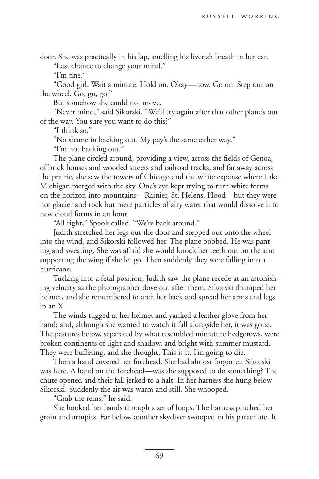door. She was practically in his lap, smelling his liverish breath in her ear.

"Last chance to change your mind."

"I'm fine."

 "Good girl. Wait a minute. Hold on. Okay—now. Go on. Step out on the wheel. Go, go, go!"

But somehow she could not move.

 "Never mind," said Sikorski. "We'll try again after that other plane's out of the way. You sure you want to do this?"

"I think so."

"No shame in backing out. My pay's the same either way."

"I'm not backing out."

 The plane circled around, providing a view, across the fields of Genoa, of brick houses and wooded streets and railroad tracks, and far away across the prairie, she saw the towers of Chicago and the white expanse where Lake Michigan merged with the sky. One's eye kept trying to turn white forms on the horizon into mountains—Rainier, St. Helens, Hood—but they were not glacier and rock but mere particles of airy water that would dissolve into new cloud forms in an hour.

"All right," Spook called. "We're back around."

 Judith stretched her legs out the door and stepped out onto the wheel into the wind, and Sikorski followed her. The plane bobbed. He was panting and sweating. She was afraid she would knock her teeth out on the arm supporting the wing if she let go. Then suddenly they were falling into a hurricane.

 Tucking into a fetal position, Judith saw the plane recede at an astonishing velocity as the photographer dove out after them. Sikorski thumped her helmet, and she remembered to arch her back and spread her arms and legs in an X.

 The winds tugged at her helmet and yanked a leather glove from her hand; and, although she wanted to watch it fall alongside her, it was gone. The pastures below, separated by what resembled miniature hedgerows, were broken continents of light and shadow, and bright with summer mustard. They were buffeting, and she thought, This is it. I'm going to die.

 Then a hand covered her forehead. She had almost forgotten Sikorski was here. A hand on the forehead—was she supposed to do something? The chute opened and their fall jerked to a halt. In her harness she hung below Sikorski. Suddenly the air was warm and still. She whooped.

"Grab the reins," he said.

 She hooked her hands through a set of loops. The harness pinched her groin and armpits. Far below, another skydiver swooped in his parachute. It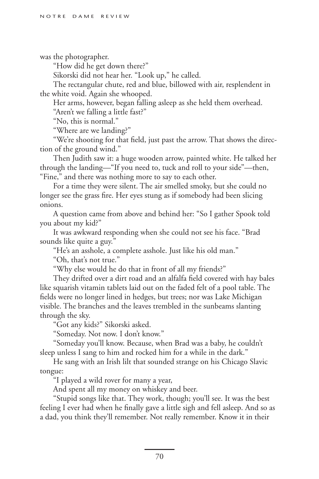was the photographer.

"How did he get down there?"

Sikorski did not hear her. "Look up," he called.

 The rectangular chute, red and blue, billowed with air, resplendent in the white void. Again she whooped.

Her arms, however, began falling asleep as she held them overhead.

"Aren't we falling a little fast?"

"No, this is normal."

"Where are we landing?"

 "We're shooting for that field, just past the arrow. That shows the direction of the ground wind."

 Then Judith saw it: a huge wooden arrow, painted white. He talked her through the landing—"If you need to, tuck and roll to your side"—then, "Fine," and there was nothing more to say to each other.

 For a time they were silent. The air smelled smoky, but she could no longer see the grass fire. Her eyes stung as if somebody had been slicing onions.

 A question came from above and behind her: "So I gather Spook told you about my kid?"

 It was awkward responding when she could not see his face. "Brad sounds like quite a guy."

"He's an asshole, a complete asshole. Just like his old man."

"Oh, that's not true."

"Why else would he do that in front of all my friends?"

 They drifted over a dirt road and an alfalfa field covered with hay bales like squarish vitamin tablets laid out on the faded felt of a pool table. The fields were no longer lined in hedges, but trees; nor was Lake Michigan visible. The branches and the leaves trembled in the sunbeams slanting through the sky.

"Got any kids?" Sikorski asked.

"Someday. Not now. I don't know."

 "Someday you'll know. Because, when Brad was a baby, he couldn't sleep unless I sang to him and rocked him for a while in the dark."

 He sang with an Irish lilt that sounded strange on his Chicago Slavic tongue:

"I played a wild rover for many a year,

And spent all my money on whiskey and beer.

 "Stupid songs like that. They work, though; you'll see. It was the best feeling I ever had when he finally gave a little sigh and fell asleep. And so as a dad, you think they'll remember. Not really remember. Know it in their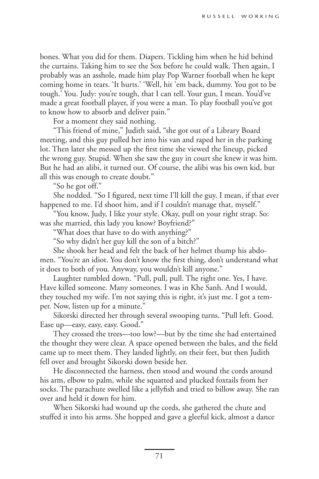bones. What you did for them. Diapers. Tickling him when he hid behind the curtains. Taking him to see the Sox before he could walk. Then again, I probably was an asshole, made him play Pop Warner football when he kept coming home in tears. 'It hurts.' 'Well, hit 'em back, dummy. You got to be tough.' You. Judy: you're tough, that I can tell. Your gun, I mean. You'd've made a great football player, if you were a man. To play football you've got to know how to absorb and deliver pain."

For a moment they said nothing.

 "This friend of mine," Judith said, "she got out of a Library Board meeting, and this guy pulled her into his van and raped her in the parking lot. Then later she messed up the first time she viewed the lineup, picked the wrong guy. Stupid. When she saw the guy in court she knew it was him. But he had an alibi, it turned out. Of course, the alibi was his own kid, but all this was enough to create doubt."

"So he got off."

 She nodded. "So I figured, next time I'll kill the guy. I mean, if that ever happened to me. I'd shoot him, and if I couldn't manage that, myself."

 "You know, Judy, I like your style. Okay, pull on your right strap. So: was she married, this lady you know? Boyfriend?"

"What does that have to do with anything?"

"So why didn't her guy kill the son of a bitch?"

 She shook her head and felt the back of her helmet thump his abdomen. "You're an idiot. You don't know the first thing, don't understand what it does to both of you. Anyway, you wouldn't kill anyone."

 Laughter tumbled down. "Pull, pull, pull. The right one. Yes, I have. Have killed someone. Many someones. I was in Khe Sanh. And I would, they touched my wife. I'm not saying this is right, it's just me. I got a temper. Now, listen up for a minute."

 Sikorski directed her through several swooping turns. "Pull left. Good. Ease up—easy, easy, easy. Good."

 They crossed the trees—too low?—but by the time she had entertained the thought they were clear. A space opened between the bales, and the field came up to meet them. They landed lightly, on their feet, but then Judith fell over and brought Sikorski down beside her.

 He disconnected the harness, then stood and wound the cords around his arm, elbow to palm, while she squatted and plucked foxtails from her socks. The parachute swelled like a jellyfish and tried to billow away. She ran over and held it down for him.

 When Sikorski had wound up the cords, she gathered the chute and stuffed it into his arms. She hopped and gave a gleeful kick, almost a dance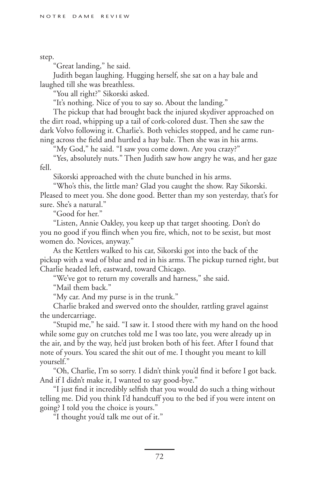step.

"Great landing," he said.

 Judith began laughing. Hugging herself, she sat on a hay bale and laughed till she was breathless.

"You all right?" Sikorski asked.

"It's nothing. Nice of you to say so. About the landing."

 The pickup that had brought back the injured skydiver approached on the dirt road, whipping up a tail of cork-colored dust. Then she saw the dark Volvo following it. Charlie's. Both vehicles stopped, and he came running across the field and hurtled a hay bale. Then she was in his arms.

"My God," he said. "I saw you come down. Are you crazy?"

 "Yes, absolutely nuts." Then Judith saw how angry he was, and her gaze fell.

Sikorski approached with the chute bunched in his arms.

 "Who's this, the little man? Glad you caught the show. Ray Sikorski. Pleased to meet you. She done good. Better than my son yesterday, that's for sure. She's a natural."

"Good for her."

 "Listen, Annie Oakley, you keep up that target shooting. Don't do you no good if you flinch when you fire, which, not to be sexist, but most women do. Novices, anyway."

 As the Kettlers walked to his car, Sikorski got into the back of the pickup with a wad of blue and red in his arms. The pickup turned right, but Charlie headed left, eastward, toward Chicago.

"We've got to return my coveralls and harness," she said.

"Mail them back."

"My car. And my purse is in the trunk."

 Charlie braked and swerved onto the shoulder, rattling gravel against the undercarriage.

 "Stupid me," he said. "I saw it. I stood there with my hand on the hood while some guy on crutches told me I was too late, you were already up in the air, and by the way, he'd just broken both of his feet. After I found that note of yours. You scared the shit out of me. I thought you meant to kill yourself."

 "Oh, Charlie, I'm so sorry. I didn't think you'd find it before I got back. And if I didn't make it, I wanted to say good-bye."

 "I just find it incredibly selfish that you would do such a thing without telling me. Did you think I'd handcuff you to the bed if you were intent on going? I told you the choice is yours."

"I thought you'd talk me out of it."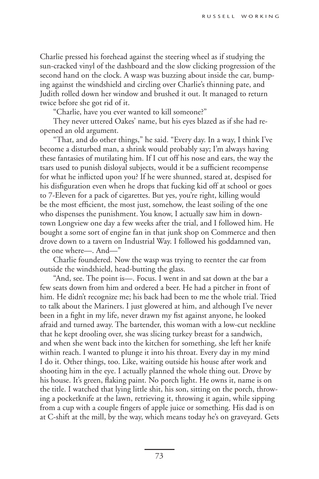Charlie pressed his forehead against the steering wheel as if studying the sun-cracked vinyl of the dashboard and the slow clicking progression of the second hand on the clock. A wasp was buzzing about inside the car, bumping against the windshield and circling over Charlie's thinning pate, and Judith rolled down her window and brushed it out. It managed to return twice before she got rid of it.

"Charlie, have you ever wanted to kill someone?"

 They never uttered Oakes' name, but his eyes blazed as if she had reopened an old argument.

 "That, and do other things," he said. "Every day. In a way, I think I've become a disturbed man, a shrink would probably say; I'm always having these fantasies of mutilating him. If I cut off his nose and ears, the way the tsars used to punish disloyal subjects, would it be a sufficient recompense for what he inflicted upon you? If he were shunned, stared at, despised for his disfiguration even when he drops that fucking kid off at school or goes to 7-Eleven for a pack of cigarettes. But yes, you're right, killing would be the most efficient, the most just, somehow, the least soiling of the one who dispenses the punishment. You know, I actually saw him in downtown Longview one day a few weeks after the trial, and I followed him. He bought a some sort of engine fan in that junk shop on Commerce and then drove down to a tavern on Industrial Way. I followed his goddamned van, the one where—. And—"

 Charlie foundered. Now the wasp was trying to reenter the car from outside the windshield, head-butting the glass.

 "And, see. The point is—. Focus. I went in and sat down at the bar a few seats down from him and ordered a beer. He had a pitcher in front of him. He didn't recognize me; his back had been to me the whole trial. Tried to talk about the Mariners. I just glowered at him, and although I've never been in a fight in my life, never drawn my fist against anyone, he looked afraid and turned away. The bartender, this woman with a low-cut neckline that he kept drooling over, she was slicing turkey breast for a sandwich, and when she went back into the kitchen for something, she left her knife within reach. I wanted to plunge it into his throat. Every day in my mind I do it. Other things, too. Like, waiting outside his house after work and shooting him in the eye. I actually planned the whole thing out. Drove by his house. It's green, flaking paint. No porch light. He owns it, name is on the title. I watched that lying little shit, his son, sitting on the porch, throwing a pocketknife at the lawn, retrieving it, throwing it again, while sipping from a cup with a couple fingers of apple juice or something. His dad is on at C-shift at the mill, by the way, which means today he's on graveyard. Gets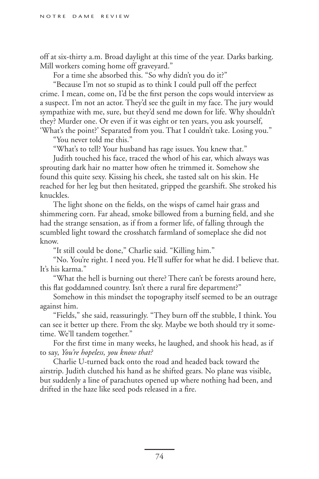off at six-thirty a.m. Broad daylight at this time of the year. Darks barking. Mill workers coming home off graveyard."

For a time she absorbed this. "So why didn't you do it?"

 "Because I'm not so stupid as to think I could pull off the perfect crime. I mean, come on, I'd be the first person the cops would interview as a suspect. I'm not an actor. They'd see the guilt in my face. The jury would sympathize with me, sure, but they'd send me down for life. Why shouldn't they? Murder one. Or even if it was eight or ten years, you ask yourself, 'What's the point?' Separated from you. That I couldn't take. Losing you."

"You never told me this."

"What's to tell? Your husband has rage issues. You knew that."

 Judith touched his face, traced the whorl of his ear, which always was sprouting dark hair no matter how often he trimmed it. Somehow she found this quite sexy. Kissing his cheek, she tasted salt on his skin. He reached for her leg but then hesitated, gripped the gearshift. She stroked his knuckles.

 The light shone on the fields, on the wisps of camel hair grass and shimmering corn. Far ahead, smoke billowed from a burning field, and she had the strange sensation, as if from a former life, of falling through the scumbled light toward the crosshatch farmland of someplace she did not know.

"It still could be done," Charlie said. "Killing him."

 "No. You're right. I need you. He'll suffer for what he did. I believe that. It's his karma."

 "What the hell is burning out there? There can't be forests around here, this flat goddamned country. Isn't there a rural fire department?"

 Somehow in this mindset the topography itself seemed to be an outrage against him.

 "Fields," she said, reassuringly. "They burn off the stubble, I think. You can see it better up there. From the sky. Maybe we both should try it sometime. We'll tandem together."

 For the first time in many weeks, he laughed, and shook his head, as if to say, *You're hopeless, you know that?*

 Charlie U-turned back onto the road and headed back toward the airstrip. Judith clutched his hand as he shifted gears. No plane was visible, but suddenly a line of parachutes opened up where nothing had been, and drifted in the haze like seed pods released in a fire.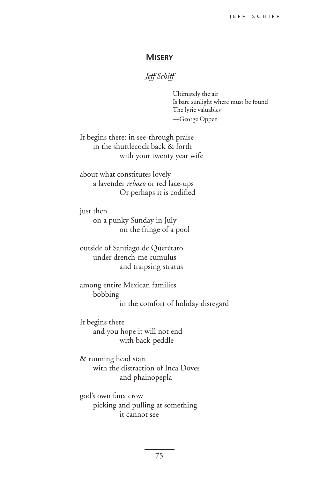### **MISERY**

*Jeff Schiff*

Ultimately the air Is bare sunlight where must be found The lyric valuables —George Oppen

It begins there: in see-through praise in the shuttlecock back & forth with your twenty year wife

about what constitutes lovely a lavender *rebozo* or red lace-ups Or perhaps it is codified

just then on a punky Sunday in July on the fringe of a pool

outside of Santiago de Querétaro under drench-me cumulus and traipsing stratus

among entire Mexican families bobbing in the comfort of holiday disregard

It begins there and you hope it will not end with back-peddle

& running head start with the distraction of Inca Doves and phainopepla

god's own faux crow picking and pulling at something it cannot see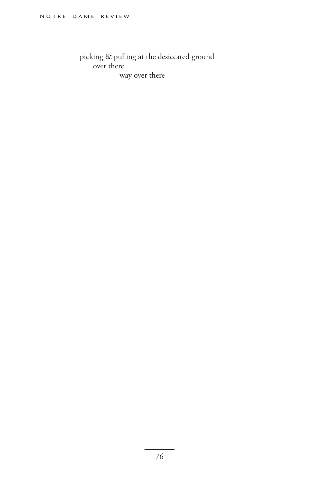picking & pulling at the desiccated ground over there way over there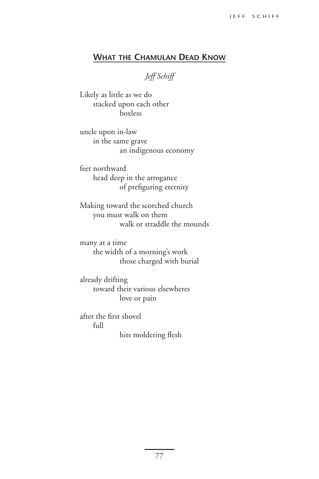# **WHAT THE CHAMULAN DEAD KNOW**

*Jeff Schiff*

Likely as little as we do stacked upon each other boxless

uncle upon in-law in the same grave an indigenous economy

feet northward head deep in the arrogance of prefiguring eternity

Making toward the scorched church you must walk on them walk or straddle the mounds

many at a time the width of a morning's work those charged with burial

already drifting toward their various elsewheres love or pain

after the first shovel full hits moldering flesh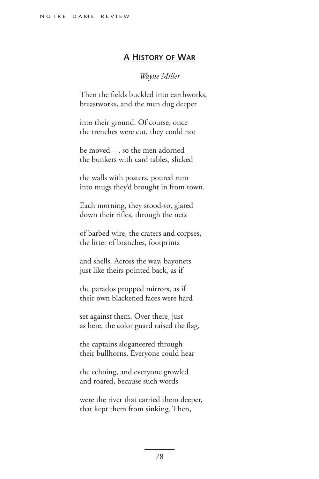## **A HISTORY OF WAR**

#### *Wayne Miller*

Then the fields buckled into earthworks, breastworks, and the men dug deeper

into their ground. Of course, once the trenches were cut, they could not

be moved—, so the men adorned the bunkers with card tables, slicked

the walls with posters, poured rum into mugs they'd brought in from town.

Each morning, they stood-to, glared down their rifles, through the nets

of barbed wire, the craters and corpses, the litter of branches, footprints

and shells. Across the way, bayonets just like theirs pointed back, as if

the parados propped mirrors, as if their own blackened faces were hard

set against them. Over there, just as here, the color guard raised the flag,

the captains sloganeered through their bullhorns. Everyone could hear

the echoing, and everyone growled and roared, because such words

were the river that carried them deeper, that kept them from sinking. Then,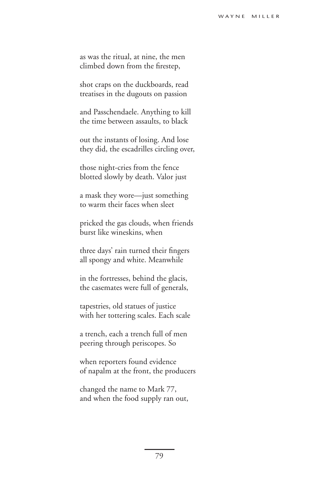as was the ritual, at nine, the men climbed down from the firestep,

shot craps on the duckboards, read treatises in the dugouts on passion

and Passchendaele. Anything to kill the time between assaults, to black

out the instants of losing. And lose they did, the escadrilles circling over,

those night-cries from the fence blotted slowly by death. Valor just

a mask they wore—just something to warm their faces when sleet

pricked the gas clouds, when friends burst like wineskins, when

three days' rain turned their fingers all spongy and white. Meanwhile

in the fortresses, behind the glacis, the casemates were full of generals,

tapestries, old statues of justice with her tottering scales. Each scale

a trench, each a trench full of men peering through periscopes. So

when reporters found evidence of napalm at the front, the producers

changed the name to Mark 77, and when the food supply ran out,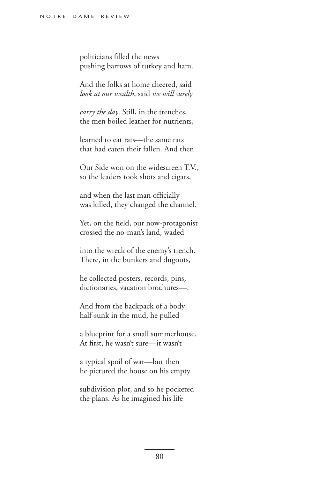politicians filled the news pushing barrows of turkey and ham.

And the folks at home cheered, said *look at our wealth*, said *we will surely*

*carry the day*. Still, in the trenches, the men boiled leather for nutrients,

learned to eat rats—the same rats that had eaten their fallen. And then

Our Side won on the widescreen T.V., so the leaders took shots and cigars,

and when the last man officially was killed, they changed the channel.

Yet, on the field, our now-protagonist crossed the no-man's land, waded

into the wreck of the enemy's trench. There, in the bunkers and dugouts,

he collected posters, records, pins, dictionaries, vacation brochures—.

And from the backpack of a body half-sunk in the mud, he pulled

a blueprint for a small summerhouse. At first, he wasn't sure—it wasn't

a typical spoil of war—but then he pictured the house on his empty

subdivision plot, and so he pocketed the plans. As he imagined his life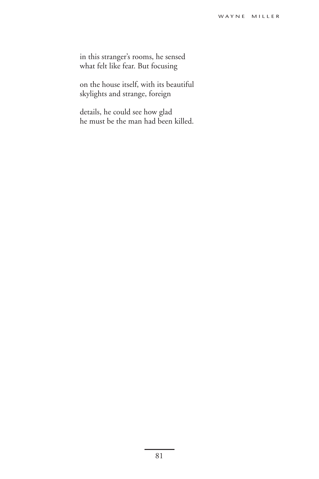in this stranger's rooms, he sensed what felt like fear. But focusing

on the house itself, with its beautiful skylights and strange, foreign

details, he could see how glad he must be the man had been killed.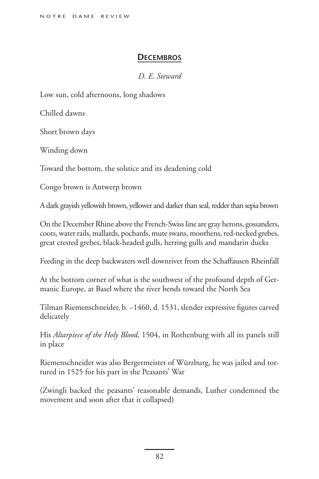# **DECEMBROS**

*D. E. Steward* 

Low sun, cold afternoons, long shadows

Chilled dawns

Short brown days

Winding down

Toward the bottom, the solstice and its deadening cold

Congo brown is Antwerp brown

A dark grayish yellowish brown, yellower and darker than seal, redder than sepia brown

On the December Rhine above the French-Swiss line are gray herons, gossanders, coots, water rails, mallards, pochards, mute swans, moorhens, red-necked grebes, great crested grebes, black-headed gulls, herring gulls and mandarin ducks

Feeding in the deep backwaters well downriver from the Schaffausen Rheinfall

At the bottom corner of what is the southwest of the profound depth of Germanic Europe, at Basel where the river bends toward the North Sea

Tilman Riemenschneider, b. ~1460, d. 1531, slender expressive figures carved delicately

His *Altarpiece of the Holy Blood,* 1504, in Rothenburg with all its panels still in place

Riemenschneider was also Bergermeister of Würzburg, he was jailed and tortured in 1525 for his part in the Peasants' War

(Zwingli backed the peasants' reasonable demands, Luther condemned the movement and soon after that it collapsed)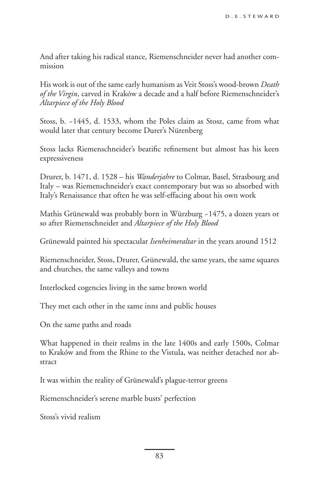And after taking his radical stance, Riemenschneider never had another commission

His work is out of the same early humanism as Veit Stoss's wood-brown *Death of the Virgin*, carved in Kraków a decade and a half before Riemenschneider's *Altarpiece of the Holy Blood*

Stoss, b. ~1445, d. 1533, whom the Poles claim as Stosz, came from what would later that century become Durer's Nürenberg

Stoss lacks Riemenschneider's beatific refinement but almost has his keen expressiveness

Drurer, b. 1471, d. 1528 – his *Wanderjahre* to Colmar, Basel, Strasbourg and Italy – was Riemenschneider's exact contemporary but was so absorbed with Italy's Renaissance that often he was self-effacing about his own work

Mathis Grünewald was probably born in Würzburg ~1475, a dozen years or so after Riemenschneider and *Altarpiece of the Holy Blood*

Grünewald painted his spectacular *Isenheimeraltar* in the years around 1512

Riemenschneider, Stoss, Drurer, Grünewald, the same years, the same squares and churches, the same valleys and towns

Interlocked cogencies living in the same brown world

They met each other in the same inns and public houses

On the same paths and roads

What happened in their realms in the late 1400s and early 1500s, Colmar to Kraków and from the Rhine to the Vistula, was neither detached nor abstract

It was within the reality of Grünewald's plague-terror greens

Riemenschneider's serene marble busts' perfection

Stoss's vivid realism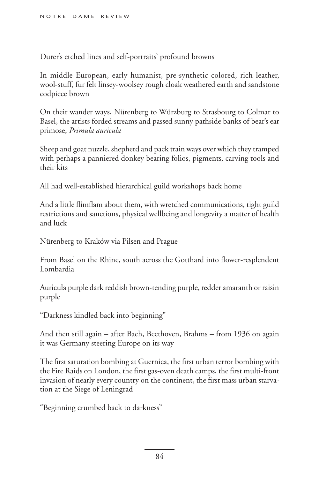Durer's etched lines and self-portraits' profound browns

In middle European, early humanist, pre-synthetic colored, rich leather, wool-stuff, fur felt linsey-woolsey rough cloak weathered earth and sandstone codpiece brown

On their wander ways, Nürenberg to Würzburg to Strasbourg to Colmar to Basel, the artists forded streams and passed sunny pathside banks of bear's ear primose, *Primula auricula*

Sheep and goat nuzzle, shepherd and pack train ways over which they tramped with perhaps a panniered donkey bearing folios, pigments, carving tools and their kits

All had well-established hierarchical guild workshops back home

And a little flimflam about them, with wretched communications, tight guild restrictions and sanctions, physical wellbeing and longevity a matter of health and luck

Nürenberg to Kraków via Pilsen and Prague

From Basel on the Rhine, south across the Gotthard into flower-resplendent Lombardia

Auricula purple dark reddish brown-tending purple, redder amaranth or raisin purple

"Darkness kindled back into beginning"

And then still again – after Bach, Beethoven, Brahms – from 1936 on again it was Germany steering Europe on its way

The first saturation bombing at Guernica, the first urban terror bombing with the Fire Raids on London, the first gas-oven death camps, the first multi-front invasion of nearly every country on the continent, the first mass urban starvation at the Siege of Leningrad

"Beginning crumbed back to darkness"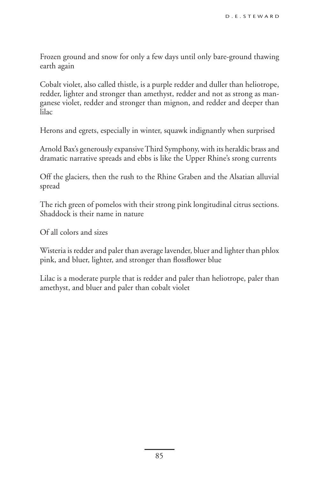Frozen ground and snow for only a few days until only bare-ground thawing earth again

Cobalt violet, also called thistle, is a purple redder and duller than heliotrope, redder, lighter and stronger than amethyst, redder and not as strong as manganese violet, redder and stronger than mignon, and redder and deeper than lilac

Herons and egrets, especially in winter, squawk indignantly when surprised

Arnold Bax's generously expansive Third Symphony, with its heraldic brass and dramatic narrative spreads and ebbs is like the Upper Rhine's srong currents

Off the glaciers, then the rush to the Rhine Graben and the Alsatian alluvial spread

The rich green of pomelos with their strong pink longitudinal citrus sections. Shaddock is their name in nature

Of all colors and sizes

Wisteria is redder and paler than average lavender, bluer and lighter than phlox pink, and bluer, lighter, and stronger than flossflower blue

Lilac is a moderate purple that is redder and paler than heliotrope, paler than amethyst, and bluer and paler than cobalt violet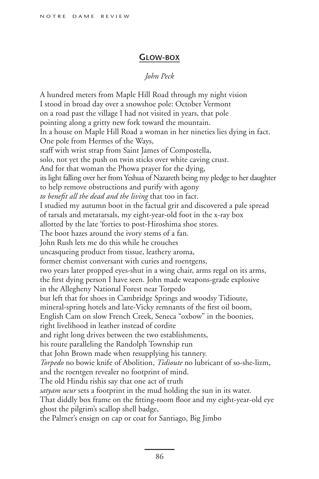## **GLOW-BOX**

## *John Peck*

A hundred meters from Maple Hill Road through my night vision I stood in broad day over a snowshoe pole: October Vermont on a road past the village I had not visited in years, that pole pointing along a gritty new fork toward the mountain. In a house on Maple Hill Road a woman in her nineties lies dying in fact. One pole from Hermes of the Ways, staff with wrist strap from Saint James of Compostella, solo, not yet the push on twin sticks over white caving crust. And for that woman the Phowa prayer for the dying, its light falling over her from Yeshua of Nazareth being my pledge to her daughter to help remove obstructions and purify with agony *to benefit all the dead and the living* that too in fact. I studied my autumn boot in the factual grit and discovered a pale spread of tarsals and metatarsals, my eight-year-old foot in the x-ray box allotted by the late 'forties to post-Hiroshima shoe stores. The boot hazes around the ivory stems of a fan. John Rush lets me do this while he crouches uncasqueing product from tissue, leathery aroma, former chemist conversant with curies and roentgens, two years later propped eyes-shut in a wing chair, arms regal on its arms, the first dying person I have seen. John made weapons-grade explosive in the Allegheny National Forest near Torpedo but left that for shoes in Cambridge Springs and woodsy Tidioute, mineral-spring hotels and late-Vicky remnants of the first oil boom, English Cam on slow French Creek, Seneca "oxbow" in the boonies, right livelihood in leather instead of cordite and right long drives between the two establishments, his route paralleling the Randolph Township run that John Brown made when resupplying his tannery. *Torpedo* no bowie knife of Abolition, *Tidioute* no lubricant of so-she-lizm, and the roentgen revealer no footprint of mind. The old Hindu rishis say that one act of truth *satyam ucur* sets a footprint in the mud holding the sun in its water. That diddly box frame on the fitting-room floor and my eight-year-old eye ghost the pilgrim's scallop shell badge, the Palmer's ensign on cap or coat for Santiago, Big Jimbo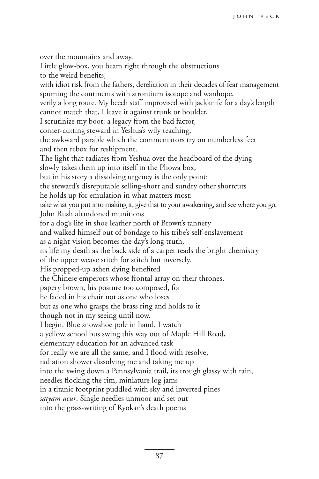over the mountains and away. Little glow-box, you beam right through the obstructions to the weird benefits, with idiot risk from the fathers, dereliction in their decades of fear management spuming the continents with strontium isotope and wanhope, verily a long route. My beech staff improvised with jackknife for a day's length cannot match that, I leave it against trunk or boulder, I scrutinize my boot: a legacy from the bad factor, corner-cutting steward in Yeshua's wily teaching, the awkward parable which the commentators try on numberless feet and then rebox for reshipment. The light that radiates from Yeshua over the headboard of the dying slowly takes them up into itself in the Phowa box, but in his story a dissolving urgency is the only point: the steward's disreputable selling-short and sundry other shortcuts he holds up for emulation in what matters most: take what you put into making it, give that to your awakening, and see where you go. John Rush abandoned munitions for a dog's life in shoe leather north of Brown's tannery and walked himself out of bondage to his tribe's self-enslavement as a night-vision becomes the day's long truth, its life my death as the back side of a carpet reads the bright chemistry of the upper weave stitch for stitch but inversely. His propped-up ashen dying benefited the Chinese emperors whose frontal array on their thrones, papery brown, his posture too composed, for he faded in his chair not as one who loses but as one who grasps the brass ring and holds to it though not in my seeing until now. I begin. Blue snowshoe pole in hand, I watch a yellow school bus swing this way out of Maple Hill Road, elementary education for an advanced task for really we are all the same, and I flood with resolve, radiation shower dissolving me and taking me up into the swing down a Pennsylvania trail, its trough glassy with rain, needles flocking the rim, miniature log jams in a titanic footprint puddled with sky and inverted pines *satyam ucur*. Single needles unmoor and set out into the grass-writing of Ryokan's death poems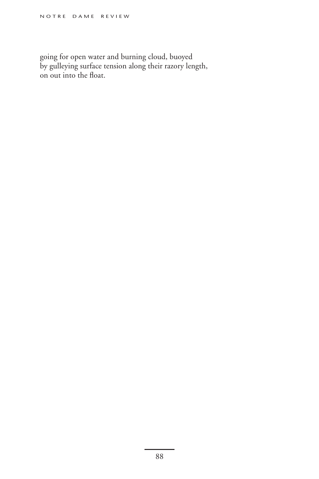going for open water and burning cloud, buoyed by gulleying surface tension along their razory length, on out into the float.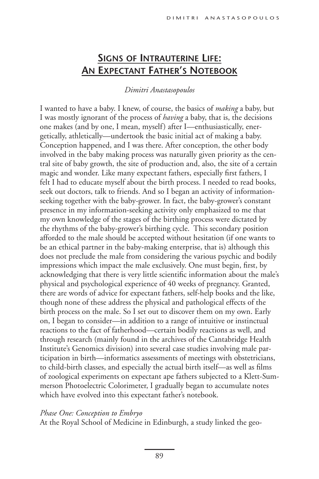# **SIGNS OF INTRAUTERINE LIFE: AN EXPECTANT FATHER'S NOTEBOOK**

#### *Dimitri Anastasopoulos*

I wanted to have a baby. I knew, of course, the basics of *making* a baby, but I was mostly ignorant of the process of *having* a baby, that is, the decisions one makes (and by one, I mean, myself) after I—enthusiastically, energetically, athletically—undertook the basic initial act of making a baby. Conception happened, and I was there. After conception, the other body involved in the baby making process was naturally given priority as the central site of baby growth, the site of production and, also, the site of a certain magic and wonder. Like many expectant fathers, especially first fathers, I felt I had to educate myself about the birth process. I needed to read books, seek out doctors, talk to friends. And so I began an activity of informationseeking together with the baby-grower. In fact, the baby-grower's constant presence in my information-seeking activity only emphasized to me that my own knowledge of the stages of the birthing process were dictated by the rhythms of the baby-grower's birthing cycle. This secondary position afforded to the male should be accepted without hesitation (if one wants to be an ethical partner in the baby-making enterprise, that is) although this does not preclude the male from considering the various psychic and bodily impressions which impact the male exclusively. One must begin, first, by acknowledging that there is very little scientific information about the male's physical and psychological experience of 40 weeks of pregnancy. Granted, there are words of advice for expectant fathers, self-help books and the like, though none of these address the physical and pathological effects of the birth process on the male. So I set out to discover them on my own. Early on, I began to consider—in addition to a range of intuitive or instinctual reactions to the fact of fatherhood—certain bodily reactions as well, and through research (mainly found in the archives of the Cantabridge Health Institute's Genomics division) into several case studies involving male participation in birth—informatics assessments of meetings with obstetricians, to child-birth classes, and especially the actual birth itself—as well as films of zoological experiments on expectant ape fathers subjected to a Klett-Summerson Photoelectric Colorimeter, I gradually began to accumulate notes which have evolved into this expectant father's notebook.

#### *Phase One: Conception to Embryo*

At the Royal School of Medicine in Edinburgh, a study linked the geo-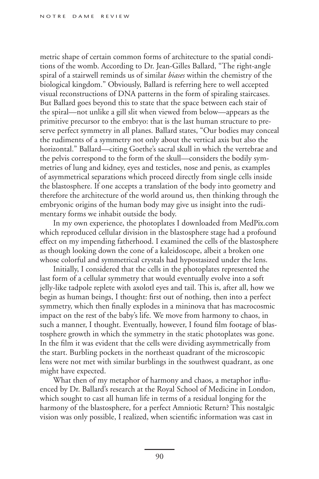metric shape of certain common forms of architecture to the spatial conditions of the womb. According to Dr. Jean-Gilles Ballard, "The right-angle spiral of a stairwell reminds us of similar *biases* within the chemistry of the biological kingdom." Obviously, Ballard is referring here to well accepted visual reconstructions of DNA patterns in the form of spiraling staircases. But Ballard goes beyond this to state that the space between each stair of the spiral—not unlike a gill slit when viewed from below—appears as the primitive precursor to the embryo: that is the last human structure to preserve perfect symmetry in all planes. Ballard states, "Our bodies may conceal the rudiments of a symmetry not only about the vertical axis but also the horizontal." Ballard—citing Goethe's sacral skull in which the vertebrae and the pelvis correspond to the form of the skull—considers the bodily symmetries of lung and kidney, eyes and testicles, nose and penis, as examples of asymmetrical separations which proceed directly from single cells inside the blastosphere. If one accepts a translation of the body into geometry and therefore the architecture of the world around us, then thinking through the embryonic origins of the human body may give us insight into the rudimentary forms we inhabit outside the body.

 In my own experience, the photoplates I downloaded from MedPix.com which reproduced cellular division in the blastosphere stage had a profound effect on my impending fatherhood. I examined the cells of the blastosphere as though looking down the cone of a kaleidoscope, albeit a broken one whose colorful and symmetrical crystals had hypostasized under the lens.

 Initially, I considered that the cells in the photoplates represented the last form of a cellular symmetry that would eventually evolve into a soft jelly-like tadpole replete with axolotl eyes and tail. This is, after all, how we begin as human beings, I thought: first out of nothing, then into a perfect symmetry, which then finally explodes in a mininova that has macrocosmic impact on the rest of the baby's life. We move from harmony to chaos, in such a manner, I thought. Eventually, however, I found film footage of blastosphere growth in which the symmetry in the static photoplates was gone. In the film it was evident that the cells were dividing asymmetrically from the start. Burbling pockets in the northeast quadrant of the microscopic lens were not met with similar burblings in the southwest quadrant, as one might have expected.

 What then of my metaphor of harmony and chaos, a metaphor influenced by Dr. Ballard's research at the Royal School of Medicine in London, which sought to cast all human life in terms of a residual longing for the harmony of the blastosphere, for a perfect Amniotic Return? This nostalgic vision was only possible, I realized, when scientific information was cast in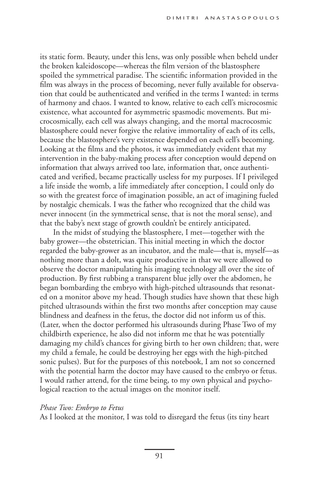its static form. Beauty, under this lens, was only possible when beheld under the broken kaleidoscope—whereas the film version of the blastosphere spoiled the symmetrical paradise. The scientific information provided in the film was always in the process of becoming, never fully available for observation that could be authenticated and verified in the terms I wanted: in terms of harmony and chaos. I wanted to know, relative to each cell's microcosmic existence, what accounted for asymmetric spasmodic movements. But microcosmically, each cell was always changing, and the mortal macrocosmic blastosphere could never forgive the relative immortality of each of its cells, because the blastosphere's very existence depended on each cell's becoming. Looking at the films and the photos, it was immediately evident that my intervention in the baby-making process after conception would depend on information that always arrived too late, information that, once authenticated and verified, became practically useless for my purposes. If I privileged a life inside the womb, a life immediately after conception, I could only do so with the greatest force of imagination possible, an act of imagining fueled by nostalgic chemicals. I was the father who recognized that the child was never innocent (in the symmetrical sense, that is not the moral sense), and that the baby's next stage of growth couldn't be entirely anticipated.

 In the midst of studying the blastosphere, I met—together with the baby grower—the obstetrician. This initial meeting in which the doctor regarded the baby-grower as an incubator, and the male—that is, myself—as nothing more than a dolt, was quite productive in that we were allowed to observe the doctor manipulating his imaging technology all over the site of production. By first rubbing a transparent blue jelly over the abdomen, he began bombarding the embryo with high-pitched ultrasounds that resonated on a monitor above my head. Though studies have shown that these high pitched ultrasounds within the first two months after conception may cause blindness and deafness in the fetus, the doctor did not inform us of this. (Later, when the doctor performed his ultrasounds during Phase Two of my childbirth experience, he also did not inform me that he was potentially damaging my child's chances for giving birth to her own children; that, were my child a female, he could be destroying her eggs with the high-pitched sonic pulses). But for the purposes of this notebook, I am not so concerned with the potential harm the doctor may have caused to the embryo or fetus. I would rather attend, for the time being, to my own physical and psychological reaction to the actual images on the monitor itself.

#### *Phase Two: Embryo to Fetus*

As I looked at the monitor, I was told to disregard the fetus (its tiny heart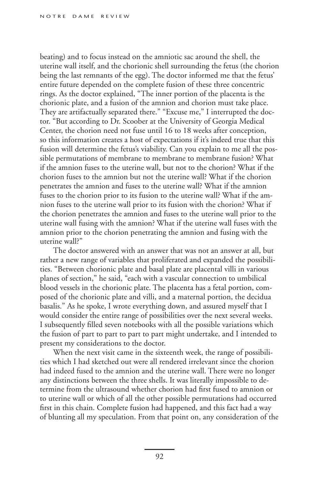beating) and to focus instead on the amniotic sac around the shell, the uterine wall itself, and the chorionic shell surrounding the fetus (the chorion being the last remnants of the egg). The doctor informed me that the fetus' entire future depended on the complete fusion of these three concentric rings. As the doctor explained, "The inner portion of the placenta is the chorionic plate, and a fusion of the amnion and chorion must take place. They are artifactually separated there." "Excuse me," I interrupted the doctor. "But according to Dr. Scoober at the University of Georgia Medical Center, the chorion need not fuse until 16 to 18 weeks after conception, so this information creates a host of expectations if it's indeed true that this fusion will determine the fetus's viability. Can you explain to me all the possible permutations of membrane to membrane to membrane fusion? What if the amnion fuses to the uterine wall, but not to the chorion? What if the chorion fuses to the amnion but not the uterine wall? What if the chorion penetrates the amnion and fuses to the uterine wall? What if the amnion fuses to the chorion prior to its fusion to the uterine wall? What if the amnion fuses to the uterine wall prior to its fusion with the chorion? What if the chorion penetrates the amnion and fuses to the uterine wall prior to the uterine wall fusing with the amnion? What if the uterine wall fuses with the amnion prior to the chorion penetrating the amnion and fusing with the uterine wall?"

 The doctor answered with an answer that was not an answer at all, but rather a new range of variables that proliferated and expanded the possibilities. "Between chorionic plate and basal plate are placental villi in various planes of section," he said, "each with a vascular connection to umbilical blood vessels in the chorionic plate. The placenta has a fetal portion, composed of the chorionic plate and villi, and a maternal portion, the decidua basalis." As he spoke, I wrote everything down, and assured myself that I would consider the entire range of possibilities over the next several weeks. I subsequently filled seven notebooks with all the possible variations which the fusion of part to part to part to part might undertake, and I intended to present my considerations to the doctor.

 When the next visit came in the sixteenth week, the range of possibilities which I had sketched out were all rendered irrelevant since the chorion had indeed fused to the amnion and the uterine wall. There were no longer any distinctions between the three shells. It was literally impossible to determine from the ultrasound whether chorion had first fused to amnion or to uterine wall or which of all the other possible permutations had occurred first in this chain. Complete fusion had happened, and this fact had a way of blunting all my speculation. From that point on, any consideration of the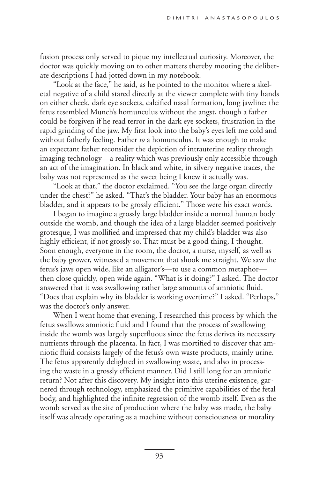fusion process only served to pique my intellectual curiosity. Moreover, the doctor was quickly moving on to other matters thereby mooting the deliberate descriptions I had jotted down in my notebook.

 "Look at the face," he said, as he pointed to the monitor where a skeletal negative of a child stared directly at the viewer complete with tiny hands on either cheek, dark eye sockets, calcified nasal formation, long jawline: the fetus resembled Munch's homunculus without the angst, though a father could be forgiven if he read terror in the dark eye sockets, frustration in the rapid grinding of the jaw. My first look into the baby's eyes left me cold and without fatherly feeling. Father *to* a homunculus. It was enough to make an expectant father reconsider the depiction of intrauterine reality through imaging technology—a reality which was previously only accessible through an act of the imagination. In black and white, in silvery negative traces, the baby was not represented as the sweet being I knew it actually was.

 "Look at that," the doctor exclaimed. "You see the large organ directly under the chest?" he asked. "That's the bladder. Your baby has an enormous bladder, and it appears to be grossly efficient." Those were his exact words.

 I began to imagine a grossly large bladder inside a normal human body outside the womb, and though the idea of a large bladder seemed positively grotesque, I was mollified and impressed that my child's bladder was also highly efficient, if not grossly so. That must be a good thing, I thought. Soon enough, everyone in the room, the doctor, a nurse, myself, as well as the baby grower, witnessed a movement that shook me straight. We saw the fetus's jaws open wide, like an alligator's—to use a common metaphor then close quickly, open wide again. "What is it doing?" I asked. The doctor answered that it was swallowing rather large amounts of amniotic fluid. "Does that explain why its bladder is working overtime?" I asked. "Perhaps," was the doctor's only answer.

 When I went home that evening, I researched this process by which the fetus swallows amniotic fluid and I found that the process of swallowing inside the womb was largely superfluous since the fetus derives its necessary nutrients through the placenta. In fact, I was mortified to discover that amniotic fluid consists largely of the fetus's own waste products, mainly urine. The fetus apparently delighted in swallowing waste, and also in processing the waste in a grossly efficient manner. Did I still long for an amniotic return? Not after this discovery. My insight into this uterine existence, garnered through technology, emphasized the primitive capabilities of the fetal body, and highlighted the infinite regression of the womb itself. Even as the womb served as the site of production where the baby was made, the baby itself was already operating as a machine without consciousness or morality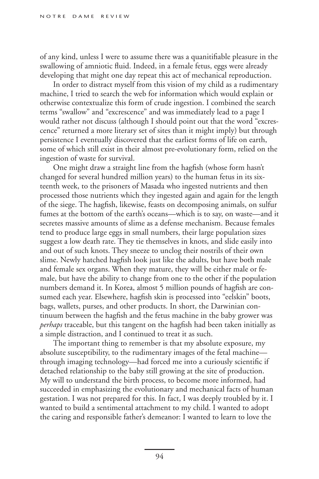of any kind, unless I were to assume there was a quanitifiable pleasure in the swallowing of amniotic fluid. Indeed, in a female fetus, eggs were already developing that might one day repeat this act of mechanical reproduction.

 In order to distract myself from this vision of my child as a rudimentary machine, I tried to search the web for information which would explain or otherwise contextualize this form of crude ingestion. I combined the search terms "swallow" and "excrescence" and was immediately lead to a page I would rather not discuss (although I should point out that the word "excrescence" returned a more literary set of sites than it might imply) but through persistence I eventually discovered that the earliest forms of life on earth, some of which still exist in their almost pre-evolutionary form, relied on the ingestion of waste for survival.

 One might draw a straight line from the hagfish (whose form hasn't changed for several hundred million years) to the human fetus in its sixteenth week, to the prisoners of Masada who ingested nutrients and then processed those nutrients which they ingested again and again for the length of the siege. The hagfish, likewise, feasts on decomposing animals, on sulfur fumes at the bottom of the earth's oceans—which is to say, on waste—and it secretes massive amounts of slime as a defense mechanism. Because females tend to produce large eggs in small numbers, their large population sizes suggest a low death rate. They tie themselves in knots, and slide easily into and out of such knots. They sneeze to unclog their nostrils of their own slime. Newly hatched hagfish look just like the adults, but have both male and female sex organs. When they mature, they will be either male or female, but have the ability to change from one to the other if the population numbers demand it. In Korea, almost 5 million pounds of hagfish are consumed each year. Elsewhere, hagfish skin is processed into "eelskin" boots, bags, wallets, purses, and other products. In short, the Darwinian continuum between the hagfish and the fetus machine in the baby grower was *perhaps* traceable, but this tangent on the hagfish had been taken initially as a simple distraction, and I continued to treat it as such.

 The important thing to remember is that my absolute exposure, my absolute susceptibility, to the rudimentary images of the fetal machine through imaging technology—had forced me into a curiously scientific if detached relationship to the baby still growing at the site of production. My will to understand the birth process, to become more informed, had succeeded in emphasizing the evolutionary and mechanical facts of human gestation. I was not prepared for this. In fact, I was deeply troubled by it. I wanted to build a sentimental attachment to my child. I wanted to adopt the caring and responsible father's demeanor: I wanted to learn to love the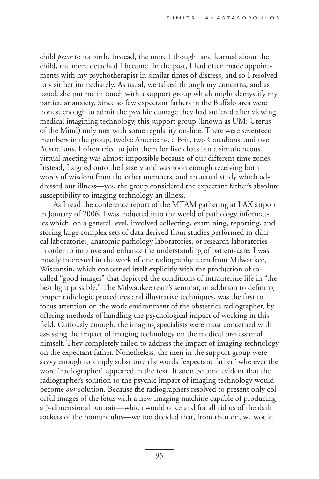child *prior* to its birth. Instead, the more I thought and learned about the child, the more detached I became. In the past, I had often made appointments with my psychotherapist in similar times of distress, and so I resolved to visit her immediately. As usual, we talked through my concerns, and as usual, she put me in touch with a support group which might demystify my particular anxiety. Since so few expectant fathers in the Buffalo area were honest enough to admit the psychic damage they had suffered after viewing medical imagining technology, this support group (known as UM: Uterus of the Mind) only met with some regularity on-line. There were seventeen members in the group, twelve Americans, a Brit, two Canadians, and two Australians. I often tried to join them for live chats but a simultaneous virtual meeting was almost impossible because of our different time zones. Instead, I signed onto the listserv and was soon enough receiving both words of wisdom from the other members, and an actual study which addressed our illness—yes, the group considered the expectant father's absolute susceptibility to imaging technology an illness.

 As I read the conference report of the MTAM gathering at LAX airport in January of 2006, I was inducted into the world of pathology informatics which, on a general level, involved collecting, examining, reporting, and storing large complex sets of data derived from studies performed in clinical laboratories, anatomic pathology laboratories, or research laboratories in order to improve and enhance the understanding of patient-care. I was mostly interested in the work of one radiography team from Milwaukee, Wisconsin, which concerned itself explicitly with the production of socalled "good images" that depicted the conditions of intrauterine life in "the best light possible." The Milwaukee team's seminar, in addition to defining proper radiologic procedures and illustrative techniques, was the first to focus attention on the work environment of the obstetrics radiographer, by offering methods of handling the psychological impact of working in this field. Curiously enough, the imaging specialists were most concerned with assessing the impact of imaging technology on the medical professional himself. They completely failed to address the impact of imaging technology on the expectant father. Nonetheless, the men in the support group were savvy enough to simply substitute the words "expectant father" wherever the word "radiographer" appeared in the text. It soon became evident that the radiographer's solution to the psychic impact of imaging technology would become *our* solution. Because the radiographers resolved to present only colorful images of the fetus with a new imaging machine capable of producing a 3-dimensional portrait—which would once and for all rid us of the dark sockets of the homunculus—we too decided that, from then on, we would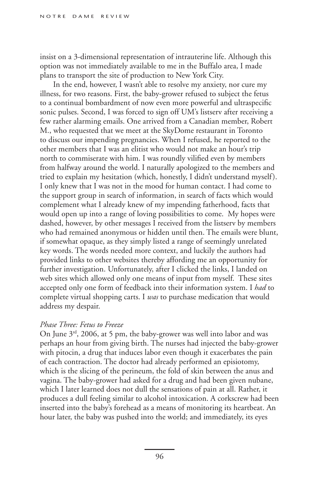insist on a 3-dimensional representation of intrauterine life. Although this option was not immediately available to me in the Buffalo area, I made plans to transport the site of production to New York City.

 In the end, however, I wasn't able to resolve my anxiety, nor cure my illness, for two reasons. First, the baby-grower refused to subject the fetus to a continual bombardment of now even more powerful and ultraspecific sonic pulses. Second, I was forced to sign off UM's listserv after receiving a few rather alarming emails. One arrived from a Canadian member, Robert M., who requested that we meet at the SkyDome restaurant in Toronto to discuss our impending pregnancies. When I refused, he reported to the other members that I was an elitist who would not make an hour's trip north to commiserate with him. I was roundly vilified even by members from halfway around the world. I naturally apologized to the members and tried to explain my hesitation (which, honestly, I didn't understand myself). I only knew that I was not in the mood for human contact. I had come to the support group in search of information, in search of facts which would complement what I already knew of my impending fatherhood, facts that would open up into a range of loving possibilities to come. My hopes were dashed, however, by other messages I received from the listserv by members who had remained anonymous or hidden until then. The emails were blunt, if somewhat opaque, as they simply listed a range of seemingly unrelated key words. The words needed more context, and luckily the authors had provided links to other websites thereby affording me an opportunity for further investigation. Unfortunately, after I clicked the links, I landed on web sites which allowed only one means of input from myself. These sites accepted only one form of feedback into their information system. I *had* to complete virtual shopping carts. I *was* to purchase medication that would address my despair.

#### *Phase Three: Fetus to Freeze*

On June 3rd, 2006, at 5 pm, the baby-grower was well into labor and was perhaps an hour from giving birth. The nurses had injected the baby-grower with pitocin, a drug that induces labor even though it exacerbates the pain of each contraction. The doctor had already performed an episiotomy, which is the slicing of the perineum, the fold of skin between the anus and vagina. The baby-grower had asked for a drug and had been given nubane, which I later learned does not dull the sensations of pain at all. Rather, it produces a dull feeling similar to alcohol intoxication. A corkscrew had been inserted into the baby's forehead as a means of monitoring its heartbeat. An hour later, the baby was pushed into the world; and immediately, its eyes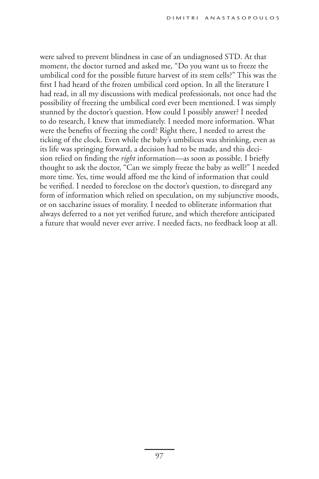were salved to prevent blindness in case of an undiagnosed STD. At that moment, the doctor turned and asked me, "Do you want us to freeze the umbilical cord for the possible future harvest of its stem cells?" This was the first I had heard of the frozen umbilical cord option. In all the literature I had read, in all my discussions with medical professionals, not once had the possibility of freezing the umbilical cord ever been mentioned. I was simply stunned by the doctor's question. How could I possibly answer? I needed to do research, I knew that immediately. I needed more information. What were the benefits of freezing the cord? Right there, I needed to arrest the ticking of the clock. Even while the baby's umbilicus was shrinking, even as its life was springing forward, a decision had to be made, and this decision relied on finding the *right* information—as soon as possible. I briefly thought to ask the doctor, "Can we simply freeze the baby as well?" I needed more time. Yes, time would afford me the kind of information that could be verified. I needed to foreclose on the doctor's question, to disregard any form of information which relied on speculation, on my subjunctive moods, or on saccharine issues of morality. I needed to obliterate information that always deferred to a not yet verified future, and which therefore anticipated a future that would never ever arrive. I needed facts, no feedback loop at all.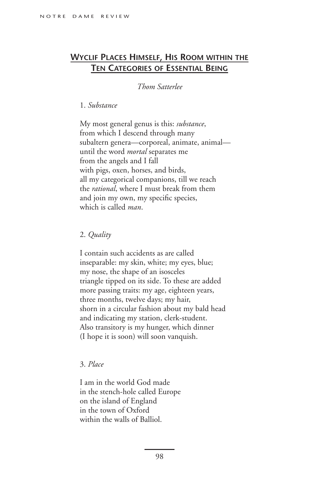# **WYCLIF PLACES HIMSELF, HIS ROOM WITHIN THE TEN CATEGORIES OF ESSENTIAL BEING**

*Thom Satterlee*

1. *Substance*

My most general genus is this: *substance*, from which I descend through many subaltern genera—corporeal, animate, animal until the word *mortal* separates me from the angels and I fall with pigs, oxen, horses, and birds, all my categorical companions, till we reach the *rational*, where I must break from them and join my own, my specific species, which is called *man*.

#### 2. *Quality*

I contain such accidents as are called inseparable: my skin, white; my eyes, blue; my nose, the shape of an isosceles triangle tipped on its side. To these are added more passing traits: my age, eighteen years, three months, twelve days; my hair, shorn in a circular fashion about my bald head and indicating my station, clerk-student. Also transitory is my hunger, which dinner (I hope it is soon) will soon vanquish.

#### 3. *Place*

I am in the world God made in the stench-hole called Europe on the island of England in the town of Oxford within the walls of Balliol.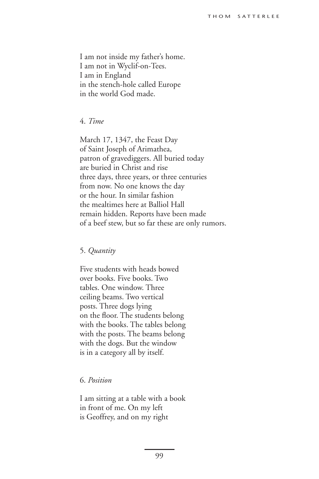I am not inside my father's home. I am not in Wyclif-on-Tees. I am in England in the stench-hole called Europe in the world God made.

## 4. *Time*

March 17, 1347, the Feast Day of Saint Joseph of Arimathea, patron of gravediggers. All buried today are buried in Christ and rise three days, three years, or three centuries from now. No one knows the day or the hour. In similar fashion the mealtimes here at Balliol Hall remain hidden. Reports have been made of a beef stew, but so far these are only rumors.

#### 5. *Quantity*

Five students with heads bowed over books. Five books. Two tables. One window. Three ceiling beams. Two vertical posts. Three dogs lying on the floor. The students belong with the books. The tables belong with the posts. The beams belong with the dogs. But the window is in a category all by itself.

#### 6. *Position*

I am sitting at a table with a book in front of me. On my left is Geoffrey, and on my right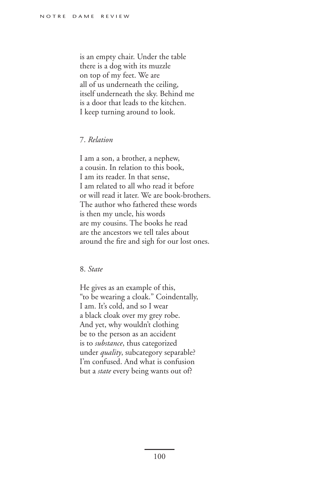is an empty chair. Under the table there is a dog with its muzzle on top of my feet. We are all of us underneath the ceiling, itself underneath the sky. Behind me is a door that leads to the kitchen. I keep turning around to look.

#### 7. *Relation*

I am a son, a brother, a nephew, a cousin. In relation to this book, I am its reader. In that sense, I am related to all who read it before or will read it later. We are book-brothers. The author who fathered these words is then my uncle, his words are my cousins. The books he read are the ancestors we tell tales about around the fire and sigh for our lost ones.

#### 8. *State*

He gives as an example of this, "to be wearing a cloak." Coindentally, I am. It's cold, and so I wear a black cloak over my grey robe. And yet, why wouldn't clothing be to the person as an accident is to *substance*, thus categorized under *quality*, subcategory separable? I'm confused. And what is confusion but a *state* every being wants out of?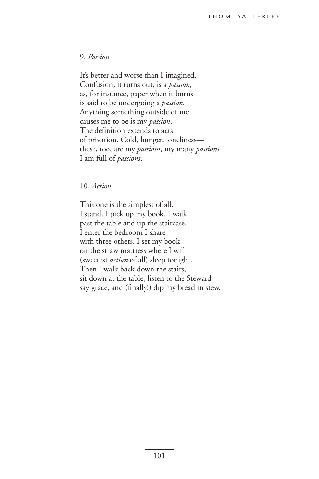#### 9. *Passion*

It's better and worse than I imagined. Confusion, it turns out, is a *passion*, as, for instance, paper when it burns is said to be undergoing a *passion*. Anything something outside of me causes me to be is my *passion*. The definition extends to acts of privation. Cold, hunger, loneliness these, too, are my *passions*, my many *passions*. I am full of *passions*.

#### 10. *Action*

This one is the simplest of all. I stand. I pick up my book. I walk past the table and up the staircase. I enter the bedroom I share with three others. I set my book on the straw mattress where I will (sweetest *action* of all) sleep tonight. Then I walk back down the stairs, sit down at the table, listen to the Steward say grace, and (finally!) dip my bread in stew.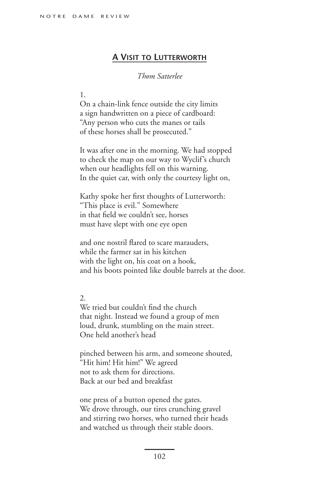## **A VISIT TO LUTTERWORTH**

#### *Thom Satterlee*

#### 1.

On a chain-link fence outside the city limits a sign handwritten on a piece of cardboard: "Any person who cuts the manes or tails of these horses shall be prosecuted."

It was after one in the morning. We had stopped to check the map on our way to Wyclif's church when our headlights fell on this warning. In the quiet car, with only the courtesy light on,

Kathy spoke her first thoughts of Lutterworth: "This place is evil." Somewhere in that field we couldn't see, horses must have slept with one eye open

and one nostril flared to scare marauders, while the farmer sat in his kitchen with the light on, his coat on a hook, and his boots pointed like double barrels at the door.

#### 2.

We tried but couldn't find the church that night. Instead we found a group of men loud, drunk, stumbling on the main street. One held another's head

pinched between his arm, and someone shouted, "Hit him! Hit him!" We agreed not to ask them for directions. Back at our bed and breakfast

one press of a button opened the gates. We drove through, our tires crunching gravel and stirring two horses, who turned their heads and watched us through their stable doors.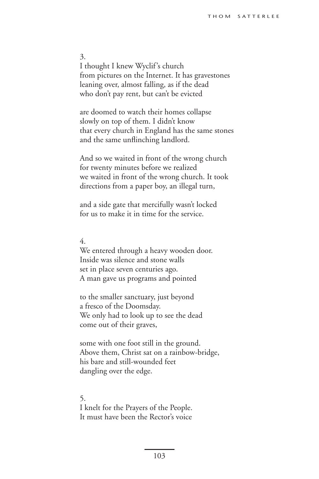3. I thought I knew Wyclif's church from pictures on the Internet. It has gravestones leaning over, almost falling, as if the dead who don't pay rent, but can't be evicted

are doomed to watch their homes collapse slowly on top of them. I didn't know that every church in England has the same stones and the same unflinching landlord.

And so we waited in front of the wrong church for twenty minutes before we realized we waited in front of the wrong church. It took directions from a paper boy, an illegal turn,

and a side gate that mercifully wasn't locked for us to make it in time for the service.

#### 4.

We entered through a heavy wooden door. Inside was silence and stone walls set in place seven centuries ago. A man gave us programs and pointed

to the smaller sanctuary, just beyond a fresco of the Doomsday. We only had to look up to see the dead come out of their graves,

some with one foot still in the ground. Above them, Christ sat on a rainbow-bridge, his bare and still-wounded feet dangling over the edge.

#### 5.

I knelt for the Prayers of the People. It must have been the Rector's voice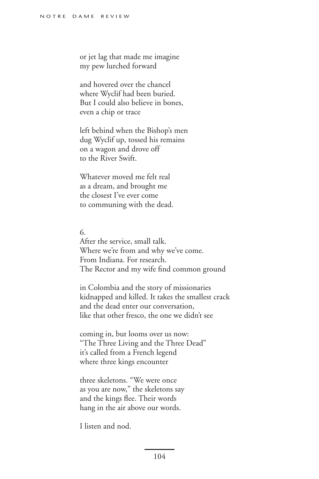or jet lag that made me imagine my pew lurched forward

and hovered over the chancel where Wyclif had been buried. But I could also believe in bones, even a chip or trace

left behind when the Bishop's men dug Wyclif up, tossed his remains on a wagon and drove off to the River Swift.

Whatever moved me felt real as a dream, and brought me the closest I've ever come to communing with the dead.

#### 6.

After the service, small talk. Where we're from and why we've come. From Indiana. For research. The Rector and my wife find common ground

in Colombia and the story of missionaries kidnapped and killed. It takes the smallest crack and the dead enter our conversation, like that other fresco, the one we didn't see

coming in, but looms over us now: "The Three Living and the Three Dead" it's called from a French legend where three kings encounter

three skeletons. "We were once as you are now," the skeletons say and the kings flee. Their words hang in the air above our words.

I listen and nod.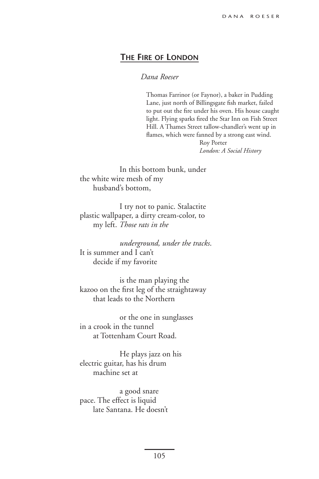# **THE FIRE OF LONDON**

#### *Dana Roeser*

Thomas Farrinor (or Faynor), a baker in Pudding Lane, just north of Billingsgate fish market, failed to put out the fire under his oven. His house caught light. Flying sparks fired the Star Inn on Fish Street Hill. A Thames Street tallow-chandler's went up in flames, which were fanned by a strong east wind. Roy Porter *London: A Social History*

 In this bottom bunk, under the white wire mesh of my husband's bottom,

 I try not to panic. Stalactite plastic wallpaper, a dirty cream-color, to my left. *Those rats in the*

 *underground, under the tracks*. It is summer and I can't decide if my favorite

 is the man playing the kazoo on the first leg of the straightaway that leads to the Northern

 or the one in sunglasses in a crook in the tunnel at Tottenham Court Road.

 He plays jazz on his electric guitar, has his drum machine set at

 a good snare pace. The effect is liquid late Santana. He doesn't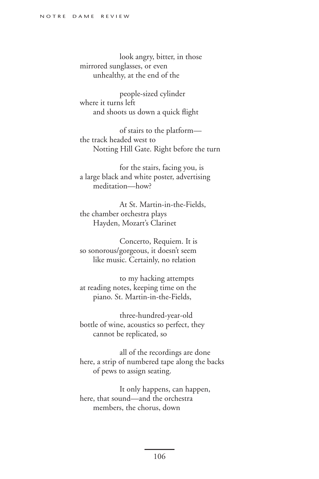look angry, bitter, in those mirrored sunglasses, or even unhealthy, at the end of the

 people-sized cylinder where it turns left and shoots us down a quick flight

 of stairs to the platform the track headed west to Notting Hill Gate. Right before the turn

 for the stairs, facing you, is a large black and white poster, advertising meditation—how?

 At St. Martin-in-the-Fields, the chamber orchestra plays Hayden, Mozart's Clarinet

 Concerto, Requiem. It is so sonorous/gorgeous, it doesn't seem like music. Certainly, no relation

 to my hacking attempts at reading notes, keeping time on the piano. St. Martin-in-the-Fields,

 three-hundred-year-old bottle of wine, acoustics so perfect, they cannot be replicated, so

 all of the recordings are done here, a strip of numbered tape along the backs of pews to assign seating.

 It only happens, can happen, here, that sound—and the orchestra members, the chorus, down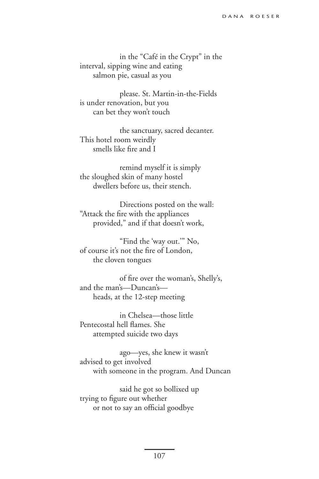in the "Café in the Crypt" in the interval, sipping wine and eating salmon pie, casual as you

 please. St. Martin-in-the-Fields is under renovation, but you can bet they won't touch

 the sanctuary, sacred decanter. This hotel room weirdly smells like fire and I

 remind myself it is simply the sloughed skin of many hostel dwellers before us, their stench.

 Directions posted on the wall: "Attack the fire with the appliances provided," and if that doesn't work,

 "Find the 'way out.'" No, of course it's not the fire of London, the cloven tongues

 of fire over the woman's, Shelly's, and the man's—Duncan's heads, at the 12-step meeting

 in Chelsea—those little Pentecostal hell flames. She attempted suicide two days

 ago—yes, she knew it wasn't advised to get involved with someone in the program. And Duncan

 said he got so bollixed up trying to figure out whether or not to say an official goodbye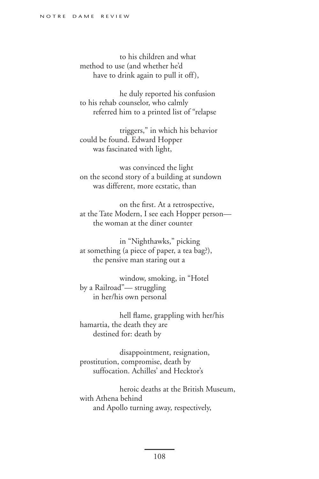to his children and what method to use (and whether he'd have to drink again to pull it off),

 he duly reported his confusion to his rehab counselor, who calmly referred him to a printed list of "relapse

 triggers," in which his behavior could be found. Edward Hopper was fascinated with light,

 was convinced the light on the second story of a building at sundown was different, more ecstatic, than

 on the first. At a retrospective, at the Tate Modern, I see each Hopper person the woman at the diner counter

 in "Nighthawks," picking at something (a piece of paper, a tea bag?), the pensive man staring out a

 window, smoking, in "Hotel by a Railroad"— struggling in her/his own personal

 hell flame, grappling with her/his hamartia, the death they are destined for: death by

 disappointment, resignation, prostitution, compromise, death by suffocation. Achilles' and Hecktor's

 heroic deaths at the British Museum, with Athena behind and Apollo turning away, respectively,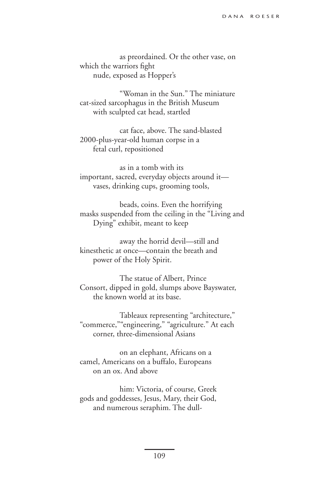as preordained. Or the other vase, on which the warriors fight nude, exposed as Hopper's

 "Woman in the Sun." The miniature cat-sized sarcophagus in the British Museum with sculpted cat head, startled

 cat face, above. The sand-blasted 2000-plus-year-old human corpse in a fetal curl, repositioned

 as in a tomb with its important, sacred, everyday objects around it vases, drinking cups, grooming tools,

 beads, coins. Even the horrifying masks suspended from the ceiling in the "Living and Dying" exhibit, meant to keep

 away the horrid devil—still and kinesthetic at once—contain the breath and power of the Holy Spirit.

 The statue of Albert, Prince Consort, dipped in gold, slumps above Bayswater, the known world at its base.

 Tableaux representing "architecture," "commerce,""engineering," "agriculture." At each corner, three-dimensional Asians

 on an elephant, Africans on a camel, Americans on a buffalo, Europeans on an ox. And above

 him: Victoria, of course, Greek gods and goddesses, Jesus, Mary, their God, and numerous seraphim. The dull-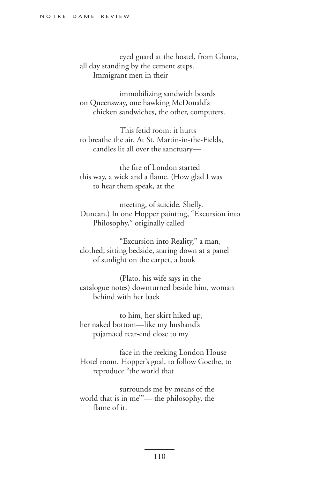eyed guard at the hostel, from Ghana, all day standing by the cement steps. Immigrant men in their

 immobilizing sandwich boards on Queensway, one hawking McDonald's chicken sandwiches, the other, computers.

 This fetid room: it hurts to breathe the air. At St. Martin-in-the-Fields, candles lit all over the sanctuary—

 the fire of London started this way, a wick and a flame. (How glad I was to hear them speak, at the

 meeting, of suicide. Shelly. Duncan.) In one Hopper painting, "Excursion into Philosophy," originally called

 "Excursion into Reality," a man, clothed, sitting bedside, staring down at a panel of sunlight on the carpet, a book

 (Plato, his wife says in the catalogue notes) downturned beside him, woman behind with her back

 to him, her skirt hiked up, her naked bottom—like my husband's pajamaed rear-end close to my

 face in the reeking London House Hotel room. Hopper's goal, to follow Goethe, to reproduce "the world that

 surrounds me by means of the world that is in me'"— the philosophy, the flame of it.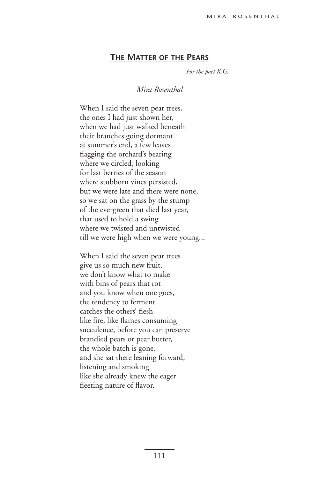### **THE MATTER OF THE PEARS**

*For the poet K.G.*

*Mira Rosenthal*

When I said the seven pear trees, the ones I had just shown her, when we had just walked beneath their branches going dormant at summer's end, a few leaves flagging the orchard's bearing where we circled, looking for last berries of the season where stubborn vines persisted, but we were late and there were none, so we sat on the grass by the stump of the evergreen that died last year, that used to hold a swing where we twisted and untwisted till we were high when we were young...

When I said the seven pear trees give us so much new fruit, we don't know what to make with bins of pears that rot and you know when one goes, the tendency to ferment catches the others' flesh like fire, like flames consuming succulence, before you can preserve brandied pears or pear butter, the whole batch is gone, and she sat there leaning forward, listening and smoking like she already knew the eager fleeting nature of flavor.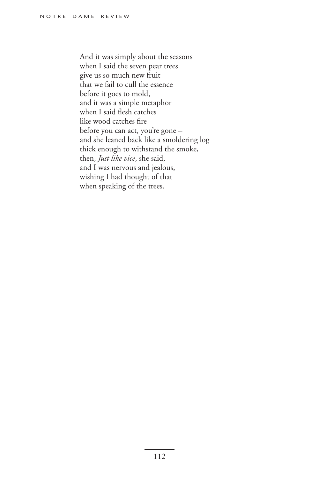And it was simply about the seasons when I said the seven pear trees give us so much new fruit that we fail to cull the essence before it goes to mold, and it was a simple metaphor when I said flesh catches like wood catches fire – before you can act, you're gone – and she leaned back like a smoldering log thick enough to withstand the smoke, then, *Just like vice*, she said, and I was nervous and jealous, wishing I had thought of that when speaking of the trees.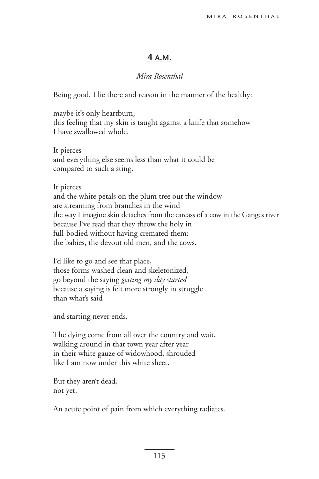# **4 A.M.**

### *Mira Rosenthal*

Being good, I lie there and reason in the manner of the healthy:

maybe it's only heartburn, this feeling that my skin is taught against a knife that somehow I have swallowed whole.

It pierces and everything else seems less than what it could be compared to such a sting.

It pierces

and the white petals on the plum tree out the window are streaming from branches in the wind the way I imagine skin detaches from the carcass of a cow in the Ganges river because I've read that they throw the holy in full-bodied without having cremated them: the babies, the devout old men, and the cows.

I'd like to go and see that place, those forms washed clean and skeletonized, go beyond the saying *getting my day started* because a saying is felt more strongly in struggle than what's said

and starting never ends.

The dying come from all over the country and wait, walking around in that town year after year in their white gauze of widowhood, shrouded like I am now under this white sheet.

But they aren't dead, not yet.

An acute point of pain from which everything radiates.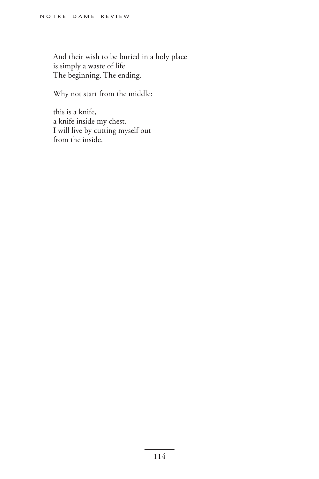And their wish to be buried in a holy place is simply a waste of life. The beginning. The ending.

Why not start from the middle:

this is a knife, a knife inside my chest. I will live by cutting myself out from the inside.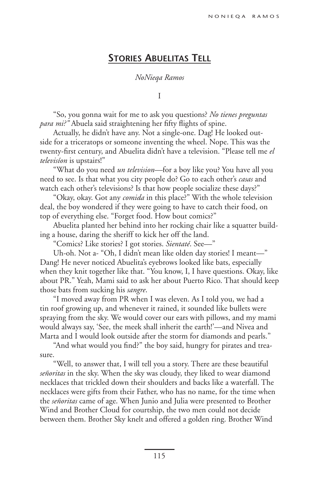# **STORIES ABUELITAS TELL**

#### *NoNieqa Ramos*

I

 "So, you gonna wait for me to ask you questions? *No tienes preguntas para mi?"* Abuela said straightening her fifty flights of spine.

 Actually, he didn't have any. Not a single-one. Dag! He looked outside for a triceratops or someone inventing the wheel. Nope. This was the twenty-first century, and Abuelita didn't have a television. "Please tell me *el televisíon* is upstairs!"

 "What do you need *un television—*for a boy like you? You have all you need to see. Is that what you city people do? Go to each other's *casas* and watch each other's televisions? Is that how people socialize these days?"

 "Okay, okay. Got any *comida* in this place?" With the whole television deal, the boy wondered if they were going to have to catch their food, on top of everything else. "Forget food. How bout comics?"

 Abuelita planted her behind into her rocking chair like a squatter building a house, daring the sheriff to kick her off the land.

"Comics? Like stories? I got stories. *Sientaté*. See—"

 Uh-oh. Not a- "Oh, I didn't mean like olden day stories! I meant—" Dang! He never noticed Abuelita's eyebrows looked like bats, especially when they knit together like that. "You know, I, I have questions. Okay, like about PR." Yeah, Mami said to ask her about Puerto Rico. That should keep those bats from sucking his *sangre*.

 "I moved away from PR when I was eleven. As I told you, we had a tin roof growing up, and whenever it rained, it sounded like bullets were spraying from the sky. We would cover our ears with pillows, and my mami would always say, 'See, the meek shall inherit the earth!'—and Nivea and Marta and I would look outside after the storm for diamonds and pearls."

 "And what would you find?" the boy said, hungry for pirates and treasure.

 "Well, to answer that, I will tell you a story. There are these beautiful *señoritas* in the sky. When the sky was cloudy, they liked to wear diamond necklaces that trickled down their shoulders and backs like a waterfall. The necklaces were gifts from their Father, who has no name, for the time when the *señoritas* came of age. When Junio and Julia were presented to Brother Wind and Brother Cloud for courtship, the two men could not decide between them. Brother Sky knelt and offered a golden ring. Brother Wind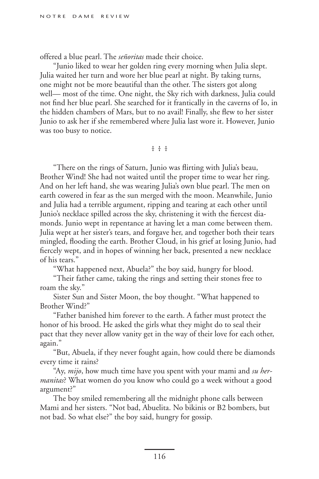offered a blue pearl. The *señoritas* made their choice.

 "Junio liked to wear her golden ring every morning when Julia slept. Julia waited her turn and wore her blue pearl at night. By taking turns, one might not be more beautiful than the other. The sisters got along well— most of the time. One night, the Sky rich with darkness, Julia could not find her blue pearl. She searched for it frantically in the caverns of Io, in the hidden chambers of Mars, but to no avail! Finally, she flew to her sister Junio to ask her if she remembered where Julia last wore it. However, Junio was too busy to notice.

手手手

 "There on the rings of Saturn, Junio was flirting with Julia's beau, Brother Wind! She had not waited until the proper time to wear her ring. And on her left hand, she was wearing Julia's own blue pearl. The men on earth cowered in fear as the sun merged with the moon. Meanwhile, Junio and Julia had a terrible argument, ripping and tearing at each other until Junio's necklace spilled across the sky, christening it with the fiercest diamonds. Junio wept in repentance at having let a man come between them. Julia wept at her sister's tears, and forgave her, and together both their tears mingled, flooding the earth. Brother Cloud, in his grief at losing Junio, had fiercely wept, and in hopes of winning her back, presented a new necklace of his tears."

"What happened next, Abuela?" the boy said, hungry for blood.

 "Their father came, taking the rings and setting their stones free to roam the sky."

 Sister Sun and Sister Moon, the boy thought. "What happened to Brother Wind?"

 "Father banished him forever to the earth. A father must protect the honor of his brood. He asked the girls what they might do to seal their pact that they never allow vanity get in the way of their love for each other, again."

 "But, Abuela, if they never fought again, how could there be diamonds every time it rains?

 "Ay, *mijo*, how much time have you spent with your mami and *su hermanitas*? What women do you know who could go a week without a good argument?"

 The boy smiled remembering all the midnight phone calls between Mami and her sisters. "Not bad, Abuelita. No bikinis or B2 bombers, but not bad. So what else?" the boy said, hungry for gossip.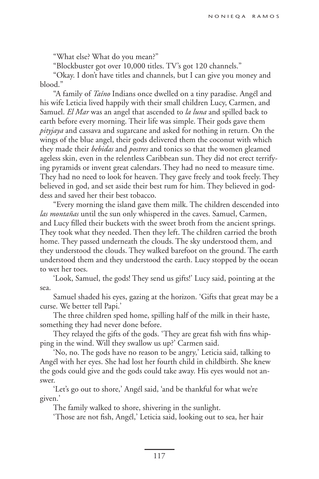"What else? What do you mean?"

"Blockbuster got over 10,000 titles. TV's got 120 channels."

 "Okay. I don't have titles and channels, but I can give you money and blood."

 "A family of *Taíno* Indians once dwelled on a tiny paradise. Angél and his wife Leticia lived happily with their small children Lucy, Carmen, and Samuel. *El Mar* was an angel that ascended to *la luna* and spilled back to earth before every morning. Their life was simple. Their gods gave them *pityjaya* and cassava and sugarcane and asked for nothing in return. On the wings of the blue angel, their gods delivered them the coconut with which they made their *bebidas* and *postres* and tonics so that the women gleamed ageless skin, even in the relentless Caribbean sun. They did not erect terrifying pyramids or invent great calendars. They had no need to measure time. They had no need to look for heaven. They gave freely and took freely. They believed in god, and set aside their best rum for him. They believed in goddess and saved her their best tobacco.

 "Every morning the island gave them milk. The children descended into *las montañas* until the sun only whispered in the caves. Samuel, Carmen, and Lucy filled their buckets with the sweet broth from the ancient springs. They took what they needed. Then they left. The children carried the broth home. They passed underneath the clouds. The sky understood them, and they understood the clouds. They walked barefoot on the ground. The earth understood them and they understood the earth. Lucy stopped by the ocean to wet her toes.

 'Look, Samuel, the gods! They send us gifts!' Lucy said, pointing at the sea.

 Samuel shaded his eyes, gazing at the horizon. 'Gifts that great may be a curse. We better tell Papi.'

 The three children sped home, spilling half of the milk in their haste, something they had never done before.

 They relayed the gifts of the gods. 'They are great fish with fins whipping in the wind. Will they swallow us up?' Carmen said.

 'No, no. The gods have no reason to be angry,' Leticia said, talking to Angél with her eyes. She had lost her fourth child in childbirth. She knew the gods could give and the gods could take away. His eyes would not answer.

 'Let's go out to shore,' Angél said, 'and be thankful for what we're given.'

The family walked to shore, shivering in the sunlight.

'Those are not fish, Angél,' Leticia said, looking out to sea, her hair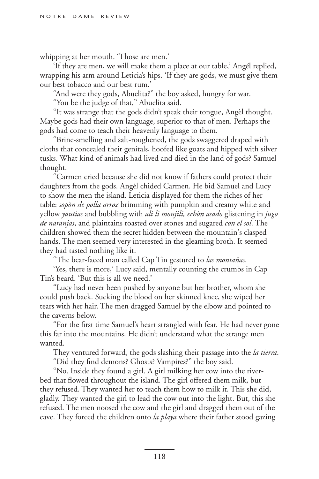whipping at her mouth. 'Those are men.'

 'If they are men, we will make them a place at our table,' Angél replied, wrapping his arm around Leticia's hips. 'If they are gods, we must give them our best tobacco and our best rum.'

"And were they gods, Abuelita?" the boy asked, hungry for war.

"You be the judge of that," Abuelita said.

 "It was strange that the gods didn't speak their tongue, Angèl thought. Maybe gods had their own language, superior to that of men. Perhaps the gods had come to teach their heavenly language to them.

 "Brine-smelling and salt-roughened, the gods swaggered draped with cloths that concealed their genitals, hoofed like goats and hipped with silver tusks. What kind of animals had lived and died in the land of gods? Samuel thought.

 "Carmen cried because she did not know if fathers could protect their daughters from the gods. Angèl chided Carmen. He bid Samuel and Lucy to show the men the island. Leticia displayed for them the riches of her table: *sopòn de polla arroz* brimming with pumpkin and creamy white and yellow *yautias* and bubbling with *ali li monjili, echòn asado* glistening in *jugo de naranjas*, and plaintains roasted over stones and sugared *con el sol*. The children showed them the secret hidden between the mountain's clasped hands. The men seemed very interested in the gleaming broth. It seemed they had tasted nothing like it.

"The bear-faced man called Cap Tin gestured to *las montañas*.

 'Yes, there is more,' Lucy said, mentally counting the crumbs in Cap Tin's beard. 'But this is all we need.'

 "Lucy had never been pushed by anyone but her brother, whom she could push back. Sucking the blood on her skinned knee, she wiped her tears with her hair. The men dragged Samuel by the elbow and pointed to the caverns below.

 "For the first time Samuel's heart strangled with fear. He had never gone this far into the mountains. He didn't understand what the strange men wanted.

They ventured forward, the gods slashing their passage into the *la tierra*.

"Did they find demons? Ghosts? Vampires?" the boy said.

 "No. Inside they found a girl. A girl milking her cow into the riverbed that flowed throughout the island. The girl offered them milk, but they refused. They wanted her to teach them how to milk it. This she did, gladly. They wanted the girl to lead the cow out into the light. But, this she refused. The men noosed the cow and the girl and dragged them out of the cave. They forced the children onto *la playa* where their father stood gazing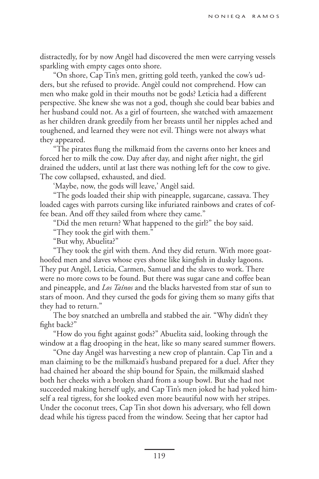distractedly, for by now Angèl had discovered the men were carrying vessels sparkling with empty cages onto shore.

 "On shore, Cap Tin's men, gritting gold teeth, yanked the cow's udders, but she refused to provide. Angèl could not comprehend. How can men who make gold in their mouths not be gods? Leticia had a different perspective. She knew she was not a god, though she could bear babies and her husband could not. As a girl of fourteen, she watched with amazement as her children drank greedily from her breasts until her nipples ached and toughened, and learned they were not evil. Things were not always what they appeared.

 "The pirates flung the milkmaid from the caverns onto her knees and forced her to milk the cow. Day after day, and night after night, the girl drained the udders, until at last there was nothing left for the cow to give. The cow collapsed, exhausted, and died.

'Maybe, now, the gods will leave,' Angèl said.

 "The gods loaded their ship with pineapple, sugarcane, cassava. They loaded cages with parrots cursing like infuriated rainbows and crates of coffee bean. And off they sailed from where they came."

"Did the men return? What happened to the girl?" the boy said.

"They took the girl with them."

"But why, Abuelita?"

 "They took the girl with them. And they did return. With more goathoofed men and slaves whose eyes shone like kingfish in dusky lagoons. They put Angèl, Leticia, Carmen, Samuel and the slaves to work. There were no more cows to be found. But there was sugar cane and coffee bean and pineapple, and *Los Taínos* and the blacks harvested from star of sun to stars of moon. And they cursed the gods for giving them so many gifts that they had to return."

 The boy snatched an umbrella and stabbed the air. "Why didn't they fight back?"

 "How do you fight against gods?" Abuelita said, looking through the window at a flag drooping in the heat, like so many seared summer flowers.

 "One day Angèl was harvesting a new crop of plantain. Cap Tin and a man claiming to be the milkmaid's husband prepared for a duel. After they had chained her aboard the ship bound for Spain, the milkmaid slashed both her cheeks with a broken shard from a soup bowl. But she had not succeeded making herself ugly, and Cap Tin's men joked he had yoked himself a real tigress, for she looked even more beautiful now with her stripes. Under the coconut trees, Cap Tin shot down his adversary, who fell down dead while his tigress paced from the window. Seeing that her captor had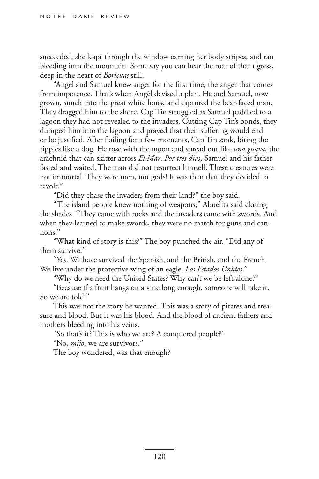succeeded, she leapt through the window earning her body stripes, and ran bleeding into the mountain. Some say you can hear the roar of that tigress, deep in the heart of *Boricuas* still.

 "Angèl and Samuel knew anger for the first time, the anger that comes from impotence. That's when Angèl devised a plan. He and Samuel, now grown, snuck into the great white house and captured the bear-faced man. They dragged him to the shore. Cap Tin struggled as Samuel paddled to a lagoon they had not revealed to the invaders. Cutting Cap Tin's bonds, they dumped him into the lagoon and prayed that their suffering would end or be justified. After flailing for a few moments, Cap Tin sank, biting the ripples like a dog. He rose with the moon and spread out like *una guava*, the arachnid that can skitter across *El Mar*. *Por tres dias*, Samuel and his father fasted and waited. The man did not resurrect himself. These creatures were not immortal. They were men, not gods! It was then that they decided to revolt."

"Did they chase the invaders from their land?" the boy said.

 "The island people knew nothing of weapons," Abuelita said closing the shades. "They came with rocks and the invaders came with swords. And when they learned to make swords, they were no match for guns and cannons<sup>"</sup>

 "What kind of story is this?" The boy punched the air. "Did any of them survive?"

 "Yes. We have survived the Spanish, and the British, and the French. We live under the protective wing of an eagle. *Los Estados Unidos*."

"Why do we need the United States? Why can't we be left alone?"

 "Because if a fruit hangs on a vine long enough, someone will take it. So we are told."

 This was not the story he wanted. This was a story of pirates and treasure and blood. But it was his blood. And the blood of ancient fathers and mothers bleeding into his veins.

"So that's it? This is who we are? A conquered people?"

"No, *mijo*, we are survivors."

The boy wondered, was that enough?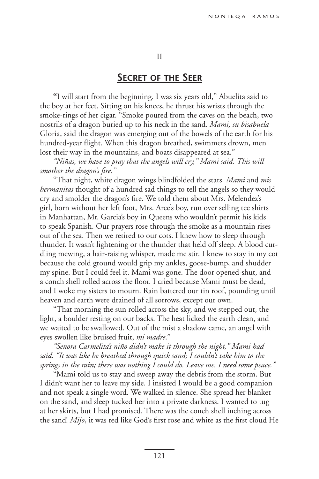#### II

# **SECRET OF THE SEER**

 **"**I will start from the beginning. I was six years old," Abuelita said to the boy at her feet. Sitting on his knees, he thrust his wrists through the smoke-rings of her cigar. "Smoke poured from the caves on the beach, two nostrils of a dragon buried up to his neck in the sand. *Mami, su bisabuela*  Gloria, said the dragon was emerging out of the bowels of the earth for his hundred-year flight. When this dragon breathed, swimmers drown, men lost their way in the mountains, and boats disappeared at sea."

 *"Niñas, we have to pray that the angels will cry," Mami said. This will smother the dragon's fire."*

 "That night, white dragon wings blindfolded the stars. *Mami* and *mis hermanitas* thought of a hundred sad things to tell the angels so they would cry and smolder the dragon's fire. We told them about Mrs. Melendez's girl, born without her left foot, Mrs. Arce's boy, run over selling tee shirts in Manhattan, Mr. Garcia's boy in Queens who wouldn't permit his kids to speak Spanish. Our prayers rose through the smoke as a mountain rises out of the sea. Then we retired to our cots. I knew how to sleep through thunder. It wasn't lightening or the thunder that held off sleep. A blood curdling mewing, a hair-raising whisper, made me stir. I knew to stay in my cot because the cold ground would grip my ankles, goose-bump, and shudder my spine. But I could feel it. Mami was gone. The door opened-shut, and a conch shell rolled across the floor. I cried because Mami must be dead, and I woke my sisters to mourn. Rain battered our tin roof, pounding until heaven and earth were drained of all sorrows, except our own.

 "That morning the sun rolled across the sky, and we stepped out, the light, a boulder resting on our backs. The heat licked the earth clean, and we waited to be swallowed. Out of the mist a shadow came, an angel with eyes swollen like bruised fruit, *mi madre*."

 *"Senora Carmelita's niño didn't make it through the night," Mami had*  said. "It was like he breathed through quick sand; I couldn't take him to the *springs in the rain; there was nothing I could do. Leave me. I need some peace."*

 "Mami told us to stay and sweep away the debris from the storm. But I didn't want her to leave my side. I insisted I would be a good companion and not speak a single word. We walked in silence. She spread her blanket on the sand, and sleep tucked her into a private darkness. I wanted to tug at her skirts, but I had promised. There was the conch shell inching across the sand! *Mijo*, it was red like God's first rose and white as the first cloud He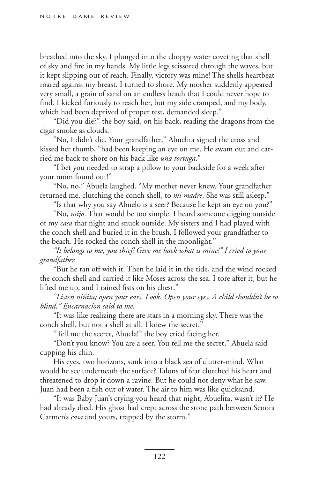breathed into the sky. I plunged into the choppy water coveting that shell of sky and fire in my hands. My little legs scissored through the waves, but it kept slipping out of reach. Finally, victory was mine! The shells heartbeat roared against my breast. I turned to shore. My mother suddenly appeared very small, a grain of sand on an endless beach that I could never hope to find. I kicked furiously to reach her, but my side cramped, and my body, which had been deprived of proper rest, demanded sleep."

 "Did you die?" the boy said, on his back, reading the dragons from the cigar smoke as clouds.

 "No, I didn't die. Your grandfather," Abuelita signed the cross and kissed her thumb, "had been keeping an eye on me. He swam out and carried me back to shore on his back like *una tortuga*."

 "I bet you needed to strap a pillow to your backside for a week after your mom found out!"

 "No, no," Abuela laughed. "My mother never knew. Your grandfather returned me, clutching the conch shell, to *mi madre*. She was still asleep."

"Is that why you say Abuelo is a seer? Because he kept an eye on you?"

 "No, *mijo*. That would be too simple. I heard someone digging outside of my *casa* that night and snuck outside. My sisters and I had played with the conch shell and buried it in the brush. I followed your grandfather to the beach. He rocked the conch shell in the moonlight."

 *"It belongs to me, you thief! Give me back what is mine!" I cried to your grandfather.* 

 "But he ran off with it. Then he laid it in the tide, and the wind rocked the conch shell and carried it like Moses across the sea. I tore after it, but he lifted me up, and I rained fists on his chest."

 *"Listen niñita; open your ears. Look. Open your eyes. A child shouldn't be so blind," Encarnacíon said to me.*

 "It was like realizing there are stars in a morning sky. There was the conch shell, but not a shell at all. I knew the secret.'

"Tell me the secret, Abuela!" the boy cried facing her.

 "Don't you know? You are a seer. You tell me the secret," Abuela said cupping his chin.

 His eyes, two horizons, sunk into a black sea of clutter-mind. What would he see underneath the surface? Talons of fear clutched his heart and threatened to drop it down a ravine. But he could not deny what he saw. Juan had been a fish out of water. The air to him was like quicksand.

 "It was Baby Juan's crying you heard that night, Abuelita, wasn't it? He had already died. His ghost had crept across the stone path between Senora Carmen's *casa* and yours, trapped by the storm."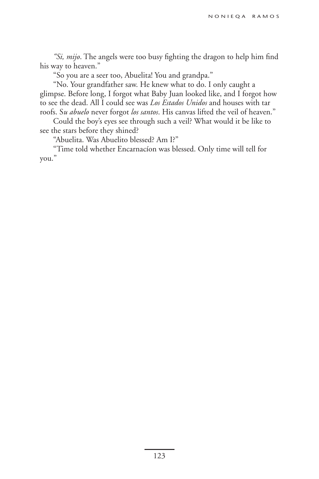*"Si, mijo*. The angels were too busy fighting the dragon to help him find his way to heaven."

"So you are a seer too, Abuelita! You and grandpa."

 "No. Your grandfather saw. He knew what to do. I only caught a glimpse. Before long, I forgot what Baby Juan looked like, and I forgot how to see the dead. All I could see was *Los Estados Unidos* and houses with tar roofs. S*u abuelo* never forgot *los santos*. His canvas lifted the veil of heaven."

 Could the boy's eyes see through such a veil? What would it be like to see the stars before they shined?

"Abuelita. Was Abuelito blessed? Am I?"

 "Time told whether Encarnacíon was blessed. Only time will tell for you."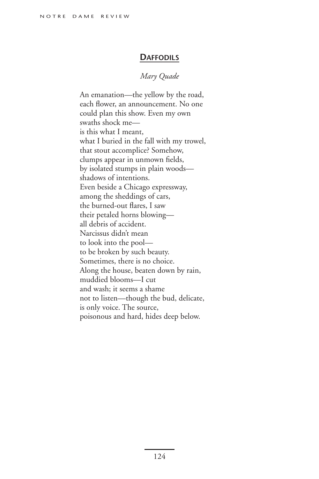### **DAFFODILS**

#### *Mary Quade*

An emanation—the yellow by the road, each flower, an announcement. No one could plan this show. Even my own swaths shock me is this what I meant, what I buried in the fall with my trowel, that stout accomplice? Somehow, clumps appear in unmown fields, by isolated stumps in plain woods shadows of intentions. Even beside a Chicago expressway, among the sheddings of cars, the burned-out flares, I saw their petaled horns blowing all debris of accident. Narcissus didn't mean to look into the pool to be broken by such beauty. Sometimes, there is no choice. Along the house, beaten down by rain, muddied blooms—I cut and wash; it seems a shame not to listen—though the bud, delicate, is only voice. The source, poisonous and hard, hides deep below.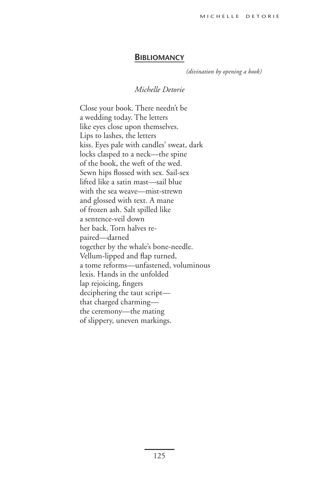### **BIBLIOMANCY**

*(divination by opening a book)*

### *Michelle Detorie*

Close your book. There needn't be a wedding today. The letters like eyes close upon themselves. Lips to lashes, the letters kiss. Eyes pale with candles' sweat, dark locks clasped to a neck—the spine of the book, the weft of the wed. Sewn hips flossed with sex. Sail-sex lifted like a satin mast—sail blue with the sea weave—mist-strewn and glossed with text. A mane of frozen ash. Salt spilled like a sentence-veil down her back. Torn halves repaired—darned together by the whale's bone-needle. Vellum-lipped and flap turned, a tome reforms—unfastened, voluminous lexis. Hands in the unfolded lap rejoicing, fingers deciphering the taut script that charged charming the ceremony—the mating of slippery, uneven markings.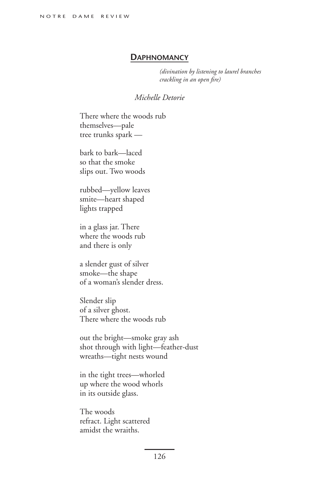### **DAPHNOMANCY**

*(divination by listening to laurel branches crackling in an open fire)*

#### *Michelle Detorie*

There where the woods rub themselves—pale tree trunks spark —

bark to bark—laced so that the smoke slips out. Two woods

rubbed—yellow leaves smite—heart shaped lights trapped

in a glass jar. There where the woods rub and there is only

a slender gust of silver smoke—the shape of a woman's slender dress.

Slender slip of a silver ghost. There where the woods rub

out the bright—smoke gray ash shot through with light—feather-dust wreaths—tight nests wound

in the tight trees—whorled up where the wood whorls in its outside glass.

The woods refract. Light scattered amidst the wraiths.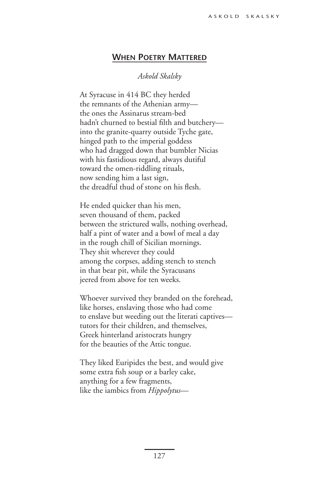### **WHEN POETRY MATTERED**

#### *Askold Skalsky*

At Syracuse in 414 BC they herded the remnants of the Athenian army the ones the Assinarus stream-bed hadn't churned to bestial filth and butchery into the granite-quarry outside Tyche gate, hinged path to the imperial goddess who had dragged down that bumbler Nicias with his fastidious regard, always dutiful toward the omen-riddling rituals, now sending him a last sign, the dreadful thud of stone on his flesh.

He ended quicker than his men, seven thousand of them, packed between the strictured walls, nothing overhead, half a pint of water and a bowl of meal a day in the rough chill of Sicilian mornings. They shit wherever they could among the corpses, adding stench to stench in that bear pit, while the Syracusans jeered from above for ten weeks.

Whoever survived they branded on the forehead, like horses, enslaving those who had come to enslave but weeding out the literati captives tutors for their children, and themselves, Greek hinterland aristocrats hungry for the beauties of the Attic tongue.

They liked Euripides the best, and would give some extra fish soup or a barley cake, anything for a few fragments, like the iambics from *Hippolytus*—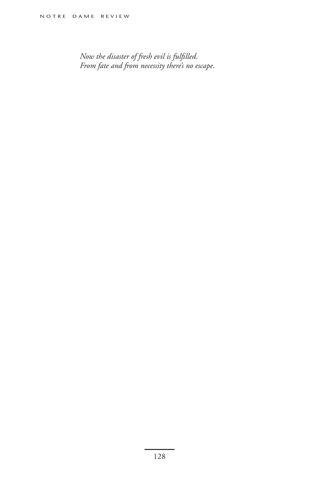*Now the disaster of fresh evil is fulfilled. From fate and from necessity there's no escape*.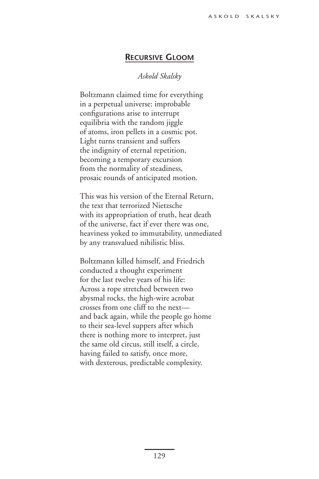### **RECURSIVE GLOOM**

#### *Askold Skalsky*

Boltzmann claimed time for everything in a perpetual universe: improbable configurations arise to interrupt equilibria with the random jiggle of atoms, iron pellets in a cosmic pot. Light turns transient and suffers the indignity of eternal repetition, becoming a temporary excursion from the normality of steadiness, prosaic rounds of anticipated motion.

This was his version of the Eternal Return, the text that terrorized Nietzsche with its appropriation of truth, heat death of the universe, fact if ever there was one, heaviness yoked to immutability, unmediated by any transvalued nihilistic bliss.

Boltzmann killed himself, and Friedrich conducted a thought experiment for the last twelve years of his life: Across a rope stretched between two abysmal rocks, the high-wire acrobat crosses from one cliff to the next and back again, while the people go home to their sea-level suppers after which there is nothing more to interpret, just the same old circus, still itself, a circle, having failed to satisfy, once more, with dexterous, predictable complexity.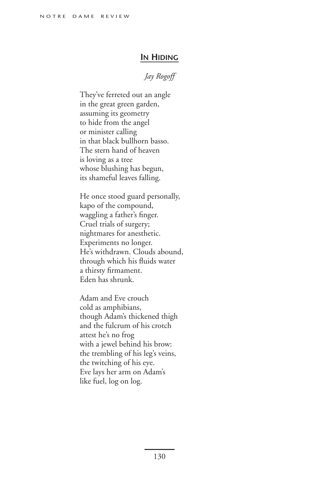### **IN HIDING**

#### *Jay Rogoff*

They've ferreted out an angle in the great green garden, assuming its geometry to hide from the angel or minister calling in that black bullhorn basso. The stern hand of heaven is loving as a tree whose blushing has begun, its shameful leaves falling.

He once stood guard personally, kapo of the compound, waggling a father's finger. Cruel trials of surgery; nightmares for anesthetic. Experiments no longer. He's withdrawn. Clouds abound, through which his fluids water a thirsty firmament. Eden has shrunk.

Adam and Eve crouch cold as amphibians, though Adam's thickened thigh and the fulcrum of his crotch attest he's no frog with a jewel behind his brow: the trembling of his leg's veins, the twitching of his eye. Eve lays her arm on Adam's like fuel, log on log.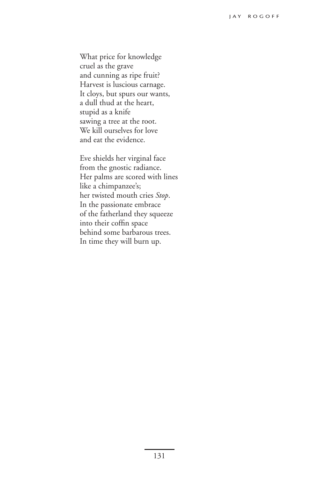What price for knowledge cruel as the grave and cunning as ripe fruit? Harvest is luscious carnage. It cloys, but spurs our wants, a dull thud at the heart, stupid as a knife sawing a tree at the root. We kill ourselves for love and eat the evidence.

Eve shields her virginal face from the gnostic radiance. Her palms are scored with lines like a chimpanzee's; her twisted mouth cries *Stop*. In the passionate embrace of the fatherland they squeeze into their coffin space behind some barbarous trees. In time they will burn up.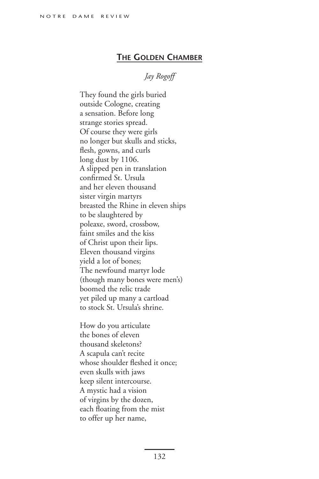## **THE GOLDEN CHAMBER**

### *Jay Rogoff*

They found the girls buried outside Cologne, creating a sensation. Before long strange stories spread. Of course they were girls no longer but skulls and sticks, flesh, gowns, and curls long dust by 1106. A slipped pen in translation confirmed St. Ursula and her eleven thousand sister virgin martyrs breasted the Rhine in eleven ships to be slaughtered by poleaxe, sword, crossbow, faint smiles and the kiss of Christ upon their lips. Eleven thousand virgins yield a lot of bones; The newfound martyr lode (though many bones were men's) boomed the relic trade yet piled up many a cartload to stock St. Ursula's shrine.

How do you articulate the bones of eleven thousand skeletons? A scapula can't recite whose shoulder fleshed it once; even skulls with jaws keep silent intercourse. A mystic had a vision of virgins by the dozen, each floating from the mist to offer up her name,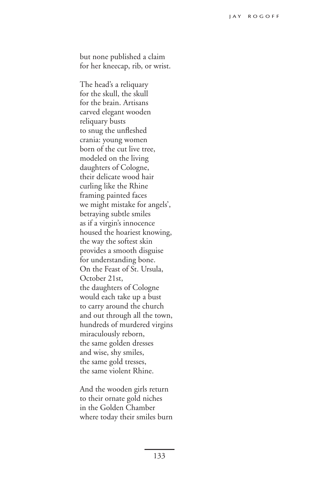but none published a claim for her kneecap, rib, or wrist.

The head's a reliquary for the skull, the skull for the brain. Artisans carved elegant wooden reliquary busts to snug the unfleshed crania: young women born of the cut live tree, modeled on the living daughters of Cologne, their delicate wood hair curling like the Rhine framing painted faces we might mistake for angels', betraying subtle smiles as if a virgin's innocence housed the hoariest knowing, the way the softest skin provides a smooth disguise for understanding bone. On the Feast of St. Ursula, October 21st, the daughters of Cologne would each take up a bust to carry around the church and out through all the town, hundreds of murdered virgins miraculously reborn, the same golden dresses and wise, shy smiles, the same gold tresses, the same violent Rhine.

And the wooden girls return to their ornate gold niches in the Golden Chamber where today their smiles burn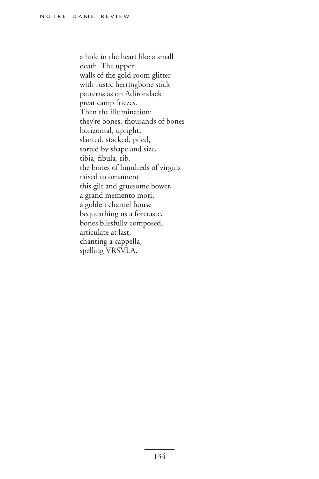a hole in the heart like a small death. The upper walls of the gold room glitter with rustic herringbone stick patterns as on Adirondack great camp friezes. Then the illumination: they're bones, thousands of bones horizontal, upright, slanted, stacked, piled, sorted by shape and size, tibia, fibula, rib, the bones of hundreds of virgins raised to ornament this gilt and gruesome bower, a grand memento mori, a golden charnel house bequeathing us a foretaste, bones blissfully composed, articulate at last, chanting a cappella, spelling VRSVLA.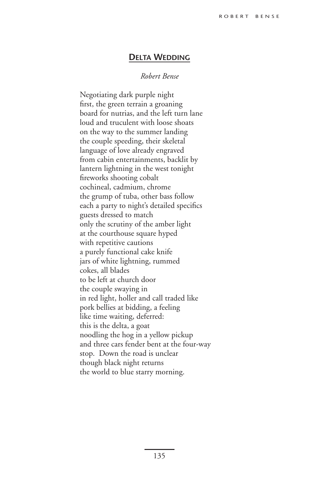### **DELTA WEDDING**

#### *Robert Bense*

Negotiating dark purple night first, the green terrain a groaning board for nutrias, and the left turn lane loud and truculent with loose shoats on the way to the summer landing the couple speeding, their skeletal language of love already engraved from cabin entertainments, backlit by lantern lightning in the west tonight fireworks shooting cobalt cochineal, cadmium, chrome the grump of tuba, other bass follow each a party to night's detailed specifics guests dressed to match only the scrutiny of the amber light at the courthouse square hyped with repetitive cautions a purely functional cake knife jars of white lightning, rummed cokes, all blades to be left at church door the couple swaying in in red light, holler and call traded like pork bellies at bidding, a feeling like time waiting, deferred: this is the delta, a goat noodling the hog in a yellow pickup and three cars fender bent at the four-way stop. Down the road is unclear though black night returns the world to blue starry morning.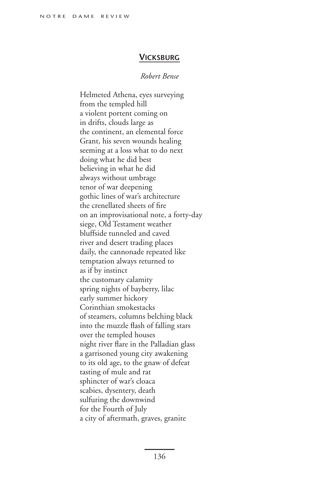#### **VICKSBURG**

#### *Robert Bense*

Helmeted Athena, eyes surveying from the templed hill a violent portent coming on in drifts, clouds large as the continent, an elemental force Grant, his seven wounds healing seeming at a loss what to do next doing what he did best believing in what he did always without umbrage tenor of war deepening gothic lines of war's architecture the crenellated sheets of fire on an improvisational note, a forty-day siege, Old Testament weather bluffside tunneled and caved river and desert trading places daily, the cannonade repeated like temptation always returned to as if by instinct the customary calamity spring nights of bayberry, lilac early summer hickory Corinthian smokestacks of steamers, columns belching black into the muzzle flash of falling stars over the templed houses night river flare in the Palladian glass a garrisoned young city awakening to its old age, to the gnaw of defeat tasting of mule and rat sphincter of war's cloaca scabies, dysentery, death sulfuring the downwind for the Fourth of July a city of aftermath, graves, granite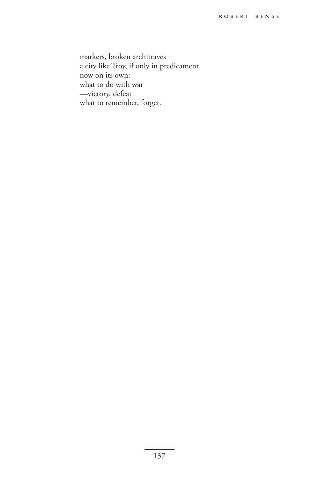markers, broken architraves a city like Troy, if only in predicament now on its own: what to do with war —victory, defeat what to remember, forget.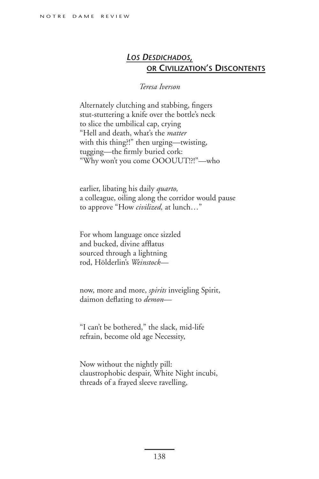# *LOS DESDICHADOS***, OR CIVILIZATION'S DISCONTENTS**

*Teresa Iverson*

Alternately clutching and stabbing, fingers stut-stuttering a knife over the bottle's neck to slice the umbilical cap, crying "Hell and death, what's the *matter*  with this thing?!" then urging—twisting, tugging—the firmly buried cork: "Why won't you come OOOUUT!?!"––who

earlier, libating his daily *quarto,* a colleague, oiling along the corridor would pause to approve "How *civilized,* at lunch…"

For whom language once sizzled and bucked, divine afflatus sourced through a lightning rod, Hölderlin's *Weinstock*—

now, more and more, *spirits* inveigling Spirit, daimon deflating to *demon*—

"I can't be bothered," the slack, mid-life refrain, become old age Necessity,

Now without the nightly pill: claustrophobic despair, White Night incubi, threads of a frayed sleeve ravelling,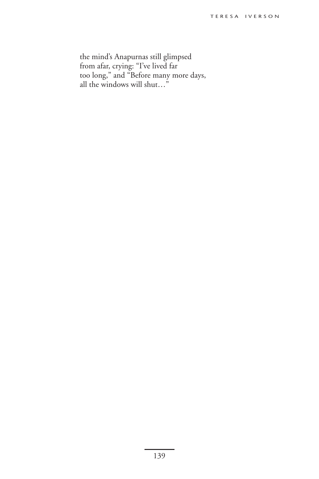the mind's Anapurnas still glimpsed from afar, crying: "I've lived far too long," and "Before many more days, all the windows will shut…"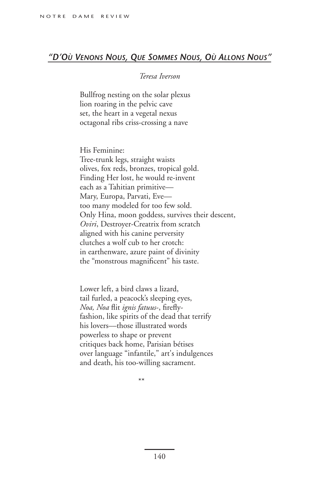## *"D'OÙ VENONS NOUS, QUE SOMMES NOUS, OÙ ALLONS NOUS"*

#### *Teresa Iverson*

Bullfrog nesting on the solar plexus lion roaring in the pelvic cave set, the heart in a vegetal nexus octagonal ribs criss-crossing a nave

His Feminine: Tree-trunk legs, straight waists olives, fox reds, bronzes, tropical gold. Finding Her lost, he would re-invent each as a Tahitian primitive— Mary, Europa, Parvati, Eve too many modeled for too few sold. Only Hina, moon goddess, survives their descent, *Oviri*, Destroyer-Creatrix from scratch aligned with his canine perversity clutches a wolf cub to her crotch: in earthenware, azure paint of divinity the "monstrous magnificent" his taste.

Lower left, a bird claws a lizard, tail furled, a peacock's sleeping eyes, *Noa, Noa* flit *ignis fatuus*-, fireflyfashion, like spirits of the dead that terrify his lovers––those illustrated words powerless to shape or prevent critiques back home, Parisian bétises over language "infantile," art's indulgences and death, his too-willing sacrament.

\*\*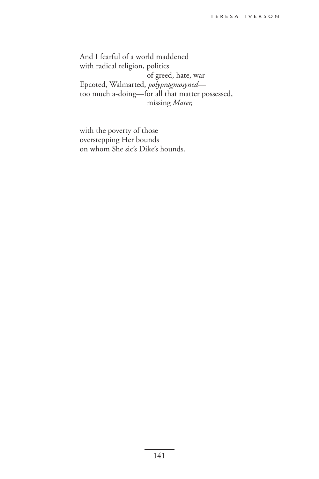And I fearful of a world maddened with radical religion, politics of greed, hate, war Epcoted, Walmarted, *polypragmosyned*–– too much a-doing––for all that matter possessed, missing *Mater,*

with the poverty of those overstepping Her bounds on whom She sic's Dike's hounds.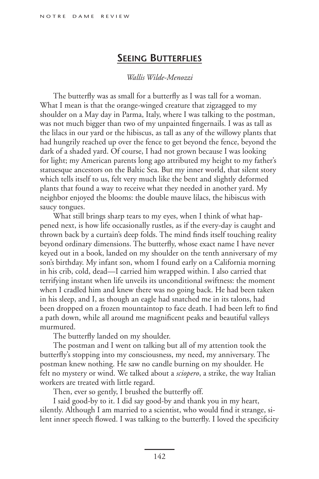# **SEEING BUTTERFLIES**

#### *Wallis Wilde-Menozzi*

 The butterfly was as small for a butterfly as I was tall for a woman. What I mean is that the orange-winged creature that zigzagged to my shoulder on a May day in Parma, Italy, where I was talking to the postman, was not much bigger than two of my unpainted fingernails. I was as tall as the lilacs in our yard or the hibiscus, as tall as any of the willowy plants that had hungrily reached up over the fence to get beyond the fence, beyond the dark of a shaded yard. Of course, I had not grown because I was looking for light; my American parents long ago attributed my height to my father's statuesque ancestors on the Baltic Sea. But my inner world, that silent story which tells itself to us, felt very much like the bent and slightly deformed plants that found a way to receive what they needed in another yard. My neighbor enjoyed the blooms: the double mauve lilacs, the hibiscus with saucy tongues.

 What still brings sharp tears to my eyes, when I think of what happened next, is how life occasionally rustles, as if the every-day is caught and thrown back by a curtain's deep folds. The mind finds itself touching reality beyond ordinary dimensions. The butterfly, whose exact name I have never keyed out in a book, landed on my shoulder on the tenth anniversary of my son's birthday. My infant son, whom I found early on a California morning in his crib, cold, dead—I carried him wrapped within. I also carried that terrifying instant when life unveils its unconditional swiftness: the moment when I cradled him and knew there was no going back. He had been taken in his sleep, and I, as though an eagle had snatched me in its talons, had been dropped on a frozen mountaintop to face death. I had been left to find a path down, while all around me magnificent peaks and beautiful valleys murmured.

The butterfly landed on my shoulder.

 The postman and I went on talking but all of my attention took the butterfly's stopping into my consciousness, my need, my anniversary. The postman knew nothing. He saw no candle burning on my shoulder. He felt no mystery or wind. We talked about a *sciopero*, a strike, the way Italian workers are treated with little regard.

Then, ever so gently, I brushed the butterfly off.

 I said good-by to it. I did say good-by and thank you in my heart, silently. Although I am married to a scientist, who would find it strange, silent inner speech flowed. I was talking to the butterfly. I loved the specificity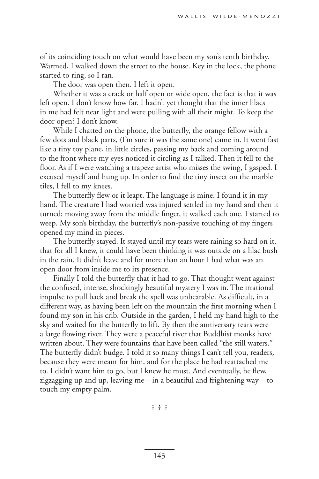of its coinciding touch on what would have been my son's tenth birthday. Warmed, I walked down the street to the house. Key in the lock, the phone started to ring, so I ran.

The door was open then. I left it open.

 Whether it was a crack or half open or wide open, the fact is that it was left open. I don't know how far. I hadn't yet thought that the inner lilacs in me had felt near light and were pulling with all their might. To keep the door open? I don't know.

 While I chatted on the phone, the butterfly, the orange fellow with a few dots and black parts, (I'm sure it was the same one) came in. It went fast like a tiny toy plane, in little circles, passing my back and coming around to the front where my eyes noticed it circling as I talked. Then it fell to the floor. As if I were watching a trapeze artist who misses the swing, I gasped. I excused myself and hung up. In order to find the tiny insect on the marble tiles, I fell to my knees.

 The butterfly flew or it leapt. The language is mine. I found it in my hand. The creature I had worried was injured settled in my hand and then it turned; moving away from the middle finger, it walked each one. I started to weep. My son's birthday, the butterfly's non-passive touching of my fingers opened my mind in pieces.

 The butterfly stayed. It stayed until my tears were raining so hard on it, that for all I knew, it could have been thinking it was outside on a lilac bush in the rain. It didn't leave and for more than an hour I had what was an open door from inside me to its presence.

 Finally I told the butterfly that it had to go. That thought went against the confused, intense, shockingly beautiful mystery I was in. The irrational impulse to pull back and break the spell was unbearable. As difficult, in a different way, as having been left on the mountain the first morning when I found my son in his crib. Outside in the garden, I held my hand high to the sky and waited for the butterfly to lift. By then the anniversary tears were a large flowing river. They were a peaceful river that Buddhist monks have written about. They were fountains that have been called "the still waters." The butterfly didn't budge. I told it so many things I can't tell you, readers, because they were meant for him, and for the place he had reattached me to. I didn't want him to go, but I knew he must. And eventually, he flew, zigzagging up and up, leaving me—in a beautiful and frightening way—to touch my empty palm.

子子子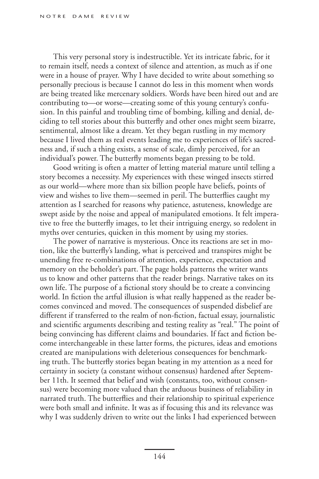This very personal story is indestructible. Yet its intricate fabric, for it to remain itself, needs a context of silence and attention, as much as if one were in a house of prayer. Why I have decided to write about something so personally precious is because I cannot do less in this moment when words are being treated like mercenary soldiers. Words have been hired out and are contributing to—or worse—creating some of this young century's confusion. In this painful and troubling time of bombing, killing and denial, deciding to tell stories about this butterfly and other ones might seem bizarre, sentimental, almost like a dream. Yet they began rustling in my memory because I lived them as real events leading me to experiences of life's sacredness and, if such a thing exists, a sense of scale, dimly perceived, for an individual's power. The butterfly moments began pressing to be told.

 Good writing is often a matter of letting material mature until telling a story becomes a necessity. My experiences with these winged insects stirred as our world—where more than six billion people have beliefs, points of view and wishes to live them—seemed in peril. The butterflies caught my attention as I searched for reasons why patience, astuteness, knowledge are swept aside by the noise and appeal of manipulated emotions. It felt imperative to free the butterfly images, to let their intriguing energy, so redolent in myths over centuries, quicken in this moment by using my stories.

 The power of narrative is mysterious. Once its reactions are set in motion, like the butterfly's landing, what is perceived and transpires might be unending free re-combinations of attention, experience, expectation and memory on the beholder's part. The page holds patterns the writer wants us to know and other patterns that the reader brings. Narrative takes on its own life. The purpose of a fictional story should be to create a convincing world. In fiction the artful illusion is what really happened as the reader becomes convinced and moved. The consequences of suspended disbelief are different if transferred to the realm of non-fiction, factual essay, journalistic and scientific arguments describing and testing reality as "real." The point of being convincing has different claims and boundaries. If fact and fiction become interchangeable in these latter forms, the pictures, ideas and emotions created are manipulations with deleterious consequences for benchmarking truth. The butterfly stories began beating in my attention as a need for certainty in society (a constant without consensus) hardened after September 11th. It seemed that belief and wish (constants, too, without consensus) were becoming more valued than the arduous business of reliability in narrated truth. The butterflies and their relationship to spiritual experience were both small and infinite. It was as if focusing this and its relevance was why I was suddenly driven to write out the links I had experienced between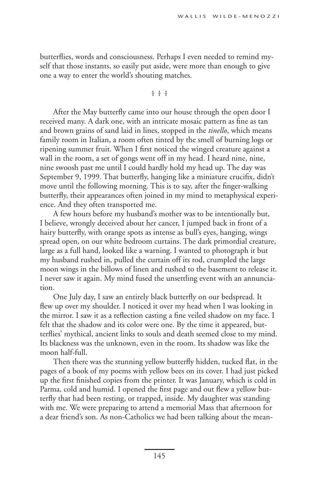butterflies, words and consciousness. Perhaps I even needed to remind myself that those instants, so easily put aside, were more than enough to give one a way to enter the world's shouting matches.

手手手

 After the May butterfly came into our house through the open door I received many. A dark one, with an intricate mosaic pattern as fine as tan and brown grains of sand laid in lines, stopped in the *tinello*, which means family room in Italian, a room often tinted by the smell of burning logs or ripening summer fruit. When I first noticed the winged creature against a wall in the room, a set of gongs went off in my head. I heard nine, nine, nine swoosh past me until I could hardly hold my head up. The day was September 9, 1999. That butterfly, hanging like a miniature crucifix, didn't move until the following morning. This is to say, after the finger-walking butterfly, their appearances often joined in my mind to metaphysical experience. And they often transported me.

 A few hours before my husband's mother was to be intentionally but, I believe, wrongly deceived about her cancer, I jumped back in front of a hairy butterfly, with orange spots as intense as bull's eyes, hanging, wings spread open, on our white bedroom curtains. The dark primordial creature, large as a full hand, looked like a warning. I wanted to photograph it but my husband rushed in, pulled the curtain off its rod, crumpled the large moon wings in the billows of linen and rushed to the basement to release it. I never saw it again. My mind fused the unsettling event with an annunciation.

 One July day, I saw an entirely black butterfly on our bedspread. It flew up over my shoulder. I noticed it over my head when I was looking in the mirror. I saw it as a reflection casting a fine veiled shadow on my face. I felt that the shadow and its color were one. By the time it appeared, butterflies' mythical, ancient links to souls and death seemed close to my mind. Its blackness was the unknown, even in the room. Its shadow was like the moon half-full.

 Then there was the stunning yellow butterfly hidden, tucked flat, in the pages of a book of my poems with yellow bees on its cover. I had just picked up the first finished copies from the printer. It was January, which is cold in Parma, cold and humid. I opened the first page and out flew a yellow butterfly that had been resting, or trapped, inside. My daughter was standing with me. We were preparing to attend a memorial Mass that afternoon for a dear friend's son. As non-Catholics we had been talking about the mean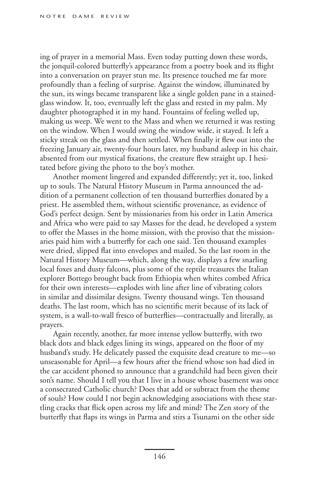ing of prayer in a memorial Mass. Even today putting down these words, the jonquil-colored butterfly's appearance from a poetry book and its flight into a conversation on prayer stun me. Its presence touched me far more profoundly than a feeling of surprise. Against the window, illuminated by the sun, its wings became transparent like a single golden pane in a stainedglass window. It, too, eventually left the glass and rested in my palm. My daughter photographed it in my hand. Fountains of feeling welled up, making us weep. We went to the Mass and when we returned it was resting on the window. When I would swing the window wide, it stayed. It left a sticky streak on the glass and then settled. When finally it flew out into the freezing January air, twenty-four hours later, my husband asleep in his chair, absented from our mystical fixations, the creature flew straight up. I hesitated before giving the photo to the boy's mother.

 Another moment lingered and expanded differently; yet it, too, linked up to souls. The Natural History Museum in Parma announced the addition of a permanent collection of ten thousand butterflies donated by a priest. He assembled them, without scientific provenance, as evidence of God's perfect design. Sent by missionaries from his order in Latin America and Africa who were paid to say Masses for the dead, he developed a system to offer the Masses in the home mission, with the proviso that the missionaries paid him with a butterfly for each one said. Ten thousand examples were dried, slipped flat into envelopes and mailed. So the last room in the Natural History Museum—which, along the way, displays a few snarling local foxes and dusty falcons, plus some of the reptile treasures the Italian explorer Bottego brought back from Ethiopia when whites combed Africa for their own interests—explodes with line after line of vibrating colors in similar and dissimilar designs. Twenty thousand wings. Ten thousand deaths. The last room, which has no scientific merit because of its lack of system, is a wall-to-wall fresco of butterflies—contractually and literally, as prayers.

 Again recently, another, far more intense yellow butterfly, with two black dots and black edges lining its wings, appeared on the floor of my husband's study. He delicately passed the exquisite dead creature to me—so unseasonable for April—a few hours after the friend whose son had died in the car accident phoned to announce that a grandchild had been given their son's name. Should I tell you that I live in a house whose basement was once a consecrated Catholic church? Does that add or subtract from the theme of souls? How could I not begin acknowledging associations with these startling cracks that flick open across my life and mind? The Zen story of the butterfly that flaps its wings in Parma and stirs a Tsunami on the other side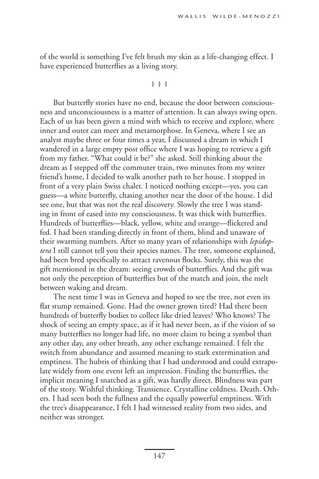of the world is something I've felt brush my skin as a life-changing effect. I have experienced butterflies as a living story.

手手手

 But butterfly stories have no end, because the door between consciousness and unconsciousness is a matter of attention. It can always swing open. Each of us has been given a mind with which to receive and explore, where inner and outer can meet and metamorphose. In Geneva, where I see an analyst maybe three or four times a year, I discussed a dream in which I wandered in a large empty post office where I was hoping to retrieve a gift from my father. "What could it be?" she asked. Still thinking about the dream as I stepped off the commuter train, two minutes from my writer friend's home, I decided to walk another path to her house. I stopped in front of a very plain Swiss chalet. I noticed nothing except—yes, you can guess—a white butterfly, chasing another near the door of the house. I did see one, but that was not the real discovery. Slowly the tree I was standing in front of eased into my consciousness. It was thick with butterflies. Hundreds of butterflies—black, yellow, white and orange—flickered and fed. I had been standing directly in front of them, blind and unaware of their swarming numbers. After so many years of relationships with *lepidoptera* I still cannot tell you their species names. The tree, someone explained, had been bred specifically to attract ravenous flocks. Surely, this was the gift mentioned in the dream: seeing crowds of butterflies. And the gift was not only the perception of butterflies but of the match and join, the melt between waking and dream.

 The next time I was in Geneva and hoped to see the tree, not even its flat stump remained. Gone. Had the owner grown tired? Had there been hundreds of butterfly bodies to collect like dried leaves? Who knows? The shock of seeing an empty space, as if it had never been, as if the vision of so many butterflies no longer had life, no more claim to being a symbol than any other day, any other breath, any other exchange remained. I felt the switch from abundance and assumed meaning to stark extermination and emptiness. The hubris of thinking that I had understood and could extrapolate widely from one event left an impression. Finding the butterflies, the implicit meaning I snatched as a gift, was hardly direct. Blindness was part of the story. Wishful thinking. Transience. Crystalline coldness. Death. Others. I had seen both the fullness and the equally powerful emptiness. With the tree's disappearance, I felt I had witnessed reality from two sides, and neither was stronger.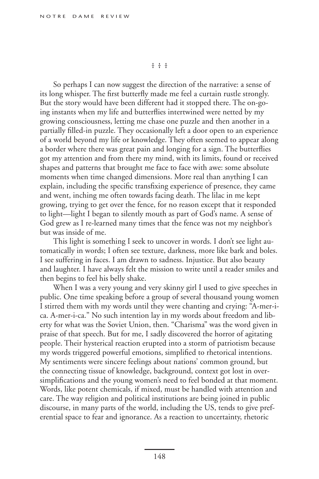#### 手手手

 So perhaps I can now suggest the direction of the narrative: a sense of its long whisper. The first butterfly made me feel a curtain rustle strongly. But the story would have been different had it stopped there. The on-going instants when my life and butterflies intertwined were netted by my growing consciousness, letting me chase one puzzle and then another in a partially filled-in puzzle. They occasionally left a door open to an experience of a world beyond my life or knowledge. They often seemed to appear along a border where there was great pain and longing for a sign. The butterflies got my attention and from there my mind, with its limits, found or received shapes and patterns that brought me face to face with awe: some absolute moments when time changed dimensions. More real than anything I can explain, including the specific transfixing experience of presence, they came and went, inching me often towards facing death. The lilac in me kept growing, trying to get over the fence, for no reason except that it responded to light—light I began to silently mouth as part of God's name. A sense of God grew as I re-learned many times that the fence was not my neighbor's but was inside of me.

 This light is something I seek to uncover in words. I don't see light automatically in words; I often see texture, darkness, more like bark and boles. I see suffering in faces. I am drawn to sadness. Injustice. But also beauty and laughter. I have always felt the mission to write until a reader smiles and then begins to feel his belly shake.

 When I was a very young and very skinny girl I used to give speeches in public. One time speaking before a group of several thousand young women I stirred them with my words until they were chanting and crying: "A-mer-ica. A-mer-i-ca." No such intention lay in my words about freedom and liberty for what was the Soviet Union, then. "Charisma" was the word given in praise of that speech. But for me, I sadly discovered the horror of agitating people. Their hysterical reaction erupted into a storm of patriotism because my words triggered powerful emotions, simplified to rhetorical intentions. My sentiments were sincere feelings about nations' common ground, but the connecting tissue of knowledge, background, context got lost in oversimplifications and the young women's need to feel bonded at that moment. Words, like potent chemicals, if mixed, must be handled with attention and care. The way religion and political institutions are being joined in public discourse, in many parts of the world, including the US, tends to give preferential space to fear and ignorance. As a reaction to uncertainty, rhetoric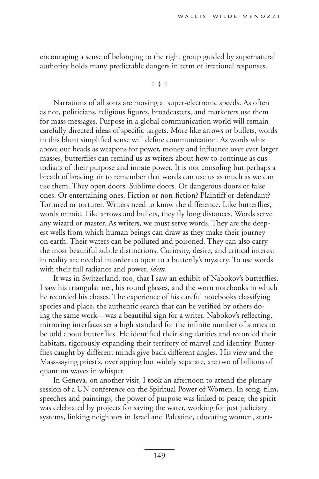encouraging a sense of belonging to the right group guided by supernatural authority holds many predictable dangers in term of irrational responses.

 $\pm$   $\pm$   $\pm$ 

 Narrations of all sorts are moving at super-electronic speeds. As often as not, politicians, religious figures, broadcasters, and marketers use them for mass messages. Purpose in a global communication world will remain carefully directed ideas of specific targets. More like arrows or bullets, words in this blunt simplified sense will define communication. As words whiz above our heads as weapons for power, money and influence over ever larger masses, butterflies can remind us as writers about how to continue as custodians of their purpose and innate power. It is not consoling but perhaps a breath of bracing air to remember that words can use us as much as we can use them. They open doors. Sublime doors. Or dangerous doors or false ones. Or entertaining ones. Fiction or non-fiction? Plaintiff or defendant? Tortured or torturer. Writers need to know the difference. Like butterflies, words mimic. Like arrows and bullets, they fly long distances. Words serve any wizard or master. As writers, we must serve words. They are the deepest wells from which human beings can draw as they make their journey on earth. Their waters can be polluted and poisoned. They can also carry the most beautiful subtle distinctions. Curiosity, desire, and critical interest in reality are needed in order to open to a butterfly's mystery. To use words with their full radiance and power, *idem*.

 It was in Switzerland, too, that I saw an exhibit of Nabokov's butterflies. I saw his triangular net, his round glasses, and the worn notebooks in which he recorded his chases. The experience of his careful notebooks classifying species and place, the authentic search that can be verified by others doing the same work—was a beautiful sign for a writer. Nabokov's reflecting, mirroring interfaces set a high standard for the infinite number of stories to be told about butterflies. He identified their singularities and recorded their habitats, rigorously expanding their territory of marvel and identity. Butterflies caught by different minds give back different angles. His view and the Mass-saying priest's, overlapping but widely separate, are two of billions of quantum waves in whisper.

 In Geneva, on another visit, I took an afternoon to attend the plenary session of a UN conference on the Spiritual Power of Women. In song, film, speeches and paintings, the power of purpose was linked to peace; the spirit was celebrated by projects for saving the water, working for just judiciary systems, linking neighbors in Israel and Palestine, educating women, start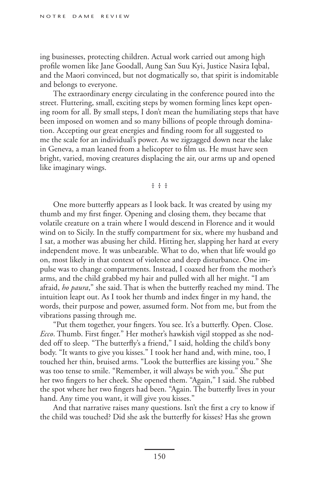ing businesses, protecting children. Actual work carried out among high profile women like Jane Goodall, Aung San Suu Kyi, Justice Nasira Iqbal, and the Maori convinced, but not dogmatically so, that spirit is indomitable and belongs to everyone.

 The extraordinary energy circulating in the conference poured into the street. Fluttering, small, exciting steps by women forming lines kept opening room for all. By small steps, I don't mean the humiliating steps that have been imposed on women and so many billions of people through domination. Accepting our great energies and finding room for all suggested to me the scale for an individual's power. As we zigzagged down near the lake in Geneva, a man leaned from a helicopter to film us. He must have seen bright, varied, moving creatures displacing the air, our arms up and opened like imaginary wings.

王王王

 One more butterfly appears as I look back. It was created by using my thumb and my first finger. Opening and closing them, they became that volatile creature on a train where I would descend in Florence and it would wind on to Sicily. In the stuffy compartment for six, where my husband and I sat, a mother was abusing her child. Hitting her, slapping her hard at every independent move. It was unbearable. What to do, when that life would go on, most likely in that context of violence and deep disturbance. One impulse was to change compartments. Instead, I coaxed her from the mother's arms, and the child grabbed my hair and pulled with all her might. "I am afraid, *ho paura*," she said. That is when the butterfly reached my mind. The intuition leapt out. As I took her thumb and index finger in my hand, the words, their purpose and power, assumed form. Not from me, but from the vibrations passing through me.

 "Put them together, your fingers. You see. It's a butterfly. Open. Close. *Ecco*. Thumb. First finger." Her mother's hawkish vigil stopped as she nodded off to sleep. "The butterfly's a friend," I said, holding the child's bony body. "It wants to give you kisses." I took her hand and, with mine, too, I touched her thin, bruised arms. "Look the butterflies are kissing you." She was too tense to smile. "Remember, it will always be with you." She put her two fingers to her cheek. She opened them. "Again," I said. She rubbed the spot where her two fingers had been. "Again. The butterfly lives in your hand. Any time you want, it will give you kisses."

 And that narrative raises many questions. Isn't the first a cry to know if the child was touched? Did she ask the butterfly for kisses? Has she grown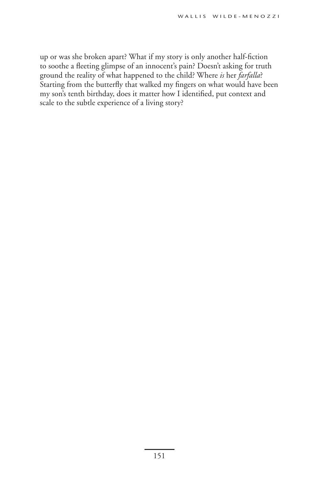up or was she broken apart? What if my story is only another half-fiction to soothe a fleeting glimpse of an innocent's pain? Doesn't asking for truth ground the reality of what happened to the child? Where *is* her *farfalla*? Starting from the butterfly that walked my fingers on what would have been my son's tenth birthday, does it matter how I identified, put context and scale to the subtle experience of a living story?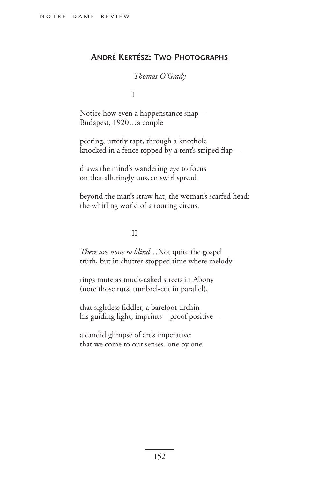## **ANDRÉ KERTÉSZ: TWO PHOTOGRAPHS**

### *Thomas O'Grady*

I

Notice how even a happenstance snap— Budapest, 1920…a couple

peering, utterly rapt, through a knothole knocked in a fence topped by a tent's striped flap—

draws the mind's wandering eye to focus on that alluringly unseen swirl spread

beyond the man's straw hat, the woman's scarfed head: the whirling world of a touring circus.

### II

*There are none so blind*…Not quite the gospel truth, but in shutter-stopped time where melody

rings mute as muck-caked streets in Abony (note those ruts, tumbrel-cut in parallel),

that sightless fiddler, a barefoot urchin his guiding light, imprints—proof positive—

a candid glimpse of art's imperative: that we come to our senses, one by one.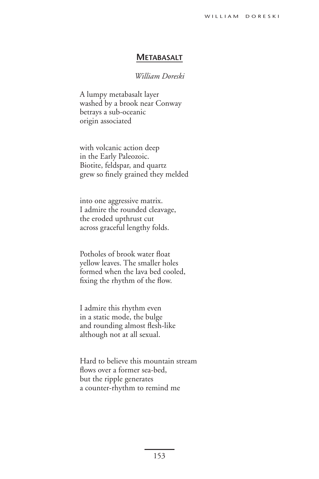### **METABASALT**

*William Doreski*

A lumpy metabasalt layer washed by a brook near Conway betrays a sub-oceanic origin associated

with volcanic action deep in the Early Paleozoic. Biotite, feldspar, and quartz grew so finely grained they melded

into one aggressive matrix. I admire the rounded cleavage, the eroded upthrust cut across graceful lengthy folds.

Potholes of brook water float yellow leaves. The smaller holes formed when the lava bed cooled, fixing the rhythm of the flow.

I admire this rhythm even in a static mode, the bulge and rounding almost flesh-like although not at all sexual.

Hard to believe this mountain stream flows over a former sea-bed, but the ripple generates a counter-rhythm to remind me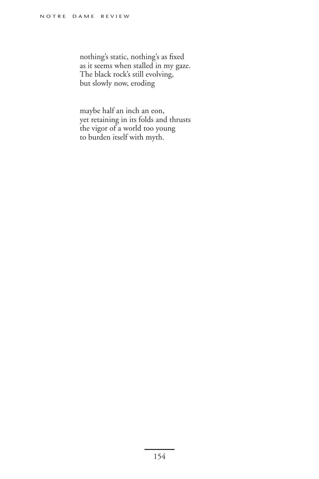nothing's static, nothing's as fixed as it seems when stalled in my gaze. The black rock's still evolving, but slowly now, eroding

maybe half an inch an eon, yet retaining in its folds and thrusts the vigor of a world too young to burden itself with myth.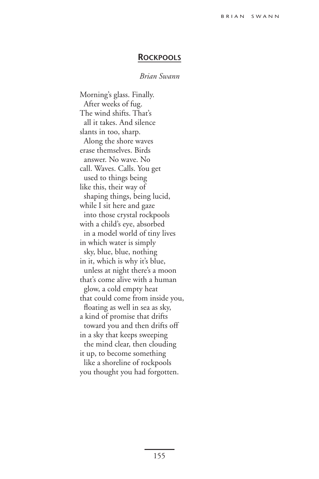#### **ROCKPOOLS**

#### *Brian Swann*

Morning's glass. Finally. After weeks of fug. The wind shifts. That's all it takes. And silence slants in too, sharp. Along the shore waves erase themselves. Birds answer. No wave. No call. Waves. Calls. You get used to things being like this, their way of shaping things, being lucid, while I sit here and gaze into those crystal rockpools with a child's eye, absorbed in a model world of tiny lives in which water is simply sky, blue, blue, nothing in it, which is why it's blue, unless at night there's a moon that's come alive with a human glow, a cold empty heat that could come from inside you, floating as well in sea as sky, a kind of promise that drifts toward you and then drifts off in a sky that keeps sweeping the mind clear, then clouding it up, to become something like a shoreline of rockpools you thought you had forgotten.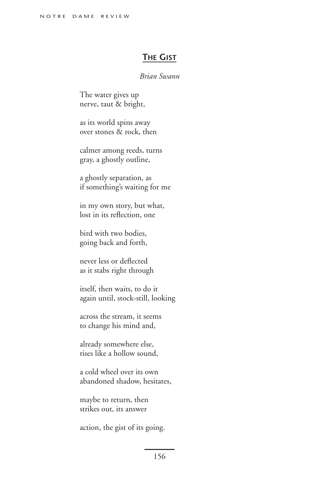# **THE GIST**

#### *Brian Swann*

The water gives up nerve, taut & bright,

as its world spins away over stones & rock, then

calmer among reeds, turns gray, a ghostly outline,

a ghostly separation, as if something's waiting for me

in my own story, but what, lost in its reflection, one

bird with two bodies, going back and forth,

never less or deflected as it stabs right through

itself, then waits, to do it again until, stock-still, looking

across the stream, it seems to change his mind and,

already somewhere else, rises like a hollow sound,

a cold wheel over its own abandoned shadow, hesitates,

maybe to return, then strikes out, its answer

action, the gist of its going.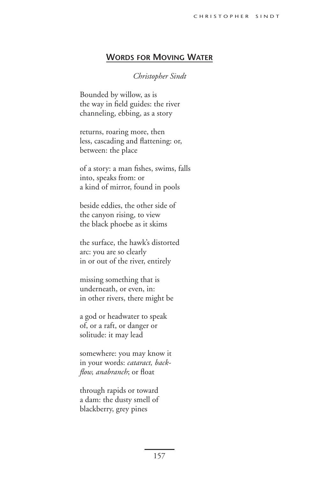### **WORDS FOR MOVING WATER**

#### *Christopher Sindt*

Bounded by willow, as is the way in field guides: the river channeling, ebbing, as a story

returns, roaring more, then less, cascading and flattening: or, between: the place

of a story: a man fishes, swims, falls into, speaks from: or a kind of mirror, found in pools

beside eddies, the other side of the canyon rising, to view the black phoebe as it skims

the surface, the hawk's distorted arc: you are so clearly in or out of the river, entirely

missing something that is underneath, or even, in: in other rivers, there might be

a god or headwater to speak of, or a raft, or danger or solitude: it may lead

somewhere: you may know it in your words: *cataract, backflow, anabranch*; or float

through rapids or toward a dam: the dusty smell of blackberry, grey pines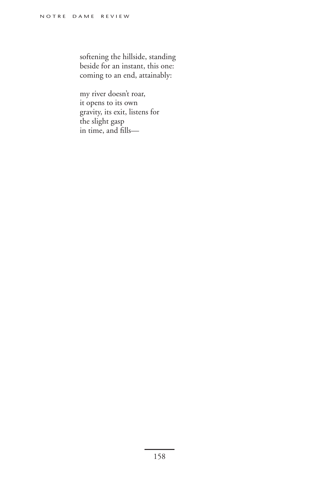softening the hillside, standing beside for an instant, this one: coming to an end, attainably:

my river doesn't roar, it opens to its own gravity, its exit, listens for the slight gasp in time, and fills—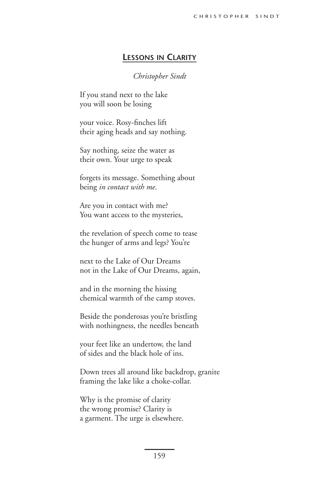### **LESSONS IN CLARITY**

*Christopher Sindt*

If you stand next to the lake you will soon be losing

your voice. Rosy-finches lift their aging heads and say nothing.

Say nothing, seize the water as their own. Your urge to speak

forgets its message. Something about being *in contact with me*.

Are you in contact with me? You want access to the mysteries,

the revelation of speech come to tease the hunger of arms and legs? You're

next to the Lake of Our Dreams not in the Lake of Our Dreams, again,

and in the morning the hissing chemical warmth of the camp stoves.

Beside the ponderosas you're bristling with nothingness, the needles beneath

your feet like an undertow, the land of sides and the black hole of ins.

Down trees all around like backdrop, granite framing the lake like a choke-collar.

Why is the promise of clarity the wrong promise? Clarity is a garment. The urge is elsewhere.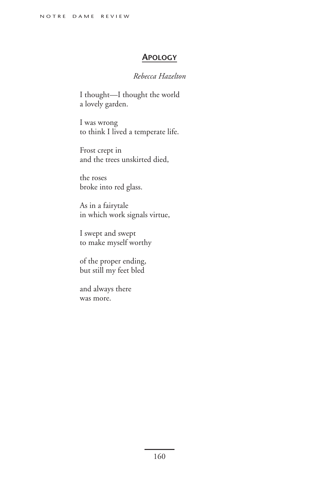## **APOLOGY**

### *Rebecca Hazelton*

I thought—I thought the world a lovely garden.

I was wrong to think I lived a temperate life.

Frost crept in and the trees unskirted died,

the roses broke into red glass.

As in a fairytale in which work signals virtue,

I swept and swept to make myself worthy

of the proper ending, but still my feet bled

and always there was more.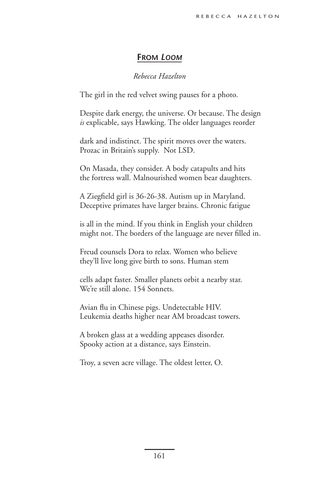## **FROM** *LOOM*

#### *Rebecca Hazelton*

The girl in the red velvet swing pauses for a photo.

Despite dark energy, the universe. Or because. The design *is* explicable, says Hawking. The older languages reorder

dark and indistinct. The spirit moves over the waters. Prozac in Britain's supply. Not LSD.

On Masada, they consider. A body catapults and hits the fortress wall. Malnourished women bear daughters.

A Ziegfield girl is 36-26-38. Autism up in Maryland. Deceptive primates have larger brains. Chronic fatigue

is all in the mind. If you think in English your children might not. The borders of the language are never filled in.

Freud counsels Dora to relax. Women who believe they'll live long give birth to sons. Human stem

cells adapt faster. Smaller planets orbit a nearby star. We're still alone. 154 Sonnets.

Avian flu in Chinese pigs. Undetectable HIV. Leukemia deaths higher near AM broadcast towers.

A broken glass at a wedding appeases disorder. Spooky action at a distance, says Einstein.

Troy, a seven acre village. The oldest letter, O.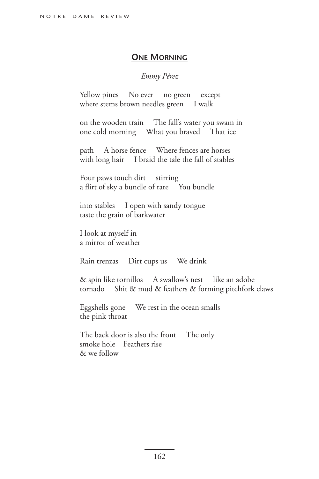### **ONE MORNING**

#### *Emmy Pérez*

Yellow pines No ever no green except where stems brown needles green I walk

on the wooden train The fall's water you swam in one cold morning What you braved That ice

path A horse fence Where fences are horses with long hair I braid the tale the fall of stables

Four paws touch dirt stirring a flirt of sky a bundle of rare You bundle

into stables I open with sandy tongue taste the grain of barkwater

I look at myself in a mirror of weather

Rain trenzas Dirt cups us We drink

& spin like tornillos A swallow's nest like an adobe tornado Shit & mud & feathers & forming pitchfork claws

Eggshells gone We rest in the ocean smalls the pink throat

The back door is also the front The only smoke hole Feathers rise & we follow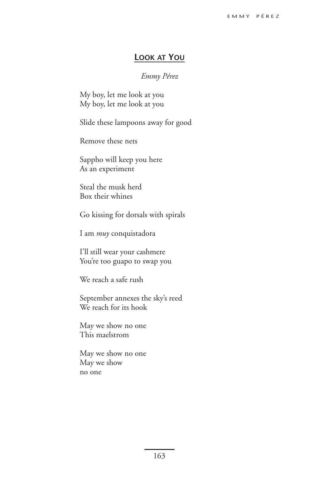## **LOOK AT YOU**

### *Emmy Pérez*

My boy, let me look at you My boy, let me look at you

Slide these lampoons away for good

Remove these nets

Sappho will keep you here As an experiment

Steal the musk herd Box their whines

Go kissing for dorsals with spirals

I am *muy* conquistadora

I'll still wear your cashmere You're too guapo to swap you

We reach a safe rush

September annexes the sky's reed We reach for its hook

May we show no one This maelstrom

May we show no one May we show no one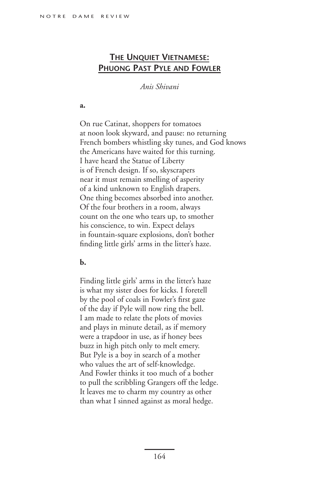## **THE UNQUIET VIETNAMESE: PHUONG PAST PYLE AND FOWLER**

*Anis Shivani*

**a.**

On rue Catinat, shoppers for tomatoes at noon look skyward, and pause: no returning French bombers whistling sky tunes, and God knows the Americans have waited for this turning. I have heard the Statue of Liberty is of French design. If so, skyscrapers near it must remain smelling of asperity of a kind unknown to English drapers. One thing becomes absorbed into another. Of the four brothers in a room, always count on the one who tears up, to smother his conscience, to win. Expect delays in fountain-square explosions, don't bother finding little girls' arms in the litter's haze.

#### **b.**

Finding little girls' arms in the litter's haze is what my sister does for kicks. I foretell by the pool of coals in Fowler's first gaze of the day if Pyle will now ring the bell. I am made to relate the plots of movies and plays in minute detail, as if memory were a trapdoor in use, as if honey bees buzz in high pitch only to melt emery. But Pyle is a boy in search of a mother who values the art of self-knowledge. And Fowler thinks it too much of a bother to pull the scribbling Grangers off the ledge. It leaves me to charm my country as other than what I sinned against as moral hedge.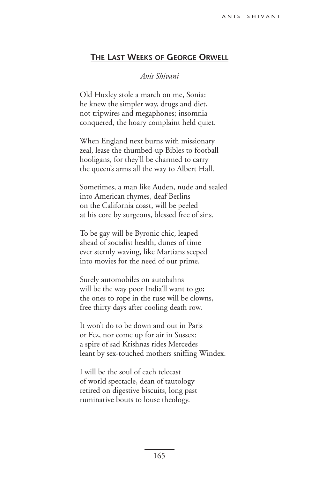## **THE LAST WEEKS OF GEORGE ORWELL**

*Anis Shivani*

Old Huxley stole a march on me, Sonia: he knew the simpler way, drugs and diet, not tripwires and megaphones; insomnia conquered, the hoary complaint held quiet.

When England next burns with missionary zeal, lease the thumbed-up Bibles to football hooligans, for they'll be charmed to carry the queen's arms all the way to Albert Hall.

Sometimes, a man like Auden, nude and sealed into American rhymes, deaf Berlins on the California coast, will be peeled at his core by surgeons, blessed free of sins.

To be gay will be Byronic chic, leaped ahead of socialist health, dunes of time ever sternly waving, like Martians seeped into movies for the need of our prime.

Surely automobiles on autobahns will be the way poor India'll want to go; the ones to rope in the ruse will be clowns, free thirty days after cooling death row.

It won't do to be down and out in Paris or Fez, nor come up for air in Sussex: a spire of sad Krishnas rides Mercedes leant by sex-touched mothers sniffing Windex.

I will be the soul of each telecast of world spectacle, dean of tautology retired on digestive biscuits, long past ruminative bouts to louse theology.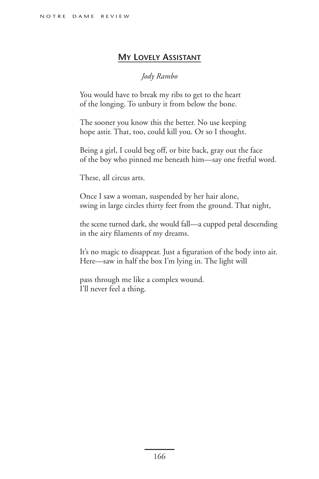## **MY LOVELY ASSISTANT**

## *Jody Rambo*

You would have to break my ribs to get to the heart of the longing. To unbury it from below the bone.

The sooner you know this the better. No use keeping hope astir. That, too, could kill you. Or so I thought.

Being a girl, I could beg off, or bite back, gray out the face of the boy who pinned me beneath him—say one fretful word.

These, all circus arts.

Once I saw a woman, suspended by her hair alone, swing in large circles thirty feet from the ground. That night,

the scene turned dark, she would fall—a cupped petal descending in the airy filaments of my dreams.

It's no magic to disappear. Just a figuration of the body into air. Here—saw in half the box I'm lying in. The light will

pass through me like a complex wound. I'll never feel a thing.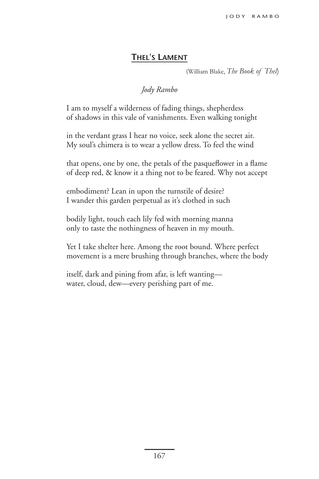## **THEL'S LAMENT**

(William Blake, *The Book of Thel*)

### *Jody Rambo*

I am to myself a wilderness of fading things, shepherdess of shadows in this vale of vanishments. Even walking tonight

in the verdant grass I hear no voice, seek alone the secret air. My soul's chimera is to wear a yellow dress. To feel the wind

that opens, one by one, the petals of the pasqueflower in a flame of deep red, & know it a thing not to be feared. Why not accept

embodiment? Lean in upon the turnstile of desire? I wander this garden perpetual as it's clothed in such

bodily light, touch each lily fed with morning manna only to taste the nothingness of heaven in my mouth.

Yet I take shelter here. Among the root bound. Where perfect movement is a mere brushing through branches, where the body

itself, dark and pining from afar, is left wanting water, cloud, dew—every perishing part of me.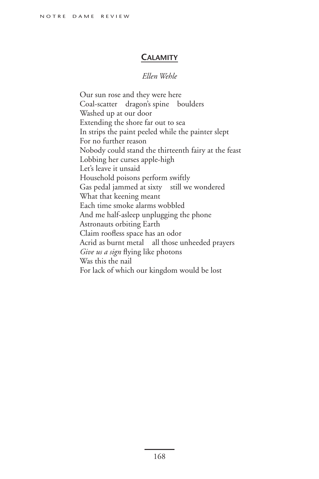## **CALAMITY**

### *Ellen Wehle*

Our sun rose and they were here Coal-scatter dragon's spine boulders Washed up at our door Extending the shore far out to sea In strips the paint peeled while the painter slept For no further reason Nobody could stand the thirteenth fairy at the feast Lobbing her curses apple-high Let's leave it unsaid Household poisons perform swiftly Gas pedal jammed at sixty still we wondered What that keening meant Each time smoke alarms wobbled And me half-asleep unplugging the phone Astronauts orbiting Earth Claim roofless space has an odor Acrid as burnt metal all those unheeded prayers *Give us a sign* flying like photons Was this the nail For lack of which our kingdom would be lost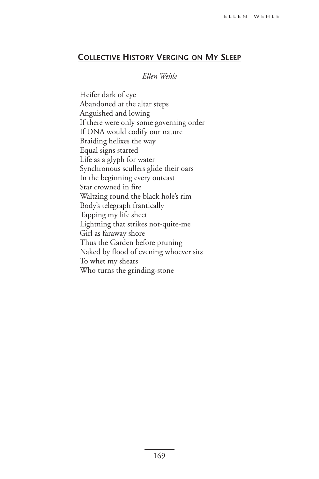## **COLLECTIVE HISTORY VERGING ON MY SLEEP**

*Ellen Wehle*

Heifer dark of eye Abandoned at the altar steps Anguished and lowing If there were only some governing order If DNA would codify our nature Braiding helixes the way Equal signs started Life as a glyph for water Synchronous scullers glide their oars In the beginning every outcast Star crowned in fire Waltzing round the black hole's rim Body's telegraph frantically Tapping my life sheet Lightning that strikes not-quite-me Girl as faraway shore Thus the Garden before pruning Naked by flood of evening whoever sits To whet my shears Who turns the grinding-stone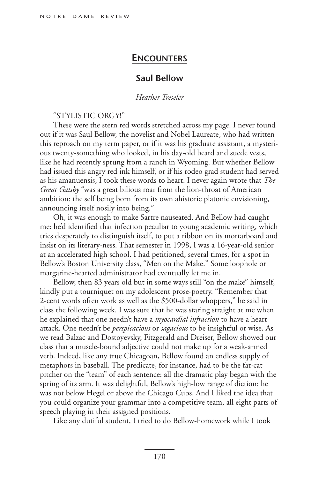## **ENCOUNTERS**

### **Saul Bellow**

#### *Heather Treseler*

#### "STYLISTIC ORGY!"

 These were the stern red words stretched across my page. I never found out if it was Saul Bellow, the novelist and Nobel Laureate, who had written this reproach on my term paper, or if it was his graduate assistant, a mysterious twenty-something who looked, in his day-old beard and suede vests, like he had recently sprung from a ranch in Wyoming. But whether Bellow had issued this angry red ink himself, or if his rodeo grad student had served as his amanuensis, I took these words to heart. I never again wrote that *The Great Gatsby* "was a great bilious roar from the lion-throat of American ambition: the self being born from its own ahistoric platonic envisioning, announcing itself nosily into being."

 Oh, it was enough to make Sartre nauseated. And Bellow had caught me: he'd identified that infection peculiar to young academic writing, which tries desperately to distinguish itself, to put a ribbon on its mortarboard and insist on its literary-ness. That semester in 1998, I was a 16-year-old senior at an accelerated high school. I had petitioned, several times, for a spot in Bellow's Boston University class, "Men on the Make." Some loophole or margarine-hearted administrator had eventually let me in.

 Bellow, then 83 years old but in some ways still "on the make" himself, kindly put a tourniquet on my adolescent prose-poetry. "Remember that 2-cent words often work as well as the \$500-dollar whoppers," he said in class the following week. I was sure that he was staring straight at me when he explained that one needn't have a *myocardial infraction* to have a heart attack. One needn't be *perspicacious* or *sagacious* to be insightful or wise. As we read Balzac and Dostoyevsky, Fitzgerald and Dreiser, Bellow showed our class that a muscle-bound adjective could not make up for a weak-armed verb. Indeed, like any true Chicagoan, Bellow found an endless supply of metaphors in baseball. The predicate, for instance, had to be the fat-cat pitcher on the "team" of each sentence: all the dramatic play began with the spring of its arm. It was delightful, Bellow's high-low range of diction: he was not below Hegel or above the Chicago Cubs. And I liked the idea that you could organize your grammar into a competitive team, all eight parts of speech playing in their assigned positions.

Like any dutiful student, I tried to do Bellow-homework while I took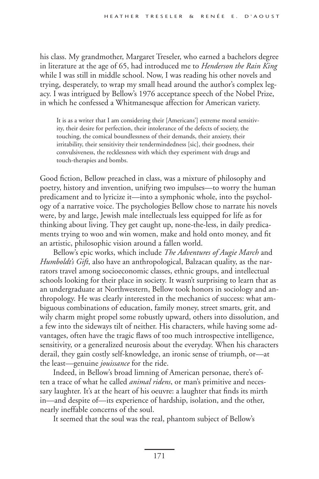his class. My grandmother, Margaret Treseler, who earned a bachelors degree in literature at the age of 65, had introduced me to *Henderson the Rain King* while I was still in middle school. Now, I was reading his other novels and trying, desperately, to wrap my small head around the author's complex legacy. I was intrigued by Bellow's 1976 acceptance speech of the Nobel Prize, in which he confessed a Whitmanesque affection for American variety.

It is as a writer that I am considering their [Americans'] extreme moral sensitivity, their desire for perfection, their intolerance of the defects of society, the touching, the comical boundlessness of their demands, their anxiety, their irritability, their sensitivity their tendermindedness [sic], their goodness, their convulsiveness, the recklessness with which they experiment with drugs and touch-therapies and bombs.

Good fiction, Bellow preached in class, was a mixture of philosophy and poetry, history and invention, unifying two impulses—to worry the human predicament and to lyricize it—into a symphonic whole, into the psychology of a narrative voice. The psychologies Bellow chose to narrate his novels were, by and large, Jewish male intellectuals less equipped for life as for thinking about living. They get caught up, none-the-less, in daily predicaments trying to woo and win women, make and hold onto money, and fit an artistic, philosophic vision around a fallen world.

 Bellow's epic works, which include *The Adventures of Augie March* and *Humboldt's Gift*, also have an anthropological, Balzacan quality, as the narrators travel among socioeconomic classes, ethnic groups, and intellectual schools looking for their place in society. It wasn't surprising to learn that as an undergraduate at Northwestern, Bellow took honors in sociology and anthropology. He was clearly interested in the mechanics of success: what ambiguous combinations of education, family money, street smarts, grit, and wily charm might propel some robustly upward, others into dissolution, and a few into the sideways tilt of neither. His characters, while having some advantages, often have the tragic flaws of too much introspective intelligence, sensitivity, or a generalized neurosis about the everyday. When his characters derail, they gain costly self-knowledge, an ironic sense of triumph, or––at the least––genuine *jouissance* for the ride.

 Indeed, in Bellow's broad limning of American personae, there's often a trace of what he called *animal ridens*, or man's primitive and necessary laughter. It's at the heart of his oeuvre: a laughter that finds its mirth in––and despite of––its experience of hardship, isolation, and the other, nearly ineffable concerns of the soul.

It seemed that the soul was the real, phantom subject of Bellow's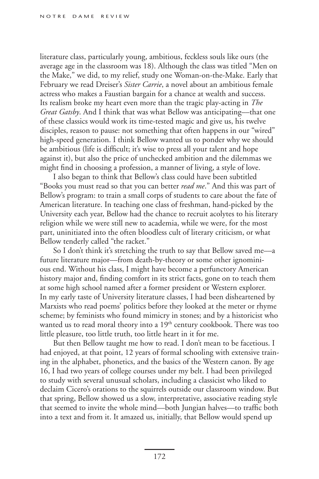literature class, particularly young, ambitious, feckless souls like ours (the average age in the classroom was 18). Although the class was titled "Men on the Make," we did, to my relief, study one Woman-on-the-Make. Early that February we read Dreiser's *Sister Carrie*, a novel about an ambitious female actress who makes a Faustian bargain for a chance at wealth and success. Its realism broke my heart even more than the tragic play-acting in *The Great Gatsby*. And I think that was what Bellow was anticipating––that one of these classics would work its time-tested magic and give us, his twelve disciples, reason to pause: not something that often happens in our "wired" high-speed generation. I think Bellow wanted us to ponder why we should be ambitious (life is difficult; it's wise to press all your talent and hope against it), but also the price of unchecked ambition and the dilemmas we might find in choosing a profession, a manner of living, a style of love.

 I also began to think that Bellow's class could have been subtitled "Books you must read so that you can better *read me*." And this was part of Bellow's program: to train a small corps of students to care about the fate of American literature. In teaching one class of freshman, hand-picked by the University each year, Bellow had the chance to recruit acolytes to his literary religion while we were still new to academia, while we were, for the most part, uninitiated into the often bloodless cult of literary criticism, or what Bellow tenderly called "the racket."

 So I don't think it's stretching the truth to say that Bellow saved me––a future literature major––from death-by-theory or some other ignominious end. Without his class, I might have become a perfunctory American history major and, finding comfort in its strict facts, gone on to teach them at some high school named after a former president or Western explorer. In my early taste of University literature classes, I had been disheartened by Marxists who read poems' politics before they looked at the meter or rhyme scheme; by feminists who found mimicry in stones; and by a historicist who wanted us to read moral theory into a  $19<sup>th</sup>$  century cookbook. There was too little pleasure, too little truth, too little heart in it for me.

 But then Bellow taught me how to read. I don't mean to be facetious. I had enjoyed, at that point, 12 years of formal schooling with extensive training in the alphabet, phonetics, and the basics of the Western canon. By age 16, I had two years of college courses under my belt. I had been privileged to study with several unusual scholars, including a classicist who liked to declaim Cicero's orations to the squirrels outside our classroom window. But that spring, Bellow showed us a slow, interpretative, associative reading style that seemed to invite the whole mind––both Jungian halves––to traffic both into a text and from it. It amazed us, initially, that Bellow would spend up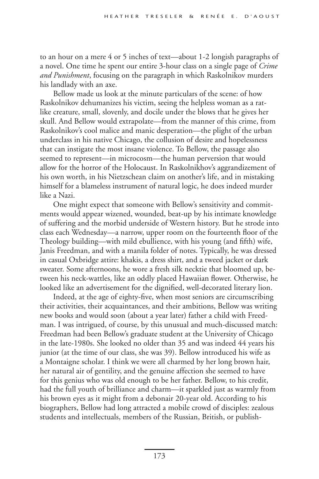to an hour on a mere 4 or 5 inches of text––about 1-2 longish paragraphs of a novel. One time he spent our entire 3-hour class on a single page of *Crime and Punishment*, focusing on the paragraph in which Raskolnikov murders his landlady with an axe.

 Bellow made us look at the minute particulars of the scene: of how Raskolnikov dehumanizes his victim, seeing the helpless woman as a ratlike creature, small, slovenly, and docile under the blows that he gives her skull. And Bellow would extrapolate––from the manner of this crime, from Raskolnikov's cool malice and manic desperation––the plight of the urban underclass in his native Chicago, the collusion of desire and hopelessness that can instigate the most insane violence. To Bellow, the passage also seemed to represent––in microcosm––the human perversion that would allow for the horror of the Holocaust. In Raskolnikhov's aggrandizement of his own worth, in his Nietzschean claim on another's life, and in mistaking himself for a blameless instrument of natural logic, he does indeed murder like a Nazi.

 One might expect that someone with Bellow's sensitivity and commitments would appear wizened, wounded, beat-up by his intimate knowledge of suffering and the morbid underside of Western history. But he strode into class each Wednesday––a narrow, upper room on the fourteenth floor of the Theology building––with mild ebullience, with his young (and fifth) wife, Janis Freedman, and with a manila folder of notes. Typically, he was dressed in casual Oxbridge attire: khakis, a dress shirt, and a tweed jacket or dark sweater. Some afternoons, he wore a fresh silk necktie that bloomed up, between his neck-wattles, like an oddly placed Hawaiian flower. Otherwise, he looked like an advertisement for the dignified, well-decorated literary lion.

 Indeed, at the age of eighty-five, when most seniors are circumscribing their activities, their acquaintances, and their ambitions, Bellow was writing new books and would soon (about a year later) father a child with Freedman. I was intrigued, of course, by this unusual and much-discussed match: Freedman had been Bellow's graduate student at the University of Chicago in the late-1980s. She looked no older than 35 and was indeed 44 years his junior (at the time of our class, she was 39). Bellow introduced his wife as a Montaigne scholar. I think we were all charmed by her long brown hair, her natural air of gentility, and the genuine affection she seemed to have for this genius who was old enough to be her father. Bellow, to his credit, had the full youth of brilliance and charm—it sparkled just as warmly from his brown eyes as it might from a debonair 20-year old. According to his biographers, Bellow had long attracted a mobile crowd of disciples: zealous students and intellectuals, members of the Russian, British, or publish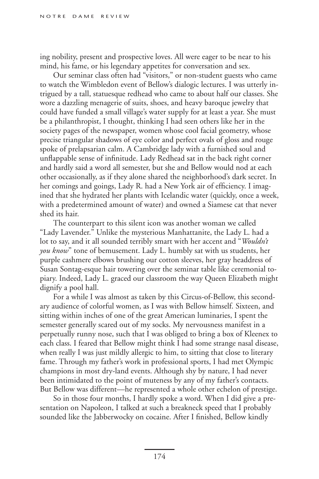ing nobility, present and prospective loves. All were eager to be near to his mind, his fame, or his legendary appetites for conversation and sex.

 Our seminar class often had "visitors," or non-student guests who came to watch the Wimbledon event of Bellow's dialogic lectures. I was utterly intrigued by a tall, statuesque redhead who came to about half our classes. She wore a dazzling menagerie of suits, shoes, and heavy baroque jewelry that could have funded a small village's water supply for at least a year. She must be a philanthropist, I thought, thinking I had seen others like her in the society pages of the newspaper, women whose cool facial geometry, whose precise triangular shadows of eye color and perfect ovals of gloss and rouge spoke of prelapsarian calm. A Cambridge lady with a furnished soul and unflappable sense of infinitude. Lady Redhead sat in the back right corner and hardly said a word all semester, but she and Bellow would nod at each other occasionally, as if they alone shared the neighborhood's dark secret. In her comings and goings, Lady R. had a New York air of efficiency. I imagined that she hydrated her plants with Icelandic water (quickly, once a week, with a predetermined amount of water) and owned a Siamese cat that never shed its hair.

 The counterpart to this silent icon was another woman we called "Lady Lavender." Unlike the mysterious Manhattanite, the Lady L. had a lot to say, and it all sounded terribly smart with her accent and "*Wouldn't you know*" tone of bemusement. Lady L. humbly sat with us students, her purple cashmere elbows brushing our cotton sleeves, her gray headdress of Susan Sontag-esque hair towering over the seminar table like ceremonial topiary. Indeed, Lady L. graced our classroom the way Queen Elizabeth might dignify a pool hall.

 For a while I was almost as taken by this Circus-of-Bellow, this secondary audience of colorful women, as I was with Bellow himself. Sixteen, and sitting within inches of one of the great American luminaries, I spent the semester generally scared out of my socks. My nervousness manifest in a perpetually runny nose, such that I was obliged to bring a box of Kleenex to each class. I feared that Bellow might think I had some strange nasal disease, when really I was just mildly allergic to him, to sitting that close to literary fame. Through my father's work in professional sports, I had met Olympic champions in most dry-land events. Although shy by nature, I had never been intimidated to the point of muteness by any of my father's contacts. But Bellow was different––he represented a whole other echelon of prestige.

 So in those four months, I hardly spoke a word. When I did give a presentation on Napoleon, I talked at such a breakneck speed that I probably sounded like the Jabberwocky on cocaine. After I finished, Bellow kindly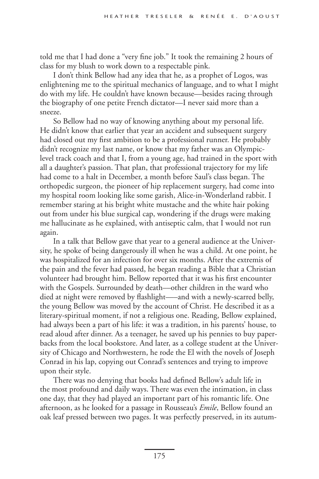told me that I had done a "very fine job." It took the remaining 2 hours of class for my blush to work down to a respectable pink.

 I don't think Bellow had any idea that he, as a prophet of Logos, was enlightening me to the spiritual mechanics of language, and to what I might do with my life. He couldn't have known because––besides racing through the biography of one petite French dictator––I never said more than a sneeze.

 So Bellow had no way of knowing anything about my personal life. He didn't know that earlier that year an accident and subsequent surgery had closed out my first ambition to be a professional runner. He probably didn't recognize my last name, or know that my father was an Olympiclevel track coach and that I, from a young age, had trained in the sport with all a daughter's passion. That plan, that professional trajectory for my life had come to a halt in December, a month before Saul's class began. The orthopedic surgeon, the pioneer of hip replacement surgery, had come into my hospital room looking like some garish, Alice-in-Wonderland rabbit. I remember staring at his bright white mustache and the white hair poking out from under his blue surgical cap, wondering if the drugs were making me hallucinate as he explained, with antiseptic calm, that I would not run again.

 In a talk that Bellow gave that year to a general audience at the University, he spoke of being dangerously ill when he was a child. At one point, he was hospitalized for an infection for over six months. After the extremis of the pain and the fever had passed, he began reading a Bible that a Christian volunteer had brought him. Bellow reported that it was his first encounter with the Gospels. Surrounded by death—other children in the ward who died at night were removed by flashlight–––and with a newly-scarred belly, the young Bellow was moved by the account of Christ. He described it as a literary-spiritual moment, if not a religious one. Reading, Bellow explained, had always been a part of his life: it was a tradition, in his parents' house, to read aloud after dinner. As a teenager, he saved up his pennies to buy paperbacks from the local bookstore. And later, as a college student at the University of Chicago and Northwestern, he rode the El with the novels of Joseph Conrad in his lap, copying out Conrad's sentences and trying to improve upon their style.

 There was no denying that books had defined Bellow's adult life in the most profound and daily ways. There was even the intimation, in class one day, that they had played an important part of his romantic life. One afternoon, as he looked for a passage in Rousseau's *Emile*, Bellow found an oak leaf pressed between two pages. It was perfectly preserved, in its autum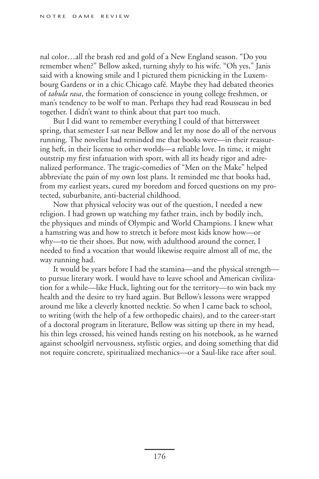nal color…all the brash red and gold of a New England season. "Do you remember when?" Bellow asked, turning shyly to his wife. "Oh yes," Janis said with a knowing smile and I pictured them picnicking in the Luxembourg Gardens or in a chic Chicago café. Maybe they had debated theories of *tabula rasa*, the formation of conscience in young college freshmen, or man's tendency to be wolf to man. Perhaps they had read Rousseau in bed together. I didn't want to think about that part too much.

 But I did want to remember everything I could of that bittersweet spring, that semester I sat near Bellow and let my nose do all of the nervous running. The novelist had reminded me that books were––in their reassuring heft, in their license to other worlds––a reliable love. In time, it might outstrip my first infatuation with sport, with all its heady rigor and adrenalized performance. The tragic-comedies of "Men on the Make" helped abbreviate the pain of my own lost plans. It reminded me that books had, from my earliest years, cured my boredom and forced questions on my protected, suburbanite, anti-bacterial childhood.

 Now that physical velocity was out of the question, I needed a new religion. I had grown up watching my father train, inch by bodily inch, the physiques and minds of Olympic and World Champions. I knew what a hamstring was and how to stretch it before most kids know how––or why––to tie their shoes. But now, with adulthood around the corner, I needed to find a vocation that would likewise require almost all of me, the way running had.

It would be years before I had the stamina—and the physical strength to pursue literary work. I would have to leave school and American civilization for a while––like Huck, lighting out for the territory––to win back my health and the desire to try hard again. But Bellow's lessons were wrapped around me like a cleverly knotted necktie. So when I came back to school, to writing (with the help of a few orthopedic chairs), and to the career-start of a doctoral program in literature, Bellow was sitting up there in my head, his thin legs crossed, his veined hands resting on his notebook, as he warned against schoolgirl nervousness, stylistic orgies, and doing something that did not require concrete, spiritualized mechanics––or a Saul-like race after soul.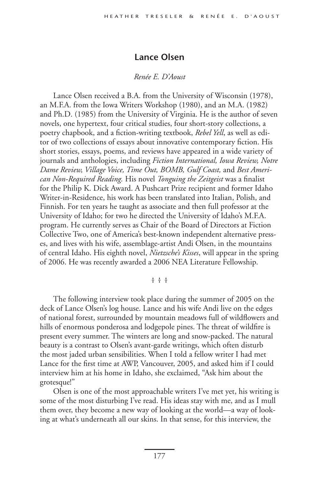## **Lance Olsen**

#### *Renée E. D'Aoust*

 Lance Olsen received a B.A. from the University of Wisconsin (1978), an M.F.A. from the Iowa Writers Workshop (1980), and an M.A. (1982) and Ph.D. (1985) from the University of Virginia. He is the author of seven novels, one hypertext, four critical studies, four short-story collections, a poetry chapbook, and a fiction-writing textbook, *Rebel Yell*, as well as editor of two collections of essays about innovative contemporary fiction. His short stories, essays, poems, and reviews have appeared in a wide variety of journals and anthologies, including *Fiction International, Iowa Review, Notre Dame Review, Village Voice, Time Out, BOMB, Gulf Coast,* and *Best American Non-Required Reading.* His novel *Tonguing the Zeitgeist* was a finalist for the Philip K. Dick Award. A Pushcart Prize recipient and former Idaho Writer-in-Residence, his work has been translated into Italian, Polish, and Finnish. For ten years he taught as associate and then full professor at the University of Idaho; for two he directed the University of Idaho's M.F.A. program. He currently serves as Chair of the Board of Directors at Fiction Collective Two, one of America's best-known independent alternative presses, and lives with his wife, assemblage-artist Andi Olsen, in the mountains of central Idaho. His eighth novel, *Nietzsche's Kisses*, will appear in the spring of 2006. He was recently awarded a 2006 NEA Literature Fellowship.

手手手

 The following interview took place during the summer of 2005 on the deck of Lance Olsen's log house. Lance and his wife Andi live on the edges of national forest, surrounded by mountain meadows full of wildflowers and hills of enormous ponderosa and lodgepole pines. The threat of wildfire is present every summer. The winters are long and snow-packed. The natural beauty is a contrast to Olsen's avant-garde writings, which often disturb the most jaded urban sensibilities. When I told a fellow writer I had met Lance for the first time at AWP, Vancouver, 2005, and asked him if I could interview him at his home in Idaho, she exclaimed, "Ask him about the grotesque!"

 Olsen is one of the most approachable writers I've met yet, his writing is some of the most disturbing I've read. His ideas stay with me, and as I mull them over, they become a new way of looking at the world—a way of looking at what's underneath all our skins. In that sense, for this interview, the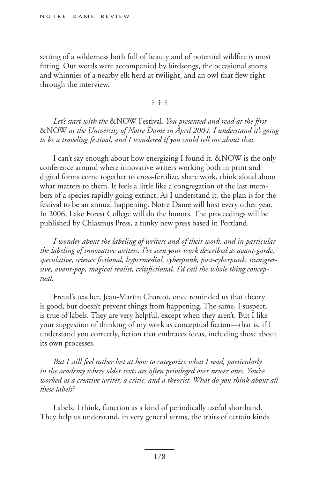setting of a wilderness both full of beauty and of potential wildfire is most fitting. Our words were accompanied by birdsongs, the occasional snorts and whinnies of a nearby elk herd at twilight, and an owl that flew right through the interview.

子子子

 *Let's start with the* &NOW Festival. *You presented and read at the first*  &NOW *at the University of Notre Dame in April 2004. I understand it's going to be a traveling festival, and I wondered if you could tell me about that.*

 I can't say enough about how energizing I found it. &NOW is the only conference around where innovative writers working both in print and digital forms come together to cross-fertilize, share work, think aloud about what matters to them. It feels a little like a congregation of the last members of a species rapidly going extinct. As I understand it, the plan is for the festival to be an annual happening. Notre Dame will host every other year. In 2006, Lake Forest College will do the honors. The proceedings will be published by Chiasmus Press, a funky new press based in Portland.

*I wonder about the labeling of writers and of their work, and in particular the labeling of innovative writers. I've seen your work described as avant-garde, speculative, science fictional, hypermedial, cyberpunk, post-cyberpunk, transgressive, avant-pop, magical realist, critifictional. I'd call the whole thing conceptual.*

 Freud's teacher, Jean-Martin Charcot, once reminded us that theory is good, but doesn't prevent things from happening. The same, I suspect, is true of labels. They are very helpful, except when they aren't. But I like your suggestion of thinking of my work as conceptual fiction—that is, if I understand you correctly, fiction that embraces ideas, including those about its own processes.

 *But I still feel rather lost at how to categorize what I read, particularly in the academy where older texts are often privileged over newer ones. You've worked as a creative writer, a critic, and a theorist. What do you think about all these labels?*

 Labels, I think, function as a kind of periodically useful shorthand. They help us understand, in very general terms, the traits of certain kinds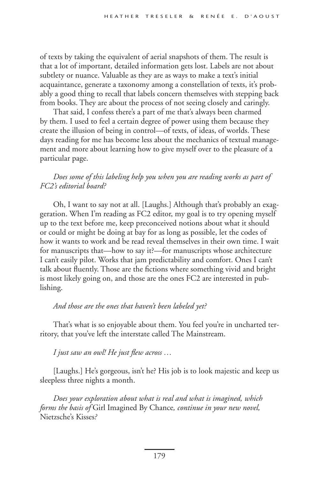of texts by taking the equivalent of aerial snapshots of them. The result is that a lot of important, detailed information gets lost. Labels are not about subtlety or nuance. Valuable as they are as ways to make a text's initial acquaintance, generate a taxonomy among a constellation of texts, it's probably a good thing to recall that labels concern themselves with stepping back from books. They are about the process of not seeing closely and caringly.

 That said, I confess there's a part of me that's always been charmed by them. I used to feel a certain degree of power using them because they create the illusion of being in control—of texts, of ideas, of worlds. These days reading for me has become less about the mechanics of textual management and more about learning how to give myself over to the pleasure of a particular page.

 *Does some of this labeling help you when you are reading works as part of FC2's editorial board?*

 Oh, I want to say not at all. [Laughs.] Although that's probably an exaggeration. When I'm reading as FC2 editor, my goal is to try opening myself up to the text before me, keep preconceived notions about what it should or could or might be doing at bay for as long as possible, let the codes of how it wants to work and be read reveal themselves in their own time. I wait for manuscripts that—how to say it?—for manuscripts whose architecture I can't easily pilot. Works that jam predictability and comfort. Ones I can't talk about fluently. Those are the fictions where something vivid and bright is most likely going on, and those are the ones FC2 are interested in publishing.

## *And those are the ones that haven't been labeled yet?*

 That's what is so enjoyable about them. You feel you're in uncharted territory, that you've left the interstate called The Mainstream.

 *I just saw an owl! He just flew across …*

[Laughs.] He's gorgeous, isn't he? His job is to look majestic and keep us sleepless three nights a month.

 *Does your exploration about what is real and what is imagined, which forms the basis of* Girl Imagined By Chance*, continue in your new novel,*  Nietzsche's Kisses*?*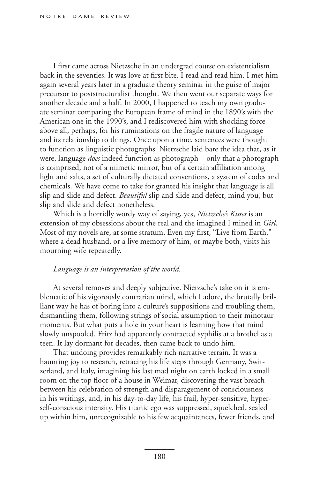I first came across Nietzsche in an undergrad course on existentialism back in the seventies. It was love at first bite. I read and read him. I met him again several years later in a graduate theory seminar in the guise of major precursor to poststructuralist thought. We then went our separate ways for another decade and a half. In 2000, I happened to teach my own graduate seminar comparing the European frame of mind in the 1890's with the American one in the 1990's, and I rediscovered him with shocking force above all, perhaps, for his ruminations on the fragile nature of language and its relationship to things. Once upon a time, sentences were thought to function as linguistic photographs. Nietzsche laid bare the idea that, as it were, language *does* indeed function as photograph—only that a photograph is comprised, not of a mimetic mirror, but of a certain affiliation among light and salts, a set of culturally dictated conventions, a system of codes and chemicals. We have come to take for granted his insight that language is all slip and slide and defect. *Beautiful* slip and slide and defect, mind you, but slip and slide and defect nonetheless.

 Which is a horridly wordy way of saying, yes, *Nietzsche's Kisses* is an extension of my obsessions about the real and the imagined I mined in *Girl*. Most of my novels are, at some stratum. Even my first, "Live from Earth," where a dead husband, or a live memory of him, or maybe both, visits his mourning wife repeatedly.

### *Language is an interpretation of the world.*

 At several removes and deeply subjective. Nietzsche's take on it is emblematic of his vigorously contrarian mind, which I adore, the brutally brilliant way he has of boring into a culture's suppositions and troubling them, dismantling them, following strings of social assumption to their minotaur moments. But what puts a hole in your heart is learning how that mind slowly unspooled. Fritz had apparently contracted syphilis at a brothel as a teen. It lay dormant for decades, then came back to undo him.

 That undoing provides remarkably rich narrative terrain. It was a haunting joy to research, retracing his life steps through Germany, Switzerland, and Italy, imagining his last mad night on earth locked in a small room on the top floor of a house in Weimar, discovering the vast breach between his celebration of strength and disparagement of consciousness in his writings, and, in his day-to-day life, his frail, hyper-sensitive, hyperself-conscious intensity. His titanic ego was suppressed, squelched, sealed up within him, unrecognizable to his few acquaintances, fewer friends, and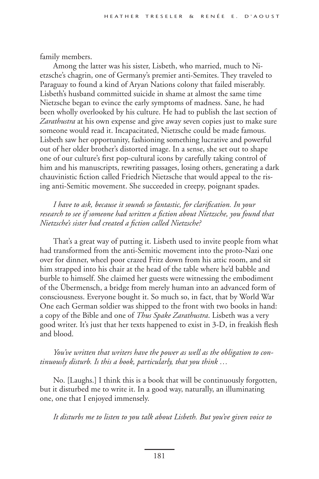family members.

 Among the latter was his sister, Lisbeth, who married, much to Nietzsche's chagrin, one of Germany's premier anti-Semites. They traveled to Paraguay to found a kind of Aryan Nations colony that failed miserably. Lisbeth's husband committed suicide in shame at almost the same time Nietzsche began to evince the early symptoms of madness. Sane, he had been wholly overlooked by his culture. He had to publish the last section of *Zarathustra* at his own expense and give away seven copies just to make sure someone would read it. Incapacitated, Nietzsche could be made famous. Lisbeth saw her opportunity, fashioning something lucrative and powerful out of her older brother's distorted image. In a sense, she set out to shape one of our culture's first pop-cultural icons by carefully taking control of him and his manuscripts, rewriting passages, losing others, generating a dark chauvinistic fiction called Friedrich Nietzsche that would appeal to the rising anti-Semitic movement. She succeeded in creepy, poignant spades.

 *I have to ask, because it sounds so fantastic, for clarification. In your*  research to see if someone had written a fiction about Nietzsche, you found that *Nietzsche's sister had created a fiction called Nietzsche?*

 That's a great way of putting it. Lisbeth used to invite people from what had transformed from the anti-Semitic movement into the proto-Nazi one over for dinner, wheel poor crazed Fritz down from his attic room, and sit him strapped into his chair at the head of the table where he'd babble and burble to himself. She claimed her guests were witnessing the embodiment of the Übermensch, a bridge from merely human into an advanced form of consciousness. Everyone bought it. So much so, in fact, that by World War One each German soldier was shipped to the front with two books in hand: a copy of the Bible and one of *Thus Spake Zarathustra*. Lisbeth was a very good writer. It's just that her texts happened to exist in 3-D, in freakish flesh and blood.

 *You've written that writers have the power as well as the obligation to continuously disturb. Is this a book, particularly, that you think …*

 No. [Laughs.] I think this is a book that will be continuously forgotten, but it disturbed me to write it. In a good way, naturally, an illuminating one, one that I enjoyed immensely.

 *It disturbs me to listen to you talk about Lisbeth. But you've given voice to*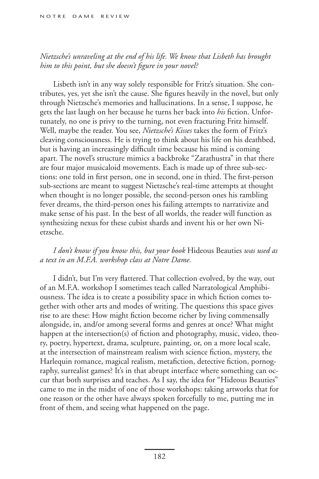# *Nietzsche's unraveling at the end of his life. We know that Lisbeth has brought him to this point, but she doesn't figure in your novel?*

 Lisbeth isn't in any way solely responsible for Fritz's situation. She contributes, yes, yet she isn't the cause. She figures heavily in the novel, but only through Nietzsche's memories and hallucinations. In a sense, I suppose, he gets the last laugh on her because he turns her back into *his* fiction. Unfortunately, no one is privy to the turning, not even fracturing Fritz himself. Well, maybe the reader. You see, *Nietzsche's Kisses* takes the form of Fritz's cleaving consciousness. He is trying to think about his life on his deathbed, but is having an increasingly difficult time because his mind is coming apart. The novel's structure mimics a backbroke "Zarathustra" in that there are four major musicaloid movements. Each is made up of three sub-sections: one told in first person, one in second, one in third. The first-person sub-sections are meant to suggest Nietzsche's real-time attempts at thought when thought is no longer possible, the second-person ones his rambling fever dreams, the third-person ones his failing attempts to narrativize and make sense of his past. In the best of all worlds, the reader will function as synthesizing nexus for these cubist shards and invent his or her own Nietzsche.

 *I don't know if you know this, but your book* Hideous Beauties *was used as a text in an M.F.A. workshop class at Notre Dame.*

 I didn't, but I'm very flattered. That collection evolved, by the way, out of an M.F.A. workshop I sometimes teach called Narratological Amphibiousness. The idea is to create a possibility space in which fiction comes together with other arts and modes of writing. The questions this space gives rise to are these: How might fiction become richer by living commensally alongside, in, and/or among several forms and genres at once? What might happen at the intersection(s) of fiction and photography, music, video, theory, poetry, hypertext, drama, sculpture, painting, or, on a more local scale, at the intersection of mainstream realism with science fiction, mystery, the Harlequin romance, magical realism, metafiction, detective fiction, pornography, surrealist games? It's in that abrupt interface where something can occur that both surprises and teaches. As I say, the idea for "Hideous Beauties" came to me in the midst of one of those workshops: taking artworks that for one reason or the other have always spoken forcefully to me, putting me in front of them, and seeing what happened on the page.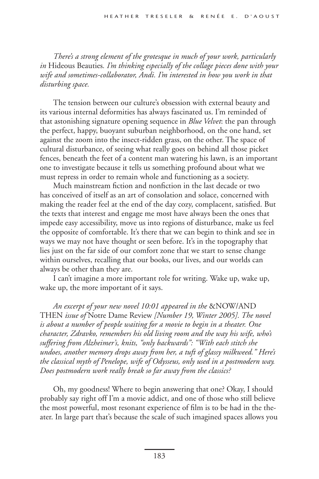*There's a strong element of the grotesque in much of your work, particularly in* Hideous Beauties*. I'm thinking especially of the collage pieces done with your wife and sometimes-collaborator, Andi. I'm interested in how you work in that disturbing space.*

 The tension between our culture's obsession with external beauty and its various internal deformities has always fascinated us. I'm reminded of that astonishing signature opening sequence in *Blue Velvet*: the pan through the perfect, happy, buoyant suburban neighborhood, on the one hand, set against the zoom into the insect-ridden grass, on the other. The space of cultural disturbance, of seeing what really goes on behind all those picket fences, beneath the feet of a content man watering his lawn, is an important one to investigate because it tells us something profound about what we must repress in order to remain whole and functioning as a society.

 Much mainstream fiction and nonfiction in the last decade or two has conceived of itself as an art of consolation and solace, concerned with making the reader feel at the end of the day cozy, complacent, satisfied. But the texts that interest and engage me most have always been the ones that impede easy accessibility, move us into regions of disturbance, make us feel the opposite of comfortable. It's there that we can begin to think and see in ways we may not have thought or seen before. It's in the topography that lies just on the far side of our comfort zone that we start to sense change within ourselves, recalling that our books, our lives, and our worlds can always be other than they are.

 I can't imagine a more important role for writing. Wake up, wake up, wake up, the more important of it says.

 *An excerpt of your new novel 10:01 appeared in the* &NOW/AND THEN *issue of* Notre Dame Review *[Number 19, Winter 2005]. The novel is about a number of people waiting for a movie to begin in a theater. One character, Zdravko, remembers his old living room and the way his wife, who's suffering from Alzheimer's, knits, "only backwards": "With each stitch she undoes, another memory drops away from her, a tuft of glassy milkweed." Here's the classical myth of Penelope, wife of Odysseus, only used in a postmodern way. Does postmodern work really break so far away from the classics?*

 Oh, my goodness! Where to begin answering that one? Okay, I should probably say right off I'm a movie addict, and one of those who still believe the most powerful, most resonant experience of film is to be had in the theater. In large part that's because the scale of such imagined spaces allows you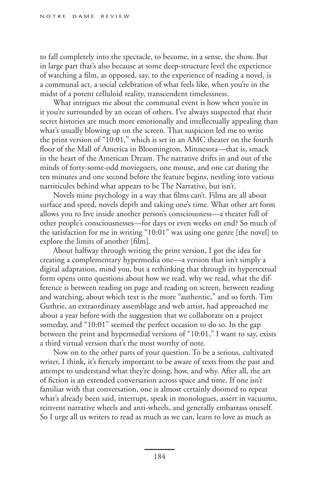to fall completely into the spectacle, to become, in a sense, the show. But in large part that's also because at some deep-structure level the experience of watching a film, as opposed, say, to the experience of reading a novel, is a communal act, a social celebration of what feels like, when you're in the midst of a potent celluloid reality, transcendent timelessness.

 What intrigues me about the communal event is how when you're in it you're surrounded by an ocean of others. I've always suspected that their secret histories are much more emotionally and intellectually appealing than what's usually blowing up on the screen. That suspicion led me to write the print version of "10:01*,*" which is set in an AMC theater on the fourth floor of the Mall of America in Bloomington, Minnesota—that is, smack in the heart of the American Dream. The narrative drifts in and out of the minds of forty-some-odd moviegoers, one mouse, and one cat during the ten minutes and one second before the feature begins, nestling into various narriticules behind what appears to be The Narrative, but isn't.

 Novels mine psychology in a way that films can't. Films are all about surface and speed, novels depth and taking one's time. What other art form allows you to live inside another person's consciousness—a theater full of other people's consciousnesses—for days or even weeks on end? So much of the satisfaction for me in writing "10:01" was using one genre [the novel] to explore the limits of another [film].

 About halfway through writing the print version, I got the idea for creating a complementary hypermedia one—a version that isn't simply a digital adaptation, mind you, but a rethinking that through its hypertextual form opens onto questions about how we read, why we read, what the difference is between reading on page and reading on screen, between reading and watching, about which text is the more "authentic," and so forth. Tim Guthrie, an extraordinary assemblage and web artist, had approached me about a year before with the suggestion that we collaborate on a project someday, and "10:01" seemed the perfect occasion to do so. In the gap between the print and hypermedial versions of "10:01," I want to say, exists a third virtual version that's the most worthy of note.

 Now on to the other parts of your question. To be a serious, cultivated writer, I think, it's fiercely important to be aware of texts from the past and attempt to understand what they're doing, how, and why. After all, the art of fiction is an extended conversation across space and time. If one isn't familiar with that conversation, one is almost certainly doomed to repeat what's already been said, interrupt, speak in monologues, assert in vacuums, reinvent narrative wheels and anti-wheels, and generally embarrass oneself. So I urge all us writers to read as much as we can, learn to love as much as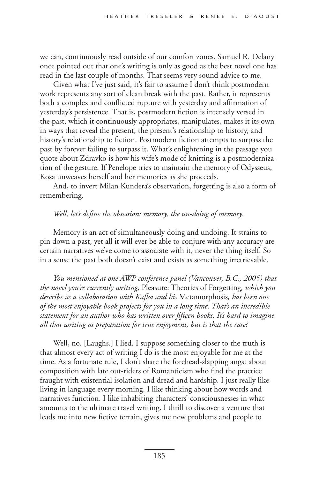we can, continuously read outside of our comfort zones. Samuel R. Delany once pointed out that one's writing is only as good as the best novel one has read in the last couple of months. That seems very sound advice to me.

 Given what I've just said, it's fair to assume I don't think postmodern work represents any sort of clean break with the past. Rather, it represents both a complex and conflicted rupture with yesterday and affirmation of yesterday's persistence. That is, postmodern fiction is intensely versed in the past, which it continuously appropriates, manipulates, makes it its own in ways that reveal the present, the present's relationship to history, and history's relationship to fiction. Postmodern fiction attempts to surpass the past by forever failing to surpass it. What's enlightening in the passage you quote about Zdravko is how his wife's mode of knitting is a postmodernization of the gesture. If Penelope tries to maintain the memory of Odysseus, Kosa unweaves herself and her memories as she proceeds.

 And, to invert Milan Kundera's observation, forgetting is also a form of remembering.

### *Well, let's define the obsession: memory, the un-doing of memory.*

 Memory is an act of simultaneously doing and undoing. It strains to pin down a past, yet all it will ever be able to conjure with any accuracy are certain narratives we've come to associate with it, never the thing itself. So in a sense the past both doesn't exist and exists as something irretrievable.

 *You mentioned at one AWP conference panel (Vancouver, B.C., 2005) that the novel you're currently writing,* Pleasure: Theories of Forgetting*, which you describe as a collaboration with Kafka and his* Metamorphosis*, has been one of the most enjoyable book projects for you in a long time. That's an incredible statement for an author who has written over fifteen books. It's hard to imagine all that writing as preparation for true enjoyment, but is that the case?*

 Well, no. [Laughs.] I lied. I suppose something closer to the truth is that almost every act of writing I do is the most enjoyable for me at the time. As a fortunate rule, I don't share the forehead-slapping angst about composition with late out-riders of Romanticism who find the practice fraught with existential isolation and dread and hardship. I just really like living in language every morning. I like thinking about how words and narratives function. I like inhabiting characters' consciousnesses in what amounts to the ultimate travel writing. I thrill to discover a venture that leads me into new fictive terrain, gives me new problems and people to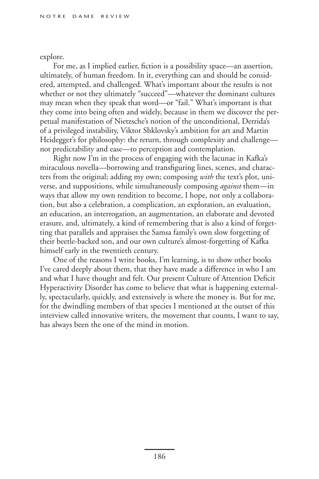#### explore.

 For me, as I implied earlier, fiction is a possibility space—an assertion, ultimately, of human freedom. In it, everything can and should be considered, attempted, and challenged. What's important about the results is not whether or not they ultimately "succeed"—whatever the dominant cultures may mean when they speak that word—or "fail." What's important is that they come into being often and widely, because in them we discover the perpetual manifestation of Nietzsche's notion of the unconditional, Derrida's of a privileged instability, Viktor Shklovsky's ambition for art and Martin Heidegger's for philosophy: the return, through complexity and challenge not predictability and ease—to perception and contemplation.

 Right now I'm in the process of engaging with the lacunae in Kafka's miraculous novella—borrowing and transfiguring lines, scenes, and characters from the original; adding my own; composing *with* the text's plot, universe, and suppositions, while simultaneously composing *against* them—in ways that allow my own rendition to become, I hope, not only a collaboration, but also a celebration, a complication, an exploration, an evaluation, an education, an interrogation, an augmentation, an elaborate and devoted erasure, and, ultimately, a kind of remembering that is also a kind of forgetting that parallels and appraises the Samsa family's own slow forgetting of their beetle-backed son, and our own culture's almost-forgetting of Kafka himself early in the twentieth century.

 One of the reasons I write books, I'm learning, is to show other books I've cared deeply about them, that they have made a difference in who I am and what I have thought and felt. Our present Culture of Attention Deficit Hyperactivity Disorder has come to believe that what is happening externally, spectacularly, quickly, and extensively is where the money is. But for me, for the dwindling members of that species I mentioned at the outset of this interview called innovative writers, the movement that counts, I want to say, has always been the one of the mind in motion.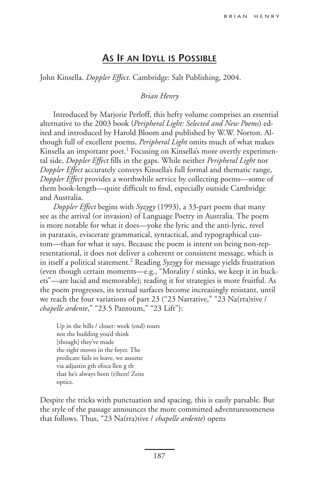# **AS IF AN IDYLL IS POSSIBLE**

John Kinsella. *Doppler Effect*. Cambridge: Salt Publishing, 2004.

## *Brian Henry*

 Introduced by Marjorie Perloff, this hefty volume comprises an essential alternative to the 2003 book (*Peripheral Light: Selected and New Poems*) edited and introduced by Harold Bloom and published by W.W. Norton. Although full of excellent poems, *Peripheral Light* omits much of what makes Kinsella an important poet.<sup>1</sup> Focusing on Kinsella's more overtly experimental side, *Doppler Effect* fills in the gaps. While neither *Peripheral Light* nor *Doppler Effect* accurately conveys Kinsella's full formal and thematic range, *Doppler Effect* provides a worthwhile service by collecting poems—some of them book-length—quite difficult to find, especially outside Cambridge and Australia.

 *Doppler Effect* begins with *Syzygy* (1993), a 33-part poem that many see as the arrival (or invasion) of Language Poetry in Australia. The poem is more notable for what it does—yoke the lyric and the anti-lyric, revel in parataxis, eviscerate grammatical, syntactical, and typographical custom—than for what it says. Because the poem is intent on being non-representational, it does not deliver a coherent or consistent message, which is in itself a political statement.2 Reading *Syzygy* for message yields frustration (even though certain moments—e.g., "Morality / stinks, we keep it in buckets"—are lucid and memorable); reading it for strategies is more fruitful. As the poem progresses, its textual surfaces become increasingly resistant, until we reach the four variations of part 23 ("23 Narrative," "23 Na(rra)tive / *chapelle ardente*," "23.5 Pantoum," "23 Lift"):

Up in the hills / closer: week (end) tours not the building you'd think [though] they've made the right moves in the foyer. The predicate fails to leave, we assume via adjustin gth efoca llen g th that he's always been (t)here! Zeiss optics.

Despite the tricks with punctuation and spacing, this is easily parsable. But the style of the passage announces the more committed adventuresomeness that follows. Thus, "23 Na(rra)tive / *chapelle ardente*) opens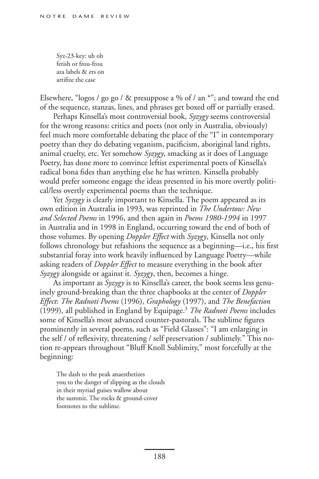Syz-23-key: uh oh fetish or frou-frou aza labels & ers on artifize the case

Elsewhere, "logos / go go / & presuppose a % of / an \*"; and toward the end of the sequence, stanzas, lines, and phrases get boxed off or partially erased.

 Perhaps Kinsella's most controversial book, *Syzygy* seems controversial for the wrong reasons: critics and poets (not only in Australia, obviously) feel much more comfortable debating the place of the "I" in contemporary poetry than they do debating veganism, pacificism, aboriginal land rights, animal cruelty, etc. Yet somehow *Syzygy*, smacking as it does of Language Poetry, has done more to convince leftist experimental poets of Kinsella's radical bona fides than anything else he has written. Kinsella probably would prefer someone engage the ideas presented in his more overtly political/less overtly experimental poems than the technique.

 Yet *Syzygy* is clearly important to Kinsella. The poem appeared as its own edition in Australia in 1993, was reprinted in *The Undertow: New and Selected Poems* in 1996, and then again in *Poems 1980-1994* in 1997 in Australia and in 1998 in England, occurring toward the end of both of those volumes. By opening *Doppler Effect* with *Syzygy*, Kinsella not only follows chronology but refashions the sequence as a beginning—i.e., his first substantial foray into work heavily influenced by Language Poetry—while asking readers of *Doppler Effect* to measure everything in the book after *Syzygy* alongside or against it. *Syzygy*, then, becomes a hinge.

 As important as *Syzygy* is to Kinsella's career, the book seems less genuinely ground-breaking than the three chapbooks at the center of *Doppler Effect*: *The Radnoti Poems* (1996), *Graphology* (1997), and *The Benefaction* (1999), all published in England by Equipage.3 *The Radnoti Poems* includes some of Kinsella's most advanced counter-pastorals. The sublime figures prominently in several poems, such as "Field Glasses": "I am enlarging in the self / of reflexivity, threatening / self preservation / sublimely." This notion re-appears throughout "Bluff Knoll Sublimity," most forcefully at the beginning:

The dash to the peak anaesthetizes you to the danger of slipping as the clouds in their myriad guises wallow about the summit. The rocks & ground-cover footnotes to the sublime.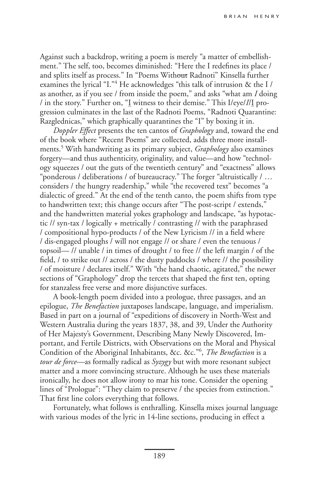Against such a backdrop, writing a poem is merely "a matter of embellishment." The self, too, becomes diminished: "Here the I redefines its place / and splits itself as process." In "Poems Without Radnoti" Kinsella further examines the lyrical "I."<sup>4</sup> He acknowledges "this talk of intrusion & the I / as another, as if you see / from inside the poem," and asks "what am *I* doing / in the story." Further on, "I witness to their demise." This I/eye/*I*/I progression culminates in the last of the Radnoti Poems, "Radnoti Quarantine: Razglednicas," which graphically quarantines the "I" by boxing it in.

 *Doppler Effect* presents the ten cantos of *Graphology* and, toward the end of the book where "Recent Poems" are collected, adds three more installments.5 With handwriting as its primary subject, *Graphology* also examines forgery—and thus authenticity, originality, and value—and how "technology squeezes / out the guts of the twentieth century" and "exactness" allows "ponderous / deliberations / of bureaucracy." The forger "altruistically / … considers / the hungry readership," while "the recovered text" becomes "a dialectic of greed." At the end of the tenth canto, the poem shifts from type to handwritten text; this change occurs after "The post-script / extends," and the handwritten material yokes graphology and landscape, "as hypotactic // syn-tax / logically + metrically / contrasting // with the paraphrased / compositional hypo-products / of the New Lyricism // in a field where / dis-engaged ploughs / will not engage // or share / even the tenuous / topsoil— // unable / in times of drought / to free // the left margin / of the field, / to strike out // across / the dusty paddocks / where // the possibility / of moisture / declares itself." With "the hand chaotic, agitated," the newer sections of "Graphology" drop the tercets that shaped the first ten, opting for stanzaless free verse and more disjunctive surfaces.

 A book-length poem divided into a prologue, three passages, and an epilogue, *The Benefaction* juxtaposes landscape, language, and imperialism. Based in part on a journal of "expeditions of discovery in North-West and Western Australia during the years 1837, 38, and 39, Under the Authority of Her Majesty's Government, Describing Many Newly Discovered, Important, and Fertile Districts, with Observations on the Moral and Physical Condition of the Aboriginal Inhabitants, &c. &c."6 , *The Benefaction* is a *tour de force*—as formally radical as *Syzygy* but with more resonant subject matter and a more convincing structure. Although he uses these materials ironically, he does not allow irony to mar his tone. Consider the opening lines of "Prologue": "They claim to preserve / the species from extinction." That first line colors everything that follows.

 Fortunately, what follows is enthralling. Kinsella mixes journal language with various modes of the lyric in 14-line sections, producing in effect a

189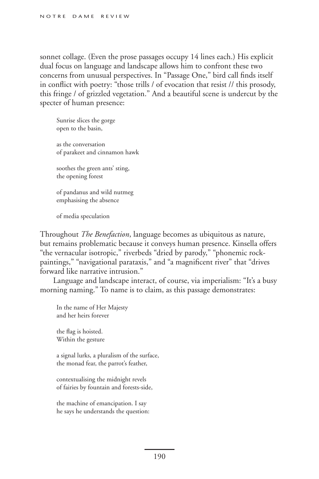sonnet collage. (Even the prose passages occupy 14 lines each.) His explicit dual focus on language and landscape allows him to confront these two concerns from unusual perspectives. In "Passage One," bird call finds itself in conflict with poetry: "those trills / of evocation that resist // this prosody, this fringe / of grizzled vegetation." And a beautiful scene is undercut by the specter of human presence:

Sunrise slices the gorge open to the basin,

as the conversation of parakeet and cinnamon hawk

soothes the green ants' sting, the opening forest

of pandanus and wild nutmeg emphasising the absence

of media speculation

Throughout *The Benefaction*, language becomes as ubiquitous as nature, but remains problematic because it conveys human presence. Kinsella offers "the vernacular isotropic," riverbeds "dried by parody," "phonemic rockpaintings," "navigational parataxis," and "a magnificent river" that "drives forward like narrative intrusion."

 Language and landscape interact, of course, via imperialism: "It's a busy morning naming." To name is to claim, as this passage demonstrates:

In the name of Her Majesty and her heirs forever

the flag is hoisted. Within the gesture

a signal lurks, a pluralism of the surface, the monad fear, the parrot's feather,

contextualising the midnight revels of fairies by fountain and forests-side,

the machine of emancipation. I say he says he understands the question: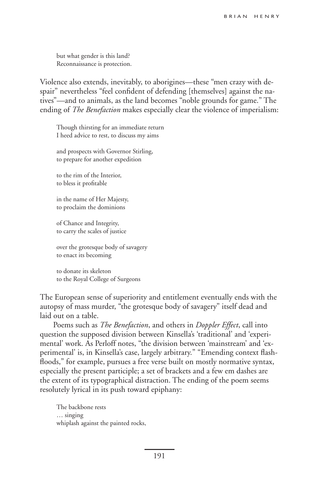but what gender is this land? Reconnaissance is protection.

Violence also extends, inevitably, to aborigines—these "men crazy with despair" nevertheless "feel confident of defending [themselves] against the natives"—and to animals, as the land becomes "noble grounds for game." The ending of *The Benefaction* makes especially clear the violence of imperialism:

Though thirsting for an immediate return I heed advice to rest, to discuss my aims

and prospects with Governor Stirling, to prepare for another expedition

to the rim of the Interior, to bless it profitable

in the name of Her Majesty, to proclaim the dominions

of Chance and Integrity, to carry the scales of justice

over the grotesque body of savagery to enact its becoming

to donate its skeleton to the Royal College of Surgeons

The European sense of superiority and entitlement eventually ends with the autopsy of mass murder, "the grotesque body of savagery" itself dead and laid out on a table.

 Poems such as *The Benefaction*, and others in *Doppler Effect*, call into question the supposed division between Kinsella's 'traditional' and 'experimental' work. As Perloff notes, "the division between 'mainstream' and 'experimental' is, in Kinsella's case, largely arbitrary." "Emending context flashfloods," for example, pursues a free verse built on mostly normative syntax, especially the present participle; a set of brackets and a few em dashes are the extent of its typographical distraction. The ending of the poem seems resolutely lyrical in its push toward epiphany:

The backbone rests … singing whiplash against the painted rocks,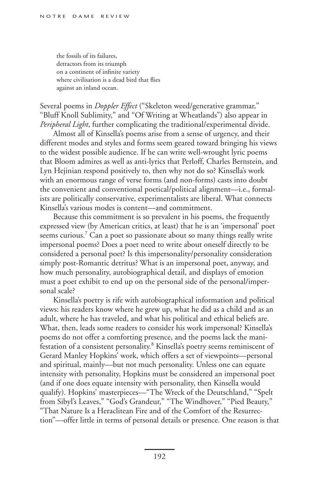the fossils of its failures, detractors from its triumph on a continent of infinite variety where civilisation is a dead bird that flies against an inland ocean.

Several poems in *Doppler Effect* ("Skeleton weed/generative grammar," "Bluff Knoll Sublimity," and "Of Writing at Wheatlands") also appear in *Peripheral Light*, further complicating the traditional/experimental divide.

 Almost all of Kinsella's poems arise from a sense of urgency, and their different modes and styles and forms seem geared toward bringing his views to the widest possible audience. If he can write well-wrought lyric poems that Bloom admires as well as anti-lyrics that Perloff, Charles Bernstein, and Lyn Hejinian respond positively to, then why not do so? Kinsella's work with an enormous range of verse forms (and non-forms) casts into doubt the convenient and conventional poetical/political alignment—i.e., formalists are politically conservative, experimentalists are liberal. What connects Kinsella's various modes is content—and commitment.

 Because this commitment is so prevalent in his poems, the frequently expressed view (by American critics, at least) that he is an 'impersonal' poet seems curious.<sup>7</sup> Can a poet so passionate about so many things really write impersonal poems? Does a poet need to write about oneself directly to be considered a personal poet? Is this impersonality/personality consideration simply post-Romantic detritus? What is an impersonal poet, anyway, and how much personality, autobiographical detail, and displays of emotion must a poet exhibit to end up on the personal side of the personal/impersonal scale?

 Kinsella's poetry is rife with autobiographical information and political views: his readers know where he grew up, what he did as a child and as an adult, where he has traveled, and what his political and ethical beliefs are. What, then, leads some readers to consider his work impersonal? Kinsella's poems do not offer a comforting presence, and the poems lack the manifestation of a consistent personality.<sup>8</sup> Kinsella's poetry seems reminiscent of Gerard Manley Hopkins' work, which offers a set of viewpoints—personal and spiritual, mainly—but not much personality. Unless one can equate intensity with personality, Hopkins must be considered an impersonal poet (and if one does equate intensity with personality, then Kinsella would qualify). Hopkins' masterpieces—"The Wreck of the Deutschland," "Spelt from Sibyl's Leaves," "God's Grandeur," "The Windhover," "Pied Beauty," "That Nature Is a Heraclitean Fire and of the Comfort of the Resurrection"—offer little in terms of personal details or presence. One reason is that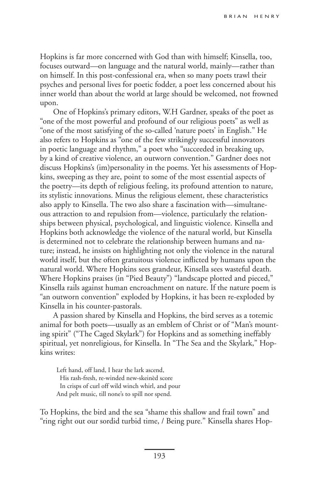Hopkins is far more concerned with God than with himself; Kinsella, too, focuses outward—on language and the natural world, mainly—rather than on himself. In this post-confessional era, when so many poets trawl their psyches and personal lives for poetic fodder, a poet less concerned about his inner world than about the world at large should be welcomed, not frowned upon.

 One of Hopkins's primary editors, W.H Gardner, speaks of the poet as "one of the most powerful and profound of our religious poets" as well as "one of the most satisfying of the so-called 'nature poets' in English." He also refers to Hopkins as "one of the few strikingly successful innovators in poetic language and rhythm," a poet who "succeeded in breaking up, by a kind of creative violence, an outworn convention." Gardner does not discuss Hopkins's (im)personality in the poems. Yet his assessments of Hopkins, sweeping as they are, point to some of the most essential aspects of the poetry—its depth of religious feeling, its profound attention to nature, its stylistic innovations. Minus the religious element, these characteristics also apply to Kinsella. The two also share a fascination with—simultaneous attraction to and repulsion from—violence, particularly the relationships between physical, psychological, and linguistic violence. Kinsella and Hopkins both acknowledge the violence of the natural world, but Kinsella is determined not to celebrate the relationship between humans and nature; instead, he insists on highlighting not only the violence in the natural world itself, but the often gratuitous violence inflicted by humans upon the natural world. Where Hopkins sees grandeur, Kinsella sees wasteful death. Where Hopkins praises (in "Pied Beauty") "landscape plotted and pieced," Kinsella rails against human encroachment on nature. If the nature poem is "an outworn convention" exploded by Hopkins, it has been re-exploded by Kinsella in his counter-pastorals.

 A passion shared by Kinsella and Hopkins, the bird serves as a totemic animal for both poets—usually as an emblem of Christ or of "Man's mounting spirit" ("The Caged Skylark") for Hopkins and as something ineffably spiritual, yet nonreligious, for Kinsella. In "The Sea and the Skylark," Hopkins writes:

Left hand, off land, I hear the lark ascend, His rash-fresh, re-winded new-skeinèd score In crisps of curl off wild winch whirl, and pour And pelt music, till none's to spill nor spend.

To Hopkins, the bird and the sea "shame this shallow and frail town" and "ring right out our sordid turbid time, / Being pure." Kinsella shares Hop-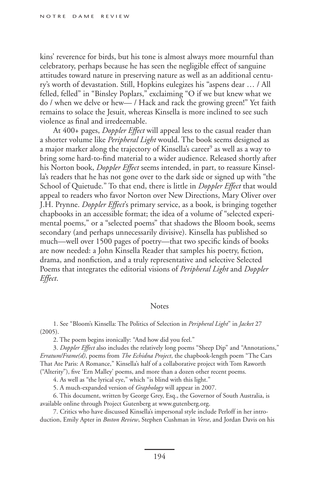kins' reverence for birds, but his tone is almost always more mournful than celebratory, perhaps because he has seen the negligible effect of sanguine attitudes toward nature in preserving nature as well as an additional century's worth of devastation. Still, Hopkins eulegizes his "aspens dear … / All felled, felled" in "Binsley Poplars," exclaiming "O if we but knew what we do / when we delve or hew— / Hack and rack the growing green!" Yet faith remains to solace the Jesuit, whereas Kinsella is more inclined to see such violence as final and irredeemable.

 At 400+ pages, *Doppler Effect* will appeal less to the casual reader than a shorter volume like *Peripheral Light* would. The book seems designed as a major marker along the trajectory of Kinsella's career<sup>9</sup> as well as a way to bring some hard-to-find material to a wider audience. Released shortly after his Norton book, *Doppler Effect* seems intended, in part, to reassure Kinsella's readers that he has not gone over to the dark side or signed up with "the School of Quietude." To that end, there is little in *Doppler Effect* that would appeal to readers who favor Norton over New Directions, Mary Oliver over J.H. Prynne. *Doppler Effect*'s primary service, as a book, is bringing together chapbooks in an accessible format; the idea of a volume of "selected experimental poems," or a "selected poems" that shadows the Bloom book, seems secondary (and perhaps unnecessarily divisive). Kinsella has published so much—well over 1500 pages of poetry—that two specific kinds of books are now needed: a John Kinsella Reader that samples his poetry, fiction, drama, and nonfiction, and a truly representative and selective Selected Poems that integrates the editorial visions of *Peripheral Light* and *Doppler Effect*.

### Notes

1. See "Bloom's Kinsella: The Politics of Selection in *Peripheral Light*" in *Jacket* 27 (2005).

2. The poem begins ironically: "And how did you feel."

3. *Doppler Effect* also includes the relatively long poems "Sheep Dip" and "Annotations," *Erratum/Frame(d)*, poems from *The Echidna Project*, the chapbook-length poem "The Cars That Ate Paris: A Romance," Kinsella's half of a collaborative project with Tom Raworth ("Alterity"), five 'Ern Malley' poems, and more than a dozen other recent poems.

4. As well as "the lyrical eye," which "is blind with this light."

5. A much-expanded version of *Graphology* will appear in 2007.

6. This document, written by George Grey, Esq., the Governor of South Australia, is available online through Project Gutenberg at www.gutenberg.org.

7. Critics who have discussed Kinsella's impersonal style include Perloff in her introduction, Emily Apter in *Boston Review*, Stephen Cushman in *Verse*, and Jordan Davis on his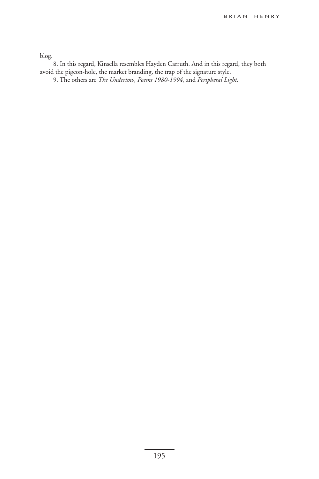blog.

8. In this regard, Kinsella resembles Hayden Carruth. And in this regard, they both avoid the pigeon-hole, the market branding, the trap of the signature style.

9. The others are *The Undertow*, *Poems 1980-1994*, and *Peripheral Light*.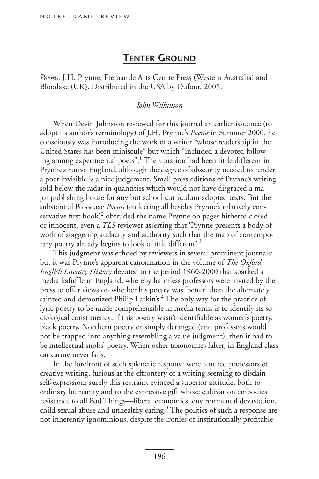# **TENTER GROUND**

*Poems*. J.H. Prynne. Fremantle Arts Centre Press (Western Australia) and Bloodaxe (UK). Distributed in the USA by Dufour, 2005.

## *John Wilkinson*

 When Devin Johnston reviewed for this journal an earlier issuance (to adopt its author's terminology) of J.H. Prynne's *Poems* in Summer 2000, he consciously was introducing the work of a writer "whose readership in the United States has been miniscule" but which "included a devoted following among experimental poets".<sup>1</sup> The situation had been little different in Prynne's native England, although the degree of obscurity needed to render a poet invisible is a nice judgement. Small press editions of Prynne's writing sold below the radar in quantities which would not have disgraced a major publishing house for any but school curriculum adopted texts. But the substantial Bloodaxe *Poems* (collecting all besides Prynne's relatively conservative first book)<sup>2</sup> obtruded the name Prynne on pages hitherto closed or innocent, even a *TLS* reviewer asserting that 'Prynne presents a body of work of staggering audacity and authority such that the map of contemporary poetry already begins to look a little different<sup>'.3</sup>

 This judgment was echoed by reviewers in several prominent journals; but it was Prynne's apparent canonization in the volume of *The Oxford English Literary History* devoted to the period 1960-2000 that sparked a media kafuffle in England, whereby harmless professors were invited by the press to offer views on whether his poetry was 'better' than the alternately sainted and demonized Philip Larkin's.<sup>4</sup> The only way for the practice of lyric poetry to be made comprehensible in media terms is to identify its sociological constituency; if this poetry wasn't identifiable as women's poetry, black poetry, Northern poetry or simply deranged (and professors would not be trapped into anything resembling a value judgment), then it had to be intellectual snobs' poetry. When other taxonomies falter, in England class caricature never fails.

 In the forefront of such splenetic response were tenured professors of creative writing, furious at the effrontery of a writing seeming to disdain self-expression: surely this restraint evinced a superior attitude, both to ordinary humanity and to the expressive gift whose cultivation embodies resistance to all Bad Things—liberal economics, environmental devastation, child sexual abuse and unhealthy eating.<sup>5</sup> The politics of such a response are not inherently ignominious, despite the ironies of institutionally profitable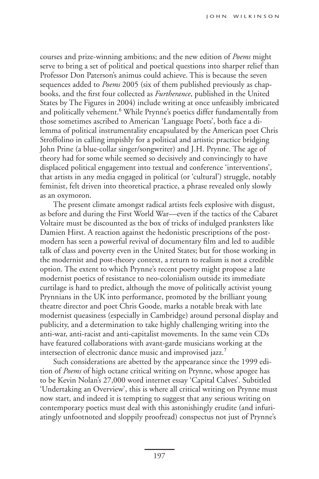courses and prize-winning ambitions; and the new edition of *Poems* might serve to bring a set of political and poetical questions into sharper relief than Professor Don Paterson's animus could achieve. This is because the seven sequences added to *Poems* 2005 (six of them published previously as chapbooks, and the first four collected as *Furtherance*, published in the United States by The Figures in 2004) include writing at once unfeasibly imbricated and politically vehement.<sup>6</sup> While Prynne's poetics differ fundamentally from those sometimes ascribed to American 'Language Poets', both face a dilemma of political instrumentality encapsulated by the American poet Chris Stroffolino in calling impishly for a political and artistic practice bridging John Prine (a blue-collar singer/songwriter) and J.H. Prynne. The age of theory had for some while seemed so decisively and convincingly to have displaced political engagement into textual and conference 'interventions', that artists in any media engaged in political (or 'cultural') struggle, notably feminist, felt driven into theoretical practice, a phrase revealed only slowly as an oxymoron.

 The present climate amongst radical artists feels explosive with disgust, as before and during the First World War—even if the tactics of the Cabaret Voltaire must be discounted as the box of tricks of indulged pranksters like Damien Hirst. A reaction against the hedonistic prescriptions of the postmodern has seen a powerful revival of documentary film and led to audible talk of class and poverty even in the United States; but for those working in the modernist and post-theory context, a return to realism is not a credible option. The extent to which Prynne's recent poetry might propose a late modernist poetics of resistance to neo-colonialism outside its immediate curtilage is hard to predict, although the move of politically activist young Prynnians in the UK into performance, promoted by the brilliant young theatre director and poet Chris Goode, marks a notable break with late modernist queasiness (especially in Cambridge) around personal display and publicity, and a determination to take highly challenging writing into the anti-war, anti-racist and anti-capitalist movements. In the same vein CDs have featured collaborations with avant-garde musicians working at the intersection of electronic dance music and improvised jazz.<sup>7</sup>

Such considerations are abetted by the appearance since the 1999 edition of *Poems* of high octane critical writing on Prynne, whose apogee has to be Kevin Nolan's 27,000 word internet essay 'Capital Calves'. Subtitled 'Undertaking an Overview', this is where all critical writing on Prynne must now start, and indeed it is tempting to suggest that any serious writing on contemporary poetics must deal with this astonishingly erudite (and infuriatingly unfootnoted and sloppily proofread) conspectus not just of Prynne's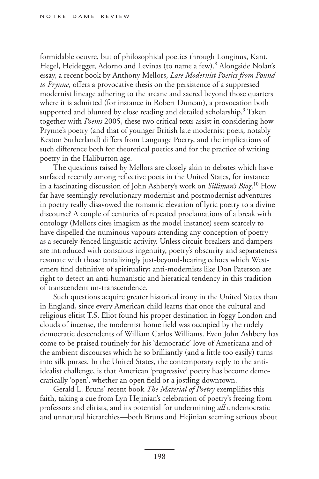formidable oeuvre, but of philosophical poetics through Longinus, Kant, Hegel, Heidegger, Adorno and Levinas (to name a few).<sup>8</sup> Alongside Nolan's essay, a recent book by Anthony Mellors, *Late Modernist Poetics from Pound to Prynne*, offers a provocative thesis on the persistence of a suppressed modernist lineage adhering to the arcane and sacred beyond those quarters where it is admitted (for instance in Robert Duncan), a provocation both supported and blunted by close reading and detailed scholarship.<sup>9</sup> Taken together with *Poems* 2005, these two critical texts assist in considering how Prynne's poetry (and that of younger British late modernist poets, notably Keston Sutherland) differs from Language Poetry, and the implications of such difference both for theoretical poetics and for the practice of writing poetry in the Haliburton age.

 The questions raised by Mellors are closely akin to debates which have surfaced recently among reflective poets in the United States, for instance in a fascinating discussion of John Ashbery's work on *Silliman's Blog*. <sup>10</sup> How far have seemingly revolutionary modernist and postmodernist adventures in poetry really disavowed the romantic elevation of lyric poetry to a divine discourse? A couple of centuries of repeated proclamations of a break with ontology (Mellors cites imagism as the model instance) seem scarcely to have dispelled the numinous vapours attending any conception of poetry as a securely-fenced linguistic activity. Unless circuit-breakers and dampers are introduced with conscious ingenuity, poetry's obscurity and separateness resonate with those tantalizingly just-beyond-hearing echoes which Westerners find definitive of spirituality; anti-modernists like Don Paterson are right to detect an anti-humanistic and hieratical tendency in this tradition of transcendent un-transcendence.

 Such questions acquire greater historical irony in the United States than in England, since every American child learns that once the cultural and religious elitist T.S. Eliot found his proper destination in foggy London and clouds of incense, the modernist home field was occupied by the rudely democratic descendents of William Carlos Williams. Even John Ashbery has come to be praised routinely for his 'democratic' love of Americana and of the ambient discourses which he so brilliantly (and a little too easily) turns into silk purses. In the United States, the contemporary reply to the antiidealist challenge, is that American 'progressive' poetry has become democratically 'open', whether an open field or a jostling downtown.

 Gerald L. Bruns' recent book *The Material of Poetry* exemplifies this faith, taking a cue from Lyn Hejinian's celebration of poetry's freeing from professors and elitists, and its potential for undermining *all* undemocratic and unnatural hierarchies—both Bruns and Hejinian seeming serious about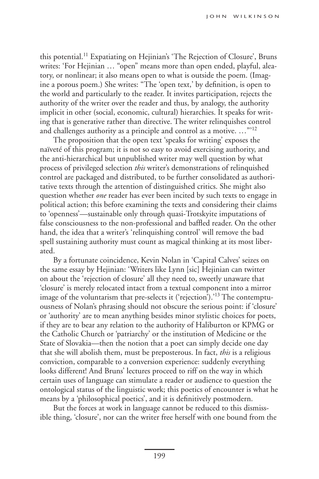this potential.<sup>11</sup> Expatiating on Hejinian's 'The Rejection of Closure', Bruns writes: 'For Hejinian … "open" means more than open ended, playful, aleatory, or nonlinear; it also means open to what is outside the poem. (Imagine a porous poem.) She writes: "The 'open text,' by definition, is open to the world and particularly to the reader. It invites participation, rejects the authority of the writer over the reader and thus, by analogy, the authority implicit in other (social, economic, cultural) hierarchies. It speaks for writing that is generative rather than directive. The writer relinquishes control and challenges authority as a principle and control as a motive. ..."<sup>12</sup>

 The proposition that the open text 'speaks for writing' exposes the naïveté of this program; it is not so easy to avoid exercising authority, and the anti-hierarchical but unpublished writer may well question by what process of privileged selection *this* writer's demonstrations of relinquished control are packaged and distributed, to be further consolidated as authoritative texts through the attention of distinguished critics. She might also question whether *one* reader has ever been incited by such texts to engage in political action; this before examining the texts and considering their claims to 'openness'—sustainable only through quasi-Trotskyite imputations of false consciousness to the non-professional and baffled reader. On the other hand, the idea that a writer's 'relinquishing control' will remove the bad spell sustaining authority must count as magical thinking at its most liberated.

 By a fortunate coincidence, Kevin Nolan in 'Capital Calves' seizes on the same essay by Hejinian: 'Writers like Lynn [sic] Hejinian can twitter on about the 'rejection of closure' all they need to, sweetly unaware that 'closure' is merely relocated intact from a textual component into a mirror image of the voluntarism that pre-selects it ('rejection').'<sup>13</sup> The contemptuousness of Nolan's phrasing should not obscure the serious point: if 'closure' or 'authority' are to mean anything besides minor stylistic choices for poets, if they are to bear any relation to the authority of Haliburton or KPMG or the Catholic Church or 'patriarchy' or the institution of Medicine or the State of Slovakia—then the notion that a poet can simply decide one day that she will abolish them, must be preposterous. In fact, *this* is a religious conviction, comparable to a conversion experience: suddenly everything looks different! And Bruns' lectures proceed to riff on the way in which certain uses of language can stimulate a reader or audience to question the ontological status of the linguistic work; this poetics of encounter is what he means by a 'philosophical poetics', and it is definitively postmodern.

 But the forces at work in language cannot be reduced to this dismissible thing, 'closure', nor can the writer free herself with one bound from the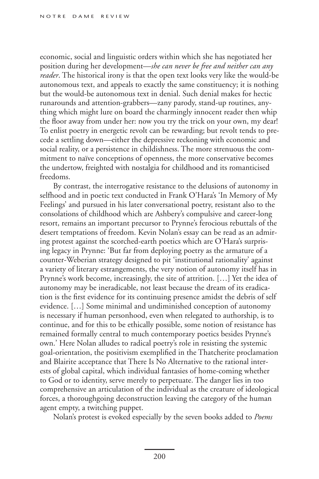economic, social and linguistic orders within which she has negotiated her position during her development—*she can never be free and neither can any reader*. The historical irony is that the open text looks very like the would-be autonomous text, and appeals to exactly the same constituency; it is nothing but the would-be autonomous text in denial. Such denial makes for hectic runarounds and attention-grabbers—zany parody, stand-up routines, anything which might lure on board the charmingly innocent reader then whip the floor away from under her: now you try the trick on your own, my dear! To enlist poetry in energetic revolt can be rewarding; but revolt tends to precede a settling down—either the depressive reckoning with economic and social reality, or a persistence in childishness. The more strenuous the commitment to naïve conceptions of openness, the more conservative becomes the undertow, freighted with nostalgia for childhood and its romanticised freedoms.

 By contrast, the interrogative resistance to the delusions of autonomy in selfhood and in poetic text conducted in Frank O'Hara's 'In Memory of My Feelings' and pursued in his later conversational poetry, resistant also to the consolations of childhood which are Ashbery's compulsive and career-long resort, remains an important precursor to Prynne's ferocious rebuttals of the desert temptations of freedom. Kevin Nolan's essay can be read as an admiring protest against the scorched-earth poetics which are O'Hara's surprising legacy in Prynne: 'But far from deploying poetry as the armature of a counter-Weberian strategy designed to pit 'institutional rationality' against a variety of literary estrangements, the very notion of autonomy itself has in Prynne's work become, increasingly, the site of attrition. […] Yet the idea of autonomy may be ineradicable, not least because the dream of its eradication is the first evidence for its continuing presence amidst the debris of self evidence. […] Some minimal and undiminished conception of autonomy is necessary if human personhood, even when relegated to authorship, is to continue, and for this to be ethically possible, some notion of resistance has remained formally central to much contemporary poetics besides Prynne's own.' Here Nolan alludes to radical poetry's role in resisting the systemic goal-orientation, the positivism exemplified in the Thatcherite proclamation and Blairite acceptance that There Is No Alternative to the rational interests of global capital, which individual fantasies of home-coming whether to God or to identity, serve merely to perpetuate. The danger lies in too comprehensive an articulation of the individual as the creature of ideological forces, a thoroughgoing deconstruction leaving the category of the human agent empty, a twitching puppet.

Nolan's protest is evoked especially by the seven books added to *Poems*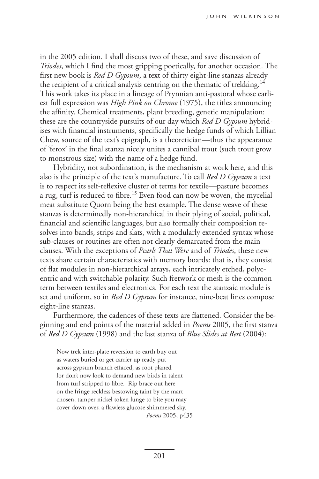in the 2005 edition. I shall discuss two of these, and save discussion of *Triodes*, which I find the most gripping poetically, for another occasion. The first new book is *Red D Gypsum*, a text of thirty eight-line stanzas already the recipient of a critical analysis centring on the thematic of trekking.<sup>14</sup> This work takes its place in a lineage of Prynnian anti-pastoral whose earliest full expression was *High Pink on Chrome* (1975), the titles announcing the affinity. Chemical treatments, plant breeding, genetic manipulation: these are the countryside pursuits of our day which *Red D Gypsum* hybridises with financial instruments, specifically the hedge funds of which Lillian Chew, source of the text's epigraph, is a theoretician—thus the appearance of 'ferox' in the final stanza nicely unites a cannibal trout (such trout grow to monstrous size) with the name of a hedge fund.

 Hybridity, not subordination, is the mechanism at work here, and this also is the principle of the text's manufacture. To call *Red D Gypsum* a text is to respect its self-reflexive cluster of terms for textile—pasture becomes a rug, turf is reduced to fibre.<sup>15</sup> Even food can now be woven, the mycelial meat substitute Quorn being the best example. The dense weave of these stanzas is determinedly non-hierarchical in their plying of social, political, financial and scientific languages, but also formally their composition resolves into bands, strips and slats, with a modularly extended syntax whose sub-clauses or routines are often not clearly demarcated from the main clauses. With the exceptions of *Pearls That Were* and of *Triodes*, these new texts share certain characteristics with memory boards: that is, they consist of flat modules in non-hierarchical arrays, each intricately etched, polycentric and with switchable polarity. Such fretwork or mesh is the common term between textiles and electronics. For each text the stanzaic module is set and uniform, so in *Red D Gypsum* for instance, nine-beat lines compose eight-line stanzas.

 Furthermore, the cadences of these texts are flattened. Consider the beginning and end points of the material added in *Poems* 2005, the first stanza of *Red D Gypsum* (1998) and the last stanza of *Blue Slides at Rest* (2004):

Now trek inter-plate reversion to earth buy out as waters buried or get carrier up ready put across gypsum branch effaced, as root planed for don't now look to demand new birds in talent from turf stripped to fibre. Rip brace out here on the fringe reckless bestowing taint by the mart chosen, tamper nickel token lunge to bite you may cover down over, a flawless glucose shimmered sky. *Poems* 2005, p435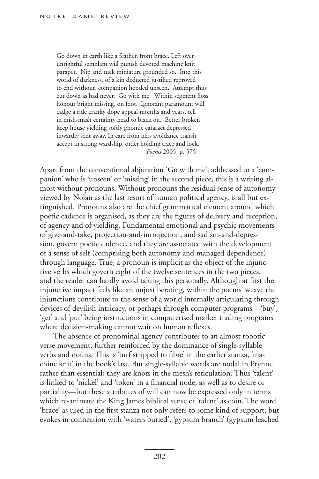Go down in earth like a feather, front brace. Left over unrightful semblant will punish devoted machine knit parapet. Nip and tuck miniature grounded so. Into this world of darkness, of a kin deducted justified reproved to end without, companion hooded unseen. Attempt thus cut down as had never. Go with me. Within segment floss honour bright missing, on foot. Ignorant paramount will cadge a ride cranky dope appeal months and years, tell in mish-mash certainty head to black on. Better broken keep house yielding softly gnomic cataract depressed inwardly sent away. In care from hers avoidance transit accept in strong wardship, order holding trace and lock. *Poems* 2005, p. 575

Apart from the conventional abjuration 'Go with me', addressed to a 'companion' who is 'unseen' or 'missing' in the second piece, this is a writing almost without pronouns. Without pronouns the residual sense of autonomy viewed by Nolan as the last resort of human political agency, is all but extinguished. Pronouns also are the chief grammatical element around which poetic cadence is organised, as they are the figures of delivery and reception, of agency and of yielding. Fundamental emotional and psychic movements of give-and-take, projection-and-introjection, and sadism-and-depression, govern poetic cadence, and they are associated with the development of a sense of self (comprising both autonomy and managed dependence) through language. True, a pronoun is implicit as the object of the injunctive verbs which govern eight of the twelve sentences in the two pieces, and the reader can hardly avoid taking this personally. Although at first the injunctive impact feels like an unjust berating, within the poems' weave the injunctions contribute to the sense of a world internally articulating through devices of devilish intricacy, or perhaps through computer programs—'buy', 'get' and 'put' being instructions in computerised market trading programs where decision-making cannot wait on human reflexes.

 The absence of pronominal agency contributes to an almost robotic verse movement, further reinforced by the dominance of single-syllable verbs and nouns. This is 'turf stripped to fibre' in the earlier stanza, 'machine knit' in the book's last. But single-syllable words are nodal in Prynne rather than essential; they are knots in the mesh's reticulation. Thus 'talent' is linked to 'nickel' and 'token' in a financial node, as well as to desire or partiality—but these attributes of will can now be expressed only in terms which re-animate the King James biblical sense of 'talent' as coin. The word 'brace' as used in the first stanza not only refers to some kind of support, but evokes in connection with 'waters buried', 'gypsum branch' (gypsum leached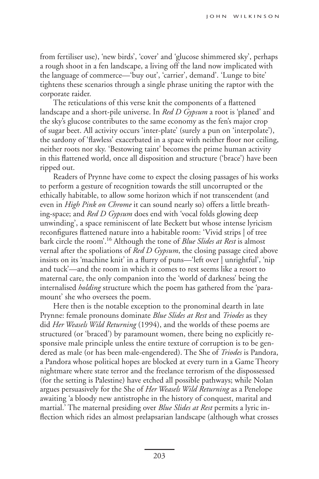from fertiliser use), 'new birds', 'cover' and 'glucose shimmered sky', perhaps a rough shoot in a fen landscape, a living off the land now implicated with the language of commerce—'buy out', 'carrier', demand'. 'Lunge to bite' tightens these scenarios through a single phrase uniting the raptor with the corporate raider.

 The reticulations of this verse knit the components of a flattened landscape and a short-pile universe. In *Red D Gypsum* a root is 'planed' and the sky's glucose contributes to the same economy as the fen's major crop of sugar beet. All activity occurs 'inter-plate' (surely a pun on 'interpolate'), the sardony of 'flawless' exacerbated in a space with neither floor nor ceiling, neither roots nor sky. 'Bestowing taint' becomes the prime human activity in this flattened world, once all disposition and structure ('brace') have been ripped out.

 Readers of Prynne have come to expect the closing passages of his works to perform a gesture of recognition towards the still uncorrupted or the ethically habitable, to allow some horizon which if not transcendent (and even in *High Pink on Chrome* it can sound nearly so) offers a little breathing-space; and *Red D Gypsum* does end with 'vocal folds glowing deep unwinding', a space reminiscent of late Beckett but whose intense lyricism reconfigures flattened nature into a habitable room: 'Vivid strips | of tree bark circle the room'.<sup>16</sup> Although the tone of *Blue Slides at Rest* is almost vernal after the spoliations of *Red D Gypsum*, the closing passage cited above insists on its 'machine knit' in a flurry of puns—'left over | unrightful', 'nip and tuck'—and the room in which it comes to rest seems like a resort to maternal care, the only companion into the 'world of darkness' being the internalised *holding* structure which the poem has gathered from the 'paramount' she who oversees the poem.

 Here then is the notable exception to the pronominal dearth in late Prynne: female pronouns dominate *Blue Slides at Rest* and *Triodes* as they did *Her Weasels Wild Returning* (1994), and the worlds of these poems are structured (or 'braced') by paramount women, there being no explicitly responsive male principle unless the entire texture of corruption is to be gendered as male (or has been male-engendered). The She of *Triodes* is Pandora, a Pandora whose political hopes are blocked at every turn in a Game Theory nightmare where state terror and the freelance terrorism of the dispossessed (for the setting is Palestine) have etched all possible pathways; while Nolan argues persuasively for the She of *Her Weasels Wild Returning* as a Penelope awaiting 'a bloody new antistrophe in the history of conquest, marital and martial.' The maternal presiding over *Blue Slides at Rest* permits a lyric inflection which rides an almost prelapsarian landscape (although what crosses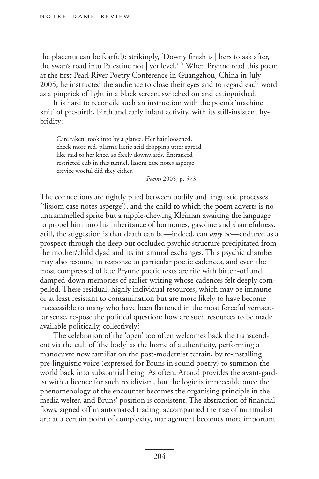the placenta can be fearful): strikingly, 'Downy finish is | hers to ask after, the swan's road into Palestine not | yet level.'<sup>17</sup> When Prynne read this poem at the first Pearl River Poetry Conference in Guangzhou, China in July 2005, he instructed the audience to close their eyes and to regard each word as a pinprick of light in a black screen, switched on and extinguished.

 It is hard to reconcile such an instruction with the poem's 'machine knit' of pre-birth, birth and early infant activity, with its still-insistent hybridity:

Care taken, took into by a glance. Her hair loosened, cheek more red, plasma lactic acid dropping utter spread like raid to her knee, so freely downwards. Entranced restricted cub in this tunnel, lissom case notes asperge crevice woeful did they either.

*Poems* 2005, p. 573

The connections are tightly plied between bodily and linguistic processes ('lissom case notes asperge'), and the child to which the poem adverts is no untrammelled sprite but a nipple-chewing Kleinian awaiting the language to propel him into his inheritance of hormones, gasoline and shamefulness. Still, the suggestion is that death can be—indeed, can *only* be—endured as a prospect through the deep but occluded psychic structure precipitated from the mother/child dyad and its intramural exchanges. This psychic chamber may also resound in response to particular poetic cadences, and even the most compressed of late Prynne poetic texts are rife with bitten-off and damped-down memories of earlier writing whose cadences felt deeply compelled. These residual, highly individual resources, which may be immune or at least resistant to contamination but are more likely to have become inaccessible to many who have been flattened in the most forceful vernacular sense, re-pose the political question: how are such resources to be made available politically, collectively?

The celebration of the 'open' too often welcomes back the transcendent via the cult of 'the body' as the home of authenticity, performing a manoeuvre now familiar on the post-modernist terrain, by re-installing pre-linguistic voice (expressed for Bruns in sound poetry) to summon the world back into substantial being. As often, Artaud provides the avant-gardist with a licence for such recidivism, but the logic is impeccable once the phenomenology of the encounter becomes the organising principle in the media welter, and Bruns' position is consistent. The abstraction of financial flows, signed off in automated trading, accompanied the rise of minimalist art: at a certain point of complexity, management becomes more important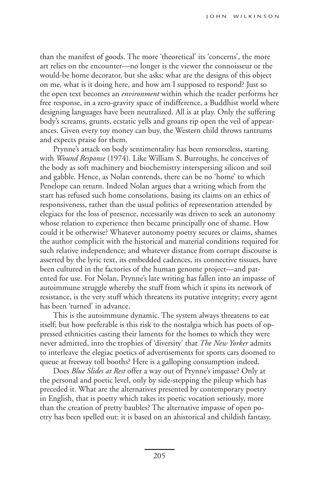than the manifest of goods. The more 'theoretical' its 'concerns', the more art relies on the encounter—no longer is the viewer the connoisseur or the would-be home decorator, but she asks: what are the designs of this object on me, what is it doing here, and how am I supposed to respond? Just so the open text becomes an *environment* within which the reader performs her free response, in a zero-gravity space of indifference, a Buddhist world where designing languages have been neutralized. All is at play. Only the suffering body's screams, grunts, ecstatic yells and groans rip open the veil of appearances. Given every toy money can buy, the Western child throws tantrums and expects praise for them.

 Prynne's attack on body sentimentality has been remorseless, starting with *Wound Response* (1974). Like William S. Burroughs, he conceives of the body as soft machinery and biochemistry interspersing silicon and soil and gabble. Hence, as Nolan contends, there can be no 'home' to which Penelope can return. Indeed Nolan argues that a writing which from the start has refused such home consolations, basing its claims on an ethics of responsiveness, rather than the usual politics of representation attended by elegiacs for the loss of presence, necessarily was driven to seek an autonomy whose relation to experience then became principally one of shame. How could it be otherwise? Whatever autonomy poetry secures or claims, shames the author complicit with the historical and material conditions required for such relative independence; and whatever distance from corrupt discourse is asserted by the lyric text, its embedded cadences, its connective tissues, have been cultured in the factories of the human genome project—and patented for use. For Nolan, Prynne's late writing has fallen into an impasse of autoimmune struggle whereby the stuff from which it spins its network of resistance, is the very stuff which threatens its putative integrity; every agent has been 'turned' in advance.

 This is the autoimmune dynamic. The system always threatens to eat itself; but how preferable is this risk to the nostalgia which has poets of oppressed ethnicities casting their laments for the homes to which they were never admitted, into the trophies of 'diversity' that *The New Yorker* admits to interleave the elegiac poetics of advertisements for sports cars doomed to queue at freeway toll booths? Here is a galloping consumption indeed.

 Does *Blue Slides at Rest* offer a way out of Prynne's impasse? Only at the personal and poetic level, only by side-stepping the pileup which has preceded it. What are the alternatives presented by contemporary poetry in English, that is poetry which takes its poetic vocation seriously, more than the creation of pretty baubles? The alternative impasse of open poetry has been spelled out: it is based on an ahistorical and childish fantasy,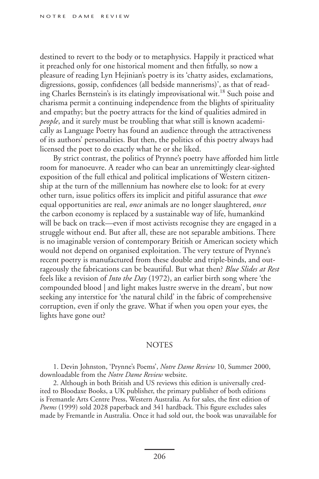destined to revert to the body or to metaphysics. Happily it practiced what it preached only for one historical moment and then fitfully, so now a pleasure of reading Lyn Hejinian's poetry is its 'chatty asides, exclamations, digressions, gossip, confidences (all bedside mannerisms)', as that of reading Charles Bernstein's is its elatingly improvisational wit.<sup>18</sup> Such poise and charisma permit a continuing independence from the blights of spirituality and empathy; but the poetry attracts for the kind of qualities admired in *people*, and it surely must be troubling that what still is known academically as Language Poetry has found an audience through the attractiveness of its authors' personalities. But then, the politics of this poetry always had licensed the poet to do exactly what he or she liked.

 By strict contrast, the politics of Prynne's poetry have afforded him little room for manoeuvre. A reader who can bear an unremittingly clear-sighted exposition of the full ethical and political implications of Western citizenship at the turn of the millennium has nowhere else to look: for at every other turn, issue politics offers its implicit and pitiful assurance that *once* equal opportunities are real, *once* animals are no longer slaughtered, *once* the carbon economy is replaced by a sustainable way of life, humankind will be back on track—even if most activists recognise they are engaged in a struggle without end. But after all, these are not separable ambitions. There is no imaginable version of contemporary British or American society which would not depend on organised exploitation. The very texture of Prynne's recent poetry is manufactured from these double and triple-binds, and outrageously the fabrications can be beautiful. But what then? *Blue Slides at Rest* feels like a revision of *Into the Day* (1972), an earlier birth song where 'the compounded blood | and light makes lustre swerve in the dream', but now seeking any interstice for 'the natural child' in the fabric of comprehensive corruption, even if only the grave. What if when you open your eyes, the lights have gone out?

#### **NOTES**

1. Devin Johnston, 'Prynne's Poems', *Notre Dame Review* 10, Summer 2000, downloadable from the *Notre Dame Review* website.

2. Although in both British and US reviews this edition is universally credited to Bloodaxe Books, a UK publisher, the primary publisher of both editions is Fremantle Arts Centre Press, Western Australia. As for sales, the first edition of *Poems* (1999) sold 2028 paperback and 341 hardback. This figure excludes sales made by Fremantle in Australia. Once it had sold out, the book was unavailable for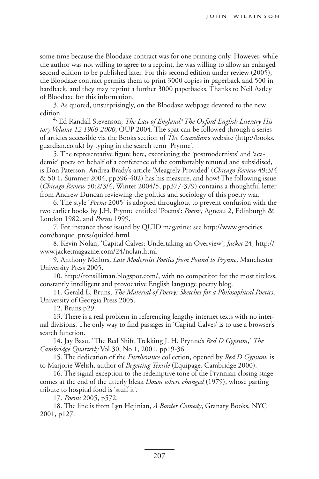some time because the Bloodaxe contract was for one printing only. However, while the author was not willing to agree to a reprint, he was willing to allow an enlarged second edition to be published later. For this second edition under review (2005), the Bloodaxe contract permits them to print 3000 copies in paperback and 500 in hardback, and they may reprint a further 3000 paperbacks. Thanks to Neil Astley of Bloodaxe for this information.

3. As quoted, unsurprisingly, on the Bloodaxe webpage devoted to the new edition.

4. Ed Randall Stevenson, *The Last of England? The Oxford English Literary History Volume 12 1960-2000*, OUP 2004. The spat can be followed through a series of articles accessible via the Books section of *The Guardian*'s website (http://books. guardian.co.uk) by typing in the search term 'Prynne'.

5. The representative figure here, excoriating the 'postmodernists' and 'academic' poets on behalf of a conference of the comfortably tenured and subsidised, is Don Paterson. Andrea Brady's article 'Meagrely Provided' (*Chicago Review* 49:3/4 & 50:1, Summer 2004, pp396-402) has his measure, and how! The following issue (*Chicago Review* 50:2/3/4, Winter 2004/5, pp377-379) contains a thoughtful letter from Andrew Duncan reviewing the politics and sociology of this poetry war.

6. The style '*Poems* 2005' is adopted throughout to prevent confusion with the two earlier books by J.H. Prynne entitled 'Poems': *Poems*, Agneau 2, Edinburgh & London 1982, and *Poems* 1999.

7. For instance those issued by QUID magazine: see http://www.geocities. com/barque\_press/quidcd.html

8. Kevin Nolan, 'Capital Calves: Undertaking an Overview', *Jacket* 24, http:// www.jacketmagazine.com/24/nolan.html

9. Anthony Mellors, *Late Modernist Poetics from Pound to Prynne*, Manchester University Press 2005.

10. http://ronsilliman.blogspot.com/, with no competitor for the most tireless, constantly intelligent and provocative English language poetry blog.

11. Gerald L. Bruns, *The Material of Poetry: Sketches for a Philosophical Poetics*, University of Georgia Press 2005.

12. Bruns p29.

13. There is a real problem in referencing lengthy internet texts with no internal divisions. The only way to find passages in 'Capital Calves' is to use a browser's search function.

14. Jay Basu, 'The Red Shift. Trekking J. H. Prynne's *Red D Gypsum*,' *The Cambridge Quarterly* Vol.30, No 1, 2001, pp19-36.

15. The dedication of the *Furtherance* collection, opened by *Red D Gypsum*, is to Marjorie Welish, author of *Begetting Textile* (Equipage, Cambridge 2000).

16. The signal exception to the redemptive tone of the Prynnian closing stage comes at the end of the utterly bleak *Down where changed* (1979), whose parting tribute to hospital food is 'stuff it'.

17. *Poems* 2005, p572.

18. The line is from Lyn Hejinian, *A Border Comedy*, Granary Books, NYC 2001, p127.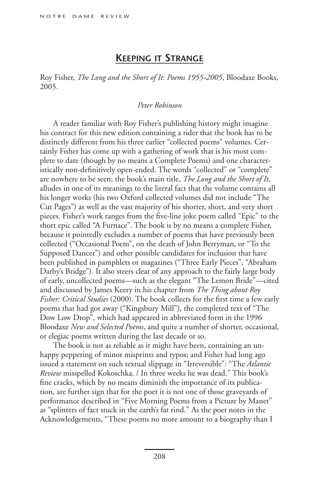# **KEEPING IT STRANGE**

Roy Fisher, *The Long and the Short of It: Poems 1955-2005*, Bloodaxe Books, 2005.

#### *Peter Robinson*

 A reader familiar with Roy Fisher's publishing history might imagine his contract for this new edition containing a rider that the book has to be distinctly different from his three earlier "collected poems" volumes. Certainly Fisher has come up with a gathering of work that is his most complete to date (though by no means a Complete Poems) and one characteristically non-definitively open-ended. The words "collected" or "complete" are nowhere to be seen; the book's main title, *The Long and the Short of It*, alludes in one of its meanings to the literal fact that the volume contains all his longer works (his two Oxford collected volumes did not include "The Cut Pages") as well as the vast majority of his shorter, short, and very short pieces. Fisher's work ranges from the five-line joke poem called "Epic" to the short epic called "A Furnace". The book is by no means a complete Fisher, because it pointedly excludes a number of poems that have previously been collected ("Occasional Poem", on the death of John Berryman, or "To the Supposed Dancer") and other possible candidates for inclusion that have been published in pamphlets or magazines ("Three Early Pieces", "Abraham Darby's Bridge"). It also steers clear of any approach to the fairly large body of early, uncollected poems—such as the elegant "The Lemon Bride"—cited and discussed by James Keery in his chapter from *The Thing about Roy Fisher: Critical Studies* (2000). The book collects for the first time a few early poems that had got away ("Kingsbury Mill"), the completed text of "The Dow Low Drop", which had appeared in abbreviated form in the 1996 Bloodaxe *New and Selected Poems*, and quite a number of shorter, occasional, or elegiac poems written during the last decade or so.

 The book is not as reliable as it might have been, containing an unhappy peppering of minor misprints and typos; and Fisher had long ago issued a statement on such textual slippage in "Irreversible": "The *Atlantic Review* misspelled Kokoschka. / In three weeks he was dead." This book's fine cracks, which by no means diminish the importance of its publication, are further sign that for the poet it is not one of those graveyards of performance described in "Five Morning Poems from a Picture by Manet" as "splinters of fact stuck in the earth's fat rind." As the poet notes in the Acknowledgements, "These poems no more amount to a biography than I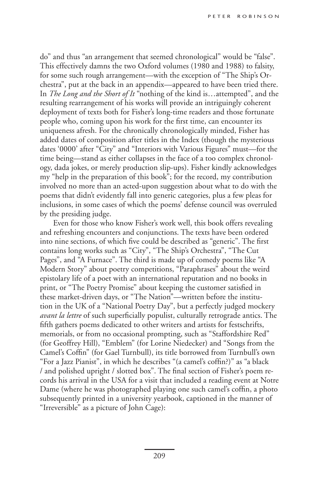do" and thus "an arrangement that seemed chronological" would be "false". This effectively damns the two Oxford volumes (1980 and 1988) to falsity, for some such rough arrangement—with the exception of "The Ship's Orchestra", put at the back in an appendix—appeared to have been tried there. In *The Long and the Short of It* "nothing of the kind is…attempted", and the resulting rearrangement of his works will provide an intriguingly coherent deployment of texts both for Fisher's long-time readers and those fortunate people who, coming upon his work for the first time, can encounter its uniqueness afresh. For the chronically chronologically minded, Fisher has added dates of composition after titles in the Index (though the mysterious dates '0000' after "City" and "Interiors with Various Figures" must—for the time being—stand as either collapses in the face of a too complex chronology, dada jokes, or merely production slip-ups). Fisher kindly acknowledges my "help in the preparation of this book"; for the record, my contribution involved no more than an acted-upon suggestion about what to do with the poems that didn't evidently fall into generic categories, plus a few pleas for inclusions, in some cases of which the poems' defense council was overruled by the presiding judge.

 Even for those who know Fisher's work well, this book offers revealing and refreshing encounters and conjunctions. The texts have been ordered into nine sections, of which five could be described as "generic". The first contains long works such as "City", "The Ship's Orchestra", "The Cut Pages", and "A Furnace". The third is made up of comedy poems like "A Modern Story" about poetry competitions, "Paraphrases" about the weird epistolary life of a poet with an international reputation and no books in print, or "The Poetry Promise" about keeping the customer satisfied in these market-driven days, or "The Nation"—written before the institution in the UK of a "National Poetry Day", but a perfectly judged mockery *avant la lettre* of such superficially populist, culturally retrograde antics. The fifth gathers poems dedicated to other writers and artists for festschrifts, memorials, or from no occasional prompting, such as "Staffordshire Red" (for Geoffrey Hill), "Emblem" (for Lorine Niedecker) and "Songs from the Camel's Coffin" (for Gael Turnbull), its title borrowed from Turnbull's own "For a Jazz Pianist", in which he describes "(a camel's coffin?)" as "a black / and polished upright / slotted box". The final section of Fisher's poem records his arrival in the USA for a visit that included a reading event at Notre Dame (where he was photographed playing one such camel's coffin, a photo subsequently printed in a university yearbook, captioned in the manner of "Irreversible" as a picture of John Cage):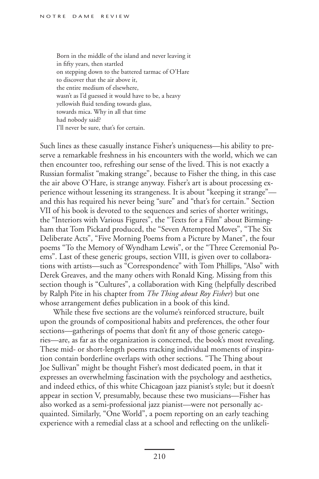Born in the middle of the island and never leaving it in fifty years, then startled on stepping down to the battered tarmac of O'Hare to discover that the air above it, the entire medium of elsewhere, wasn't as I'd guessed it would have to be, a heavy yellowish fluid tending towards glass, towards mica. Why in all that time had nobody said? I'll never be sure, that's for certain.

Such lines as these casually instance Fisher's uniqueness—his ability to preserve a remarkable freshness in his encounters with the world, which we can then encounter too, refreshing our sense of the lived. This is not exactly a Russian formalist "making strange", because to Fisher the thing, in this case the air above O'Hare, is strange anyway. Fisher's art is about processing experience without lessening its strangeness. It is about "keeping it strange" and this has required his never being "sure" and "that's for certain." Section VII of his book is devoted to the sequences and series of shorter writings, the "Interiors with Various Figures", the "Texts for a Film" about Birmingham that Tom Pickard produced, the "Seven Attempted Moves", "The Six Deliberate Acts", "Five Morning Poems from a Picture by Manet", the four poems "To the Memory of Wyndham Lewis", or the "Three Ceremonial Poems". Last of these generic groups, section VIII, is given over to collaborations with artists—such as "Correspondence" with Tom Phillips, "Also" with Derek Greaves, and the many others with Ronald King. Missing from this section though is "Cultures", a collaboration with King (helpfully described by Ralph Pite in his chapter from *The Thing about Roy Fisher*) but one whose arrangement defies publication in a book of this kind.

 While these five sections are the volume's reinforced structure, built upon the grounds of compositional habits and preferences, the other four sections—gatherings of poems that don't fit any of those generic categories—are, as far as the organization is concerned, the book's most revealing. These mid- or short-length poems tracking individual moments of inspiration contain borderline overlaps with other sections. "The Thing about Joe Sullivan" might be thought Fisher's most dedicated poem, in that it expresses an overwhelming fascination with the psychology and aesthetics, and indeed ethics, of this white Chicagoan jazz pianist's style; but it doesn't appear in section V, presumably, because these two musicians—Fisher has also worked as a semi-professional jazz pianist—were not personally acquainted. Similarly, "One World", a poem reporting on an early teaching experience with a remedial class at a school and reflecting on the unlikeli-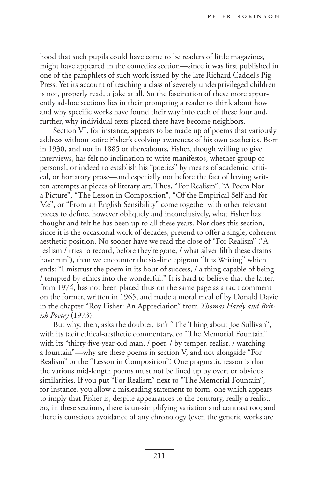hood that such pupils could have come to be readers of little magazines, might have appeared in the comedies section—since it was first published in one of the pamphlets of such work issued by the late Richard Caddel's Pig Press. Yet its account of teaching a class of severely underprivileged children is not, properly read, a joke at all. So the fascination of these more apparently ad-hoc sections lies in their prompting a reader to think about how and why specific works have found their way into each of these four and, further, why individual texts placed there have become neighbors.

 Section VI, for instance, appears to be made up of poems that variously address without satire Fisher's evolving awareness of his own aesthetics. Born in 1930, and not in 1885 or thereabouts, Fisher, though willing to give interviews, has felt no inclination to write manifestos, whether group or personal, or indeed to establish his "poetics" by means of academic, critical, or hortatory prose—and especially not before the fact of having written attempts at pieces of literary art. Thus, "For Realism", "A Poem Not a Picture", "The Lesson in Composition", "Of the Empirical Self and for Me", or "From an English Sensibility" come together with other relevant pieces to define, however obliquely and inconclusively, what Fisher has thought and felt he has been up to all these years. Nor does this section, since it is the occasional work of decades, pretend to offer a single, coherent aesthetic position. No sooner have we read the close of "For Realism" ("A realism / tries to record, before they're gone, / what silver filth these drains have run"), than we encounter the six-line epigram "It is Writing" which ends: "I mistrust the poem in its hour of success, / a thing capable of being / tempted by ethics into the wonderful." It is hard to believe that the latter, from 1974, has not been placed thus on the same page as a tacit comment on the former, written in 1965, and made a moral meal of by Donald Davie in the chapter "Roy Fisher: An Appreciation" from *Thomas Hardy and British Poetry* (1973).

 But why, then, asks the doubter, isn't "The Thing about Joe Sullivan", with its tacit ethical-aesthetic commentary, or "The Memorial Fountain" with its "thirty-five-year-old man, / poet, / by temper, realist, / watching a fountain"—why are these poems in section V, and not alongside "For Realism" or the "Lesson in Composition"? One pragmatic reason is that the various mid-length poems must not be lined up by overt or obvious similarities. If you put "For Realism" next to "The Memorial Fountain", for instance, you allow a misleading statement to form, one which appears to imply that Fisher is, despite appearances to the contrary, really a realist. So, in these sections, there is un-simplifying variation and contrast too; and there is conscious avoidance of any chronology (even the generic works are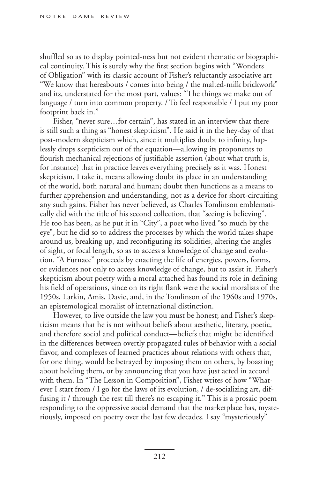shuffled so as to display pointed-ness but not evident thematic or biographical continuity. This is surely why the first section begins with "Wonders of Obligation" with its classic account of Fisher's reluctantly associative art "We know that hereabouts / comes into being / the malted-milk brickwork" and its, understated for the most part, values: "The things we make out of language / turn into common property. / To feel responsible / I put my poor footprint back in."

 Fisher, "never sure…for certain", has stated in an interview that there is still such a thing as "honest skepticism". He said it in the hey-day of that post-modern skepticism which, since it multiplies doubt to infinity, haplessly drops skepticism out of the equation—allowing its proponents to flourish mechanical rejections of justifiable assertion (about what truth is, for instance) that in practice leaves everything precisely as it was. Honest skepticism, I take it, means allowing doubt its place in an understanding of the world, both natural and human; doubt then functions as a means to further apprehension and understanding, not as a device for short-circuiting any such gains. Fisher has never believed, as Charles Tomlinson emblematically did with the title of his second collection, that "seeing is believing". He too has been, as he put it in "City", a poet who lived "so much by the eye", but he did so to address the processes by which the world takes shape around us, breaking up, and reconfiguring its solidities, altering the angles of sight, or focal length, so as to access a knowledge of change and evolution. "A Furnace" proceeds by enacting the life of energies, powers, forms, or evidences not only to access knowledge of change, but to assist it. Fisher's skepticism about poetry with a moral attached has found its role in defining his field of operations, since on its right flank were the social moralists of the 1950s, Larkin, Amis, Davie, and, in the Tomlinson of the 1960s and 1970s, an epistemological moralist of international distinction.

 However, to live outside the law you must be honest; and Fisher's skepticism means that he is not without beliefs about aesthetic, literary, poetic, and therefore social and political conduct—beliefs that might be identified in the differences between overtly propagated rules of behavior with a social flavor, and complexes of learned practices about relations with others that, for one thing, would be betrayed by imposing them on others, by boasting about holding them, or by announcing that you have just acted in accord with them. In "The Lesson in Composition", Fisher writes of how "Whatever I start from / I go for the laws of its evolution, / de-socializing art, diffusing it / through the rest till there's no escaping it." This is a prosaic poem responding to the oppressive social demand that the marketplace has, mysteriously, imposed on poetry over the last few decades. I say "mysteriously"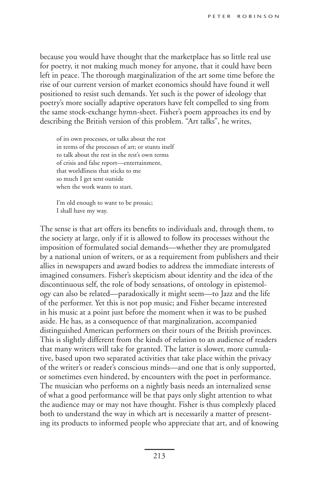because you would have thought that the marketplace has so little real use for poetry, it not making much money for anyone, that it could have been left in peace. The thorough marginalization of the art some time before the rise of our current version of market economics should have found it well positioned to resist such demands. Yet such is the power of ideology that poetry's more socially adaptive operators have felt compelled to sing from the same stock-exchange hymn-sheet. Fisher's poem approaches its end by describing the British version of this problem. "Art talks", he writes,

of its own processes, or talks about the rest in terms of the processes of art; or stunts itself to talk about the rest in the rest's own terms of crisis and false report—entertainment, that worldliness that sticks to me so much I get sent outside when the work wants to start.

I'm old enough to want to be prosaic; I shall have my way.

The sense is that art offers its benefits to individuals and, through them, to the society at large, only if it is allowed to follow its processes without the imposition of formulated social demands—whether they are promulgated by a national union of writers, or as a requirement from publishers and their allies in newspapers and award bodies to address the immediate interests of imagined consumers. Fisher's skepticism about identity and the idea of the discontinuous self, the role of body sensations, of ontology in epistemology can also be related—paradoxically it might seem—to Jazz and the life of the performer. Yet this is not pop music; and Fisher became interested in his music at a point just before the moment when it was to be pushed aside. He has, as a consequence of that marginalization, accompanied distinguished American performers on their tours of the British provinces. This is slightly different from the kinds of relation to an audience of readers that many writers will take for granted. The latter is slower, more cumulative, based upon two separated activities that take place within the privacy of the writer's or reader's conscious minds—and one that is only supported, or sometimes even hindered, by encounters with the poet in performance. The musician who performs on a nightly basis needs an internalized sense of what a good performance will be that pays only slight attention to what the audience may or may not have thought. Fisher is thus complexly placed both to understand the way in which art is necessarily a matter of presenting its products to informed people who appreciate that art, and of knowing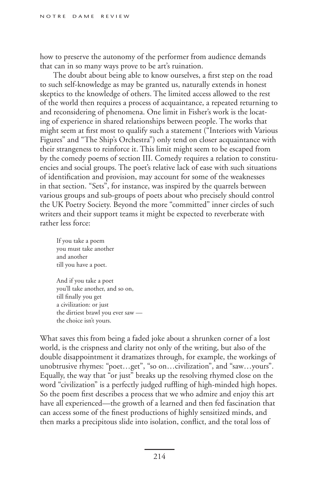how to preserve the autonomy of the performer from audience demands that can in so many ways prove to be art's ruination.

 The doubt about being able to know ourselves, a first step on the road to such self-knowledge as may be granted us, naturally extends in honest skeptics to the knowledge of others. The limited access allowed to the rest of the world then requires a process of acquaintance, a repeated returning to and reconsidering of phenomena. One limit in Fisher's work is the locating of experience in shared relationships between people. The works that might seem at first most to qualify such a statement ("Interiors with Various Figures" and "The Ship's Orchestra") only tend on closer acquaintance with their strangeness to reinforce it. This limit might seem to be escaped from by the comedy poems of section III. Comedy requires a relation to constituencies and social groups. The poet's relative lack of ease with such situations of identification and provision, may account for some of the weaknesses in that section. "Sets", for instance, was inspired by the quarrels between various groups and sub-groups of poets about who precisely should control the UK Poetry Society. Beyond the more "committed" inner circles of such writers and their support teams it might be expected to reverberate with rather less force:

If you take a poem you must take another and another till you have a poet.

And if you take a poet you'll take another, and so on, till finally you get a civilization: or just the dirtiest brawl you ever saw the choice isn't yours.

What saves this from being a faded joke about a shrunken corner of a lost world, is the crispness and clarity not only of the writing, but also of the double disappointment it dramatizes through, for example, the workings of unobtrusive rhymes: "poet…get", "so on…civilization", and "saw…yours". Equally, the way that "or just" breaks up the resolving rhymed close on the word "civilization" is a perfectly judged ruffling of high-minded high hopes. So the poem first describes a process that we who admire and enjoy this art have all experienced—the growth of a learned and then fed fascination that can access some of the finest productions of highly sensitized minds, and then marks a precipitous slide into isolation, conflict, and the total loss of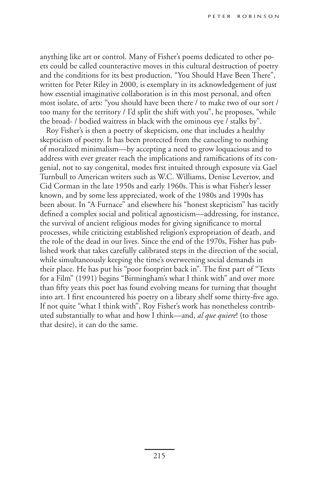anything like art or control. Many of Fisher's poems dedicated to other poets could be called counteractive moves in this cultural destruction of poetry and the conditions for its best production. "You Should Have Been There", written for Peter Riley in 2000, is exemplary in its acknowledgement of just how essential imaginative collaboration is in this most personal, and often most isolate, of arts: "you should have been there / to make two of our sort / too many for the territory / I'd split the shift with you", he proposes, "while the broad- / bodied waitress in black with the ominous eye / stalks by".

 Roy Fisher's is then a poetry of skepticism, one that includes a healthy skepticism of poetry. It has been protected from the canceling to nothing of moralized minimalism—by accepting a need to grow loquacious and to address with ever greater reach the implications and ramifications of its congenial, not to say congenital, modes first intuited through exposure via Gael Turnbull to American writers such as W.C. Williams, Denise Levertov, and Cid Corman in the late 1950s and early 1960s. This is what Fisher's lesser known, and by some less appreciated, work of the 1980s and 1990s has been about. In "A Furnace" and elsewhere his "honest skepticism" has tacitly defined a complex social and political agnosticism—addressing, for instance, the survival of ancient religious modes for giving significance to mortal processes, while criticizing established religion's expropriation of death, and the role of the dead in our lives. Since the end of the 1970s, Fisher has published work that takes carefully calibrated steps in the direction of the social, while simultaneously keeping the time's overweening social demands in their place. He has put his "poor footprint back in". The first part of "Texts for a Film" (1991) begins "Birmingham's what I think with" and over more than fifty years this poet has found evolving means for turning that thought into art. I first encountered his poetry on a library shelf some thirty-five ago. If not quite "what I think with", Roy Fisher's work has nonetheless contributed substantially to what and how I think—and, *al que quiere*! (to those that desire), it can do the same.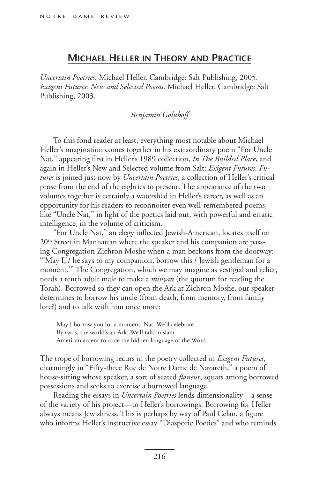### **MICHAEL HELLER IN THEORY AND PRACTICE**

*Uncertain Poetries*. Michael Heller. Cambridge: Salt Publishing, 2005. *Exigent Futures: New and Selected Poems*. Michael Heller. Cambridge: Salt Publishing, 2003.

*Benjamin Goluboff*

 To this fond reader at least, everything most notable about Michael Heller's imagination comes together in his extraordinary poem "For Uncle Nat," appearing first in Heller's 1989 collection, *In The Builded Place*, and again in Heller's New and Selected volume from Salt: *Exigent Futures*. *Futures* is joined just now by *Uncertain Poetries*, a collection of Heller's critical prose from the end of the eighties to present. The appearance of the two volumes together is certainly a watershed in Heller's career, as well as an opportunity for his readers to reconnoiter even well-remembered poems, like "Uncle Nat," in light of the poetics laid out, with powerful and erratic intelligence, in the volume of criticism.

 "For Uncle Nat," an elegy inflected Jewish-American, locates itself on  $20<sup>th</sup>$  Street in Manhattan where the speaker and his companion are passing Congregation Zichron Moshe when a man beckons from the doorway: "May I,'/ he says to my companion, borrow this / Jewish gentleman for a moment.'" The Congregation, which we may imagine as vestigial and relict, needs a tenth adult male to make a *minyan* (the quorum for reading the Torah). Borrowed so they can open the Ark at Zichron Moshe, our speaker determines to borrow his uncle (from death, from memory, from family lore?) and to talk with him once more:

May I borrow you for a moment, Nat. We'll celebrate By twos, the world's an Ark. We'll talk in slant American accent to code the hidden language of the Word.

The trope of borrowing recurs in the poetry collected in *Exigent Futures*, charmingly in "Fifty-three Rue de Notre Dame de Nazareth," a poem of house-sitting whose speaker, a sort of seated *flaneur*, squats among borrowed possessions and seeks to exercise a borrowed language.

 Reading the essays in *Uncertain Poetries* lends dimensionality—a sense of the variety of his project—to Heller's borrowings. Borrowing for Heller always means Jewishness. This is perhaps by way of Paul Celan, a figure who informs Heller's instructive essay "Diasporic Poetics" and who reminds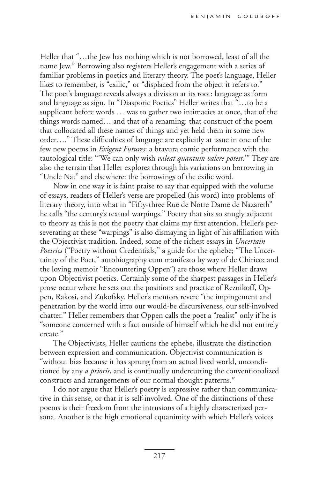Heller that "…the Jew has nothing which is not borrowed, least of all the name Jew." Borrowing also registers Heller's engagement with a series of familiar problems in poetics and literary theory. The poet's language, Heller likes to remember, is "exilic," or "displaced from the object it refers to." The poet's language reveals always a division at its root: language as form and language as sign. In "Diasporic Poetics" Heller writes that "…to be a supplicant before words … was to gather two intimacies at once, that of the things words named… and that of a renaming: that construct of the poem that collocated all these names of things and yet held them in some new order…." These difficulties of language are explicitly at issue in one of the few new poems in *Exigent Futures*: a bravura comic performance with the tautological title: "'We can only wish *valeat quantum valere potest*.'" They are also the terrain that Heller explores through his variations on borrowing in "Uncle Nat" and elsewhere: the borrowings of the exilic word.

 Now in one way it is faint praise to say that equipped with the volume of essays, readers of Heller's verse are propelled (his word) into problems of literary theory, into what in "Fifty-three Rue de Notre Dame de Nazareth" he calls "the century's textual warpings." Poetry that sits so snugly adjacent to theory as this is not the poetry that claims my first attention. Heller's perseverating at these "warpings" is also dismaying in light of his affiliation with the Objectivist tradition. Indeed, some of the richest essays in *Uncertain Poetries* ("Poetry without Credentials," a guide for the ephebe; "The Uncertainty of the Poet," autobiography cum manifesto by way of de Chirico; and the loving memoir "Encountering Oppen") are those where Heller draws upon Objectivist poetics. Certainly some of the sharpest passages in Heller's prose occur where he sets out the positions and practice of Reznikoff, Oppen, Rakosi, and Zukofsky. Heller's mentors revere "the impingement and penetration by the world into our would-be discursiveness, our self-involved chatter." Heller remembers that Oppen calls the poet a "realist" only if he is "someone concerned with a fact outside of himself which he did not entirely create."

 The Objectivists, Heller cautions the ephebe, illustrate the distinction between expression and communication. Objectivist communication is "without bias because it has sprung from an actual lived world, unconditioned by any *a prioris*, and is continually undercutting the conventionalized constructs and arrangements of our normal thought patterns."

 I do not argue that Heller's poetry is expressive rather than communicative in this sense, or that it is self-involved. One of the distinctions of these poems is their freedom from the intrusions of a highly characterized persona. Another is the high emotional equanimity with which Heller's voices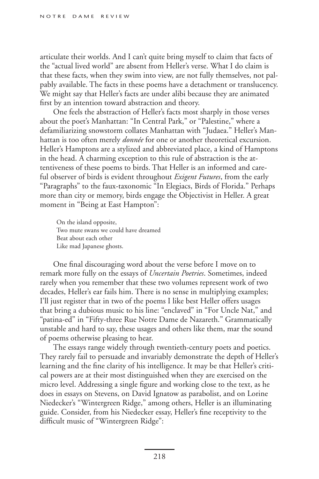articulate their worlds. And I can't quite bring myself to claim that facts of the "actual lived world" are absent from Heller's verse. What I do claim is that these facts, when they swim into view, are not fully themselves, not palpably available. The facts in these poems have a detachment or translucency. We might say that Heller's facts are under alibi because they are animated first by an intention toward abstraction and theory.

 One feels the abstraction of Heller's facts most sharply in those verses about the poet's Manhattan: "In Central Park," or "Palestine," where a defamiliarizing snowstorm collates Manhattan with "Judaea." Heller's Manhattan is too often merely *donnée* for one or another theoretical excursion. Heller's Hamptons are a stylized and abbreviated place, a kind of Hamptons in the head. A charming exception to this rule of abstraction is the attentiveness of these poems to birds. That Heller is an informed and careful observer of birds is evident throughout *Exigent Futures*, from the early "Paragraphs" to the faux-taxonomic "In Elegiacs, Birds of Florida." Perhaps more than city or memory, birds engage the Objectivist in Heller. A great moment in "Being at East Hampton":

On the island opposite, Two mute swans we could have dreamed Beat about each other Like mad Japanese ghosts.

 One final discouraging word about the verse before I move on to remark more fully on the essays of *Uncertain Poetries*. Sometimes, indeed rarely when you remember that these two volumes represent work of two decades, Heller's ear fails him. There is no sense in multiplying examples; I'll just register that in two of the poems I like best Heller offers usages that bring a dubious music to his line: "enclaved" in "For Uncle Nat," and "patina-ed" in "Fifty-three Rue Notre Dame de Nazareth." Grammatically unstable and hard to say, these usages and others like them, mar the sound of poems otherwise pleasing to hear.

 The essays range widely through twentieth-century poets and poetics. They rarely fail to persuade and invariably demonstrate the depth of Heller's learning and the fine clarity of his intelligence. It may be that Heller's critical powers are at their most distinguished when they are exercised on the micro level. Addressing a single figure and working close to the text, as he does in essays on Stevens, on David Ignatow as parabolist, and on Lorine Niedecker's "Wintergreen Ridge," among others, Heller is an illuminating guide. Consider, from his Niedecker essay, Heller's fine receptivity to the difficult music of "Wintergreen Ridge":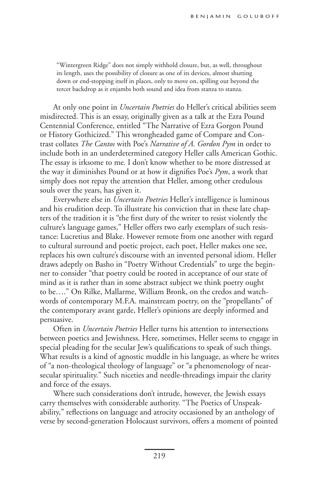"Wintergreen Ridge" does not simply withhold closure, but, as well, throughout its length, uses the possibility of closure as one of its devices, almost shutting down or end-stopping itself in places, only to move on, spilling out beyond the tercet backdrop as it enjambs both sound and idea from stanza to stanza.

 At only one point in *Uncertain Poetries* do Heller's critical abilities seem misdirected. This is an essay, originally given as a talk at the Ezra Pound Centennial Conference, entitled "The Narrative of Ezra Gorgon Pound or History Gothicized." This wrongheaded game of Compare and Contrast collates *The Cantos* with Poe's *Narrative of A. Gordon Pym* in order to include both in an underdetermined category Heller calls American Gothic. The essay is irksome to me. I don't know whether to be more distressed at the way it diminishes Pound or at how it dignifies Poe's *Pym*, a work that simply does not repay the attention that Heller, among other credulous souls over the years, has given it.

 Everywhere else in *Uncertain Poetries* Heller's intelligence is luminous and his erudition deep. To illustrate his conviction that in these late chapters of the tradition it is "the first duty of the writer to resist violently the culture's language games," Heller offers two early exemplars of such resistance: Lucretius and Blake. However remote from one another with regard to cultural surround and poetic project, each poet, Heller makes one see, replaces his own culture's discourse with an invented personal idiom. Heller draws adeptly on Basho in "Poetry Without Credentials" to urge the beginner to consider "that poetry could be rooted in acceptance of our state of mind as it is rather than in some abstract subject we think poetry ought to be…." On Rilke, Mallarme, William Bronk, on the credos and watchwords of contemporary M.F.A. mainstream poetry, on the "propellants" of the contemporary avant garde, Heller's opinions are deeply informed and persuasive.

 Often in *Uncertain Poetries* Heller turns his attention to intersections between poetics and Jewishness. Here, sometimes, Heller seems to engage in special pleading for the secular Jew's qualifications to speak of such things. What results is a kind of agnostic muddle in his language, as where he writes of "a non-theological theology of language" or "a phenomenology of nearsecular spirituality." Such niceties and needle-threadings impair the clarity and force of the essays.

 Where such considerations don't intrude, however, the Jewish essays carry themselves with considerable authority. "The Poetics of Unspeakability," reflections on language and atrocity occasioned by an anthology of verse by second-generation Holocaust survivors, offers a moment of pointed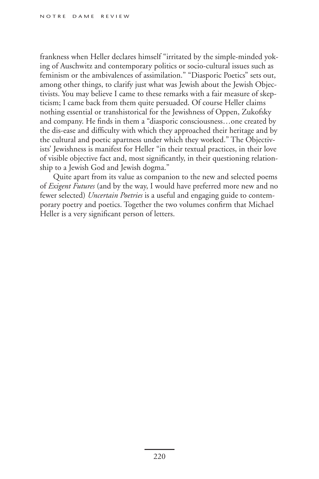frankness when Heller declares himself "irritated by the simple-minded yoking of Auschwitz and contemporary politics or socio-cultural issues such as feminism or the ambivalences of assimilation." "Diasporic Poetics" sets out, among other things, to clarify just what was Jewish about the Jewish Objectivists. You may believe I came to these remarks with a fair measure of skepticism; I came back from them quite persuaded. Of course Heller claims nothing essential or transhistorical for the Jewishness of Oppen, Zukofsky and company. He finds in them a "diasporic consciousness…one created by the dis-ease and difficulty with which they approached their heritage and by the cultural and poetic apartness under which they worked." The Objectivists' Jewishness is manifest for Heller "in their textual practices, in their love of visible objective fact and, most significantly, in their questioning relationship to a Jewish God and Jewish dogma."

 Quite apart from its value as companion to the new and selected poems of *Exigent Futures* (and by the way, I would have preferred more new and no fewer selected) *Uncertain Poetries* is a useful and engaging guide to contemporary poetry and poetics. Together the two volumes confirm that Michael Heller is a very significant person of letters.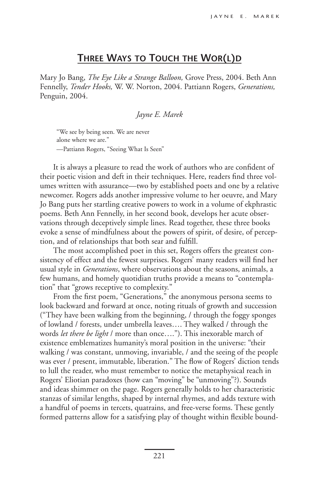### **THREE WAYS TO TOUCH THE WOR(L)D**

Mary Jo Bang, *The Eye Like a Strange Balloon,* Grove Press, 2004. Beth Ann Fennelly, *Tender Hooks,* W. W. Norton, 2004. Pattiann Rogers, *Generations,* Penguin, 2004.

*Jayne E. Marek*

"We see by being seen. We are never alone where we are." —Pattiann Rogers, "Seeing What Is Seen"

 It is always a pleasure to read the work of authors who are confident of their poetic vision and deft in their techniques. Here, readers find three volumes written with assurance—two by established poets and one by a relative newcomer. Rogers adds another impressive volume to her oeuvre, and Mary Jo Bang puts her startling creative powers to work in a volume of ekphrastic poems. Beth Ann Fennelly, in her second book, develops her acute observations through deceptively simple lines. Read together, these three books evoke a sense of mindfulness about the powers of spirit, of desire, of perception, and of relationships that both sear and fulfill.

 The most accomplished poet in this set, Rogers offers the greatest consistency of effect and the fewest surprises. Rogers' many readers will find her usual style in *Generations*, where observations about the seasons, animals, a few humans, and homely quotidian truths provide a means to "contemplation" that "grows receptive to complexity."

 From the first poem, "Generations," the anonymous persona seems to look backward and forward at once, noting rituals of growth and succession ("They have been walking from the beginning, / through the foggy sponges of lowland / forests, under umbrella leaves…. They walked / through the words *let there be light* / more than once…."). This inexorable march of existence emblematizes humanity's moral position in the universe: "their walking / was constant, unmoving, invariable, / and the seeing of the people was ever / present, immutable, liberation." The flow of Rogers' diction tends to lull the reader, who must remember to notice the metaphysical reach in Rogers' Eliotian paradoxes (how can "moving" be "unmoving"?). Sounds and ideas shimmer on the page. Rogers generally holds to her characteristic stanzas of similar lengths, shaped by internal rhymes, and adds texture with a handful of poems in tercets, quatrains, and free-verse forms. These gently formed patterns allow for a satisfying play of thought within flexible bound-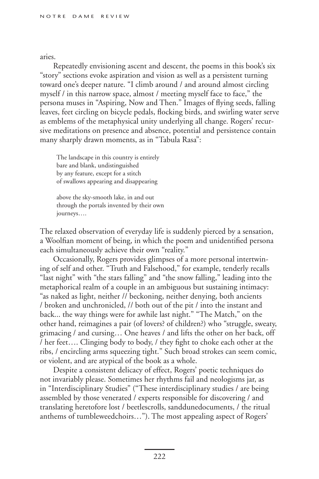#### aries.

 Repeatedly envisioning ascent and descent, the poems in this book's six "story" sections evoke aspiration and vision as well as a persistent turning toward one's deeper nature. "I climb around / and around almost circling myself / in this narrow space, almost / meeting myself face to face," the persona muses in "Aspiring, Now and Then." Images of flying seeds, falling leaves, feet circling on bicycle pedals, flocking birds, and swirling water serve as emblems of the metaphysical unity underlying all change. Rogers' recursive meditations on presence and absence, potential and persistence contain many sharply drawn moments, as in "Tabula Rasa":

The landscape in this country is entirely bare and blank, undistinguished by any feature, except for a stitch of swallows appearing and disappearing

above the sky-smooth lake, in and out through the portals invented by their own journeys….

The relaxed observation of everyday life is suddenly pierced by a sensation, a Woolfian moment of being, in which the poem and unidentified persona each simultaneously achieve their own "reality."

 Occasionally, Rogers provides glimpses of a more personal intertwining of self and other. "Truth and Falsehood," for example, tenderly recalls "last night" with "the stars falling" and "the snow falling," leading into the metaphorical realm of a couple in an ambiguous but sustaining intimacy: "as naked as light, neither // beckoning, neither denying, both ancients / broken and unchronicled, // both out of the pit / into the instant and back... the way things were for awhile last night." "The Match," on the other hand, reimagines a pair (of lovers? of children?) who "struggle, sweaty, grimacing / and cursing… One heaves / and lifts the other on her back, off / her feet…. Clinging body to body, / they fight to choke each other at the ribs, / encircling arms squeezing tight." Such broad strokes can seem comic, or violent, and are atypical of the book as a whole.

 Despite a consistent delicacy of effect, Rogers' poetic techniques do not invariably please. Sometimes her rhythms fail and neologisms jar, as in "Interdisciplinary Studies" ("These interdisciplinary studies / are being assembled by those venerated / experts responsible for discovering / and translating heretofore lost / beetlescrolls, sanddunedocuments, / the ritual anthems of tumbleweedchoirs…"). The most appealing aspect of Rogers'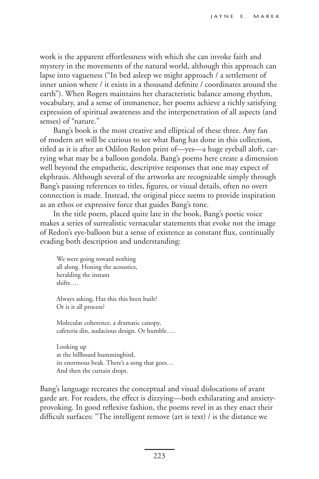work is the apparent effortlessness with which she can invoke faith and mystery in the movements of the natural world, although this approach can lapse into vagueness ("In bed asleep we might approach / a settlement of inner union where / it exists in a thousand definite / coordinates around the earth"). When Rogers maintains her characteristic balance among rhythm, vocabulary, and a sense of immanence, her poems achieve a richly satisfying expression of spiritual awareness and the interpenetration of all aspects (and senses) of "nature."

 Bang's book is the most creative and elliptical of these three. Any fan of modern art will be curious to see what Bang has done in this collection, titled as it is after an Odilon Redon print of—yes—a huge eyeball aloft, carrying what may be a balloon gondola. Bang's poems here create a dimension well beyond the empathetic, descriptive responses that one may expect of ekphrasis. Although several of the artworks are recognizable simply through Bang's passing references to titles, figures, or visual details, often no overt connection is made. Instead, the original piece seems to provide inspiration as an ethos or expressive force that guides Bang's tone.

 In the title poem, placed quite late in the book, Bang's poetic voice makes a series of surrealistic vernacular statements that evoke not the image of Redon's eye-balloon but a sense of existence as constant flux, continually evading both description and understanding:

We were going toward nothing all along. Honing the acoustics, heralding the instant shifts….

Always asking, Has this this been built? Or is it all process?

Molecular coherence, a dramatic canopy, cafeteria din, audacious design. Or humble….

Looking up at the billboard hummingbird, its enormous beak. There's a song that goes… And then the curtain drops.

Bang's language recreates the conceptual and visual dislocations of avant garde art. For readers, the effect is dizzying—both exhilarating and anxietyprovoking. In good reflexive fashion, the poems revel in as they enact their difficult surfaces: "The intelligent remove (art is text) / is the distance we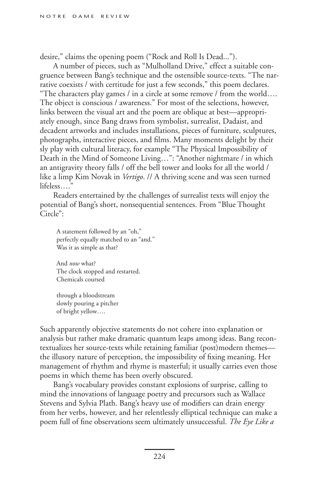desire," claims the opening poem ("Rock and Roll Is Dead...").

 A number of pieces, such as "Mulholland Drive," effect a suitable congruence between Bang's technique and the ostensible source-texts. "The narrative coexists / with certitude for just a few seconds," this poem declares. "The characters play games / in a circle at some remove / from the world…. The object is conscious / awareness." For most of the selections, however, links between the visual art and the poem are oblique at best—appropriately enough, since Bang draws from symbolist, surrealist, Dadaist, and decadent artworks and includes installations, pieces of furniture, sculptures, photographs, interactive pieces, and films. Many moments delight by their sly play with cultural literacy, for example "The Physical Impossibility of Death in the Mind of Someone Living…": "Another nightmare / in which an antigravity theory falls / off the bell tower and looks for all the world / like a limp Kim Novak in *Vertigo*. // A thriving scene and was seen turned lifeless…."

 Readers entertained by the challenges of surrealist texts will enjoy the potential of Bang's short, nonsequential sentences. From "Blue Thought Circle":

A statement followed by an "oh," perfectly equally matched to an "and." Was it as simple as that?

And *now* what? The clock stopped and restarted. Chemicals coursed

through a bloodstream slowly pouring a pitcher of bright yellow….

Such apparently objective statements do not cohere into explanation or analysis but rather make dramatic quantum leaps among ideas. Bang recontextualizes her source-texts while retaining familiar (post)modern themes the illusory nature of perception, the impossibility of fixing meaning. Her management of rhythm and rhyme is masterful; it usually carries even those poems in which theme has been overly obscured.

 Bang's vocabulary provides constant explosions of surprise, calling to mind the innovations of language poetry and precursors such as Wallace Stevens and Sylvia Plath. Bang's heavy use of modifiers can drain energy from her verbs, however, and her relentlessly elliptical technique can make a poem full of fine observations seem ultimately unsuccessful. *The Eye Like a*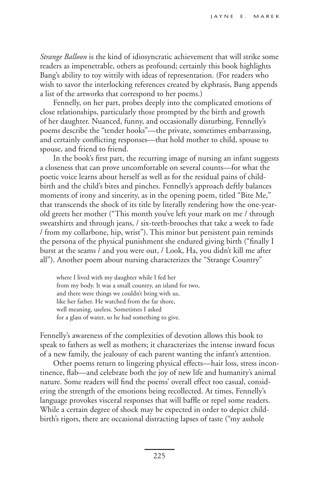*Strange Balloon* is the kind of idiosyncratic achievement that will strike some readers as impenetrable, others as profound; certainly this book highlights Bang's ability to toy wittily with ideas of representation. (For readers who wish to savor the interlocking references created by ekphrasis, Bang appends a list of the artworks that correspond to her poems.)

 Fennelly, on her part, probes deeply into the complicated emotions of close relationships, particularly those prompted by the birth and growth of her daughter. Nuanced, funny, and occasionally disturbing, Fennelly's poems describe the "tender hooks"—the private, sometimes embarrassing, and certainly conflicting responses—that hold mother to child, spouse to spouse, and friend to friend.

 In the book's first part, the recurring image of nursing an infant suggests a closeness that can prove uncomfortable on several counts—for what the poetic voice learns about herself as well as for the residual pains of childbirth and the child's bites and pinches. Fennelly's approach deftly balances moments of irony and sincerity, as in the opening poem, titled "Bite Me," that transcends the shock of its title by literally rendering how the one-yearold greets her mother ("This month you've left your mark on me / through sweatshirts and through jeans, / six-teeth-brooches that take a week to fade / from my collarbone, hip, wrist"). This minor but persistent pain reminds the persona of the physical punishment she endured giving birth ("finally I burst at the seams / and you were out, / Look, Ha, you didn't kill me after all"). Another poem about nursing characterizes the "Strange Country"

where I lived with my daughter while I fed her from my body. It was a small country, an island for two, and there were things we couldn't bring with us, like her father. He watched from the far shore, well meaning, useless. Sometimes I asked for a glass of water, so he had something to give.

Fennelly's awareness of the complexities of devotion allows this book to speak to fathers as well as mothers; it characterizes the intense inward focus of a new family, the jealousy of each parent wanting the infant's attention.

 Other poems return to lingering physical effects—hair loss, stress incontinence, flab—and celebrate both the joy of new life and humanity's animal nature. Some readers will find the poems' overall effect too casual, considering the strength of the emotions being recollected. At times, Fennelly's language provokes visceral responses that will baffle or repel some readers. While a certain degree of shock may be expected in order to depict childbirth's rigors, there are occasional distracting lapses of taste ("my asshole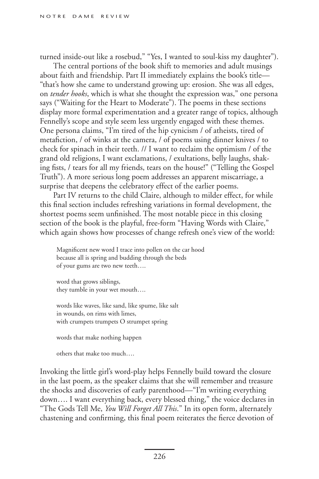turned inside-out like a rosebud," "Yes, I wanted to soul-kiss my daughter").

 The central portions of the book shift to memories and adult musings about faith and friendship. Part II immediately explains the book's title— "that's how she came to understand growing up: erosion. She was all edges, on *tender hooks*, which is what she thought the expression was," one persona says ("Waiting for the Heart to Moderate"). The poems in these sections display more formal experimentation and a greater range of topics, although Fennelly's scope and style seem less urgently engaged with these themes. One persona claims, "I'm tired of the hip cynicism / of atheists, tired of metafiction, / of winks at the camera, / of poems using dinner knives / to check for spinach in their teeth. // I want to reclaim the optimism / of the grand old religions, I want exclamations, / exultations, belly laughs, shaking fists, / tears for all my friends, tears on the house!" ("Telling the Gospel Truth"). A more serious long poem addresses an apparent miscarriage, a surprise that deepens the celebratory effect of the earlier poems.

 Part IV returns to the child Claire, although to milder effect, for while this final section includes refreshing variations in formal development, the shortest poems seem unfinished. The most notable piece in this closing section of the book is the playful, free-form "Having Words with Claire," which again shows how processes of change refresh one's view of the world:

Magnificent new word I trace into pollen on the car hood because all is spring and budding through the beds of your gums are two new teeth….

word that grows siblings, they tumble in your wet mouth….

words like waves, like sand, like spume, like salt in wounds, on rims with limes, with crumpets trumpets O strumpet spring

words that make nothing happen

others that make too much….

Invoking the little girl's word-play helps Fennelly build toward the closure in the last poem, as the speaker claims that she will remember and treasure the shocks and discoveries of early parenthood—"I'm writing everything down…. I want everything back, every blessed thing," the voice declares in "The Gods Tell Me, *You Will Forget All This*." In its open form, alternately chastening and confirming, this final poem reiterates the fierce devotion of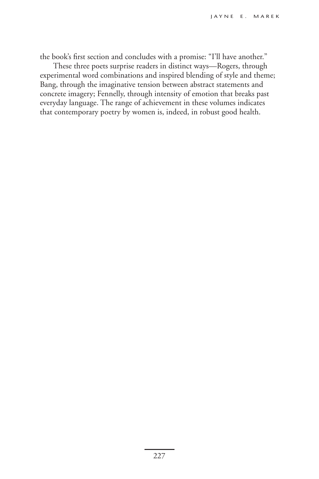the book's first section and concludes with a promise: "I'll have another."

 These three poets surprise readers in distinct ways—Rogers, through experimental word combinations and inspired blending of style and theme; Bang, through the imaginative tension between abstract statements and concrete imagery; Fennelly, through intensity of emotion that breaks past everyday language. The range of achievement in these volumes indicates that contemporary poetry by women is, indeed, in robust good health.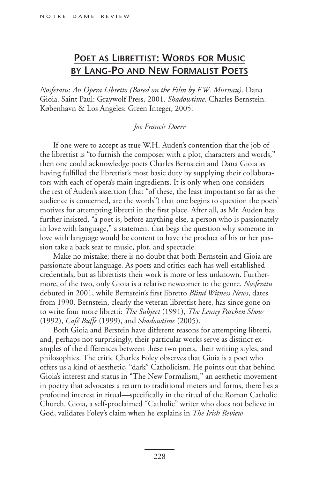## **POET AS LIBRETTIST: WORDS FOR MUSIC BY LANG-PO AND NEW FORMALIST POETS**

*Nosferatu*: *An Opera Libretto (Based on the Film by F.W*. *Murnau)*. Dana Gioia. Saint Paul: Graywolf Press, 2001. *Shadowtime*. Charles Bernstein. København & Los Angeles: Green Integer, 2005.

#### *Joe Francis Doerr*

 If one were to accept as true W.H. Auden's contention that the job of the librettist is "to furnish the composer with a plot, characters and words," then one could acknowledge poets Charles Bernstein and Dana Gioia as having fulfilled the librettist's most basic duty by supplying their collaborators with each of opera's main ingredients. It is only when one considers the rest of Auden's assertion (that "of these, the least important so far as the audience is concerned, are the words") that one begins to question the poets' motives for attempting libretti in the first place. After all, as Mr. Auden has further insisted, "a poet is, before anything else, a person who is passionately in love with language," a statement that begs the question why someone in love with language would be content to have the product of his or her passion take a back seat to music, plot, and spectacle.

 Make no mistake; there is no doubt that both Bernstein and Gioia are passionate about language. As poets and critics each has well-established credentials, but as librettists their work is more or less unknown. Furthermore, of the two, only Gioia is a relative newcomer to the genre. *Nosferatu*  debuted in 2001, while Bernstein's first libretto *Blind Witness News*, dates from 1990. Bernstein, clearly the veteran librettist here, has since gone on to write four more libretti: *The Subject* (1991), *The Lenny Paschen Show* (1992), *Café Buffe* (1999), and *Shadowtime* (2005).

 Both Gioia and Berstein have different reasons for attempting libretti, and, perhaps not surprisingly, their particular works serve as distinct examples of the differences between these two poets, their writing styles, and philosophies. The critic Charles Foley observes that Gioia is a poet who offers us a kind of aesthetic, "dark" Catholicism. He points out that behind Gioia's interest and status in "The New Formalism," an aesthetic movement in poetry that advocates a return to traditional meters and forms, there lies a profound interest in ritual—specifically in the ritual of the Roman Catholic Church. Gioia, a self-proclaimed "Catholic" writer who does not believe in God, validates Foley's claim when he explains in *The Irish Review*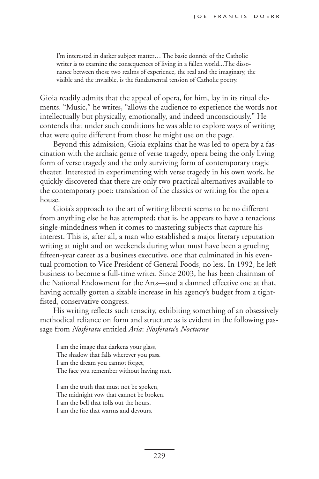I'm interested in darker subject matter… The basic donnée of the Catholic writer is to examine the consequences of living in a fallen world...The dissonance between those two realms of experience, the real and the imaginary, the visible and the invisible, is the fundamental tension of Catholic poetry.

Gioia readily admits that the appeal of opera, for him, lay in its ritual elements. "Music," he writes, "allows the audience to experience the words not intellectually but physically, emotionally, and indeed unconsciously." He contends that under such conditions he was able to explore ways of writing that were quite different from those he might use on the page.

 Beyond this admission, Gioia explains that he was led to opera by a fascination with the archaic genre of verse tragedy, opera being the only living form of verse tragedy and the only surviving form of contemporary tragic theater. Interested in experimenting with verse tragedy in his own work, he quickly discovered that there are only two practical alternatives available to the contemporary poet: translation of the classics or writing for the opera house.

 Gioia's approach to the art of writing libretti seems to be no different from anything else he has attempted; that is, he appears to have a tenacious single-mindedness when it comes to mastering subjects that capture his interest. This is, after all, a man who established a major literary reputation writing at night and on weekends during what must have been a grueling fifteen-year career as a business executive, one that culminated in his eventual promotion to Vice President of General Foods, no less. In 1992, he left business to become a full-time writer. Since 2003, he has been chairman of the National Endowment for the Arts—and a damned effective one at that, having actually gotten a sizable increase in his agency's budget from a tightfisted, conservative congress.

 His writing reflects such tenacity, exhibiting something of an obsessively methodical reliance on form and structure as is evident in the following passage from *Nosferatu* entitled *Aria*: *Nosferatu*'s *Nocturne*

I am the image that darkens your glass, The shadow that falls wherever you pass. I am the dream you cannot forget, The face you remember without having met.

I am the truth that must not be spoken, The midnight vow that cannot be broken. I am the bell that tolls out the hours. I am the fire that warms and devours.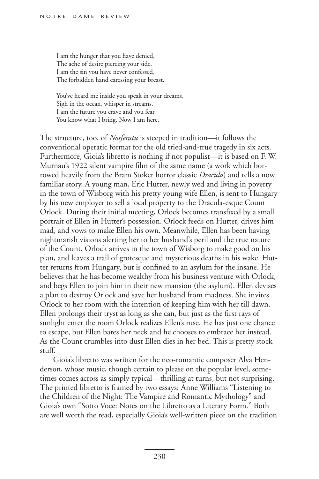I am the hunger that you have denied, The ache of desire piercing your side. I am the sin you have never confessed, The forbidden hand caressing your breast.

You've heard me inside you speak in your dreams, Sigh in the ocean, whisper in streams. I am the future you crave and you fear. You know what I bring. Now I am here.

The structure, too, of *Nosferatu* is steeped in tradition—it follows the conventional operatic format for the old tried-and-true tragedy in six acts. Furthermore, Gioia's libretto is nothing if not populist—it is based on F. W. Murnau's 1922 silent vampire film of the same name (a work which borrowed heavily from the Bram Stoker horror classic *Dracula*) and tells a now familiar story. A young man, Eric Hutter, newly wed and living in poverty in the town of Wisborg with his pretty young wife Ellen, is sent to Hungary by his new employer to sell a local property to the Dracula-esque Count Orlock. During their initial meeting, Orlock becomes transfixed by a small portrait of Ellen in Hutter's possession. Orlock feeds on Hutter, drives him mad, and vows to make Ellen his own. Meanwhile, Ellen has been having nightmarish visions alerting her to her husband's peril and the true nature of the Count. Orlock arrives in the town of Wisborg to make good on his plan, and leaves a trail of grotesque and mysterious deaths in his wake. Hutter returns from Hungary, but is confined to an asylum for the insane. He believes that he has become wealthy from his business venture with Orlock, and begs Ellen to join him in their new mansion (the asylum). Ellen devises a plan to destroy Orlock and save her husband from madness. She invites Orlock to her room with the intention of keeping him with her till dawn. Ellen prolongs their tryst as long as she can, but just as the first rays of sunlight enter the room Orlock realizes Ellen's ruse. He has just one chance to escape, but Ellen bares her neck and he chooses to embrace her instead. As the Count crumbles into dust Ellen dies in her bed. This is pretty stock stuff.

 Gioia's libretto was written for the neo-romantic composer Alva Henderson, whose music, though certain to please on the popular level, sometimes comes across as simply typical—thrilling at turns, but not surprising. The printed libretto is framed by two essays: Anne Williams "Listening to the Children of the Night: The Vampire and Romantic Mythology" and Gioia's own "Sotto Voce: Notes on the Libretto as a Literary Form." Both are well worth the read, especially Gioia's well-written piece on the tradition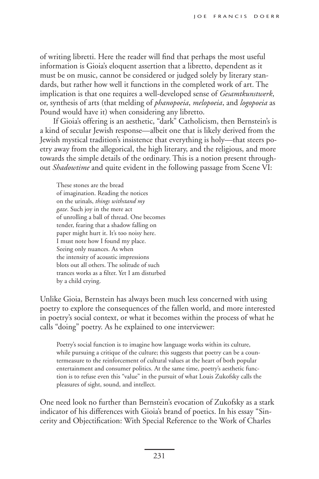of writing libretti. Here the reader will find that perhaps the most useful information is Gioia's eloquent assertion that a libretto, dependent as it must be on music, cannot be considered or judged solely by literary standards, but rather how well it functions in the completed work of art. The implication is that one requires a well-developed sense of *Gesamtkunstwerk*, or, synthesis of arts (that melding of *phanopoeia*, *melopoeia*, and *logopoeia* as Pound would have it) when considering any libretto.

 If Gioia's offering is an aesthetic, "dark" Catholicism, then Bernstein's is a kind of secular Jewish response—albeit one that is likely derived from the Jewish mystical tradition's insistence that everything is holy—that steers poetry away from the allegorical, the high literary, and the religious, and more towards the simple details of the ordinary. This is a notion present throughout *Shadowtime* and quite evident in the following passage from Scene VI:

These stones are the bread of imagination. Reading the notices on the urinals, *things withstand my gaze*. Such joy in the mere act of unrolling a ball of thread. One becomes tender, fearing that a shadow falling on paper might hurt it. It's too noisy here. I must note how I found my place. Seeing only nuances. As when the intensity of acoustic impressions blots out all others. The solitude of such trances works as a filter. Yet I am disturbed by a child crying.

Unlike Gioia, Bernstein has always been much less concerned with using poetry to explore the consequences of the fallen world, and more interested in poetry's social context, or what it becomes within the process of what he calls "doing" poetry. As he explained to one interviewer:

Poetry's social function is to imagine how language works within its culture, while pursuing a critique of the culture; this suggests that poetry can be a countermeasure to the reinforcement of cultural values at the heart of both popular entertainment and consumer politics. At the same time, poetry's aesthetic function is to refuse even this "value" in the pursuit of what Louis Zukofsky calls the pleasures of sight, sound, and intellect.

One need look no further than Bernstein's evocation of Zukofsky as a stark indicator of his differences with Gioia's brand of poetics. In his essay "Sincerity and Objectification: With Special Reference to the Work of Charles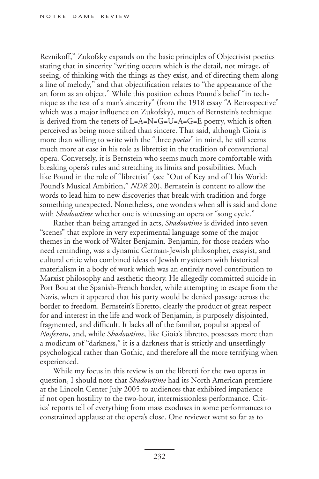Reznikoff," Zukofsky expands on the basic principles of Objectivist poetics stating that in sincerity "writing occurs which is the detail, not mirage, of seeing, of thinking with the things as they exist, and of directing them along a line of melody," and that objectification relates to "the appearance of the art form as an object." While this position echoes Pound's belief "in technique as the test of a man's sincerity" (from the 1918 essay "A Retrospective" which was a major influence on Zukofsky), much of Bernstein's technique is derived from the tenets of  $L=A=N=G=U=A=G=E$  poetry, which is often perceived as being more stilted than sincere. That said, although Gioia is more than willing to write with the "three *poeias*" in mind, he still seems much more at ease in his role as librettist in the tradition of conventional opera. Conversely, it is Bernstein who seems much more comfortable with breaking opera's rules and stretching its limits and possibilities. Much like Pound in the role of "librettist" (see "Out of Key and of This World: Pound's Musical Ambition," *NDR* 20), Bernstein is content to allow the words to lead him to new discoveries that break with tradition and forge something unexpected. Nonetheless, one wonders when all is said and done with *Shadowtime* whether one is witnessing an opera or "song cycle."

 Rather than being arranged in acts, *Shadowtime* is divided into seven "scenes" that explore in very experimental language some of the major themes in the work of Walter Benjamin. Benjamin, for those readers who need reminding, was a dynamic German-Jewish philosopher, essayist, and cultural critic who combined ideas of Jewish mysticism with historical materialism in a body of work which was an entirely novel contribution to Marxist philosophy and aesthetic theory. He allegedly committed suicide in Port Bou at the Spanish-French border, while attempting to escape from the Nazis, when it appeared that his party would be denied passage across the border to freedom. Bernstein's libretto, clearly the product of great respect for and interest in the life and work of Benjamin, is purposely disjointed, fragmented, and difficult. It lacks all of the familiar, populist appeal of *Nosferatu*, and, while *Shadowtime*, like Gioia's libretto, possesses more than a modicum of "darkness," it is a darkness that is strictly and unsettlingly psychological rather than Gothic, and therefore all the more terrifying when experienced.

 While my focus in this review is on the libretti for the two operas in question, I should note that *Shadowtime* had its North American premiere at the Lincoln Center July 2005 to audiences that exhibited impatience if not open hostility to the two-hour, intermissionless performance. Critics' reports tell of everything from mass exoduses in some performances to constrained applause at the opera's close. One reviewer went so far as to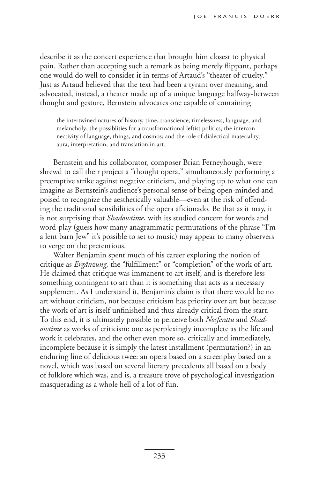describe it as the concert experience that brought him closest to physical pain. Rather than accepting such a remark as being merely flippant, perhaps one would do well to consider it in terms of Artaud's "theater of cruelty." Just as Artaud believed that the text had been a tyrant over meaning, and advocated, instead, a theater made up of a unique language halfway-between thought and gesture, Bernstein advocates one capable of containing

the intertwined natures of history, time, transcience, timelessness, language, and melancholy; the possiblities for a transformational leftist politics; the interconnectivity of language, things, and cosmos; and the role of dialectical materiality, aura, interpretation, and translation in art.

 Bernstein and his collaborator, composer Brian Ferneyhough, were shrewd to call their project a "thought opera," simultaneously performing a preemptive strike against negative criticism, and playing up to what one can imagine as Bernstein's audience's personal sense of being open-minded and poised to recognize the aesthetically valuable—even at the risk of offending the traditional sensibilities of the opera aficionado. Be that as it may, it is not surprising that *Shadowtime*, with its studied concern for words and word-play (guess how many anagrammatic permutations of the phrase "I'm a lent barn Jew" it's possible to set to music) may appear to many observers to verge on the pretentious.

Walter Benjamin spent much of his career exploring the notion of critique as *Ergänzung,* the "fulfillment" or "completion" of the work of art. He claimed that critique was immanent to art itself, and is therefore less something contingent to art than it is something that acts as a necessary supplement. As I understand it, Benjamin's claim is that there would be no art without criticism, not because criticism has priority over art but because the work of art is itself unfinished and thus already critical from the start. To this end, it is ultimately possible to perceive both *Nosferatu* and *Shadowtime* as works of criticism: one as perplexingly incomplete as the life and work it celebrates, and the other even more so, critically and immediately, incomplete because it is simply the latest installment (permutation?) in an enduring line of delicious twee: an opera based on a screenplay based on a novel, which was based on several literary precedents all based on a body of folklore which was, and is, a treasure trove of psychological investigation masquerading as a whole hell of a lot of fun.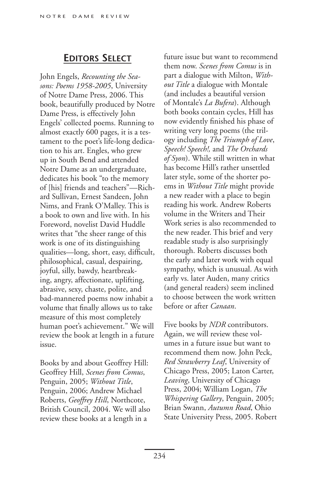### **EDITORS SELECT**

John Engels, *Recounting the Seasons: Poems 1958-2005*, University of Notre Dame Press, 2006. This book, beautifully produced by Notre Dame Press, is effectively John Engels' collected poems. Running to almost exactly 600 pages, it is a testament to the poet's life-long dedication to his art. Engles, who grew up in South Bend and attended Notre Dame as an undergraduate, dedicates his book "to the memory of [his] friends and teachers"—Richard Sullivan, Ernest Sandeen, John Nims, and Frank O'Malley. This is a book to own and live with. In his Foreword, novelist David Huddle writes that "the sheer range of this work is one of its distinguishing qualities—long, short, easy, difficult, philosophical, casual, despairing, joyful, silly, bawdy, heartbreaking, angry, affectionate, uplifting, abrasive, sexy, chaste, polite, and bad-mannered poems now inhabit a volume that finally allows us to take measure of this most completely human poet's achievement." We will review the book at length in a future issue.

Books by and about Geoffrey Hill: Geoffrey Hill, *Scenes from Comus*, Penguin, 2005; *Without Title*, Penguin, 2006; Andrew Michael Roberts, *Geoffrey Hill*, Northcote, British Council, 2004. We will also review these books at a length in a

future issue but want to recommend them now. *Scenes from Comus* is in part a dialogue with Milton, *Without Title* a dialogue with Montale (and includes a beautiful version of Montale's *La Bufera*). Although both books contain cycles, Hill has now evidently finished his phase of writing very long poems (the trilogy including *The Triumph of Love*, *Speech! Speech!,* and *The Orchards of Syon*). While still written in what has become Hill's rather unsettled later style, some of the shorter poems in *Without Title* might provide a new reader with a place to begin reading his work. Andrew Roberts volume in the Writers and Their Work series is also recommended to the new reader. This brief and very readable study is also surprisingly thorough. Roberts discusses both the early and later work with equal sympathy, which is unusual. As with early vs. later Auden, many critics (and general readers) seem inclined to choose between the work written before or after *Canaan*.

Five books by *NDR* contributors. Again, we will review these volumes in a future issue but want to recommend them now. John Peck, *Red Strawberry Leaf*, University of Chicago Press, 2005; Laton Carter, *Leaving*, University of Chicago Press, 2004; William Logan, *The Whispering Gallery*, Penguin, 2005; Brian Swann, *Autumn Road*, Ohio State University Press, 2005. Robert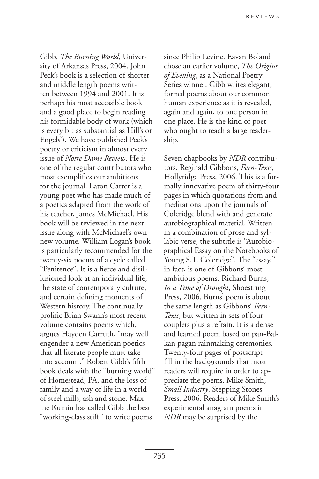Gibb, *The Burning World*, University of Arkansas Press, 2004. John Peck's book is a selection of shorter and middle length poems written between 1994 and 2001. It is perhaps his most accessible book and a good place to begin reading his formidable body of work (which is every bit as substantial as Hill's or Engels'). We have published Peck's poetry or criticism in almost every issue of *Notre Dame Review*. He is one of the regular contributors who most exemplifies our ambitions for the journal. Laton Carter is a young poet who has made much of a poetics adapted from the work of his teacher, James McMichael. His book will be reviewed in the next issue along with McMichael's own new volume. William Logan's book is particularly recommended for the twenty-six poems of a cycle called "Penitence". It is a fierce and disillusioned look at an individual life, the state of contemporary culture, and certain defining moments of Western history. The continually prolific Brian Swann's most recent volume contains poems which, argues Hayden Carruth, "may well engender a new American poetics that all literate people must take into account." Robert Gibb's fifth book deals with the "burning world" of Homestead, PA, and the loss of family and a way of life in a world of steel mills, ash and stone. Maxine Kumin has called Gibb the best "working-class stiff" to write poems

since Philip Levine. Eavan Boland chose an earlier volume, *The Origins of Evening*, as a National Poetry Series winner. Gibb writes elegant, formal poems about our common human experience as it is revealed, again and again, to one person in one place. He is the kind of poet who ought to reach a large readership.

Seven chapbooks by *NDR* contributors. Reginald Gibbons, *Fern-Texts*, Hollyridge Press, 2006. This is a formally innovative poem of thirty-four pages in which quotations from and meditations upon the journals of Coleridge blend with and generate autobiographical material. Written in a combination of prose and syllabic verse, the subtitle is "Autobiographical Essay on the Notebooks of Young S.T. Coleridge". The "essay," in fact, is one of Gibbons' most ambitious poems. Richard Burns, *In a Time of Drought*, Shoestring Press, 2006. Burns' poem is about the same length as Gibbons' *Fern-Texts*, but written in sets of four couplets plus a refrain. It is a dense and learned poem based on pan-Balkan pagan rainmaking ceremonies. Twenty-four pages of postscript fill in the backgrounds that most readers will require in order to appreciate the poems. Mike Smith, *Small Industry*, Stepping Stones Press, 2006. Readers of Mike Smith's experimental anagram poems in *NDR* may be surprised by the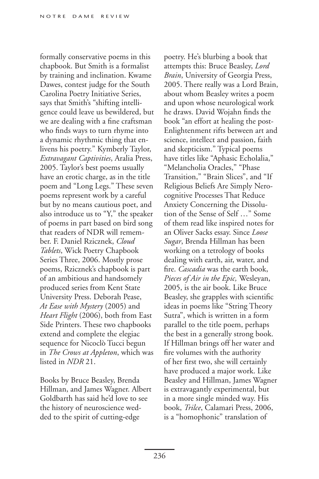formally conservative poems in this chapbook. But Smith is a formalist by training and inclination. Kwame Dawes, contest judge for the South Carolina Poetry Initiative Series, says that Smith's "shifting intelligence could leave us bewildered, but we are dealing with a fine craftsman who finds ways to turn rhyme into a dynamic rhythmic thing that enlivens his poetry." Kymberly Taylor, *Extravagant Captivities*, Aralia Press, 2005. Taylor's best poems usually have an erotic charge, as in the title poem and "Long Legs." These seven poems represent work by a careful but by no means cautious poet, and also introduce us to "Y," the speaker of poems in part based on bird song that readers of NDR will remember. F. Daniel Rzicznek, *Cloud Tablets*, Wick Poetry Chapbook Series Three, 2006. Mostly prose poems, Rzicznek's chapbook is part of an ambitious and handsomely produced series from Kent State University Press. Deborah Pease, *At Ease with Mystery* (2005) and *Heart Flight* (2006), both from East Side Printers. These two chapbooks extend and complete the elegiac sequence for Nicoclò Tucci begun in *The Crows at Appleton*, which was listed in *NDR* 21.

Books by Bruce Beasley, Brenda Hillman, and James Wagner. Albert Goldbarth has said he'd love to see the history of neuroscience wedded to the spirit of cutting-edge

poetry. He's blurbing a book that attempts this: Bruce Beasley, *Lord Brain*, University of Georgia Press, 2005. There really was a Lord Brain, about whom Beasley writes a poem and upon whose neurological work he draws. David Wojahn finds the book "an effort at healing the post-Enlightenment rifts between art and science, intellect and passion, faith and skepticism." Typical poems have titles like "Aphasic Echolalia," "Melancholia Oracles," "Phase Transition," "Brain Slices", and "If Religious Beliefs Are Simply Nerocognitive Processes That Reduce Anxiety Concerning the Dissolution of the Sense of Self …" Some of them read like inspired notes for an Oliver Sacks essay. Since *Loose Sugar*, Brenda Hillman has been working on a tetrology of books dealing with earth, air, water, and fire. *Cascadia* was the earth book, *Pieces of Air in the Epic,* Wesleyan, 2005, is the air book. Like Bruce Beasley, she grapples with scientific ideas in poems like "String Theory Sutra", which is written in a form parallel to the title poem, perhaps the best in a generally strong book. If Hillman brings off her water and fire volumes with the authority of her first two, she will certainly have produced a major work. Like Beasley and Hillman, James Wagner is extravagantly experimental, but in a more single minded way. His book, *Trilce*, Calamari Press, 2006, is a "homophonic" translation of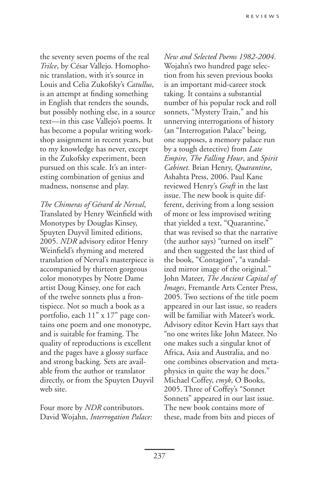the seventy seven poems of the real *Trilce*, by César Vallejo. Homophonic translation, with it's source in Louis and Celia Zukofsky's *Catullus*, is an attempt at finding something in English that renders the sounds, but possibly nothing else, in a source text—in this case Vallejo's poems. It has become a popular writing workshop assignment in recent years, but to my knowledge has never, except in the Zukofsky experiment, been pursued on this scale. It's an interesting combination of genius and madness, nonsense and play.

*The Chimeras of Gérard de Nerval*, Translated by Henry Weinfield with Monotypes by Douglas Kinsey, Spuyten Duyvil limited editions, 2005. *NDR* advisory editor Henry Weinfield's rhyming and metered translation of Nerval's masterpiece is accompanied by thirteen gorgeous color monotypes by Notre Dame artist Doug Kinsey, one for each of the twelve sonnets plus a frontispiece. Not so much a book as a portfolio, each 11" x 17" page contains one poem and one monotype, and is suitable for framing. The quality of reproductions is excellent and the pages have a glossy surface and strong backing. Sets are available from the author or translator directly, or from the Spuyten Duyvil web site.

Four more by *NDR* contributors. David Wojahn, *Interrogation Palace:*  *New and Selected Poems 1982-2004*. Wojahn's two hundred page selection from his seven previous books is an important mid-career stock taking. It contains a substantial number of his popular rock and roll sonnets, "Mystery Train," and his unnerving interrogations of history (an "Interrogation Palace" being, one supposes, a memory palace run by a tough detective) from *Late Empire*, *The Falling Hour*, and *Spirit Cabinet*. Brian Henry, *Quarantine*, Ashahta Press, 2006. Paul Kane reviewed Henry's *Graft* in the last issue. The new book is quite different, deriving from a long session of more or less improvised writing that yielded a text, "Quarantine," that was revised so that the narrative (the author says) "turned on itself" and then suggested the last third of the book, "Contagion", "a vandalized mirror image of the original." John Mateer, *The Ancient Capital of Images*, Fremantle Arts Center Press, 2005. Two sections of the title poem appeared in our last issue, so readers will be familiar with Mateer's work. Advisory editor Kevin Hart says that "no one writes like John Mateer. No one makes such a singular knot of Africa, Asia and Australia, and no one combines observation and metaphysics in quite the way he does." Michael Coffey, *cmyk*, O Books, 2005. Three of Coffey's "Sonnet Sonnets" appeared in our last issue. The new book contains more of these, made from bits and pieces of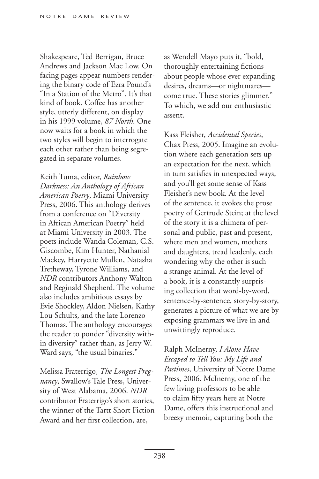Shakespeare, Ted Berrigan, Bruce Andrews and Jackson Mac Low. On facing pages appear numbers rendering the binary code of Ezra Pound's "In a Station of the Metro". It's that kind of book. Coffee has another style, utterly different, on display in his 1999 volume, *87 North*. One now waits for a book in which the two styles will begin to interrogate each other rather than being segregated in separate volumes.

Keith Tuma, editor, *Rainbow Darkness: An Anthology of African American Poetry*, Miami University Press, 2006. This anthology derives from a conference on "Diversity in African American Poetry" held at Miami University in 2003. The poets include Wanda Coleman, C.S. Giscombe, Kim Hunter, Nathanial Mackey, Harryette Mullen, Natasha Tretheway, Tyrone Williams, and *NDR* contributors Anthony Walton and Reginald Shepherd. The volume also includes ambitious essays by Evie Shockley, Aldon Nielsen, Kathy Lou Schults, and the late Lorenzo Thomas. The anthology encourages the reader to ponder "diversity within diversity" rather than, as Jerry W. Ward says, "the usual binaries."

Melissa Fraterrigo, *The Longest Pregnancy*, Swallow's Tale Press, University of West Alabama, 2006. *NDR* contributor Fraterrigo's short stories, the winner of the Tartt Short Fiction Award and her first collection, are,

as Wendell Mayo puts it, "bold, thoroughly entertaining fictions about people whose ever expanding desires, dreams—or nightmares come true. These stories glimmer." To which, we add our enthusiastic assent.

Kass Fleisher, *Accidental Species*, Chax Press, 2005. Imagine an evolution where each generation sets up an expectation for the next, which in turn satisfies in unexpected ways, and you'll get some sense of Kass Fleisher's new book. At the level of the sentence, it evokes the prose poetry of Gertrude Stein; at the level of the story it is a chimera of personal and public, past and present, where men and women, mothers and daughters, tread leadenly, each wondering why the other is such a strange animal. At the level of a book, it is a constantly surprising collection that word-by-word, sentence-by-sentence, story-by-story, generates a picture of what we are by exposing grammars we live in and unwittingly reproduce.

Ralph McInerny, *I Alone Have Escaped to Tell You: My Life and Pastimes*, University of Notre Dame Press, 2006. McInerny, one of the few living professors to be able to claim fifty years here at Notre Dame, offers this instructional and breezy memoir, capturing both the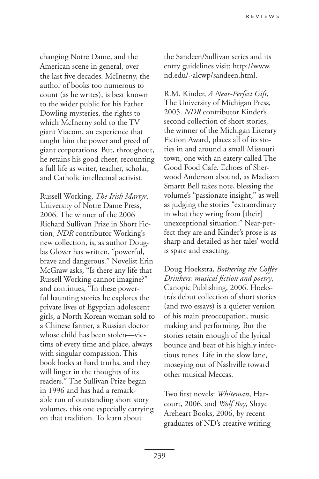changing Notre Dame, and the American scene in general, over the last five decades. McInerny, the author of books too numerous to count (as he writes), is best known to the wider public for his Father Dowling mysteries, the rights to which McInerny sold to the TV giant Viacom, an experience that taught him the power and greed of giant corporations. But, throughout, he retains his good cheer, recounting a full life as writer, teacher, scholar, and Catholic intellectual activist.

Russell Working, *The Irish Martyr*, University of Notre Dame Press, 2006. The winner of the 2006 Richard Sullivan Prize in Short Fiction, *NDR* contributor Working's new collection, is, as author Douglas Glover has written, "powerful, brave and dangerous." Novelist Erin McGraw asks, "Is there any life that Russell Working cannot imagine?" and continues, "In these powerful haunting stories he explores the private lives of Egyptian adolescent girls, a North Korean woman sold to a Chinese farmer, a Russian doctor whose child has been stolen—victims of every time and place, always with singular compassion. This book looks at hard truths, and they will linger in the thoughts of its readers." The Sullivan Prize began in 1996 and has had a remarkable run of outstanding short story volumes, this one especially carrying on that tradition. To learn about

the Sandeen/Sullivan series and its entry guidelines visit: http://www. nd.edu/~alcwp/sandeen.html.

R.M. Kinder, *A Near-Perfect Gift*, The University of Michigan Press, 2005. *NDR* contributor Kinder's second collection of short stories, the winner of the Michigan Literary Fiction Award, places all of its stories in and around a small Missouri town, one with an eatery called The Good Food Cafe. Echoes of Sherwood Anderson abound, as Madison Smartt Bell takes note, blessing the volume's "passionate insight," as well as judging the stories "extraordinary in what they wring from [their] unexceptional situation." Near-perfect they are and Kinder's prose is as sharp and detailed as her tales' world is spare and exacting.

Doug Hoekstra, *Bothering the Coffee Drinkers: musical fiction and poetry*, Canopic Publishing, 2006. Hoekstra's debut collection of short stories (and two essays) is a quieter version of his main preoccupation, music making and performing. But the stories retain enough of the lyrical bounce and beat of his highly infectious tunes. Life in the slow lane, moseying out of Nashville toward other musical Meccas.

Two first novels: *Whiteman*, Harcourt, 2006, and *Wolf Boy*, Shaye Areheart Books, 2006, by recent graduates of ND's creative writing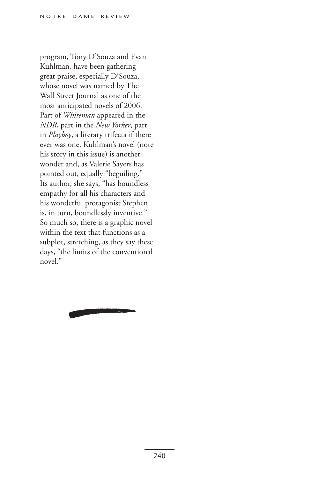program, Tony D'Souza and Evan Kuhlman, have been gathering great praise, especially D'Souza, whose novel was named by The Wall Street Journal as one of the most anticipated novels of 2006. Part of *Whiteman* appeared in the *NDR*, part in the *New Yorker*, part in *Playboy*, a literary trifecta if there ever was one. Kuhlman's novel (note his story in this issue) is another wonder and, as Valerie Sayers has pointed out, equally "beguiling." Its author, she says, "has boundless empathy for all his characters and his wonderful protagonist Stephen is, in turn, boundlessly inventive." So much so, there is a graphic novel within the text that functions as a subplot, stretching, as they say these days, "the limits of the conventional novel"

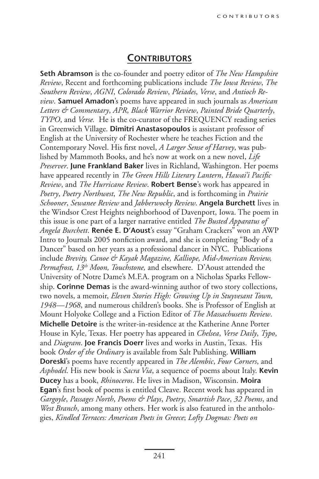### **CONTRIBUTORS**

**Seth Abramson** is the co-founder and poetry editor of *The New Hampshire Review*, Recent and forthcoming publications include *The Iowa Review*, *The Southern Review*, *AGNI*, *Colorado Review*, *Pleiades*, *Verse*, and *Antioch Review*. **Samuel Amadon**'s poems have appeared in such journals as *American Letters & Commentary*, *APR*, *Black Warrior Review*, *Painted Bride Quarterly*, *TYPO*, and *Verse.* He is the co-curator of the FREQUENCY reading series in Greenwich Village. **Dimitri Anastasopoulos** is assistant professor of English at the University of Rochester where he teaches Fiction and the Contemporary Novel. His first novel, *A Larger Sense of Harvey*, was published by Mammoth Books, and he's now at work on a new novel, *Life Preserver*. **June Frankland Baker** lives in Richland, Washington. Her poems have appeared recently in *The Green Hills Literary Lantern*, *Hawai'i Pacific Review*, and *The Hurricane Review*. **Robert Bense**'s work has appeared in *Poetry*, *Poetry Northwest*, *The New Republic*, and is forthcoming in *Prairie Schooner*, *Sewanee Review* and *Jabberwocky Review*. **Angela Burchett** lives in the Windsor Crest Heights neighborhood of Davenport, Iowa. The poem in this issue is one part of a larger narrative entitled *The Busted Apparatus of Angela Burchett*. **Renée E. D'Aoust**'s essay "Graham Crackers" won an AWP Intro to Journals 2005 nonfiction award, and she is completing "Body of a Dancer" based on her years as a professional dancer in NYC. Publications include *Brevity, Canoe & Kayak Magazine, Kalliope, Mid-American Review, Permafrost, 13th Moon, Touchstone,* and elsewhere. D'Aoust attended the University of Notre Dame's M.F.A. program on a Nicholas Sparks Fellowship. **Corinne Demas** is the award-winning author of two story collections, two novels, a memoir, *Eleven Stories High: Growing Up in Stuyvesant Town, 1948—1968*, and numerous children's books. She is Professor of English at Mount Holyoke College and a Fiction Editor of *The Massachusetts Review*. **Michelle Detoire** is the writer-in-residence at the Katherine Anne Porter House in Kyle, Texas. Her poetry has appeared in *Chelsea*, *Verse Daily*, *Typo*, and *Diagram*. **Joe Francis Doerr** lives and works in Austin, Texas. His book *Order of the Ordinary* is available from Salt Publishing. **William Doreski**'s poems have recently appeared in *The Alembic*, *Four Corners*, and *Asphodel*. His new book is *Sacra Via*, a sequence of poems about Italy. **Kevin Ducey** has a book, *Rhinoceros*. He lives in Madison, Wisconsin. **Moira Egan**'s first book of poems is entitled Cleave. Recent work has appeared in *Gargoyle*, *Passages North*, *Poems & Plays*, *Poetry*, *Smartish Pace*, *32 Poems*, and *West Branch*, among many others. Her work is also featured in the anthologies, *Kindled Terraces: American Poets in Greece*; *Lofty Dogmas: Poets on*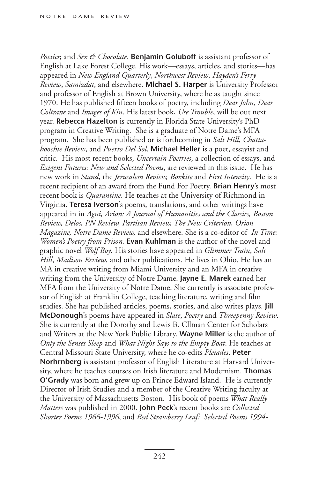*Poetics*; and *Sex & Chocolate*. **Benjamin Goluboff** is assistant professor of English at Lake Forest College. His work—essays, articles, and stories—has appeared in *New England Quarterly*, *Northwest Review*, *Hayden's Ferry Review*, *Samizdat*, and elsewhere. **Michael S. Harper** is University Professor and professor of English at Brown University, where he as taught since 1970. He has published fifteen books of poetry, including *Dear John, Dear Coltrane* and *Images of Kin*. His latest book, *Use Trouble*, will be out next year. **Rebecca Hazelton** is currently in Florida State University's PhD program in Creative Writing. She is a graduate of Notre Dame's MFA program. She has been published or is forthcoming in *Salt Hill*, *Chattahoochie Review*, and *Puerto Del Sol*. **Michael Heller** is a poet, essayist and critic. His most recent books, *Uncertain Poetries*, a collection of essays, and *Exigent Futures: New and Selected Poems*, are reviewed in this issue. He has new work in *Stand*, the *Jerusalem Review, Boxkite* and *First Intensity*. He is a recent recipient of an award from the Fund For Poetry. **Brian Henry**'s most recent book is *Quarantine*. He teaches at the University of Richmond in Virginia. **Teresa Iverson**'s poems, translations, and other writings have appeared in in *Agni, Arion: A Journal of Humanities and the Classics, Boston Review, Delos, PN Review, Partisan Review, The New Criterion, Orion Magazine, Notre Dame Review,* and elsewhere. She is a co-editor of *In Time: Women's Poetry from Prison.* **Evan Kuhlman** is the author of the novel and graphic novel *Wolf Boy*. His stories have appeared in *Glimmer Train*, *Salt Hill*, *Madison Review*, and other publications. He lives in Ohio. He has an MA in creative writing from Miami University and an MFA in creative writing from the University of Notre Dame. **Jayne E. Marek** earned her MFA from the University of Notre Dame. She currently is associate professor of English at Franklin College, teaching literature, writing and film studies. She has published articles, poems, stories, and also writes plays. **Jill McDonough**'s poems have appeared in *Slate*, *Poetry* and *Threepenny Review*. She is currently at the Dorothy and Lewis B. Cllman Center for Scholars and Writers at the New York Public Library. **Wayne Miller** is the author of *Only the Senses Sleep* and *What Night Says to the Empty Boat*. He teaches at Central Missouri State University, where he co-edits *Pleiades*. **Peter Norhrnberg** is assistant professor of English Literature at Harvard University, where he teaches courses on Irish literature and Modernism. **Thomas O'Grady** was born and grew up on Prince Edward Island. He is currently Director of Irish Studies and a member of the Creative Writing faculty at the University of Massachusetts Boston. His book of poems *What Really Matters* was published in 2000. **John Peck**'s recent books are *Collected Shorter Poems 1966-1996*, and *Red Strawberry Leaf: Selected Poems 1994-*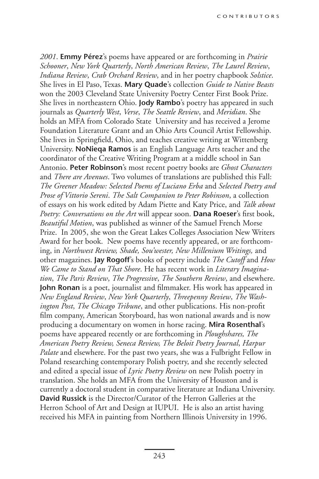*2001*. **Emmy Pérez**'s poems have appeared or are forthcoming in *Prairie Schooner*, *New York Quarterly*, *North American Review*, *The Laurel Review*, *Indiana Review*, *Crab Orchard Review*, and in her poetry chapbook *Solstice*. She lives in El Paso, Texas. **Mary Quade**'s collection *Guide to Native Beasts* won the 2003 Cleveland State University Poetry Center First Book Prize. She lives in northeastern Ohio. **Jody Rambo**'s poetry has appeared in such journals as *Quarterly West*, *Verse*, *The Seattle Review*, and *Meridian*. She holds an MFA from Colorado State University and has received a Jerome Foundation Literature Grant and an Ohio Arts Council Artist Fellowship. She lives in Springfield, Ohio, and teaches creative writing at Wittenberg University. **NoNieqa Ramos** is an English Language Arts teacher and the coordinator of the Creative Writing Program at a middle school in San Antonio. **Peter Robinson**'s most recent poetry books are *Ghost Characters* and *There are Avenues*. Two volumes of translations are published this Fall: *The Greener Meadow: Selected Poems of Luciano Erba* and *Selected Poetry and Prose of Vittorio Sereni*. *The Salt Companion to Peter Robinson*, a collection of essays on his work edited by Adam Piette and Katy Price, and *Talk about Poetry: Conversations on the Art* will appear soon. **Dana Roeser**'s first book, *Beautiful Motion*, was published as winner of the Samuel French Morse Prize. In 2005, she won the Great Lakes Colleges Association New Writers Award for her book. New poems have recently appeared, or are forthcoming, in *Northwest Review, Shade, Sou'wester, New Millenium Writings,* and other magazines. **Jay Rogoff**'s books of poetry include *The Cutoff* and *How We Came to Stand on That Shore*. He has recent work in *Literary Imagination*, *The Paris Review*, *The Progressive*, *The Southern Review*, and elsewhere. **John Ronan** is a poet, journalist and filmmaker. His work has appeared in *New England Review*, *New York Quarterly*, *Threepenny Review*, *The Washington Post*, *The Chicago Tribune*, and other publications. His non-profit film company, American Storyboard, has won national awards and is now producing a documentary on women in horse racing. **Mira Rosenthal**'s poems have appeared recently or are forthcoming in *Ploughshares, The American Poetry Review, Seneca Review, The Beloit Poetry Journal*, *Harpur Palate* and elsewhere. For the past two years, she was a Fulbright Fellow in Poland researching contemporary Polish poetry, and she recently selected and edited a special issue of *Lyric Poetry Review* on new Polish poetry in translation. She holds an MFA from the University of Houston and is currently a doctoral student in comparative literature at Indiana University. **David Russick** is the Director/Curator of the Herron Galleries at the Herron School of Art and Design at IUPUI. He is also an artist having received his MFA in painting from Northern Illinois University in 1996.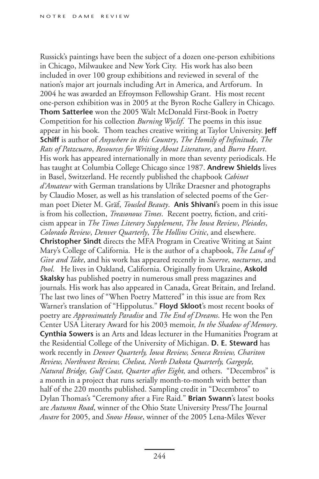Russick's paintings have been the subject of a dozen one-person exhibitions in Chicago, Milwaukee and New York City. His work has also been included in over 100 group exhibitions and reviewed in several of the nation's major art journals including Art in America, and Artforum. In 2004 he was awarded an Efroymson Fellowship Grant. His most recent one-person exhibition was in 2005 at the Byron Roche Gallery in Chicago. **Thom Satterlee** won the 2005 Walt McDonald First-Book in Poetry Competition for his collection *Burning Wyclif*. The poems in this issue appear in his book. Thom teaches creative writing at Taylor University. **Jeff Schiff** is author of *Anywhere in this Country*, *The Homily of Infinitude*, *The Rats of Patzcuaro*, *Resources for Writing About Literature*, and *Burro Heart*. His work has appeared internationally in more than seventy periodicals. He has taught at Columbia College Chicago since 1987. **Andrew Shields** lives in Basel, Switzerland. He recently published the chapbook *Cabinet d'Amateur* with German translations by Ulrike Draesner and photographs by Claudio Moser, as well as his translation of selected poems of the German poet Dieter M. Gräf, *Tousled Beauty*. **Anis Shivani**'s poem in this issue is from his collection, *Treasonous Times*. Recent poetry, fiction, and criticism appear in *The Times Literary Supplement*, *The Iowa Review*, *Pleiades*, *Colorado Review*, *Denver Quarterly*, *The Hollins Critic*, and elsewhere. **Christopher Sindt** directs the MFA Program in Creative Writing at Saint Mary's College of California. He is the author of a chapbook, *The Land of Give and Take*, and his work has appeared recently in *Swerve*, *nocturnes*, and *Pool*. He lives in Oakland, California. Originally from Ukraine, **Askold Skalsky** has published poetry in numerous small press magazines and journals. His work has also appeared in Canada, Great Britain, and Ireland. The last two lines of "When Poetry Mattered" in this issue are from Rex Warner's translation of "Hippolutus." **Floyd Skloot**'s most recent books of poetry are *Approximately Paradise* and *The End of Dreams*. He won the Pen Center USA Literary Award for his 2003 memoir, *In the Shadow of Memory*. **Cynthia Sowers** is an Arts and Ideas lecturer in the Humanities Program at the Residential College of the University of Michigan. **D. E. Steward** has work recently in *Denver Quarterly, Iowa Review, Seneca Review, Chariton Review, Northwest Review, Chelsea, North Dakota Quarterly, Gargoyle, Natural Bridge, Gulf Coast, Quarter after Eight,* and others. "Decembros" is a month in a project that runs serially month-to-month with better than half of the 220 months published. Sampling credit in "Decembros" to Dylan Thomas's "Ceremony after a Fire Raid." **Brian Swann**'s latest books are *Autumn Road*, winner of the Ohio State University Press/The Journal *Aware* for 2005, and *Snow House*, winner of the 2005 Lena-Miles Wever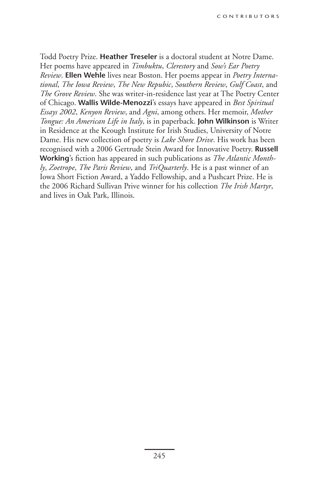Todd Poetry Prize. **Heather Treseler** is a doctoral student at Notre Dame. Her poems have appeared in *Timbuktu*, *Clerestory* and *Sow's Ear Poetry Review*. **Ellen Wehle** lives near Boston. Her poems appear in *Poetry International*, *The Iowa Review*, *The New Repubic*, *Southern Review*, *Gulf Coast*, and *The Grove Review*. She was writer-in-residence last year at The Poetry Center of Chicago. **Wallis Wilde-Menozzi**'s essays have appeared in *Best Spiritual Essays 2002*, *Kenyon Review*, and *Agni*, among others. Her memoir, *Mother Tongue: An American Life in Italy*, is in paperback. **John Wilkinson** is Writer in Residence at the Keough Institute for Irish Studies, University of Notre Dame. His new collection of poetry is *Lake Shore Drive*. His work has been recognised with a 2006 Gertrude Stein Award for Innovative Poetry. **Russell Working**'s fiction has appeared in such publications as *The Atlantic Monthly*, *Zoetrope*, *The Paris Review*, and *TriQuarterly*. He is a past winner of an Iowa Short Fiction Award, a Yaddo Fellowship, and a Pushcart Prize. He is the 2006 Richard Sullivan Prive winner for his collection *The Irish Martyr*, and lives in Oak Park, Illinois.